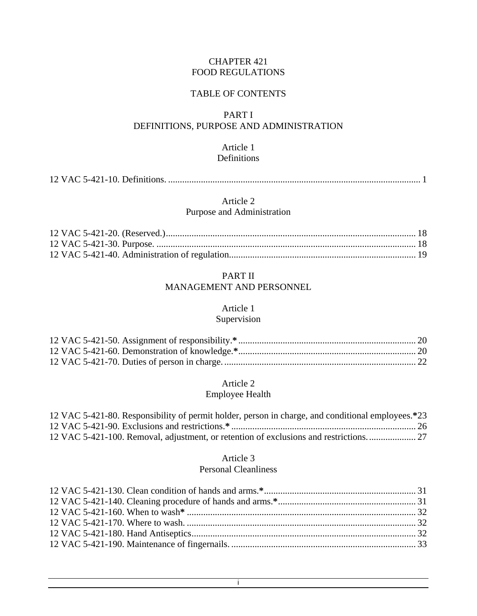#### CHAPTER 421 FOOD REGULATIONS

#### TABLE OF CONTENTS

#### PART I DEFINITIONS, PURPOSE AND ADMINISTRATION

### Article 1 Definitions

|--|--|--|

### Article 2

### Purpose and Administration

#### PART II

#### MANAGEMENT AND PERSONNEL

### Article 1

### Supervision

#### Article 2

### Employee Health

| 12 VAC 5-421-80. Responsibility of permit holder, person in charge, and conditional employees.*23 |  |
|---------------------------------------------------------------------------------------------------|--|
|                                                                                                   |  |
| 12 VAC 5-421-100. Removal, adjustment, or retention of exclusions and restrictions                |  |

#### Article 3

#### Personal Cleanliness

i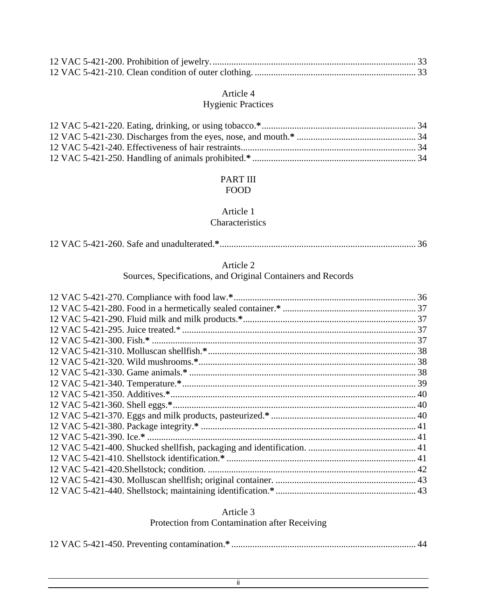## Hygienic Practices

#### PART III FOOD

### Article 1

### **Characteristics**

# Article 2

## Sources, Specifications, and Original Containers and Records

### Article 3

## Protection from Contamination after Receiving

| 12 VAC 5-421-450. Preventing contamination.* |  |
|----------------------------------------------|--|
|                                              |  |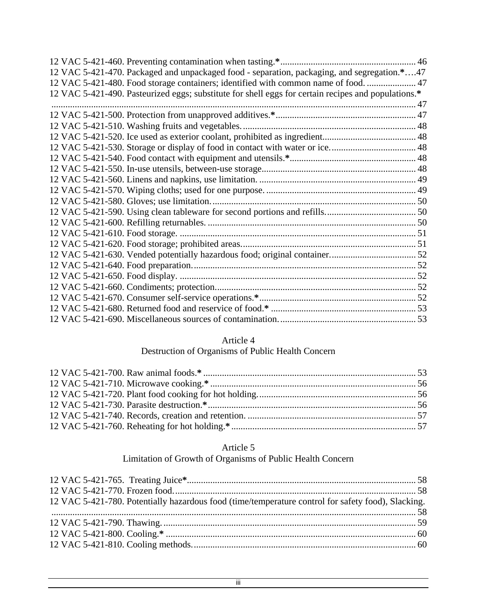| 12 VAC 5-421-470. Packaged and unpackaged food - separation, packaging, and segregation.*47         |  |
|-----------------------------------------------------------------------------------------------------|--|
| 12 VAC 5-421-480. Food storage containers; identified with common name of food.  47                 |  |
| 12 VAC 5-421-490. Pasteurized eggs; substitute for shell eggs for certain recipes and populations.* |  |
|                                                                                                     |  |
|                                                                                                     |  |
|                                                                                                     |  |
|                                                                                                     |  |
|                                                                                                     |  |
|                                                                                                     |  |
|                                                                                                     |  |
|                                                                                                     |  |
|                                                                                                     |  |
|                                                                                                     |  |
|                                                                                                     |  |
|                                                                                                     |  |
|                                                                                                     |  |
|                                                                                                     |  |
|                                                                                                     |  |
|                                                                                                     |  |
|                                                                                                     |  |
|                                                                                                     |  |
|                                                                                                     |  |
|                                                                                                     |  |
|                                                                                                     |  |

# Destruction of Organisms of Public Health Concern

## Article 5

# Limitation of Growth of Organisms of Public Health Concern

| 12 VAC 5-421-780. Potentially hazardous food (time/temperature control for safety food), Slacking. |  |
|----------------------------------------------------------------------------------------------------|--|
|                                                                                                    |  |
|                                                                                                    |  |
|                                                                                                    |  |
|                                                                                                    |  |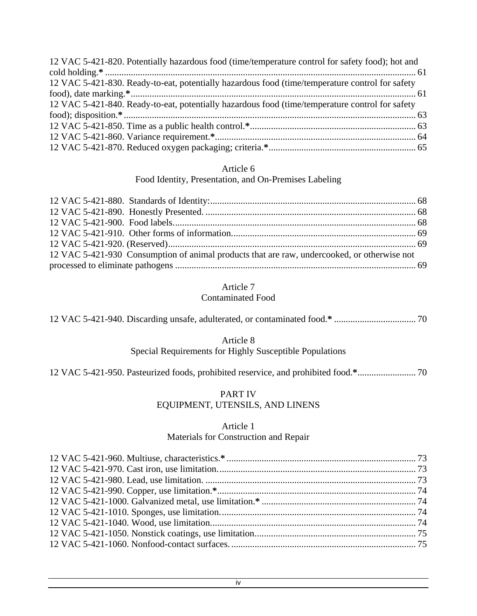| 12 VAC 5-421-820. Potentially hazardous food (time/temperature control for safety food); hot and |  |
|--------------------------------------------------------------------------------------------------|--|
|                                                                                                  |  |
| 12 VAC 5-421-830. Ready-to-eat, potentially hazardous food (time/temperature control for safety  |  |
|                                                                                                  |  |
| 12 VAC 5-421-840. Ready-to-eat, potentially hazardous food (time/temperature control for safety  |  |
|                                                                                                  |  |
|                                                                                                  |  |
|                                                                                                  |  |
|                                                                                                  |  |

### Food Identity, Presentation, and On-Premises Labeling

| 12 VAC 5-421-930 Consumption of animal products that are raw, undercooked, or otherwise not |  |
|---------------------------------------------------------------------------------------------|--|
|                                                                                             |  |

### Article 7

### Contaminated Food

### Article 8

## Special Requirements for Highly Susceptible Populations

### [12 VAC 5-421-950. Pasteurized foods, prohibited reservice, and prohibited food.](#page-83-1)**\***......................... 70

### PART IV EQUIPMENT, UTENSILS, AND LINENS

### Article 1

### Materials for Construction and Repair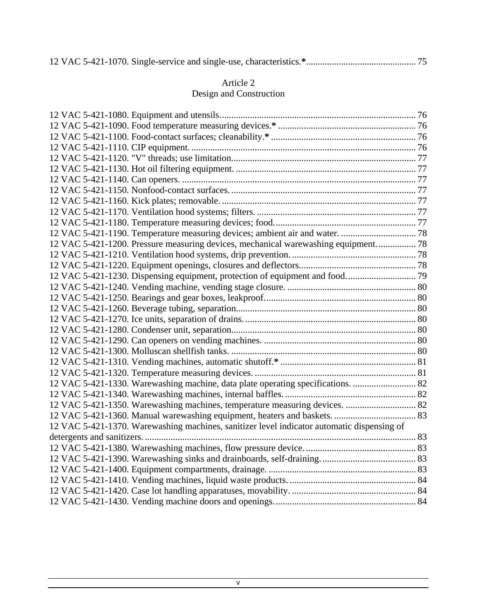|--|--|--|--|--|--|

# Design and Construction

| 12 VAC 5-421-1200. Pressure measuring devices, mechanical warewashing equipment 78         |  |
|--------------------------------------------------------------------------------------------|--|
|                                                                                            |  |
|                                                                                            |  |
|                                                                                            |  |
|                                                                                            |  |
|                                                                                            |  |
|                                                                                            |  |
|                                                                                            |  |
|                                                                                            |  |
|                                                                                            |  |
|                                                                                            |  |
|                                                                                            |  |
|                                                                                            |  |
| 12 VAC 5-421-1330. Warewashing machine, data plate operating specifications.  82           |  |
|                                                                                            |  |
|                                                                                            |  |
|                                                                                            |  |
| 12 VAC 5-421-1370. Warewashing machines, sanitizer level indicator automatic dispensing of |  |
|                                                                                            |  |
|                                                                                            |  |
|                                                                                            |  |
|                                                                                            |  |
|                                                                                            |  |
|                                                                                            |  |
|                                                                                            |  |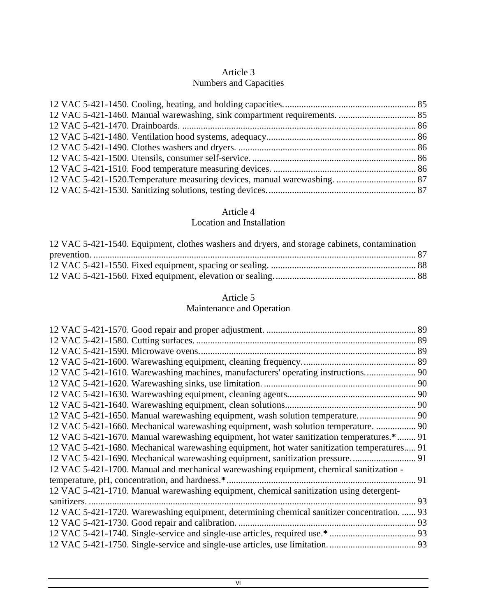# Article 3 Numbers and Capacities

### Article 4

# Location and Installation

| 12 VAC 5-421-1540. Equipment, clothes washers and dryers, and storage cabinets, contamination |  |
|-----------------------------------------------------------------------------------------------|--|
|                                                                                               |  |
|                                                                                               |  |
|                                                                                               |  |

# Article 5

# Maintenance and Operation

| 12 VAC 5-421-1590. Microwave ovens                                                          |    |
|---------------------------------------------------------------------------------------------|----|
|                                                                                             |    |
| 12 VAC 5-421-1610. Warewashing machines, manufacturers' operating instructions              | 90 |
|                                                                                             |    |
|                                                                                             |    |
|                                                                                             |    |
| 12 VAC 5-421-1650. Manual warewashing equipment, wash solution temperature 90               |    |
| 12 VAC 5-421-1660. Mechanical warewashing equipment, wash solution temperature.  90         |    |
| 12 VAC 5-421-1670. Manual warewashing equipment, hot water sanitization temperatures.* 91   |    |
| 12 VAC 5-421-1680. Mechanical warewashing equipment, hot water sanitization temperatures 91 |    |
|                                                                                             |    |
| 12 VAC 5-421-1700. Manual and mechanical warewashing equipment, chemical sanitization -     |    |
|                                                                                             | 91 |
| 12 VAC 5-421-1710. Manual warewashing equipment, chemical sanitization using detergent-     |    |
| sanitizers                                                                                  | 93 |
| 12 VAC 5-421-1720. Warewashing equipment, determining chemical sanitizer concentration.  93 |    |
|                                                                                             |    |
|                                                                                             |    |
|                                                                                             |    |
|                                                                                             |    |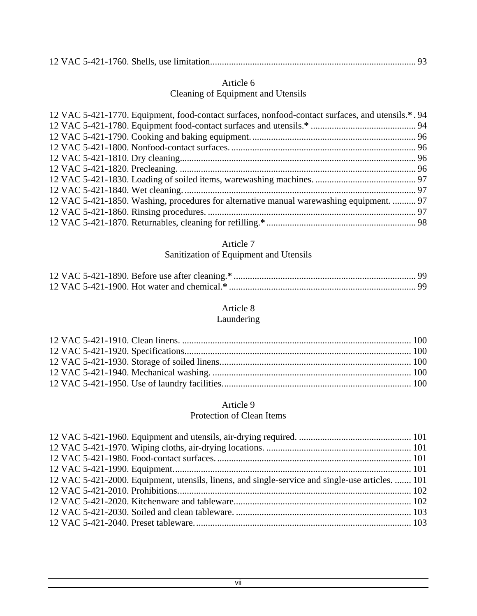|--|--|

| Cleaning of Equipment and Utensils |
|------------------------------------|
|------------------------------------|

| 12 VAC 5-421-1770. Equipment, food-contact surfaces, nonfood-contact surfaces, and utensils.*. 94 |  |
|---------------------------------------------------------------------------------------------------|--|
|                                                                                                   |  |
|                                                                                                   |  |
|                                                                                                   |  |
|                                                                                                   |  |
|                                                                                                   |  |
|                                                                                                   |  |
|                                                                                                   |  |
| 12 VAC 5-421-1850. Washing, procedures for alternative manual warewashing equipment.  97          |  |
|                                                                                                   |  |
|                                                                                                   |  |

# Article 7

# Sanitization of Equipment and Utensils

# Article 8

# Laundering

# Article 9

# Protection of Clean Items

| 12 VAC 5-421-2000. Equipment, utensils, linens, and single-service and single-use articles.  101 |  |
|--------------------------------------------------------------------------------------------------|--|
|                                                                                                  |  |
|                                                                                                  |  |
|                                                                                                  |  |
|                                                                                                  |  |
|                                                                                                  |  |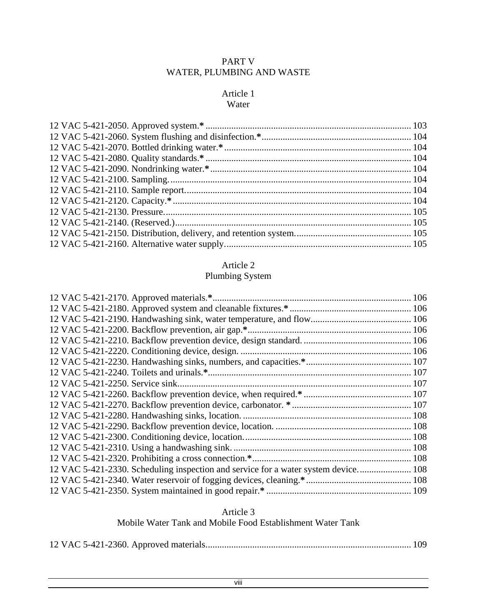### PART V WATER, PLUMBING AND WASTE

# Article 1

### Article 2

# Plumbing System

| 12 VAC 5-421-2330. Scheduling inspection and service for a water system device 108 |  |
|------------------------------------------------------------------------------------|--|
|                                                                                    |  |
|                                                                                    |  |

### Article 3

### Mobile Water Tank and Mobile Food Establishment Water Tank

|--|--|--|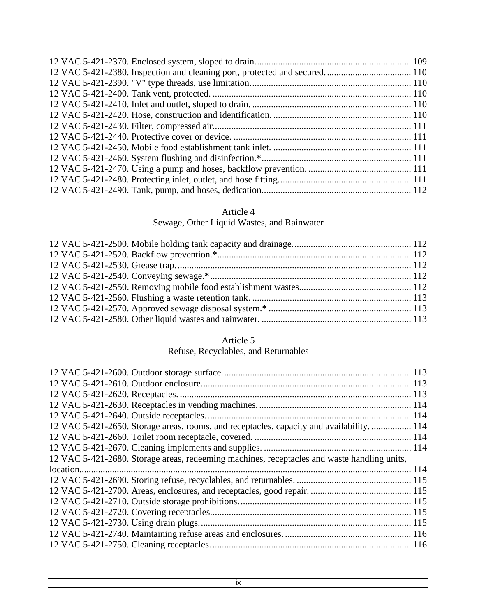# Sewage, Other Liquid Wastes, and Rainwater

# Article 5

## Refuse, Recyclables, and Returnables

| 12 VAC 5-421-2650. Storage areas, rooms, and receptacles, capacity and availability.  114   |  |
|---------------------------------------------------------------------------------------------|--|
|                                                                                             |  |
|                                                                                             |  |
| 12 VAC 5-421-2680. Storage areas, redeeming machines, receptacles and waste handling units, |  |
| location.                                                                                   |  |
|                                                                                             |  |
|                                                                                             |  |
|                                                                                             |  |
|                                                                                             |  |
|                                                                                             |  |
|                                                                                             |  |
|                                                                                             |  |
|                                                                                             |  |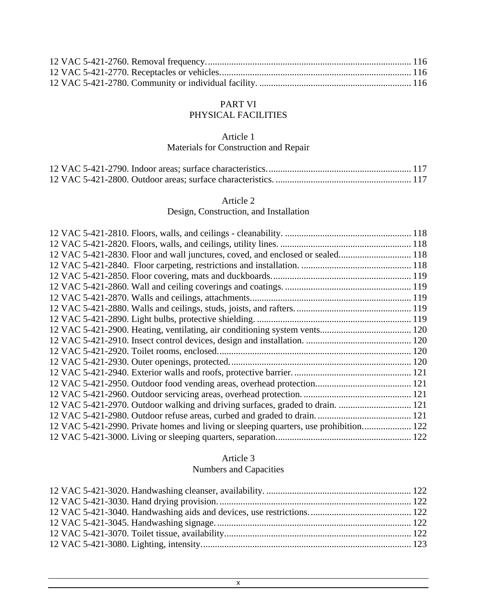### PART VI

# PHYSICAL FACILITIES

### Article 1

## Materials for Construction and Repair

#### Article 2

## Design, Construction, and Installation

| 12 VAC 5-421-2990. Private homes and living or sleeping quarters, use prohibition |  |
|-----------------------------------------------------------------------------------|--|
|                                                                                   |  |

### Article 3

## Numbers and Capacities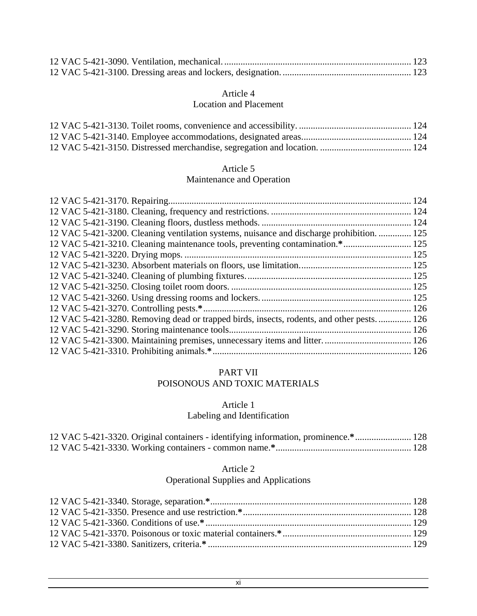### Location and Placement

# Article 5

### Maintenance and Operation

| 12 VAC 5-421-3200. Cleaning ventilation systems, nuisance and discharge prohibition.  125  |  |
|--------------------------------------------------------------------------------------------|--|
|                                                                                            |  |
|                                                                                            |  |
|                                                                                            |  |
|                                                                                            |  |
|                                                                                            |  |
|                                                                                            |  |
|                                                                                            |  |
| 12 VAC 5-421-3280. Removing dead or trapped birds, insects, rodents, and other pests.  126 |  |
|                                                                                            |  |
|                                                                                            |  |
|                                                                                            |  |

### PART VII

# POISONOUS AND TOXIC MATERIALS

### Article 1

# Labeling and Identification

|  | 12 VAC 5-421-3320. Original containers - identifying information, prominence.* 128 |  |
|--|------------------------------------------------------------------------------------|--|
|  |                                                                                    |  |

### Article 2

# Operational Supplies and Applications

xi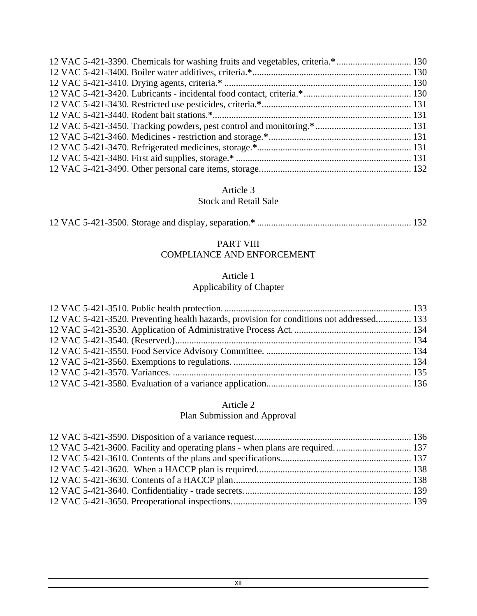# Stock and Retail Sale

### PART VIII

# COMPLIANCE AND ENFORCEMENT

# Article 1

## Applicability of Chapter

| 12 VAC 5-421-3520. Preventing health hazards, provision for conditions not addressed 133 |  |
|------------------------------------------------------------------------------------------|--|
|                                                                                          |  |
|                                                                                          |  |
|                                                                                          |  |
|                                                                                          |  |
|                                                                                          |  |
|                                                                                          |  |

# Article 2

Plan Submission and Approval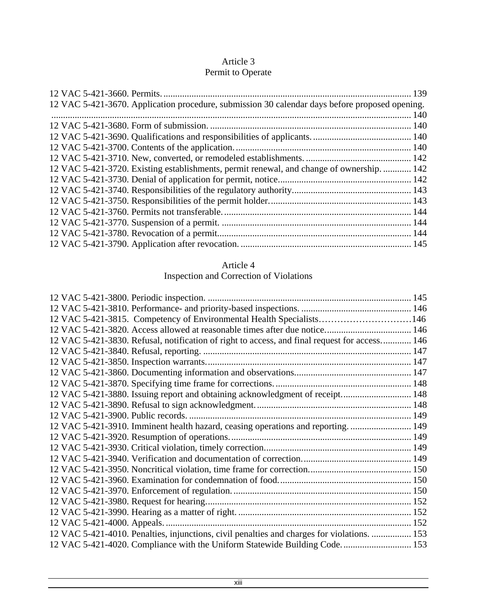### Article 3 Permit to Operate

| 12 VAC 5-421-3670. Application procedure, submission 30 calendar days before proposed opening. |  |
|------------------------------------------------------------------------------------------------|--|
|                                                                                                |  |
|                                                                                                |  |
|                                                                                                |  |
|                                                                                                |  |
|                                                                                                |  |
| 12 VAC 5-421-3720. Existing establishments, permit renewal, and change of ownership 142        |  |
|                                                                                                |  |
|                                                                                                |  |
|                                                                                                |  |
|                                                                                                |  |
|                                                                                                |  |
|                                                                                                |  |
|                                                                                                |  |

# Article 4

# Inspection and Correction of Violations

| 12 VAC 5-421-3815. Competency of Environmental Health Specialists146                          |  |
|-----------------------------------------------------------------------------------------------|--|
|                                                                                               |  |
| 12 VAC 5-421-3830. Refusal, notification of right to access, and final request for access 146 |  |
|                                                                                               |  |
|                                                                                               |  |
|                                                                                               |  |
|                                                                                               |  |
| 12 VAC 5-421-3880. Issuing report and obtaining acknowledgment of receipt 148                 |  |
|                                                                                               |  |
|                                                                                               |  |
| 12 VAC 5-421-3910. Imminent health hazard, ceasing operations and reporting.  149             |  |
|                                                                                               |  |
|                                                                                               |  |
|                                                                                               |  |
|                                                                                               |  |
|                                                                                               |  |
|                                                                                               |  |
|                                                                                               |  |
|                                                                                               |  |
|                                                                                               |  |
| 12 VAC 5-421-4010. Penalties, injunctions, civil penalties and charges for violations.  153   |  |
| 12 VAC 5-421-4020. Compliance with the Uniform Statewide Building Code 153                    |  |
|                                                                                               |  |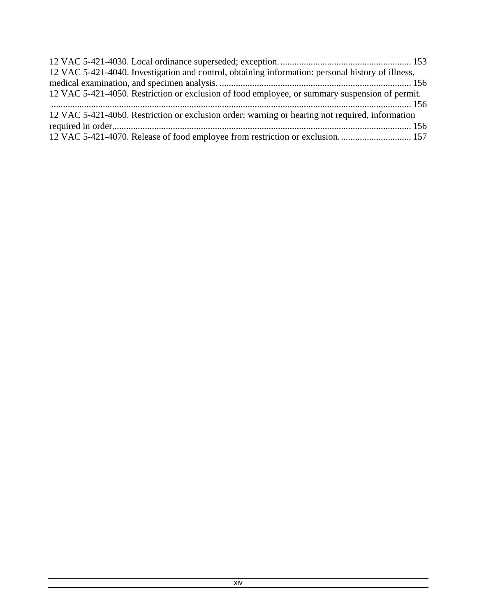| 12 VAC 5-421-4040. Investigation and control, obtaining information: personal history of illness, |  |
|---------------------------------------------------------------------------------------------------|--|
| 12 VAC 5-421-4050. Restriction or exclusion of food employee, or summary suspension of permit.    |  |
| 12 VAC 5-421-4060. Restriction or exclusion order: warning or hearing not required, information   |  |
|                                                                                                   |  |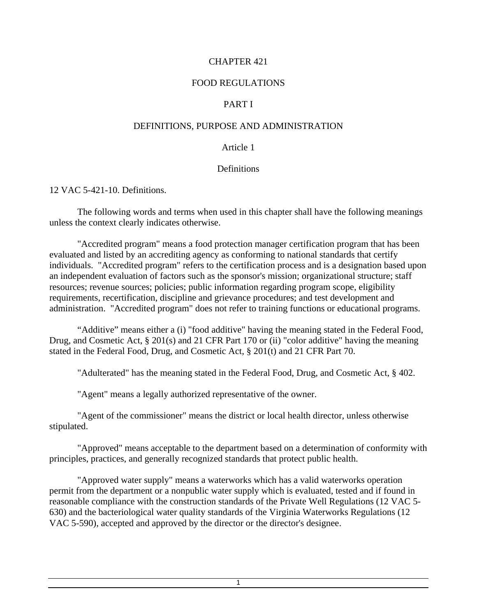#### CHAPTER 421

#### FOOD REGULATIONS

### PART I

#### DEFINITIONS, PURPOSE AND ADMINISTRATION

#### Article 1

#### **Definitions**

<span id="page-14-0"></span>12 VAC 5-421-10. Definitions.

The following words and terms when used in this chapter shall have the following meanings unless the context clearly indicates otherwise.

 "Accredited program" means a food protection manager certification program that has been evaluated and listed by an accrediting agency as conforming to national standards that certify individuals. "Accredited program" refers to the certification process and is a designation based upon an independent evaluation of factors such as the sponsor's mission; organizational structure; staff resources; revenue sources; policies; public information regarding program scope, eligibility requirements, recertification, discipline and grievance procedures; and test development and administration. "Accredited program" does not refer to training functions or educational programs.

"Additive" means either a (i) "food additive" having the meaning stated in the Federal Food, Drug, and Cosmetic Act, § 201(s) and 21 CFR Part 170 or (ii) "color additive" having the meaning stated in the Federal Food, Drug, and Cosmetic Act, § 201(t) and 21 CFR Part 70.

"Adulterated" has the meaning stated in the Federal Food, Drug, and Cosmetic Act, § 402.

"Agent" means a legally authorized representative of the owner.

"Agent of the commissioner" means the district or local health director, unless otherwise stipulated.

"Approved" means acceptable to the department based on a determination of conformity with principles, practices, and generally recognized standards that protect public health.

"Approved water supply" means a waterworks which has a valid waterworks operation permit from the department or a nonpublic water supply which is evaluated, tested and if found in reasonable compliance with the construction standards of the Private Well Regulations (12 VAC 5- 630) and the bacteriological water quality standards of the Virginia Waterworks Regulations (12 VAC 5-590), accepted and approved by the director or the director's designee.

1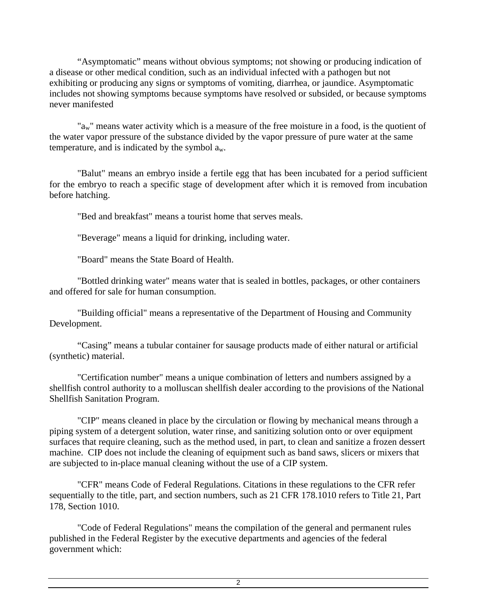"Asymptomatic" means without obvious symptoms; not showing or producing indication of a disease or other medical condition, such as an individual infected with a pathogen but not exhibiting or producing any signs or symptoms of vomiting, diarrhea, or jaundice. Asymptomatic includes not showing symptoms because symptoms have resolved or subsided, or because symptoms never manifested

"a<sub>w</sub>" means water activity which is a measure of the free moisture in a food, is the quotient of the water vapor pressure of the substance divided by the vapor pressure of pure water at the same temperature, and is indicated by the symbol  $a_w$ .

"Balut" means an embryo inside a fertile egg that has been incubated for a period sufficient for the embryo to reach a specific stage of development after which it is removed from incubation before hatching.

"Bed and breakfast" means a tourist home that serves meals.

"Beverage" means a liquid for drinking, including water.

"Board" means the State Board of Health.

"Bottled drinking water" means water that is sealed in bottles, packages, or other containers and offered for sale for human consumption.

"Building official" means a representative of the Department of Housing and Community Development.

"Casing" means a tubular container for sausage products made of either natural or artificial (synthetic) material.

"Certification number" means a unique combination of letters and numbers assigned by a shellfish control authority to a molluscan shellfish dealer according to the provisions of the National Shellfish Sanitation Program.

"CIP" means cleaned in place by the circulation or flowing by mechanical means through a piping system of a detergent solution, water rinse, and sanitizing solution onto or over equipment surfaces that require cleaning, such as the method used, in part, to clean and sanitize a frozen dessert machine. CIP does not include the cleaning of equipment such as band saws, slicers or mixers that are subjected to in-place manual cleaning without the use of a CIP system.

"CFR" means Code of Federal Regulations. Citations in these regulations to the CFR refer sequentially to the title, part, and section numbers, such as 21 CFR 178.1010 refers to Title 21, Part 178, Section 1010.

"Code of Federal Regulations" means the compilation of the general and permanent rules published in the Federal Register by the executive departments and agencies of the federal government which: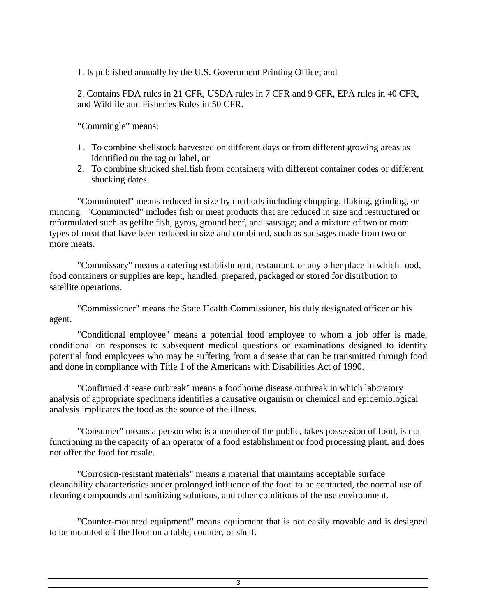1. Is published annually by the U.S. Government Printing Office; and

2. Contains FDA rules in 21 CFR, USDA rules in 7 CFR and 9 CFR, EPA rules in 40 CFR, and Wildlife and Fisheries Rules in 50 CFR.

"Commingle" means:

- 1. To combine shellstock harvested on different days or from different growing areas as identified on the tag or label, or
- 2. To combine shucked shellfish from containers with different container codes or different shucking dates.

"Comminuted" means reduced in size by methods including chopping, flaking, grinding, or mincing. "Comminuted" includes fish or meat products that are reduced in size and restructured or reformulated such as gefilte fish, gyros, ground beef, and sausage; and a mixture of two or more types of meat that have been reduced in size and combined, such as sausages made from two or more meats.

"Commissary" means a catering establishment, restaurant, or any other place in which food, food containers or supplies are kept, handled, prepared, packaged or stored for distribution to satellite operations.

"Commissioner" means the State Health Commissioner, his duly designated officer or his agent.

"Conditional employee" means a potential food employee to whom a job offer is made, conditional on responses to subsequent medical questions or examinations designed to identify potential food employees who may be suffering from a disease that can be transmitted through food and done in compliance with Title 1 of the Americans with Disabilities Act of 1990.

"Confirmed disease outbreak" means a foodborne disease outbreak in which laboratory analysis of appropriate specimens identifies a causative organism or chemical and epidemiological analysis implicates the food as the source of the illness.

"Consumer" means a person who is a member of the public, takes possession of food, is not functioning in the capacity of an operator of a food establishment or food processing plant, and does not offer the food for resale.

"Corrosion-resistant materials" means a material that maintains acceptable surface cleanability characteristics under prolonged influence of the food to be contacted, the normal use of cleaning compounds and sanitizing solutions, and other conditions of the use environment.

"Counter-mounted equipment" means equipment that is not easily movable and is designed to be mounted off the floor on a table, counter, or shelf.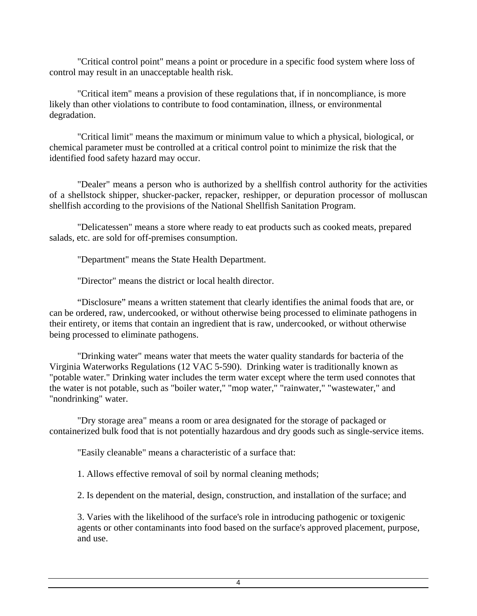"Critical control point" means a point or procedure in a specific food system where loss of control may result in an unacceptable health risk.

"Critical item" means a provision of these regulations that, if in noncompliance, is more likely than other violations to contribute to food contamination, illness, or environmental degradation.

"Critical limit" means the maximum or minimum value to which a physical, biological, or chemical parameter must be controlled at a critical control point to minimize the risk that the identified food safety hazard may occur.

"Dealer" means a person who is authorized by a shellfish control authority for the activities of a shellstock shipper, shucker-packer, repacker, reshipper, or depuration processor of molluscan shellfish according to the provisions of the National Shellfish Sanitation Program.

"Delicatessen" means a store where ready to eat products such as cooked meats, prepared salads, etc. are sold for off-premises consumption.

"Department" means the State Health Department.

"Director" means the district or local health director.

"Disclosure" means a written statement that clearly identifies the animal foods that are, or can be ordered, raw, undercooked, or without otherwise being processed to eliminate pathogens in their entirety, or items that contain an ingredient that is raw, undercooked, or without otherwise being processed to eliminate pathogens.

"Drinking water" means water that meets the water quality standards for bacteria of the Virginia Waterworks Regulations (12 VAC 5-590). Drinking water is traditionally known as "potable water." Drinking water includes the term water except where the term used connotes that the water is not potable, such as "boiler water," "mop water," "rainwater," "wastewater," and "nondrinking" water.

"Dry storage area" means a room or area designated for the storage of packaged or containerized bulk food that is not potentially hazardous and dry goods such as single-service items.

"Easily cleanable" means a characteristic of a surface that:

1. Allows effective removal of soil by normal cleaning methods;

2. Is dependent on the material, design, construction, and installation of the surface; and

3. Varies with the likelihood of the surface's role in introducing pathogenic or toxigenic agents or other contaminants into food based on the surface's approved placement, purpose, and use.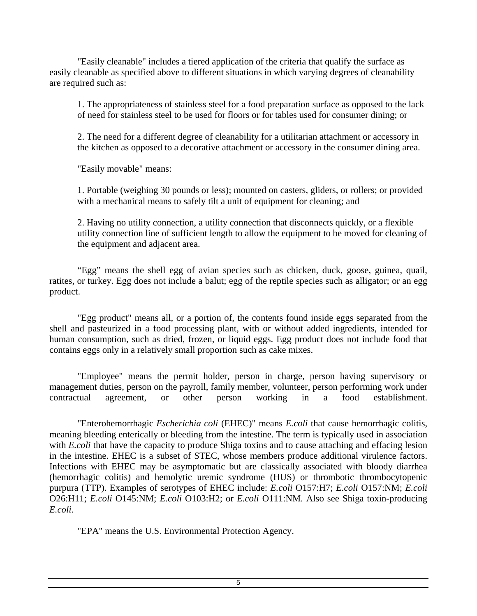"Easily cleanable" includes a tiered application of the criteria that qualify the surface as easily cleanable as specified above to different situations in which varying degrees of cleanability are required such as:

1. The appropriateness of stainless steel for a food preparation surface as opposed to the lack of need for stainless steel to be used for floors or for tables used for consumer dining; or

2. The need for a different degree of cleanability for a utilitarian attachment or accessory in the kitchen as opposed to a decorative attachment or accessory in the consumer dining area.

"Easily movable" means:

1. Portable (weighing 30 pounds or less); mounted on casters, gliders, or rollers; or provided with a mechanical means to safely tilt a unit of equipment for cleaning; and

2. Having no utility connection, a utility connection that disconnects quickly, or a flexible utility connection line of sufficient length to allow the equipment to be moved for cleaning of the equipment and adjacent area.

 "Egg" means the shell egg of avian species such as chicken, duck, goose, guinea, quail, ratites, or turkey. Egg does not include a balut; egg of the reptile species such as alligator; or an egg product.

"Egg product" means all, or a portion of, the contents found inside eggs separated from the shell and pasteurized in a food processing plant, with or without added ingredients, intended for human consumption, such as dried, frozen, or liquid eggs. Egg product does not include food that contains eggs only in a relatively small proportion such as cake mixes.

"Employee" means the permit holder, person in charge, person having supervisory or management duties, person on the payroll, family member, volunteer, person performing work under contractual agreement, or other person working in a food establishment.

"Enterohemorrhagic *Escherichia coli* (EHEC)" means *E.coli* that cause hemorrhagic colitis, meaning bleeding enterically or bleeding from the intestine. The term is typically used in association with *E.coli* that have the capacity to produce Shiga toxins and to cause attaching and effacing lesion in the intestine. EHEC is a subset of STEC, whose members produce additional virulence factors. Infections with EHEC may be asymptomatic but are classically associated with bloody diarrhea (hemorrhagic colitis) and hemolytic uremic syndrome (HUS) or thrombotic thrombocytopenic purpura (TTP). Examples of serotypes of EHEC include: *E.coli* O157:H7; *E.coli* O157:NM; *E.coli* O26:H11; *E.coli* O145:NM; *E.coli* O103:H2; or *E.coli* O111:NM. Also see Shiga toxin-producing *E.coli*.

"EPA" means the U.S. Environmental Protection Agency.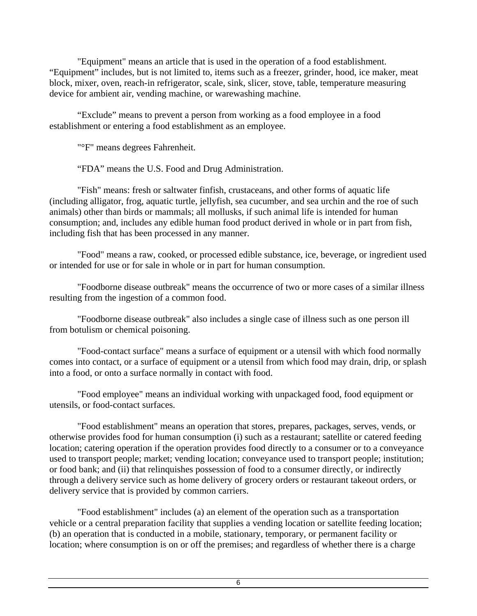"Equipment" means an article that is used in the operation of a food establishment. "Equipment" includes, but is not limited to, items such as a freezer, grinder, hood, ice maker, meat block, mixer, oven, reach-in refrigerator, scale, sink, slicer, stove, table, temperature measuring device for ambient air, vending machine, or warewashing machine.

 "Exclude" means to prevent a person from working as a food employee in a food establishment or entering a food establishment as an employee.

"°F" means degrees Fahrenheit.

"FDA" means the U.S. Food and Drug Administration.

"Fish" means: fresh or saltwater finfish, crustaceans, and other forms of aquatic life (including alligator, frog, aquatic turtle, jellyfish, sea cucumber, and sea urchin and the roe of such animals) other than birds or mammals; all mollusks, if such animal life is intended for human consumption; and, includes any edible human food product derived in whole or in part from fish, including fish that has been processed in any manner.

"Food" means a raw, cooked, or processed edible substance, ice, beverage, or ingredient used or intended for use or for sale in whole or in part for human consumption.

"Foodborne disease outbreak" means the occurrence of two or more cases of a similar illness resulting from the ingestion of a common food.

"Foodborne disease outbreak" also includes a single case of illness such as one person ill from botulism or chemical poisoning.

"Food-contact surface" means a surface of equipment or a utensil with which food normally comes into contact, or a surface of equipment or a utensil from which food may drain, drip, or splash into a food, or onto a surface normally in contact with food.

"Food employee" means an individual working with unpackaged food, food equipment or utensils, or food-contact surfaces.

"Food establishment" means an operation that stores, prepares, packages, serves, vends, or otherwise provides food for human consumption (i) such as a restaurant; satellite or catered feeding location; catering operation if the operation provides food directly to a consumer or to a conveyance used to transport people; market; vending location; conveyance used to transport people; institution; or food bank; and (ii) that relinquishes possession of food to a consumer directly, or indirectly through a delivery service such as home delivery of grocery orders or restaurant takeout orders, or delivery service that is provided by common carriers.

"Food establishment" includes (a) an element of the operation such as a transportation vehicle or a central preparation facility that supplies a vending location or satellite feeding location; (b) an operation that is conducted in a mobile, stationary, temporary, or permanent facility or location; where consumption is on or off the premises; and regardless of whether there is a charge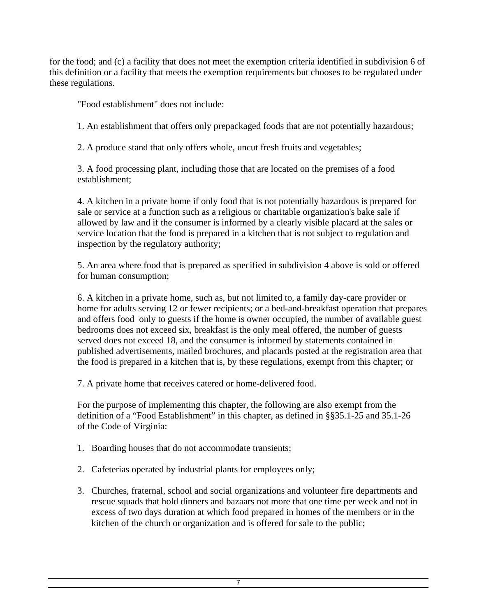for the food; and (c) a facility that does not meet the exemption criteria identified in subdivision 6 of this definition or a facility that meets the exemption requirements but chooses to be regulated under these regulations.

"Food establishment" does not include:

1. An establishment that offers only prepackaged foods that are not potentially hazardous;

2. A produce stand that only offers whole, uncut fresh fruits and vegetables;

3. A food processing plant, including those that are located on the premises of a food establishment;

4. A kitchen in a private home if only food that is not potentially hazardous is prepared for sale or service at a function such as a religious or charitable organization's bake sale if allowed by law and if the consumer is informed by a clearly visible placard at the sales or service location that the food is prepared in a kitchen that is not subject to regulation and inspection by the regulatory authority;

5. An area where food that is prepared as specified in subdivision 4 above is sold or offered for human consumption;

6. A kitchen in a private home, such as, but not limited to, a family day-care provider or home for adults serving 12 or fewer recipients; or a bed-and-breakfast operation that prepares and offers food only to guests if the home is owner occupied, the number of available guest bedrooms does not exceed six, breakfast is the only meal offered, the number of guests served does not exceed 18, and the consumer is informed by statements contained in published advertisements, mailed brochures, and placards posted at the registration area that the food is prepared in a kitchen that is, by these regulations, exempt from this chapter; or

7. A private home that receives catered or home-delivered food.

For the purpose of implementing this chapter, the following are also exempt from the definition of a "Food Establishment" in this chapter, as defined in §§35.1-25 and 35.1-26 of the Code of Virginia:

- 1. Boarding houses that do not accommodate transients;
- 2. Cafeterias operated by industrial plants for employees only;
- 3. Churches, fraternal, school and social organizations and volunteer fire departments and rescue squads that hold dinners and bazaars not more that one time per week and not in excess of two days duration at which food prepared in homes of the members or in the kitchen of the church or organization and is offered for sale to the public;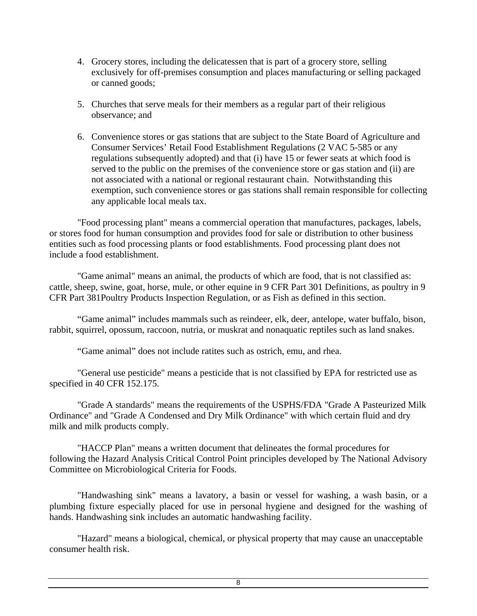- 4. Grocery stores, including the delicatessen that is part of a grocery store, selling exclusively for off-premises consumption and places manufacturing or selling packaged or canned goods;
- 5. Churches that serve meals for their members as a regular part of their religious observance; and
- 6. Convenience stores or gas stations that are subject to the State Board of Agriculture and Consumer Services' Retail Food Establishment Regulations (2 VAC 5-585 or any regulations subsequently adopted) and that (i) have 15 or fewer seats at which food is served to the public on the premises of the convenience store or gas station and (ii) are not associated with a national or regional restaurant chain. Notwithstanding this exemption, such convenience stores or gas stations shall remain responsible for collecting any applicable local meals tax.

"Food processing plant" means a commercial operation that manufactures, packages, labels, or stores food for human consumption and provides food for sale or distribution to other business entities such as food processing plants or food establishments. Food processing plant does not include a food establishment.

"Game animal" means an animal, the products of which are food, that is not classified as: cattle, sheep, swine, goat, horse, mule, or other equine in 9 CFR Part 301 Definitions, as poultry in 9 CFR Part 381Poultry Products Inspection Regulation, or as Fish as defined in this section.

"Game animal" includes mammals such as reindeer, elk, deer, antelope, water buffalo, bison, rabbit, squirrel, opossum, raccoon, nutria, or muskrat and nonaquatic reptiles such as land snakes.

"Game animal" does not include ratites such as ostrich, emu, and rhea.

"General use pesticide" means a pesticide that is not classified by EPA for restricted use as specified in 40 CFR 152.175.

"Grade A standards" means the requirements of the USPHS/FDA "Grade A Pasteurized Milk Ordinance" and "Grade A Condensed and Dry Milk Ordinance" with which certain fluid and dry milk and milk products comply.

"HACCP Plan" means a written document that delineates the formal procedures for following the Hazard Analysis Critical Control Point principles developed by The National Advisory Committee on Microbiological Criteria for Foods.

"Handwashing sink" means a lavatory, a basin or vessel for washing, a wash basin, or a plumbing fixture especially placed for use in personal hygiene and designed for the washing of hands. Handwashing sink includes an automatic handwashing facility.

"Hazard" means a biological, chemical, or physical property that may cause an unacceptable consumer health risk.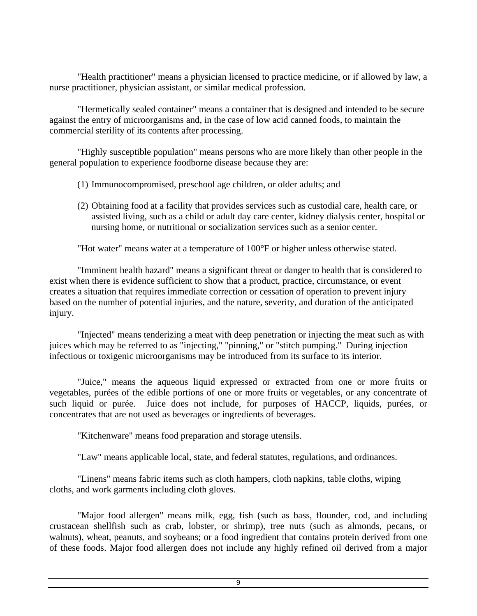"Health practitioner" means a physician licensed to practice medicine, or if allowed by law, a nurse practitioner, physician assistant, or similar medical profession.

"Hermetically sealed container" means a container that is designed and intended to be secure against the entry of microorganisms and, in the case of low acid canned foods, to maintain the commercial sterility of its contents after processing.

"Highly susceptible population" means persons who are more likely than other people in the general population to experience foodborne disease because they are:

- (1) Immunocompromised, preschool age children, or older adults; and
- (2) Obtaining food at a facility that provides services such as custodial care, health care, or assisted living, such as a child or adult day care center, kidney dialysis center, hospital or nursing home, or nutritional or socialization services such as a senior center.

"Hot water" means water at a temperature of 100°F or higher unless otherwise stated.

"Imminent health hazard" means a significant threat or danger to health that is considered to exist when there is evidence sufficient to show that a product, practice, circumstance, or event creates a situation that requires immediate correction or cessation of operation to prevent injury based on the number of potential injuries, and the nature, severity, and duration of the anticipated injury.

"Injected" means tenderizing a meat with deep penetration or injecting the meat such as with juices which may be referred to as "injecting," "pinning," or "stitch pumping." During injection infectious or toxigenic microorganisms may be introduced from its surface to its interior.

"Juice," means the aqueous liquid expressed or extracted from one or more fruits or vegetables, purées of the edible portions of one or more fruits or vegetables, or any concentrate of such liquid or purée. Juice does not include, for purposes of HACCP, liquids, purées, or concentrates that are not used as beverages or ingredients of beverages.

"Kitchenware" means food preparation and storage utensils.

"Law" means applicable local, state, and federal statutes, regulations, and ordinances.

"Linens" means fabric items such as cloth hampers, cloth napkins, table cloths, wiping cloths, and work garments including cloth gloves.

"Major food allergen" means milk, egg, fish (such as bass, flounder, cod, and including crustacean shellfish such as crab, lobster, or shrimp), tree nuts (such as almonds, pecans, or walnuts), wheat, peanuts, and soybeans; or a food ingredient that contains protein derived from one of these foods. Major food allergen does not include any highly refined oil derived from a major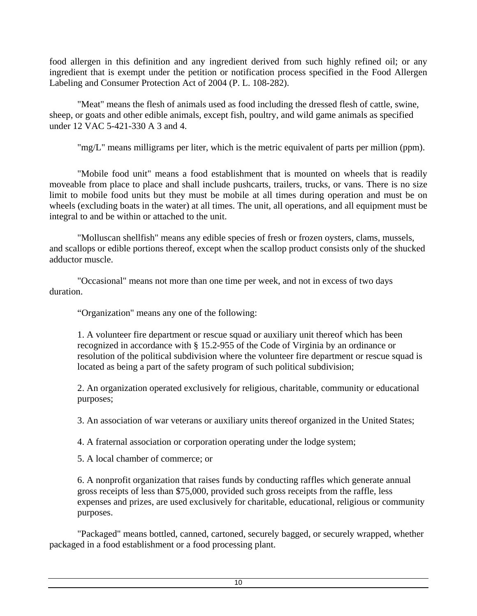food allergen in this definition and any ingredient derived from such highly refined oil; or any ingredient that is exempt under the petition or notification process specified in the Food Allergen Labeling and Consumer Protection Act of 2004 (P. L. 108-282).

"Meat" means the flesh of animals used as food including the dressed flesh of cattle, swine, sheep, or goats and other edible animals, except fish, poultry, and wild game animals as specified under 12 VAC 5-421-330 A 3 and 4.

"mg/L" means milligrams per liter, which is the metric equivalent of parts per million (ppm).

"Mobile food unit" means a food establishment that is mounted on wheels that is readily moveable from place to place and shall include pushcarts, trailers, trucks, or vans. There is no size limit to mobile food units but they must be mobile at all times during operation and must be on wheels (excluding boats in the water) at all times. The unit, all operations, and all equipment must be integral to and be within or attached to the unit.

"Molluscan shellfish" means any edible species of fresh or frozen oysters, clams, mussels, and scallops or edible portions thereof, except when the scallop product consists only of the shucked adductor muscle.

"Occasional" means not more than one time per week, and not in excess of two days duration.

"Organization" means any one of the following:

1. A volunteer fire department or rescue squad or auxiliary unit thereof which has been recognized in accordance with § 15.2-955 of the Code of Virginia by an ordinance or resolution of the political subdivision where the volunteer fire department or rescue squad is located as being a part of the safety program of such political subdivision;

2. An organization operated exclusively for religious, charitable, community or educational purposes;

3. An association of war veterans or auxiliary units thereof organized in the United States;

4. A fraternal association or corporation operating under the lodge system;

5. A local chamber of commerce; or

6. A nonprofit organization that raises funds by conducting raffles which generate annual gross receipts of less than \$75,000, provided such gross receipts from the raffle, less expenses and prizes, are used exclusively for charitable, educational, religious or community purposes.

"Packaged" means bottled, canned, cartoned, securely bagged, or securely wrapped, whether packaged in a food establishment or a food processing plant.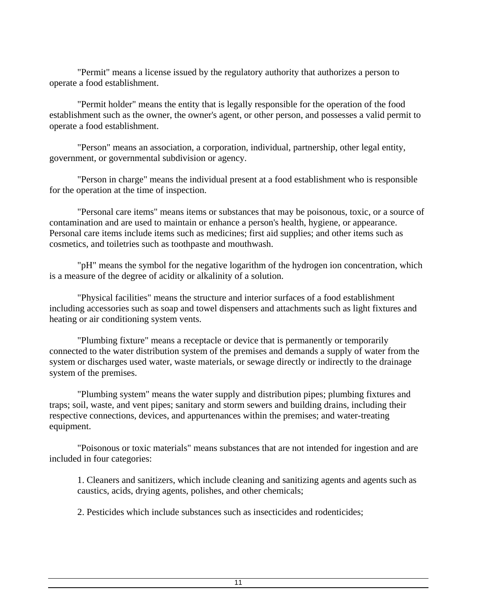"Permit" means a license issued by the regulatory authority that authorizes a person to operate a food establishment.

"Permit holder" means the entity that is legally responsible for the operation of the food establishment such as the owner, the owner's agent, or other person, and possesses a valid permit to operate a food establishment.

"Person" means an association, a corporation, individual, partnership, other legal entity, government, or governmental subdivision or agency.

"Person in charge" means the individual present at a food establishment who is responsible for the operation at the time of inspection.

"Personal care items" means items or substances that may be poisonous, toxic, or a source of contamination and are used to maintain or enhance a person's health, hygiene, or appearance. Personal care items include items such as medicines; first aid supplies; and other items such as cosmetics, and toiletries such as toothpaste and mouthwash.

"pH" means the symbol for the negative logarithm of the hydrogen ion concentration, which is a measure of the degree of acidity or alkalinity of a solution.

"Physical facilities" means the structure and interior surfaces of a food establishment including accessories such as soap and towel dispensers and attachments such as light fixtures and heating or air conditioning system vents.

"Plumbing fixture" means a receptacle or device that is permanently or temporarily connected to the water distribution system of the premises and demands a supply of water from the system or discharges used water, waste materials, or sewage directly or indirectly to the drainage system of the premises.

"Plumbing system" means the water supply and distribution pipes; plumbing fixtures and traps; soil, waste, and vent pipes; sanitary and storm sewers and building drains, including their respective connections, devices, and appurtenances within the premises; and water-treating equipment.

"Poisonous or toxic materials" means substances that are not intended for ingestion and are included in four categories:

1. Cleaners and sanitizers, which include cleaning and sanitizing agents and agents such as caustics, acids, drying agents, polishes, and other chemicals;

2. Pesticides which include substances such as insecticides and rodenticides;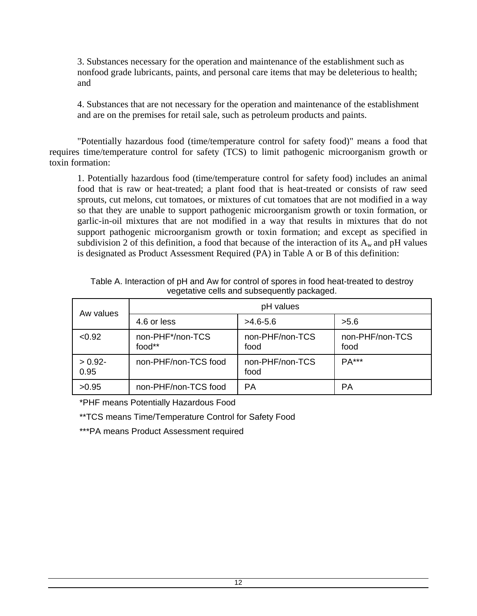3. Substances necessary for the operation and maintenance of the establishment such as nonfood grade lubricants, paints, and personal care items that may be deleterious to health; and

4. Substances that are not necessary for the operation and maintenance of the establishment and are on the premises for retail sale, such as petroleum products and paints.

"Potentially hazardous food (time/temperature control for safety food)" means a food that requires time/temperature control for safety (TCS) to limit pathogenic microorganism growth or toxin formation:

1. Potentially hazardous food (time/temperature control for safety food) includes an animal food that is raw or heat-treated; a plant food that is heat-treated or consists of raw seed sprouts, cut melons, cut tomatoes, or mixtures of cut tomatoes that are not modified in a way so that they are unable to support pathogenic microorganism growth or toxin formation, or garlic-in-oil mixtures that are not modified in a way that results in mixtures that do not support pathogenic microorganism growth or toxin formation; and except as specified in subdivision 2 of this definition, a food that because of the interaction of its  $A_w$  and pH values is designated as Product Assessment Required (PA) in Table A or B of this definition:

|  | Aw values          | pH values                  |                         |                         |
|--|--------------------|----------------------------|-------------------------|-------------------------|
|  |                    | 4.6 or less                | $>4.6 - 5.6$            | >5.6                    |
|  | < 0.92             | non-PHF*/non-TCS<br>food** | non-PHF/non-TCS<br>food | non-PHF/non-TCS<br>food |
|  | $> 0.92 -$<br>0.95 | non-PHF/non-TCS food       | non-PHF/non-TCS<br>food | <b>PA***</b>            |
|  | >0.95              | non-PHF/non-TCS food       | РA                      | PА                      |

 Table A. Interaction of pH and Aw for control of spores in food heat-treated to destroy vegetative cells and subsequently packaged.

\*PHF means Potentially Hazardous Food

\*\*TCS means Time/Temperature Control for Safety Food

\*\*\*PA means Product Assessment required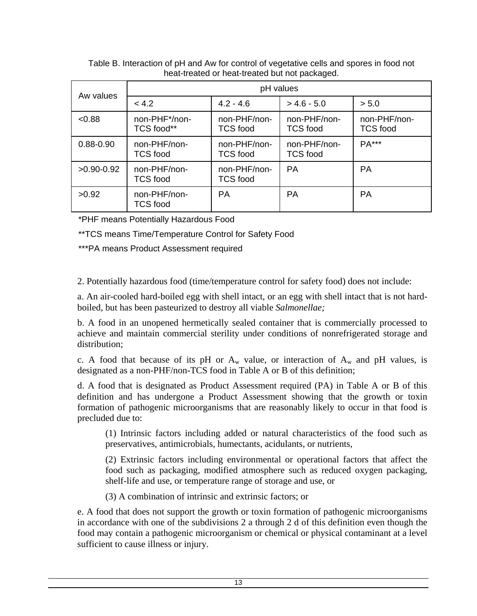| Aw values      | pH values                       |                                 |                                 |                                 |
|----------------|---------------------------------|---------------------------------|---------------------------------|---------------------------------|
|                | < 4.2                           | $4.2 - 4.6$                     | $> 4.6 - 5.0$                   | > 5.0                           |
| < 0.88         | non-PHF*/non-<br>TCS food**     | non-PHF/non-<br><b>TCS food</b> | non-PHF/non-<br><b>TCS food</b> | non-PHF/non-<br><b>TCS food</b> |
| $0.88 - 0.90$  | non-PHF/non-<br><b>TCS food</b> | non-PHF/non-<br><b>TCS food</b> | non-PHF/non-<br><b>TCS food</b> | <b>PA***</b>                    |
| $>0.90 - 0.92$ | non-PHF/non-<br><b>TCS food</b> | non-PHF/non-<br><b>TCS food</b> | <b>PA</b>                       | <b>PA</b>                       |
| >0.92          | non-PHF/non-<br><b>TCS food</b> | <b>PA</b>                       | <b>PA</b>                       | <b>PA</b>                       |

 Table B. Interaction of pH and Aw for control of vegetative cells and spores in food not heat-treated or heat-treated but not packaged.

\*PHF means Potentially Hazardous Food

\*\*TCS means Time/Temperature Control for Safety Food

\*\*\*PA means Product Assessment required

2. Potentially hazardous food (time/temperature control for safety food) does not include:

a. An air-cooled hard-boiled egg with shell intact, or an egg with shell intact that is not hardboiled, but has been pasteurized to destroy all viable *Salmonellae;*

b. A food in an unopened hermetically sealed container that is commercially processed to achieve and maintain commercial sterility under conditions of nonrefrigerated storage and distribution;

c. A food that because of its pH or  $A_w$  value, or interaction of  $A_w$  and pH values, is designated as a non-PHF/non-TCS food in Table A or B of this definition;

d. A food that is designated as Product Assessment required (PA) in Table A or B of this definition and has undergone a Product Assessment showing that the growth or toxin formation of pathogenic microorganisms that are reasonably likely to occur in that food is precluded due to:

(1) Intrinsic factors including added or natural characteristics of the food such as preservatives, antimicrobials, humectants, acidulants, or nutrients,

(2) Extrinsic factors including environmental or operational factors that affect the food such as packaging, modified atmosphere such as reduced oxygen packaging, shelf-life and use, or temperature range of storage and use, or

(3) A combination of intrinsic and extrinsic factors; or

e. A food that does not support the growth or toxin formation of pathogenic microorganisms in accordance with one of the subdivisions 2 a through 2 d of this definition even though the food may contain a pathogenic microorganism or chemical or physical contaminant at a level sufficient to cause illness or injury.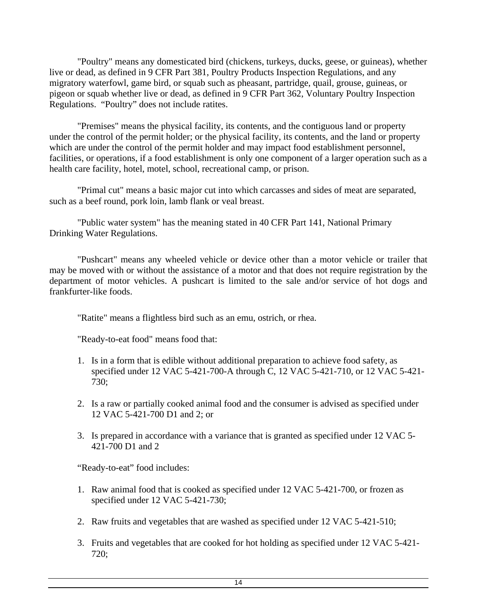"Poultry" means any domesticated bird (chickens, turkeys, ducks, geese, or guineas), whether live or dead, as defined in 9 CFR Part 381, Poultry Products Inspection Regulations, and any migratory waterfowl, game bird, or squab such as pheasant, partridge, quail, grouse, guineas, or pigeon or squab whether live or dead, as defined in 9 CFR Part 362, Voluntary Poultry Inspection Regulations. "Poultry" does not include ratites.

"Premises" means the physical facility, its contents, and the contiguous land or property under the control of the permit holder; or the physical facility, its contents, and the land or property which are under the control of the permit holder and may impact food establishment personnel, facilities, or operations, if a food establishment is only one component of a larger operation such as a health care facility, hotel, motel, school, recreational camp, or prison.

"Primal cut" means a basic major cut into which carcasses and sides of meat are separated, such as a beef round, pork loin, lamb flank or veal breast.

"Public water system" has the meaning stated in 40 CFR Part 141, National Primary Drinking Water Regulations.

"Pushcart" means any wheeled vehicle or device other than a motor vehicle or trailer that may be moved with or without the assistance of a motor and that does not require registration by the department of motor vehicles. A pushcart is limited to the sale and/or service of hot dogs and frankfurter-like foods.

"Ratite" means a flightless bird such as an emu, ostrich, or rhea.

"Ready-to-eat food" means food that:

- 1. Is in a form that is edible without additional preparation to achieve food safety, as specified under 12 VAC 5-421-700-A through C, 12 VAC 5-421-710, or 12 VAC 5-421- 730;
- 2. Is a raw or partially cooked animal food and the consumer is advised as specified under 12 VAC 5-421-700 D1 and 2; or
- 3. Is prepared in accordance with a variance that is granted as specified under 12 VAC 5- 421-700 D1 and 2

"Ready-to-eat" food includes:

- 1. Raw animal food that is cooked as specified under 12 VAC 5-421-700, or frozen as specified under 12 VAC 5-421-730;
- 2. Raw fruits and vegetables that are washed as specified under 12 VAC 5-421-510;
- 3. Fruits and vegetables that are cooked for hot holding as specified under 12 VAC 5-421- 720;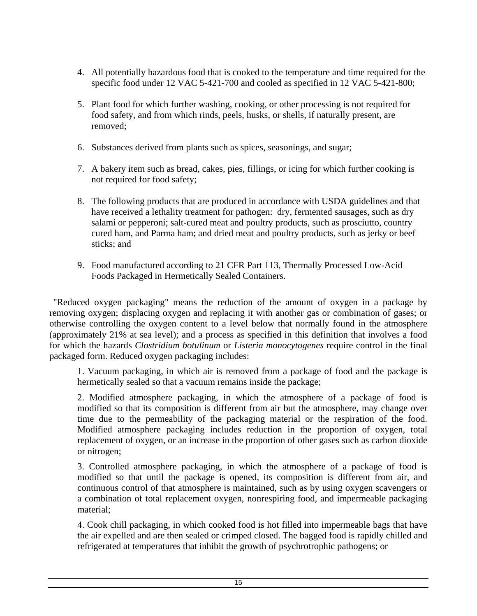- 4. All potentially hazardous food that is cooked to the temperature and time required for the specific food under 12 VAC 5-421-700 and cooled as specified in 12 VAC 5-421-800;
- 5. Plant food for which further washing, cooking, or other processing is not required for food safety, and from which rinds, peels, husks, or shells, if naturally present, are removed;
- 6. Substances derived from plants such as spices, seasonings, and sugar;
- 7. A bakery item such as bread, cakes, pies, fillings, or icing for which further cooking is not required for food safety;
- 8. The following products that are produced in accordance with USDA guidelines and that have received a lethality treatment for pathogen: dry, fermented sausages, such as dry salami or pepperoni; salt-cured meat and poultry products, such as prosciutto, country cured ham, and Parma ham; and dried meat and poultry products, such as jerky or beef sticks; and
- 9. Food manufactured according to 21 CFR Part 113, Thermally Processed Low-Acid Foods Packaged in Hermetically Sealed Containers.

"Reduced oxygen packaging" means the reduction of the amount of oxygen in a package by removing oxygen; displacing oxygen and replacing it with another gas or combination of gases; or otherwise controlling the oxygen content to a level below that normally found in the atmosphere (approximately 21% at sea level); and a process as specified in this definition that involves a food for which the hazards *Clostridium botulinum* or *Listeria monocytogenes* require control in the final packaged form. Reduced oxygen packaging includes:

1. Vacuum packaging, in which air is removed from a package of food and the package is hermetically sealed so that a vacuum remains inside the package;

2. Modified atmosphere packaging, in which the atmosphere of a package of food is modified so that its composition is different from air but the atmosphere, may change over time due to the permeability of the packaging material or the respiration of the food. Modified atmosphere packaging includes reduction in the proportion of oxygen, total replacement of oxygen, or an increase in the proportion of other gases such as carbon dioxide or nitrogen;

3. Controlled atmosphere packaging, in which the atmosphere of a package of food is modified so that until the package is opened, its composition is different from air, and continuous control of that atmosphere is maintained, such as by using oxygen scavengers or a combination of total replacement oxygen, nonrespiring food, and impermeable packaging material;

4. Cook chill packaging, in which cooked food is hot filled into impermeable bags that have the air expelled and are then sealed or crimped closed. The bagged food is rapidly chilled and refrigerated at temperatures that inhibit the growth of psychrotrophic pathogens; or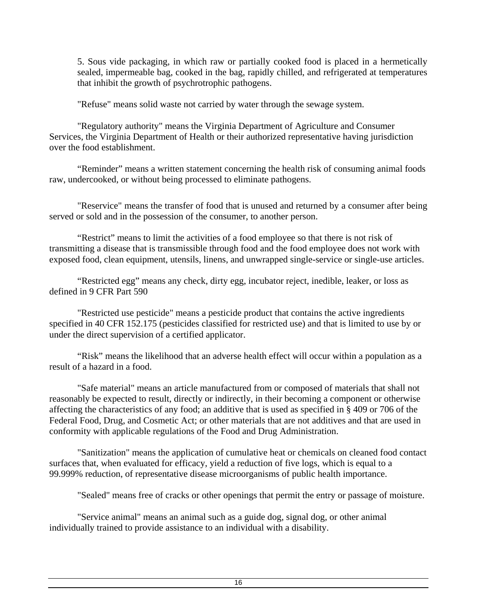5. Sous vide packaging, in which raw or partially cooked food is placed in a hermetically sealed, impermeable bag, cooked in the bag, rapidly chilled, and refrigerated at temperatures that inhibit the growth of psychrotrophic pathogens.

"Refuse" means solid waste not carried by water through the sewage system.

"Regulatory authority" means the Virginia Department of Agriculture and Consumer Services, the Virginia Department of Health or their authorized representative having jurisdiction over the food establishment.

 "Reminder" means a written statement concerning the health risk of consuming animal foods raw, undercooked, or without being processed to eliminate pathogens.

"Reservice" means the transfer of food that is unused and returned by a consumer after being served or sold and in the possession of the consumer, to another person.

 "Restrict" means to limit the activities of a food employee so that there is not risk of transmitting a disease that is transmissible through food and the food employee does not work with exposed food, clean equipment, utensils, linens, and unwrapped single-service or single-use articles.

 "Restricted egg" means any check, dirty egg, incubator reject, inedible, leaker, or loss as defined in 9 CFR Part 590

"Restricted use pesticide" means a pesticide product that contains the active ingredients specified in 40 CFR 152.175 (pesticides classified for restricted use) and that is limited to use by or under the direct supervision of a certified applicator.

 "Risk" means the likelihood that an adverse health effect will occur within a population as a result of a hazard in a food.

"Safe material" means an article manufactured from or composed of materials that shall not reasonably be expected to result, directly or indirectly, in their becoming a component or otherwise affecting the characteristics of any food; an additive that is used as specified in § 409 or 706 of the Federal Food, Drug, and Cosmetic Act; or other materials that are not additives and that are used in conformity with applicable regulations of the Food and Drug Administration.

"Sanitization" means the application of cumulative heat or chemicals on cleaned food contact surfaces that, when evaluated for efficacy, yield a reduction of five logs, which is equal to a 99.999% reduction, of representative disease microorganisms of public health importance.

"Sealed" means free of cracks or other openings that permit the entry or passage of moisture.

"Service animal" means an animal such as a guide dog, signal dog, or other animal individually trained to provide assistance to an individual with a disability.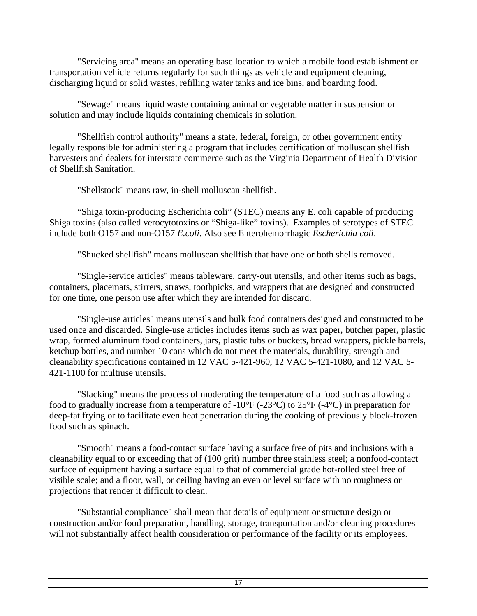"Servicing area" means an operating base location to which a mobile food establishment or transportation vehicle returns regularly for such things as vehicle and equipment cleaning, discharging liquid or solid wastes, refilling water tanks and ice bins, and boarding food.

"Sewage" means liquid waste containing animal or vegetable matter in suspension or solution and may include liquids containing chemicals in solution.

"Shellfish control authority" means a state, federal, foreign, or other government entity legally responsible for administering a program that includes certification of molluscan shellfish harvesters and dealers for interstate commerce such as the Virginia Department of Health Division of Shellfish Sanitation.

"Shellstock" means raw, in-shell molluscan shellfish.

 "Shiga toxin-producing Escherichia coli" (STEC) means any E. coli capable of producing Shiga toxins (also called verocytotoxins or "Shiga-like" toxins). Examples of serotypes of STEC include both O157 and non-O157 *E.coli*. Also see Enterohemorrhagic *Escherichia coli*.

"Shucked shellfish" means molluscan shellfish that have one or both shells removed.

"Single-service articles" means tableware, carry-out utensils, and other items such as bags, containers, placemats, stirrers, straws, toothpicks, and wrappers that are designed and constructed for one time, one person use after which they are intended for discard.

"Single-use articles" means utensils and bulk food containers designed and constructed to be used once and discarded. Single-use articles includes items such as wax paper, butcher paper, plastic wrap, formed aluminum food containers, jars, plastic tubs or buckets, bread wrappers, pickle barrels, ketchup bottles, and number 10 cans which do not meet the materials, durability, strength and cleanability specifications contained in 12 VAC 5-421-960, 12 VAC 5-421-1080, and 12 VAC 5- 421-1100 for multiuse utensils.

"Slacking" means the process of moderating the temperature of a food such as allowing a food to gradually increase from a temperature of  $-10^{\circ}F (-23^{\circ}C)$  to  $25^{\circ}F (-4^{\circ}C)$  in preparation for deep-fat frying or to facilitate even heat penetration during the cooking of previously block-frozen food such as spinach.

"Smooth" means a food-contact surface having a surface free of pits and inclusions with a cleanability equal to or exceeding that of (100 grit) number three stainless steel; a nonfood-contact surface of equipment having a surface equal to that of commercial grade hot-rolled steel free of visible scale; and a floor, wall, or ceiling having an even or level surface with no roughness or projections that render it difficult to clean.

"Substantial compliance" shall mean that details of equipment or structure design or construction and/or food preparation, handling, storage, transportation and/or cleaning procedures will not substantially affect health consideration or performance of the facility or its employees.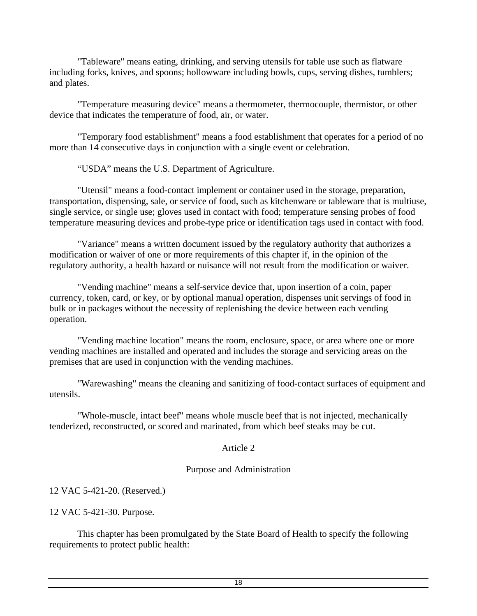"Tableware" means eating, drinking, and serving utensils for table use such as flatware including forks, knives, and spoons; hollowware including bowls, cups, serving dishes, tumblers; and plates.

"Temperature measuring device" means a thermometer, thermocouple, thermistor, or other device that indicates the temperature of food, air, or water.

"Temporary food establishment" means a food establishment that operates for a period of no more than 14 consecutive days in conjunction with a single event or celebration.

"USDA" means the U.S. Department of Agriculture.

"Utensil" means a food-contact implement or container used in the storage, preparation, transportation, dispensing, sale, or service of food, such as kitchenware or tableware that is multiuse, single service, or single use; gloves used in contact with food; temperature sensing probes of food temperature measuring devices and probe-type price or identification tags used in contact with food.

"Variance" means a written document issued by the regulatory authority that authorizes a modification or waiver of one or more requirements of this chapter if, in the opinion of the regulatory authority, a health hazard or nuisance will not result from the modification or waiver.

"Vending machine" means a self-service device that, upon insertion of a coin, paper currency, token, card, or key, or by optional manual operation, dispenses unit servings of food in bulk or in packages without the necessity of replenishing the device between each vending operation.

"Vending machine location" means the room, enclosure, space, or area where one or more vending machines are installed and operated and includes the storage and servicing areas on the premises that are used in conjunction with the vending machines.

"Warewashing" means the cleaning and sanitizing of food-contact surfaces of equipment and utensils.

"Whole-muscle, intact beef" means whole muscle beef that is not injected, mechanically tenderized, reconstructed, or scored and marinated, from which beef steaks may be cut.

Article 2

### Purpose and Administration

<span id="page-31-0"></span>12 VAC 5-421-20. (Reserved.)

<span id="page-31-1"></span>12 VAC 5-421-30. Purpose.

This chapter has been promulgated by the State Board of Health to specify the following requirements to protect public health: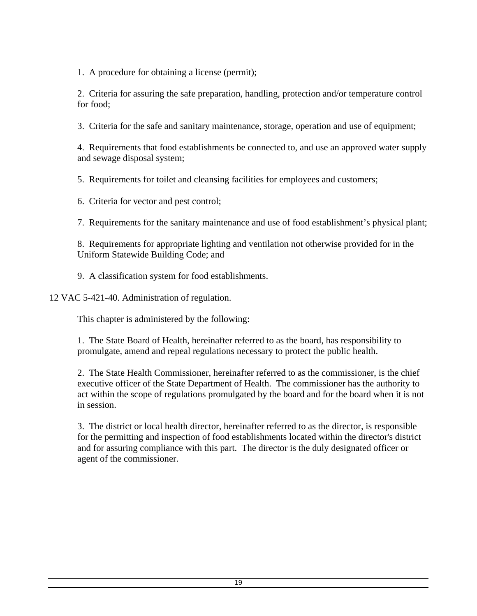1. A procedure for obtaining a license (permit);

2. Criteria for assuring the safe preparation, handling, protection and/or temperature control for food;

3. Criteria for the safe and sanitary maintenance, storage, operation and use of equipment;

4. Requirements that food establishments be connected to, and use an approved water supply and sewage disposal system;

5. Requirements for toilet and cleansing facilities for employees and customers;

6. Criteria for vector and pest control;

7. Requirements for the sanitary maintenance and use of food establishment's physical plant;

8. Requirements for appropriate lighting and ventilation not otherwise provided for in the Uniform Statewide Building Code; and

9. A classification system for food establishments.

<span id="page-32-0"></span>12 VAC 5-421-40. Administration of regulation.

This chapter is administered by the following:

1. The State Board of Health, hereinafter referred to as the board, has responsibility to promulgate, amend and repeal regulations necessary to protect the public health.

2. The State Health Commissioner, hereinafter referred to as the commissioner, is the chief executive officer of the State Department of Health. The commissioner has the authority to act within the scope of regulations promulgated by the board and for the board when it is not in session.

3. The district or local health director, hereinafter referred to as the director, is responsible for the permitting and inspection of food establishments located within the director's district and for assuring compliance with this part. The director is the duly designated officer or agent of the commissioner.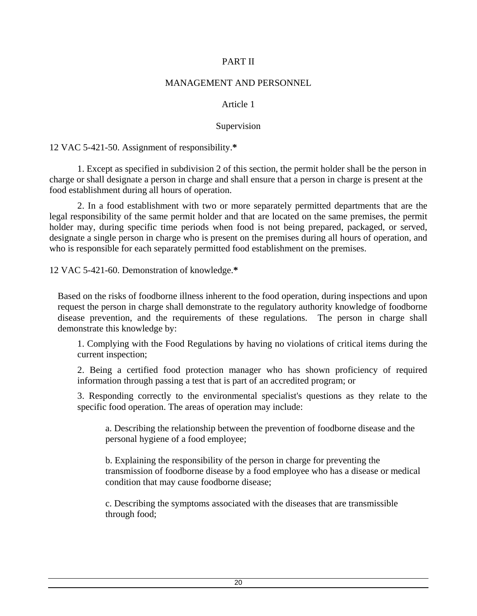### PART II

#### MANAGEMENT AND PERSONNEL

#### Article 1

#### Supervision

<span id="page-33-0"></span>12 VAC 5-421-50. Assignment of responsibility.**\***

1. Except as specified in subdivision 2 of this section, the permit holder shall be the person in charge or shall designate a person in charge and shall ensure that a person in charge is present at the food establishment during all hours of operation.

2. In a food establishment with two or more separately permitted departments that are the legal responsibility of the same permit holder and that are located on the same premises, the permit holder may, during specific time periods when food is not being prepared, packaged, or served, designate a single person in charge who is present on the premises during all hours of operation, and who is responsible for each separately permitted food establishment on the premises.

<span id="page-33-1"></span>12 VAC 5-421-60. Demonstration of knowledge.**\***

Based on the risks of foodborne illness inherent to the food operation, during inspections and upon request the person in charge shall demonstrate to the regulatory authority knowledge of foodborne disease prevention, and the requirements of these regulations. The person in charge shall demonstrate this knowledge by:

1. Complying with the Food Regulations by having no violations of critical items during the current inspection;

2. Being a certified food protection manager who has shown proficiency of required information through passing a test that is part of an accredited program; or

3. Responding correctly to the environmental specialist's questions as they relate to the specific food operation. The areas of operation may include:

a. Describing the relationship between the prevention of foodborne disease and the personal hygiene of a food employee;

b. Explaining the responsibility of the person in charge for preventing the transmission of foodborne disease by a food employee who has a disease or medical condition that may cause foodborne disease;

c. Describing the symptoms associated with the diseases that are transmissible through food;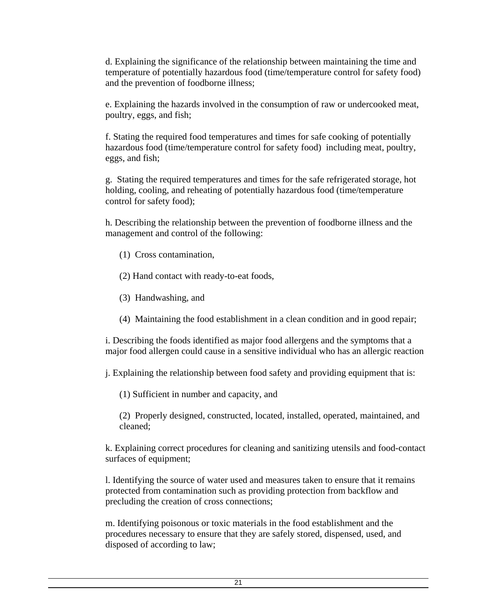d. Explaining the significance of the relationship between maintaining the time and temperature of potentially hazardous food (time/temperature control for safety food) and the prevention of foodborne illness;

e. Explaining the hazards involved in the consumption of raw or undercooked meat, poultry, eggs, and fish;

f. Stating the required food temperatures and times for safe cooking of potentially hazardous food (time/temperature control for safety food) including meat, poultry, eggs, and fish;

g. Stating the required temperatures and times for the safe refrigerated storage, hot holding, cooling, and reheating of potentially hazardous food (time/temperature control for safety food);

h. Describing the relationship between the prevention of foodborne illness and the management and control of the following:

- (1) Cross contamination,
- (2) Hand contact with ready-to-eat foods,
- (3) Handwashing, and
- (4) Maintaining the food establishment in a clean condition and in good repair;

i. Describing the foods identified as major food allergens and the symptoms that a major food allergen could cause in a sensitive individual who has an allergic reaction

j. Explaining the relationship between food safety and providing equipment that is:

(1) Sufficient in number and capacity, and

(2) Properly designed, constructed, located, installed, operated, maintained, and cleaned;

k. Explaining correct procedures for cleaning and sanitizing utensils and food-contact surfaces of equipment;

l. Identifying the source of water used and measures taken to ensure that it remains protected from contamination such as providing protection from backflow and precluding the creation of cross connections;

m. Identifying poisonous or toxic materials in the food establishment and the procedures necessary to ensure that they are safely stored, dispensed, used, and disposed of according to law;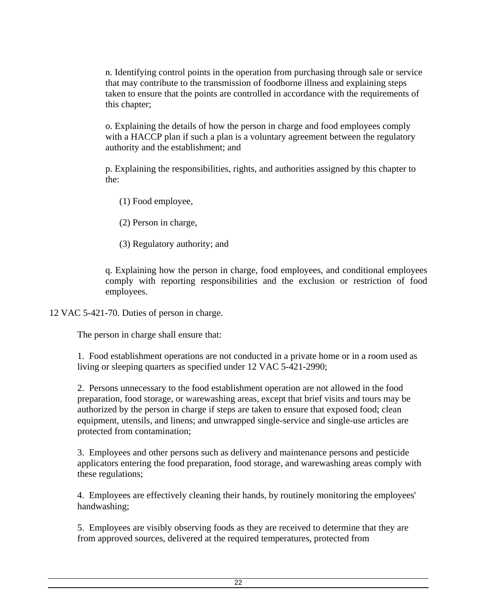n. Identifying control points in the operation from purchasing through sale or service that may contribute to the transmission of foodborne illness and explaining steps taken to ensure that the points are controlled in accordance with the requirements of this chapter;

o. Explaining the details of how the person in charge and food employees comply with a HACCP plan if such a plan is a voluntary agreement between the regulatory authority and the establishment; and

p. Explaining the responsibilities, rights, and authorities assigned by this chapter to the:

(1) Food employee,

(2) Person in charge,

(3) Regulatory authority; and

q. Explaining how the person in charge, food employees, and conditional employees comply with reporting responsibilities and the exclusion or restriction of food employees.

<span id="page-35-0"></span>12 VAC 5-421-70. Duties of person in charge.

The person in charge shall ensure that:

1. Food establishment operations are not conducted in a private home or in a room used as living or sleeping quarters as specified under 12 VAC 5-421-2990;

2. Persons unnecessary to the food establishment operation are not allowed in the food preparation, food storage, or warewashing areas, except that brief visits and tours may be authorized by the person in charge if steps are taken to ensure that exposed food; clean equipment, utensils, and linens; and unwrapped single-service and single-use articles are protected from contamination;

3. Employees and other persons such as delivery and maintenance persons and pesticide applicators entering the food preparation, food storage, and warewashing areas comply with these regulations;

4. Employees are effectively cleaning their hands, by routinely monitoring the employees' handwashing;

5. Employees are visibly observing foods as they are received to determine that they are from approved sources, delivered at the required temperatures, protected from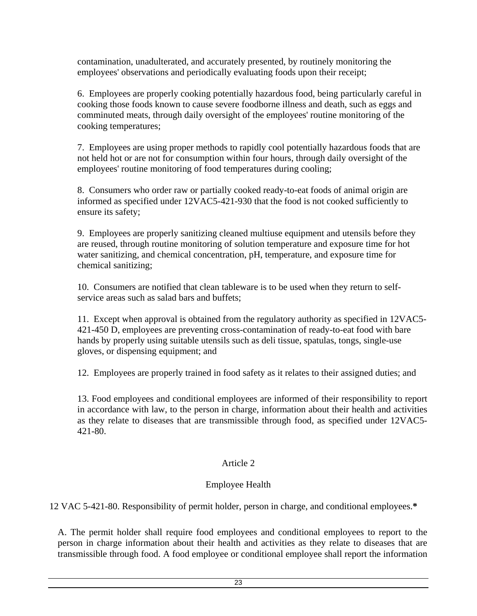contamination, unadulterated, and accurately presented, by routinely monitoring the employees' observations and periodically evaluating foods upon their receipt;

6. Employees are properly cooking potentially hazardous food, being particularly careful in cooking those foods known to cause severe foodborne illness and death, such as eggs and comminuted meats, through daily oversight of the employees' routine monitoring of the cooking temperatures;

7. Employees are using proper methods to rapidly cool potentially hazardous foods that are not held hot or are not for consumption within four hours, through daily oversight of the employees' routine monitoring of food temperatures during cooling;

8. Consumers who order raw or partially cooked ready-to-eat foods of animal origin are informed as specified under 12VAC5-421-930 that the food is not cooked sufficiently to ensure its safety;

9. Employees are properly sanitizing cleaned multiuse equipment and utensils before they are reused, through routine monitoring of solution temperature and exposure time for hot water sanitizing, and chemical concentration, pH, temperature, and exposure time for chemical sanitizing;

10. Consumers are notified that clean tableware is to be used when they return to selfservice areas such as salad bars and buffets;

11. Except when approval is obtained from the regulatory authority as specified in 12VAC5- 421-450 D, employees are preventing cross-contamination of ready-to-eat food with bare hands by properly using suitable utensils such as deli tissue, spatulas, tongs, single-use gloves, or dispensing equipment; and

12. Employees are properly trained in food safety as it relates to their assigned duties; and

13. Food employees and conditional employees are informed of their responsibility to report in accordance with law, to the person in charge, information about their health and activities as they relate to diseases that are transmissible through food, as specified under 12VAC5- 421-80.

## Article 2

## Employee Health

12 VAC 5-421-80. Responsibility of permit holder, person in charge, and conditional employees.**\***

A. The permit holder shall require food employees and conditional employees to report to the person in charge information about their health and activities as they relate to diseases that are transmissible through food. A food employee or conditional employee shall report the information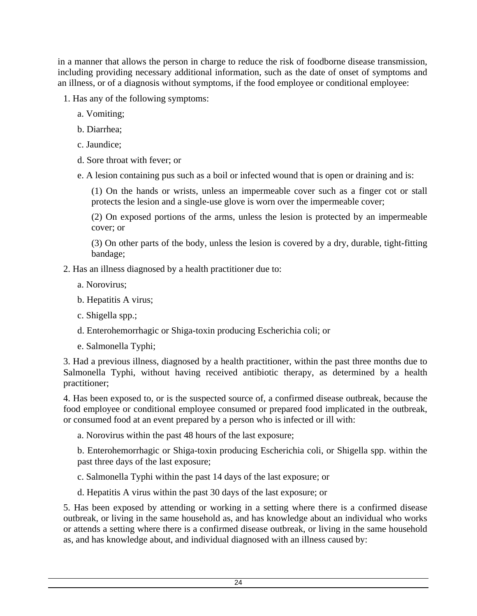in a manner that allows the person in charge to reduce the risk of foodborne disease transmission, including providing necessary additional information, such as the date of onset of symptoms and an illness, or of a diagnosis without symptoms, if the food employee or conditional employee:

- 1. Has any of the following symptoms:
	- a. Vomiting;
	- b. Diarrhea;
	- c. Jaundice;
	- d. Sore throat with fever; or
	- e. A lesion containing pus such as a boil or infected wound that is open or draining and is:

(1) On the hands or wrists, unless an impermeable cover such as a finger cot or stall protects the lesion and a single-use glove is worn over the impermeable cover;

(2) On exposed portions of the arms, unless the lesion is protected by an impermeable cover; or

(3) On other parts of the body, unless the lesion is covered by a dry, durable, tight-fitting bandage;

- 2. Has an illness diagnosed by a health practitioner due to:
	- a. Norovirus;
	- b. Hepatitis A virus;
	- c. Shigella spp.;
	- d. Enterohemorrhagic or Shiga-toxin producing Escherichia coli; or
	- e. Salmonella Typhi;

3. Had a previous illness, diagnosed by a health practitioner, within the past three months due to Salmonella Typhi, without having received antibiotic therapy, as determined by a health practitioner;

4. Has been exposed to, or is the suspected source of, a confirmed disease outbreak, because the food employee or conditional employee consumed or prepared food implicated in the outbreak, or consumed food at an event prepared by a person who is infected or ill with:

a. Norovirus within the past 48 hours of the last exposure;

b. Enterohemorrhagic or Shiga-toxin producing Escherichia coli, or Shigella spp. within the past three days of the last exposure;

c. Salmonella Typhi within the past 14 days of the last exposure; or

d. Hepatitis A virus within the past 30 days of the last exposure; or

5. Has been exposed by attending or working in a setting where there is a confirmed disease outbreak, or living in the same household as, and has knowledge about an individual who works or attends a setting where there is a confirmed disease outbreak, or living in the same household as, and has knowledge about, and individual diagnosed with an illness caused by: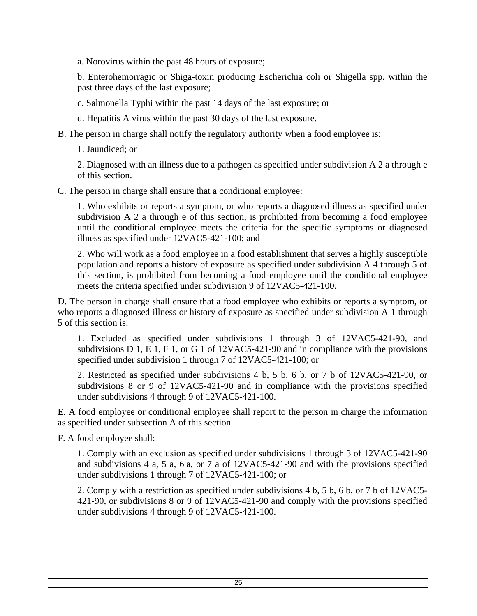a. Norovirus within the past 48 hours of exposure;

b. Enterohemorragic or Shiga-toxin producing Escherichia coli or Shigella spp. within the past three days of the last exposure;

c. Salmonella Typhi within the past 14 days of the last exposure; or

d. Hepatitis A virus within the past 30 days of the last exposure.

B. The person in charge shall notify the regulatory authority when a food employee is:

1. Jaundiced; or

2. Diagnosed with an illness due to a pathogen as specified under subdivision A 2 a through e of this section.

C. The person in charge shall ensure that a conditional employee:

1. Who exhibits or reports a symptom, or who reports a diagnosed illness as specified under subdivision A 2 a through e of this section, is prohibited from becoming a food employee until the conditional employee meets the criteria for the specific symptoms or diagnosed illness as specified under 12VAC5-421-100; and

2. Who will work as a food employee in a food establishment that serves a highly susceptible population and reports a history of exposure as specified under subdivision A 4 through 5 of this section, is prohibited from becoming a food employee until the conditional employee meets the criteria specified under subdivision 9 of 12VAC5-421-100.

D. The person in charge shall ensure that a food employee who exhibits or reports a symptom, or who reports a diagnosed illness or history of exposure as specified under subdivision A 1 through 5 of this section is:

1. Excluded as specified under subdivisions 1 through 3 of 12VAC5-421-90, and subdivisions D 1, E 1, F 1, or G 1 of 12VAC5-421-90 and in compliance with the provisions specified under subdivision 1 through 7 of 12VAC5-421-100; or

2. Restricted as specified under subdivisions 4 b, 5 b, 6 b, or 7 b of 12VAC5-421-90, or subdivisions 8 or 9 of 12VAC5-421-90 and in compliance with the provisions specified under subdivisions 4 through 9 of 12VAC5-421-100.

E. A food employee or conditional employee shall report to the person in charge the information as specified under subsection A of this section.

F. A food employee shall:

1. Comply with an exclusion as specified under subdivisions 1 through 3 of 12VAC5-421-90 and subdivisions 4 a, 5 a, 6 a, or 7 a of 12VAC5-421-90 and with the provisions specified under subdivisions 1 through 7 of 12VAC5-421-100; or

2. Comply with a restriction as specified under subdivisions 4 b, 5 b, 6 b, or 7 b of 12VAC5- 421-90, or subdivisions 8 or 9 of 12VAC5-421-90 and comply with the provisions specified under subdivisions 4 through 9 of 12VAC5-421-100.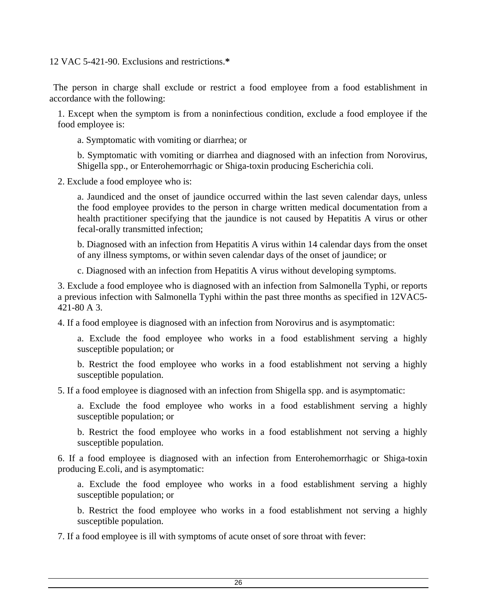12 VAC 5-421-90. Exclusions and restrictions.**\***

The person in charge shall exclude or restrict a food employee from a food establishment in accordance with the following:

1. Except when the symptom is from a noninfectious condition, exclude a food employee if the food employee is:

a. Symptomatic with vomiting or diarrhea; or

b. Symptomatic with vomiting or diarrhea and diagnosed with an infection from Norovirus, Shigella spp., or Enterohemorrhagic or Shiga-toxin producing Escherichia coli.

2. Exclude a food employee who is:

a. Jaundiced and the onset of jaundice occurred within the last seven calendar days, unless the food employee provides to the person in charge written medical documentation from a health practitioner specifying that the jaundice is not caused by Hepatitis A virus or other fecal-orally transmitted infection;

b. Diagnosed with an infection from Hepatitis A virus within 14 calendar days from the onset of any illness symptoms, or within seven calendar days of the onset of jaundice; or

c. Diagnosed with an infection from Hepatitis A virus without developing symptoms.

3. Exclude a food employee who is diagnosed with an infection from Salmonella Typhi, or reports a previous infection with Salmonella Typhi within the past three months as specified in 12VAC5- 421-80 A 3.

4. If a food employee is diagnosed with an infection from Norovirus and is asymptomatic:

a. Exclude the food employee who works in a food establishment serving a highly susceptible population; or

b. Restrict the food employee who works in a food establishment not serving a highly susceptible population.

5. If a food employee is diagnosed with an infection from Shigella spp. and is asymptomatic:

a. Exclude the food employee who works in a food establishment serving a highly susceptible population; or

b. Restrict the food employee who works in a food establishment not serving a highly susceptible population.

6. If a food employee is diagnosed with an infection from Enterohemorrhagic or Shiga-toxin producing E.coli, and is asymptomatic:

a. Exclude the food employee who works in a food establishment serving a highly susceptible population; or

b. Restrict the food employee who works in a food establishment not serving a highly susceptible population.

7. If a food employee is ill with symptoms of acute onset of sore throat with fever: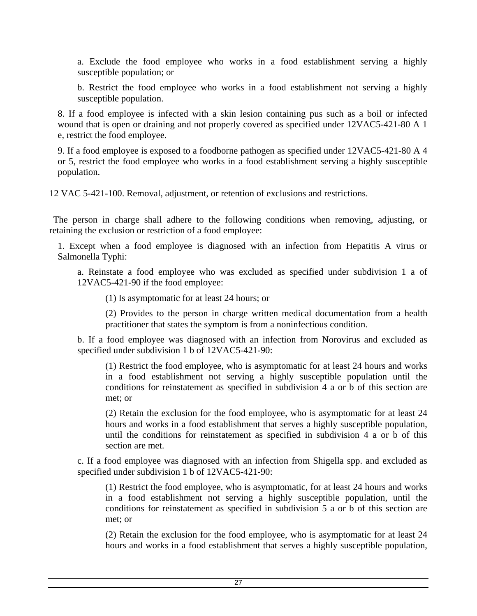a. Exclude the food employee who works in a food establishment serving a highly susceptible population; or

b. Restrict the food employee who works in a food establishment not serving a highly susceptible population.

8. If a food employee is infected with a skin lesion containing pus such as a boil or infected wound that is open or draining and not properly covered as specified under 12VAC5-421-80 A 1 e, restrict the food employee.

9. If a food employee is exposed to a foodborne pathogen as specified under 12VAC5-421-80 A 4 or 5, restrict the food employee who works in a food establishment serving a highly susceptible population.

12 VAC 5-421-100. Removal, adjustment, or retention of exclusions and restrictions.

The person in charge shall adhere to the following conditions when removing, adjusting, or retaining the exclusion or restriction of a food employee:

1. Except when a food employee is diagnosed with an infection from Hepatitis A virus or Salmonella Typhi:

a. Reinstate a food employee who was excluded as specified under subdivision 1 a of 12VAC5-421-90 if the food employee:

(1) Is asymptomatic for at least 24 hours; or

(2) Provides to the person in charge written medical documentation from a health practitioner that states the symptom is from a noninfectious condition.

b. If a food employee was diagnosed with an infection from Norovirus and excluded as specified under subdivision 1 b of 12VAC5-421-90:

(1) Restrict the food employee, who is asymptomatic for at least 24 hours and works in a food establishment not serving a highly susceptible population until the conditions for reinstatement as specified in subdivision 4 a or b of this section are met; or

(2) Retain the exclusion for the food employee, who is asymptomatic for at least 24 hours and works in a food establishment that serves a highly susceptible population, until the conditions for reinstatement as specified in subdivision 4 a or b of this section are met.

c. If a food employee was diagnosed with an infection from Shigella spp. and excluded as specified under subdivision 1 b of 12VAC5-421-90:

(1) Restrict the food employee, who is asymptomatic, for at least 24 hours and works in a food establishment not serving a highly susceptible population, until the conditions for reinstatement as specified in subdivision 5 a or b of this section are met; or

(2) Retain the exclusion for the food employee, who is asymptomatic for at least 24 hours and works in a food establishment that serves a highly susceptible population,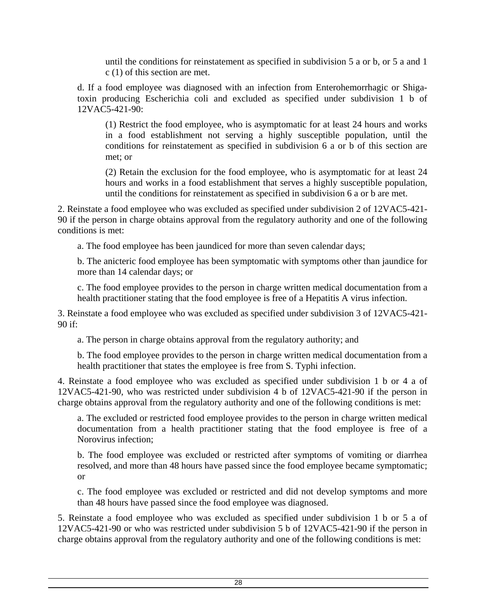until the conditions for reinstatement as specified in subdivision 5 a or b, or 5 a and 1 c (1) of this section are met.

d. If a food employee was diagnosed with an infection from Enterohemorrhagic or Shigatoxin producing Escherichia coli and excluded as specified under subdivision 1 b of  $12VAC5-421-90$ 

(1) Restrict the food employee, who is asymptomatic for at least 24 hours and works in a food establishment not serving a highly susceptible population, until the conditions for reinstatement as specified in subdivision 6 a or b of this section are met; or

(2) Retain the exclusion for the food employee, who is asymptomatic for at least 24 hours and works in a food establishment that serves a highly susceptible population, until the conditions for reinstatement as specified in subdivision 6 a or b are met.

2. Reinstate a food employee who was excluded as specified under subdivision 2 of 12VAC5-421- 90 if the person in charge obtains approval from the regulatory authority and one of the following conditions is met:

a. The food employee has been jaundiced for more than seven calendar days;

b. The anicteric food employee has been symptomatic with symptoms other than jaundice for more than 14 calendar days; or

c. The food employee provides to the person in charge written medical documentation from a health practitioner stating that the food employee is free of a Hepatitis A virus infection.

3. Reinstate a food employee who was excluded as specified under subdivision 3 of 12VAC5-421- 90 if:

a. The person in charge obtains approval from the regulatory authority; and

b. The food employee provides to the person in charge written medical documentation from a health practitioner that states the employee is free from S. Typhi infection.

4. Reinstate a food employee who was excluded as specified under subdivision 1 b or 4 a of 12VAC5-421-90, who was restricted under subdivision 4 b of 12VAC5-421-90 if the person in charge obtains approval from the regulatory authority and one of the following conditions is met:

a. The excluded or restricted food employee provides to the person in charge written medical documentation from a health practitioner stating that the food employee is free of a Norovirus infection;

b. The food employee was excluded or restricted after symptoms of vomiting or diarrhea resolved, and more than 48 hours have passed since the food employee became symptomatic; or

c. The food employee was excluded or restricted and did not develop symptoms and more than 48 hours have passed since the food employee was diagnosed.

5. Reinstate a food employee who was excluded as specified under subdivision 1 b or 5 a of 12VAC5-421-90 or who was restricted under subdivision 5 b of 12VAC5-421-90 if the person in charge obtains approval from the regulatory authority and one of the following conditions is met: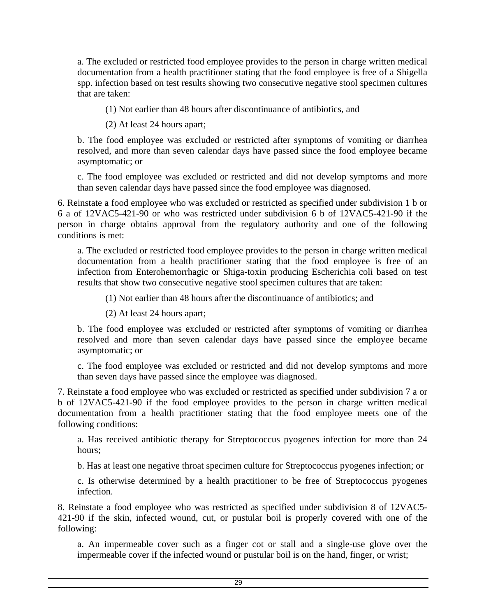a. The excluded or restricted food employee provides to the person in charge written medical documentation from a health practitioner stating that the food employee is free of a Shigella spp. infection based on test results showing two consecutive negative stool specimen cultures that are taken:

(1) Not earlier than 48 hours after discontinuance of antibiotics, and

(2) At least 24 hours apart;

b. The food employee was excluded or restricted after symptoms of vomiting or diarrhea resolved, and more than seven calendar days have passed since the food employee became asymptomatic; or

c. The food employee was excluded or restricted and did not develop symptoms and more than seven calendar days have passed since the food employee was diagnosed.

6. Reinstate a food employee who was excluded or restricted as specified under subdivision 1 b or 6 a of 12VAC5-421-90 or who was restricted under subdivision 6 b of 12VAC5-421-90 if the person in charge obtains approval from the regulatory authority and one of the following conditions is met:

a. The excluded or restricted food employee provides to the person in charge written medical documentation from a health practitioner stating that the food employee is free of an infection from Enterohemorrhagic or Shiga-toxin producing Escherichia coli based on test results that show two consecutive negative stool specimen cultures that are taken:

(1) Not earlier than 48 hours after the discontinuance of antibiotics; and

(2) At least 24 hours apart;

b. The food employee was excluded or restricted after symptoms of vomiting or diarrhea resolved and more than seven calendar days have passed since the employee became asymptomatic; or

c. The food employee was excluded or restricted and did not develop symptoms and more than seven days have passed since the employee was diagnosed.

7. Reinstate a food employee who was excluded or restricted as specified under subdivision 7 a or b of 12VAC5-421-90 if the food employee provides to the person in charge written medical documentation from a health practitioner stating that the food employee meets one of the following conditions:

a. Has received antibiotic therapy for Streptococcus pyogenes infection for more than 24 hours;

b. Has at least one negative throat specimen culture for Streptococcus pyogenes infection; or

c. Is otherwise determined by a health practitioner to be free of Streptococcus pyogenes infection.

8. Reinstate a food employee who was restricted as specified under subdivision 8 of 12VAC5- 421-90 if the skin, infected wound, cut, or pustular boil is properly covered with one of the following:

a. An impermeable cover such as a finger cot or stall and a single-use glove over the impermeable cover if the infected wound or pustular boil is on the hand, finger, or wrist;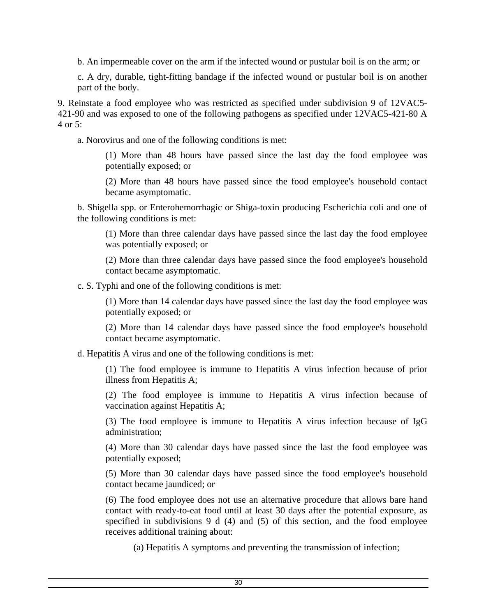b. An impermeable cover on the arm if the infected wound or pustular boil is on the arm; or

c. A dry, durable, tight-fitting bandage if the infected wound or pustular boil is on another part of the body.

9. Reinstate a food employee who was restricted as specified under subdivision 9 of 12VAC5- 421-90 and was exposed to one of the following pathogens as specified under 12VAC5-421-80 A 4 or 5:

a. Norovirus and one of the following conditions is met:

(1) More than 48 hours have passed since the last day the food employee was potentially exposed; or

(2) More than 48 hours have passed since the food employee's household contact became asymptomatic.

b. Shigella spp. or Enterohemorrhagic or Shiga-toxin producing Escherichia coli and one of the following conditions is met:

(1) More than three calendar days have passed since the last day the food employee was potentially exposed; or

(2) More than three calendar days have passed since the food employee's household contact became asymptomatic.

c. S. Typhi and one of the following conditions is met:

(1) More than 14 calendar days have passed since the last day the food employee was potentially exposed; or

(2) More than 14 calendar days have passed since the food employee's household contact became asymptomatic.

d. Hepatitis A virus and one of the following conditions is met:

(1) The food employee is immune to Hepatitis A virus infection because of prior illness from Hepatitis A;

(2) The food employee is immune to Hepatitis A virus infection because of vaccination against Hepatitis A;

(3) The food employee is immune to Hepatitis A virus infection because of IgG administration;

(4) More than 30 calendar days have passed since the last the food employee was potentially exposed;

(5) More than 30 calendar days have passed since the food employee's household contact became jaundiced; or

(6) The food employee does not use an alternative procedure that allows bare hand contact with ready-to-eat food until at least 30 days after the potential exposure, as specified in subdivisions 9 d (4) and (5) of this section, and the food employee receives additional training about:

(a) Hepatitis A symptoms and preventing the transmission of infection;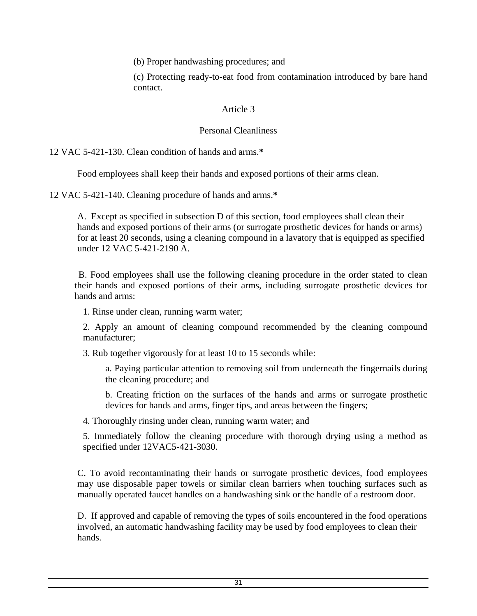(b) Proper handwashing procedures; and

(c) Protecting ready-to-eat food from contamination introduced by bare hand contact.

### Article 3

#### Personal Cleanliness

12 VAC 5-421-130. Clean condition of hands and arms.**\***

Food employees shall keep their hands and exposed portions of their arms clean.

12 VAC 5-421-140. Cleaning procedure of hands and arms.**\***

A. Except as specified in subsection D of this section, food employees shall clean their hands and exposed portions of their arms (or surrogate prosthetic devices for hands or arms) for at least 20 seconds, using a cleaning compound in a lavatory that is equipped as specified under 12 VAC 5-421-2190 A.

B. Food employees shall use the following cleaning procedure in the order stated to clean their hands and exposed portions of their arms, including surrogate prosthetic devices for hands and arms:

1. Rinse under clean, running warm water;

2. Apply an amount of cleaning compound recommended by the cleaning compound manufacturer;

3. Rub together vigorously for at least 10 to 15 seconds while:

a. Paying particular attention to removing soil from underneath the fingernails during the cleaning procedure; and

b. Creating friction on the surfaces of the hands and arms or surrogate prosthetic devices for hands and arms, finger tips, and areas between the fingers;

4. Thoroughly rinsing under clean, running warm water; and

5. Immediately follow the cleaning procedure with thorough drying using a method as specified under 12VAC5-421-3030.

C. To avoid recontaminating their hands or surrogate prosthetic devices, food employees may use disposable paper towels or similar clean barriers when touching surfaces such as manually operated faucet handles on a handwashing sink or the handle of a restroom door.

D. If approved and capable of removing the types of soils encountered in the food operations involved, an automatic handwashing facility may be used by food employees to clean their hands.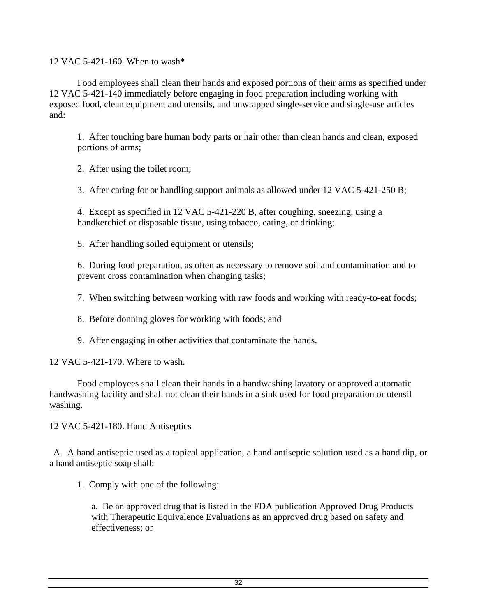12 VAC 5-421-160. When to wash**\***

Food employees shall clean their hands and exposed portions of their arms as specified under 12 VAC 5-421-140 immediately before engaging in food preparation including working with exposed food, clean equipment and utensils, and unwrapped single-service and single-use articles and:

1. After touching bare human body parts or hair other than clean hands and clean, exposed portions of arms;

2. After using the toilet room;

3. After caring for or handling support animals as allowed under 12 VAC 5-421-250 B;

4. Except as specified in 12 VAC 5-421-220 B, after coughing, sneezing, using a handkerchief or disposable tissue, using tobacco, eating, or drinking;

5. After handling soiled equipment or utensils;

6. During food preparation, as often as necessary to remove soil and contamination and to prevent cross contamination when changing tasks;

7. When switching between working with raw foods and working with ready-to-eat foods;

8. Before donning gloves for working with foods; and

9. After engaging in other activities that contaminate the hands.

12 VAC 5-421-170. Where to wash.

Food employees shall clean their hands in a handwashing lavatory or approved automatic handwashing facility and shall not clean their hands in a sink used for food preparation or utensil washing.

12 VAC 5-421-180. Hand Antiseptics

A. A hand antiseptic used as a topical application, a hand antiseptic solution used as a hand dip, or a hand antiseptic soap shall:

1. Comply with one of the following:

a. Be an approved drug that is listed in the FDA publication Approved Drug Products with Therapeutic Equivalence Evaluations as an approved drug based on safety and effectiveness; or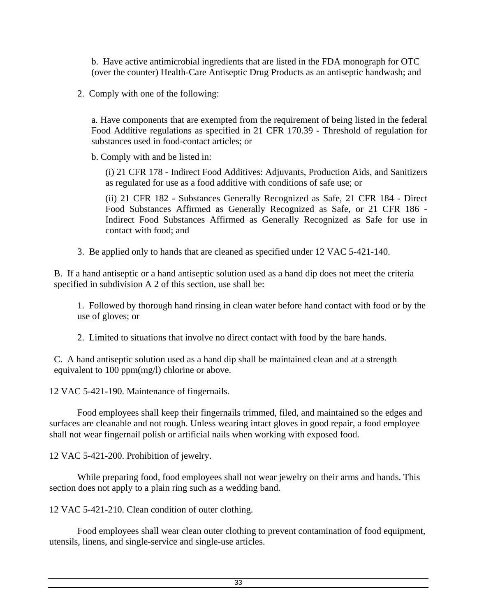b. Have active antimicrobial ingredients that are listed in the FDA monograph for OTC (over the counter) Health-Care Antiseptic Drug Products as an antiseptic handwash; and

2. Comply with one of the following:

a. Have components that are exempted from the requirement of being listed in the federal Food Additive regulations as specified in 21 CFR 170.39 - Threshold of regulation for substances used in food-contact articles; or

b. Comply with and be listed in:

(i) 21 CFR 178 - Indirect Food Additives: Adjuvants, Production Aids, and Sanitizers as regulated for use as a food additive with conditions of safe use; or

(ii) 21 CFR 182 - Substances Generally Recognized as Safe, 21 CFR 184 - Direct Food Substances Affirmed as Generally Recognized as Safe, or 21 CFR 186 - Indirect Food Substances Affirmed as Generally Recognized as Safe for use in contact with food; and

3. Be applied only to hands that are cleaned as specified under 12 VAC 5-421-140.

 B. If a hand antiseptic or a hand antiseptic solution used as a hand dip does not meet the criteria specified in subdivision A 2 of this section, use shall be:

1. Followed by thorough hand rinsing in clean water before hand contact with food or by the use of gloves; or

2. Limited to situations that involve no direct contact with food by the bare hands.

 C. A hand antiseptic solution used as a hand dip shall be maintained clean and at a strength equivalent to 100 ppm(mg/l) chlorine or above.

12 VAC 5-421-190. Maintenance of fingernails.

Food employees shall keep their fingernails trimmed, filed, and maintained so the edges and surfaces are cleanable and not rough. Unless wearing intact gloves in good repair, a food employee shall not wear fingernail polish or artificial nails when working with exposed food.

12 VAC 5-421-200. Prohibition of jewelry.

While preparing food, food employees shall not wear jewelry on their arms and hands. This section does not apply to a plain ring such as a wedding band.

12 VAC 5-421-210. Clean condition of outer clothing.

Food employees shall wear clean outer clothing to prevent contamination of food equipment, utensils, linens, and single-service and single-use articles.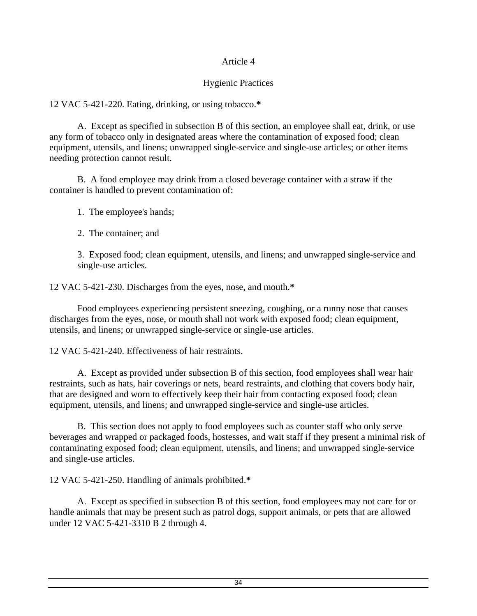## Article 4

# Hygienic Practices

12 VAC 5-421-220. Eating, drinking, or using tobacco.**\***

A. Except as specified in subsection B of this section, an employee shall eat, drink, or use any form of tobacco only in designated areas where the contamination of exposed food; clean equipment, utensils, and linens; unwrapped single-service and single-use articles; or other items needing protection cannot result.

B. A food employee may drink from a closed beverage container with a straw if the container is handled to prevent contamination of:

1. The employee's hands;

2. The container; and

3. Exposed food; clean equipment, utensils, and linens; and unwrapped single-service and single-use articles.

12 VAC 5-421-230. Discharges from the eyes, nose, and mouth.**\***

Food employees experiencing persistent sneezing, coughing, or a runny nose that causes discharges from the eyes, nose, or mouth shall not work with exposed food; clean equipment, utensils, and linens; or unwrapped single-service or single-use articles.

12 VAC 5-421-240. Effectiveness of hair restraints.

A. Except as provided under subsection B of this section, food employees shall wear hair restraints, such as hats, hair coverings or nets, beard restraints, and clothing that covers body hair, that are designed and worn to effectively keep their hair from contacting exposed food; clean equipment, utensils, and linens; and unwrapped single-service and single-use articles.

B. This section does not apply to food employees such as counter staff who only serve beverages and wrapped or packaged foods, hostesses, and wait staff if they present a minimal risk of contaminating exposed food; clean equipment, utensils, and linens; and unwrapped single-service and single-use articles.

12 VAC 5-421-250. Handling of animals prohibited.**\***

A. Except as specified in subsection B of this section, food employees may not care for or handle animals that may be present such as patrol dogs, support animals, or pets that are allowed under 12 VAC 5-421-3310 B 2 through 4.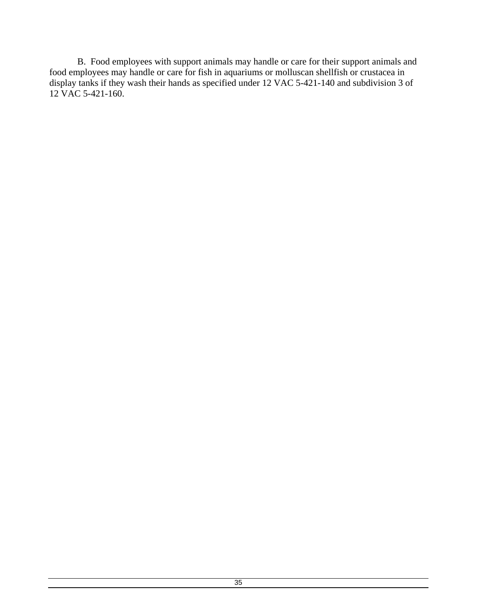B. Food employees with support animals may handle or care for their support animals and food employees may handle or care for fish in aquariums or molluscan shellfish or crustacea in display tanks if they wash their hands as specified under 12 VAC 5-421-140 and subdivision 3 of 12 VAC 5-421-160.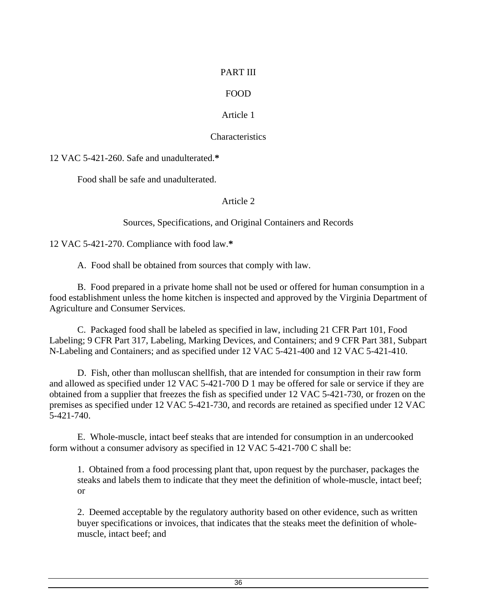### PART III

### FOOD

### Article 1

#### **Characteristics**

12 VAC 5-421-260. Safe and unadulterated.**\***

Food shall be safe and unadulterated.

#### Article 2

Sources, Specifications, and Original Containers and Records

12 VAC 5-421-270. Compliance with food law.**\***

A. Food shall be obtained from sources that comply with law.

B. Food prepared in a private home shall not be used or offered for human consumption in a food establishment unless the home kitchen is inspected and approved by the Virginia Department of Agriculture and Consumer Services.

C. Packaged food shall be labeled as specified in law, including 21 CFR Part 101, Food Labeling; 9 CFR Part 317, Labeling, Marking Devices, and Containers; and 9 CFR Part 381, Subpart N-Labeling and Containers; and as specified under 12 VAC 5-421-400 and 12 VAC 5-421-410.

D. Fish, other than molluscan shellfish, that are intended for consumption in their raw form and allowed as specified under 12 VAC 5-421-700 D 1 may be offered for sale or service if they are obtained from a supplier that freezes the fish as specified under 12 VAC 5-421-730, or frozen on the premises as specified under 12 VAC 5-421-730, and records are retained as specified under 12 VAC 5-421-740.

E. Whole-muscle, intact beef steaks that are intended for consumption in an undercooked form without a consumer advisory as specified in 12 VAC 5-421-700 C shall be:

1. Obtained from a food processing plant that, upon request by the purchaser, packages the steaks and labels them to indicate that they meet the definition of whole-muscle, intact beef; or

2. Deemed acceptable by the regulatory authority based on other evidence, such as written buyer specifications or invoices, that indicates that the steaks meet the definition of wholemuscle, intact beef; and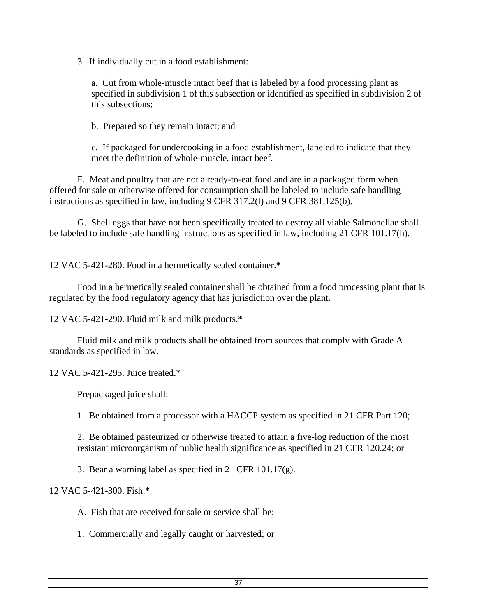3. If individually cut in a food establishment:

a. Cut from whole-muscle intact beef that is labeled by a food processing plant as specified in subdivision 1 of this subsection or identified as specified in subdivision 2 of this subsections;

b. Prepared so they remain intact; and

c. If packaged for undercooking in a food establishment, labeled to indicate that they meet the definition of whole-muscle, intact beef.

F. Meat and poultry that are not a ready-to-eat food and are in a packaged form when offered for sale or otherwise offered for consumption shall be labeled to include safe handling instructions as specified in law, including 9 CFR 317.2(l) and 9 CFR 381.125(b).

G. Shell eggs that have not been specifically treated to destroy all viable Salmonellae shall be labeled to include safe handling instructions as specified in law, including 21 CFR 101.17(h).

12 VAC 5-421-280. Food in a hermetically sealed container.**\***

Food in a hermetically sealed container shall be obtained from a food processing plant that is regulated by the food regulatory agency that has jurisdiction over the plant.

12 VAC 5-421-290. Fluid milk and milk products.**\***

Fluid milk and milk products shall be obtained from sources that comply with Grade A standards as specified in law.

12 VAC 5-421-295. Juice treated.\*

Prepackaged juice shall:

1. Be obtained from a processor with a HACCP system as specified in 21 CFR Part 120;

2. Be obtained pasteurized or otherwise treated to attain a five-log reduction of the most resistant microorganism of public health significance as specified in 21 CFR 120.24; or

3. Bear a warning label as specified in 21 CFR 101.17(g).

#### 12 VAC 5-421-300. Fish.**\***

A. Fish that are received for sale or service shall be:

1. Commercially and legally caught or harvested; or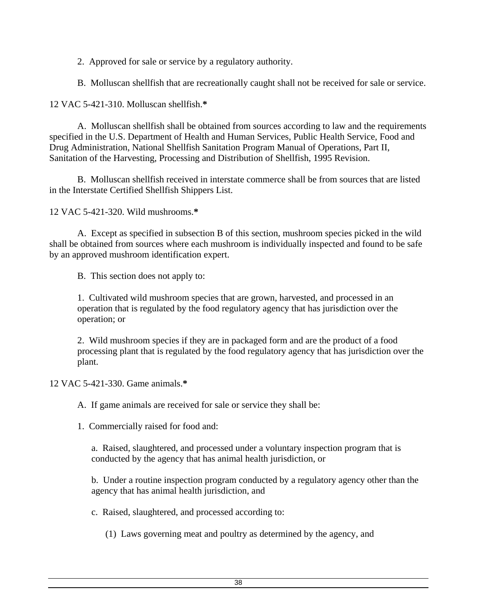- 2. Approved for sale or service by a regulatory authority.
- B. Molluscan shellfish that are recreationally caught shall not be received for sale or service.

12 VAC 5-421-310. Molluscan shellfish.**\***

A. Molluscan shellfish shall be obtained from sources according to law and the requirements specified in the U.S. Department of Health and Human Services, Public Health Service, Food and Drug Administration, National Shellfish Sanitation Program Manual of Operations, Part II, Sanitation of the Harvesting, Processing and Distribution of Shellfish, 1995 Revision.

B. Molluscan shellfish received in interstate commerce shall be from sources that are listed in the Interstate Certified Shellfish Shippers List.

12 VAC 5-421-320. Wild mushrooms.**\***

A. Except as specified in subsection B of this section, mushroom species picked in the wild shall be obtained from sources where each mushroom is individually inspected and found to be safe by an approved mushroom identification expert.

B. This section does not apply to:

1. Cultivated wild mushroom species that are grown, harvested, and processed in an operation that is regulated by the food regulatory agency that has jurisdiction over the operation; or

2. Wild mushroom species if they are in packaged form and are the product of a food processing plant that is regulated by the food regulatory agency that has jurisdiction over the plant.

12 VAC 5-421-330. Game animals.**\***

A. If game animals are received for sale or service they shall be:

1. Commercially raised for food and:

a. Raised, slaughtered, and processed under a voluntary inspection program that is conducted by the agency that has animal health jurisdiction, or

b. Under a routine inspection program conducted by a regulatory agency other than the agency that has animal health jurisdiction, and

c. Raised, slaughtered, and processed according to:

(1) Laws governing meat and poultry as determined by the agency, and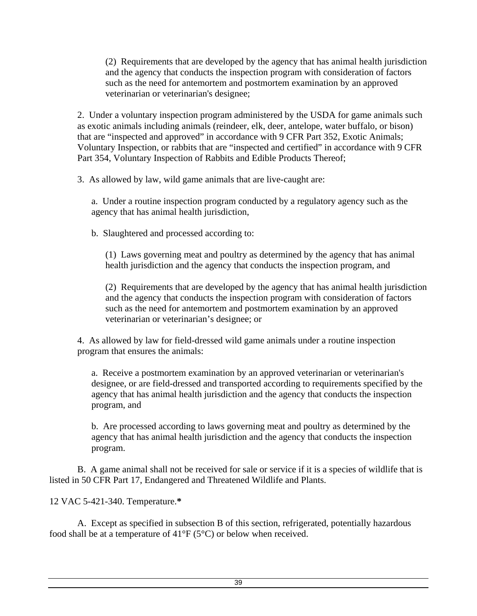(2) Requirements that are developed by the agency that has animal health jurisdiction and the agency that conducts the inspection program with consideration of factors such as the need for antemortem and postmortem examination by an approved veterinarian or veterinarian's designee;

2. Under a voluntary inspection program administered by the USDA for game animals such as exotic animals including animals (reindeer, elk, deer, antelope, water buffalo, or bison) that are "inspected and approved" in accordance with 9 CFR Part 352, Exotic Animals; Voluntary Inspection, or rabbits that are "inspected and certified" in accordance with 9 CFR Part 354, Voluntary Inspection of Rabbits and Edible Products Thereof;

3. As allowed by law, wild game animals that are live-caught are:

a. Under a routine inspection program conducted by a regulatory agency such as the agency that has animal health jurisdiction,

b. Slaughtered and processed according to:

(1) Laws governing meat and poultry as determined by the agency that has animal health jurisdiction and the agency that conducts the inspection program, and

(2) Requirements that are developed by the agency that has animal health jurisdiction and the agency that conducts the inspection program with consideration of factors such as the need for antemortem and postmortem examination by an approved veterinarian or veterinarian's designee; or

4. As allowed by law for field-dressed wild game animals under a routine inspection program that ensures the animals:

a. Receive a postmortem examination by an approved veterinarian or veterinarian's designee, or are field-dressed and transported according to requirements specified by the agency that has animal health jurisdiction and the agency that conducts the inspection program, and

b. Are processed according to laws governing meat and poultry as determined by the agency that has animal health jurisdiction and the agency that conducts the inspection program.

B. A game animal shall not be received for sale or service if it is a species of wildlife that is listed in 50 CFR Part 17, Endangered and Threatened Wildlife and Plants.

12 VAC 5-421-340. Temperature.**\***

A. Except as specified in subsection B of this section, refrigerated, potentially hazardous food shall be at a temperature of  $41^{\circ}F(5^{\circ}C)$  or below when received.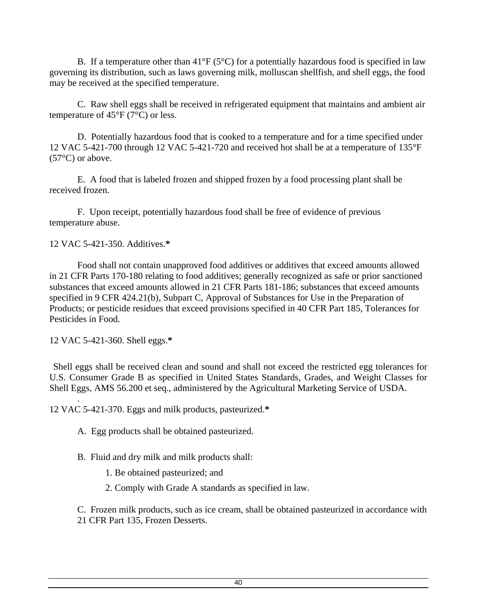B. If a temperature other than  $41^{\circ}F(5^{\circ}C)$  for a potentially hazardous food is specified in law governing its distribution, such as laws governing milk, molluscan shellfish, and shell eggs, the food may be received at the specified temperature.

 C. Raw shell eggs shall be received in refrigerated equipment that maintains and ambient air temperature of  $45^{\circ}F$  (7°C) or less.

D. Potentially hazardous food that is cooked to a temperature and for a time specified under 12 VAC 5-421-700 through 12 VAC 5-421-720 and received hot shall be at a temperature of 135°F  $(57^{\circ}C)$  or above.

E. A food that is labeled frozen and shipped frozen by a food processing plant shall be received frozen.

F. Upon receipt, potentially hazardous food shall be free of evidence of previous temperature abuse.

12 VAC 5-421-350. Additives.**\***

Food shall not contain unapproved food additives or additives that exceed amounts allowed in 21 CFR Parts 170-180 relating to food additives; generally recognized as safe or prior sanctioned substances that exceed amounts allowed in 21 CFR Parts 181-186; substances that exceed amounts specified in 9 CFR 424.21(b), Subpart C, Approval of Substances for Use in the Preparation of Products; or pesticide residues that exceed provisions specified in 40 CFR Part 185, Tolerances for Pesticides in Food.

12 VAC 5-421-360. Shell eggs.**\***

Shell eggs shall be received clean and sound and shall not exceed the restricted egg tolerances for U.S. Consumer Grade B as specified in United States Standards, Grades, and Weight Classes for Shell Eggs, AMS 56.200 et seq., administered by the Agricultural Marketing Service of USDA.

. 12 VAC 5-421-370. Eggs and milk products, pasteurized.**\***

- A. Egg products shall be obtained pasteurized.
- B. Fluid and dry milk and milk products shall:
	- 1. Be obtained pasteurized; and
	- 2. Comply with Grade A standards as specified in law.

C. Frozen milk products, such as ice cream, shall be obtained pasteurized in accordance with 21 CFR Part 135, Frozen Desserts.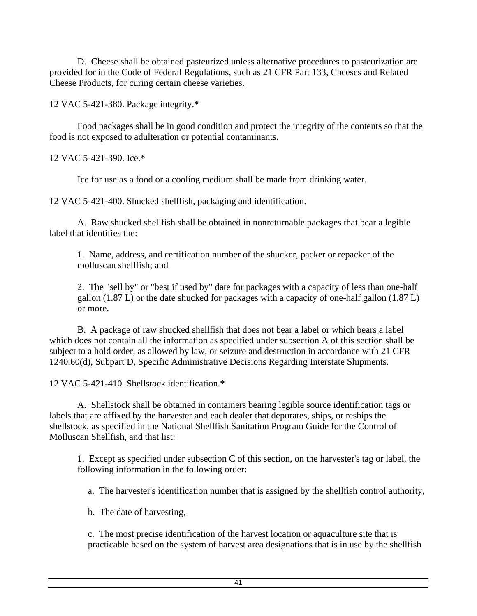D. Cheese shall be obtained pasteurized unless alternative procedures to pasteurization are provided for in the Code of Federal Regulations, such as 21 CFR Part 133, Cheeses and Related Cheese Products, for curing certain cheese varieties.

12 VAC 5-421-380. Package integrity.**\***

Food packages shall be in good condition and protect the integrity of the contents so that the food is not exposed to adulteration or potential contaminants.

12 VAC 5-421-390. Ice.**\***

Ice for use as a food or a cooling medium shall be made from drinking water.

12 VAC 5-421-400. Shucked shellfish, packaging and identification.

A. Raw shucked shellfish shall be obtained in nonreturnable packages that bear a legible label that identifies the:

1. Name, address, and certification number of the shucker, packer or repacker of the molluscan shellfish; and

2. The "sell by" or "best if used by" date for packages with a capacity of less than one-half gallon (1.87 L) or the date shucked for packages with a capacity of one-half gallon (1.87 L) or more.

B. A package of raw shucked shellfish that does not bear a label or which bears a label which does not contain all the information as specified under subsection A of this section shall be subject to a hold order, as allowed by law, or seizure and destruction in accordance with 21 CFR 1240.60(d), Subpart D, Specific Administrative Decisions Regarding Interstate Shipments.

12 VAC 5-421-410. Shellstock identification.**\***

A. Shellstock shall be obtained in containers bearing legible source identification tags or labels that are affixed by the harvester and each dealer that depurates, ships, or reships the shellstock, as specified in the National Shellfish Sanitation Program Guide for the Control of Molluscan Shellfish, and that list:

1. Except as specified under subsection C of this section, on the harvester's tag or label, the following information in the following order:

a. The harvester's identification number that is assigned by the shellfish control authority,

b. The date of harvesting,

c. The most precise identification of the harvest location or aquaculture site that is practicable based on the system of harvest area designations that is in use by the shellfish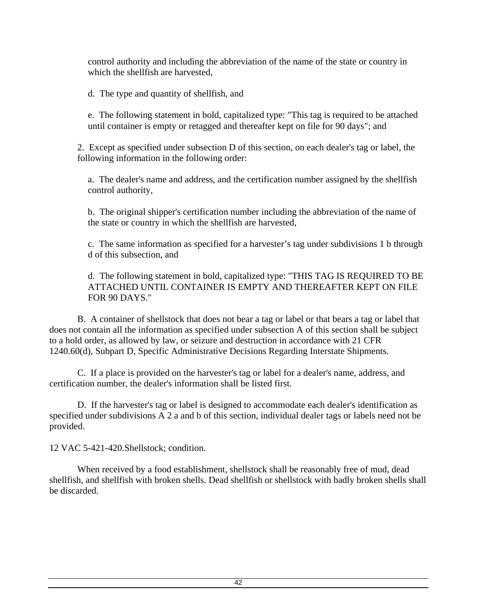control authority and including the abbreviation of the name of the state or country in which the shellfish are harvested,

d. The type and quantity of shellfish, and

e. The following statement in bold, capitalized type: "This tag is required to be attached until container is empty or retagged and thereafter kept on file for 90 days"; and

2. Except as specified under subsection D of this section, on each dealer's tag or label, the following information in the following order:

a. The dealer's name and address, and the certification number assigned by the shellfish control authority,

b. The original shipper's certification number including the abbreviation of the name of the state or country in which the shellfish are harvested,

c. The same information as specified for a harvester's tag under subdivisions 1 b through d of this subsection, and

d. The following statement in bold, capitalized type: "THIS TAG IS REQUIRED TO BE ATTACHED UNTIL CONTAINER IS EMPTY AND THEREAFTER KEPT ON FILE FOR 90 DAYS."

B. A container of shellstock that does not bear a tag or label or that bears a tag or label that does not contain all the information as specified under subsection A of this section shall be subject to a hold order, as allowed by law, or seizure and destruction in accordance with 21 CFR 1240.60(d), Subpart D, Specific Administrative Decisions Regarding Interstate Shipments.

C. If a place is provided on the harvester's tag or label for a dealer's name, address, and certification number, the dealer's information shall be listed first.

D. If the harvester's tag or label is designed to accommodate each dealer's identification as specified under subdivisions A 2 a and b of this section, individual dealer tags or labels need not be provided.

12 VAC 5-421-420.Shellstock; condition.

When received by a food establishment, shellstock shall be reasonably free of mud, dead shellfish, and shellfish with broken shells. Dead shellfish or shellstock with badly broken shells shall be discarded.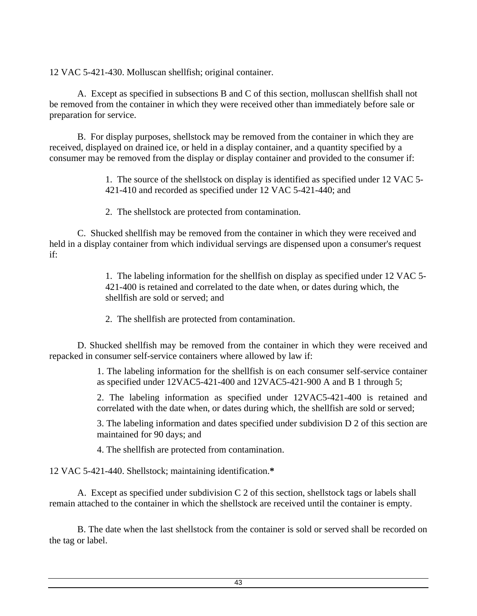12 VAC 5-421-430. Molluscan shellfish; original container.

A. Except as specified in subsections B and C of this section, molluscan shellfish shall not be removed from the container in which they were received other than immediately before sale or preparation for service.

B. For display purposes, shellstock may be removed from the container in which they are received, displayed on drained ice, or held in a display container, and a quantity specified by a consumer may be removed from the display or display container and provided to the consumer if:

> 1. The source of the shellstock on display is identified as specified under 12 VAC 5- 421-410 and recorded as specified under 12 VAC 5-421-440; and

2. The shellstock are protected from contamination.

C. Shucked shellfish may be removed from the container in which they were received and held in a display container from which individual servings are dispensed upon a consumer's request if:

> 1. The labeling information for the shellfish on display as specified under 12 VAC 5- 421-400 is retained and correlated to the date when, or dates during which, the shellfish are sold or served; and

2. The shellfish are protected from contamination.

D. Shucked shellfish may be removed from the container in which they were received and repacked in consumer self-service containers where allowed by law if:

> 1. The labeling information for the shellfish is on each consumer self-service container as specified under 12VAC5-421-400 and 12VAC5-421-900 A and B 1 through 5;

> 2. The labeling information as specified under 12VAC5-421-400 is retained and correlated with the date when, or dates during which, the shellfish are sold or served;

> 3. The labeling information and dates specified under subdivision D 2 of this section are maintained for 90 days; and

4. The shellfish are protected from contamination.

12 VAC 5-421-440. Shellstock; maintaining identification.**\***

A. Except as specified under subdivision C 2 of this section, shellstock tags or labels shall remain attached to the container in which the shellstock are received until the container is empty.

B. The date when the last shellstock from the container is sold or served shall be recorded on the tag or label.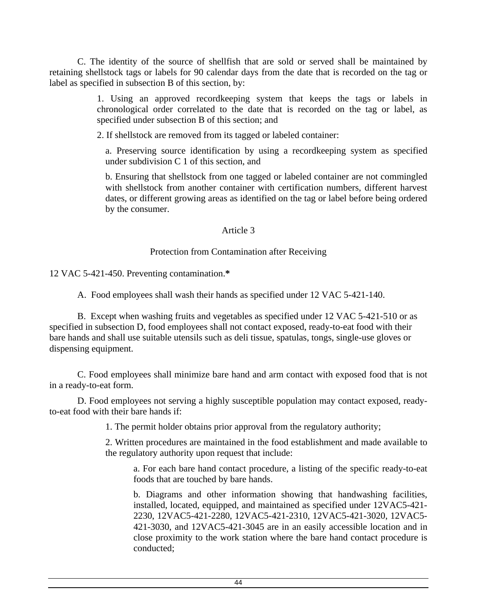C. The identity of the source of shellfish that are sold or served shall be maintained by retaining shellstock tags or labels for 90 calendar days from the date that is recorded on the tag or label as specified in subsection B of this section, by:

> 1. Using an approved recordkeeping system that keeps the tags or labels in chronological order correlated to the date that is recorded on the tag or label, as specified under subsection B of this section; and

2. If shellstock are removed from its tagged or labeled container:

a. Preserving source identification by using a recordkeeping system as specified under subdivision C 1 of this section, and

b. Ensuring that shellstock from one tagged or labeled container are not commingled with shellstock from another container with certification numbers, different harvest dates, or different growing areas as identified on the tag or label before being ordered by the consumer.

#### Article 3

#### Protection from Contamination after Receiving

12 VAC 5-421-450. Preventing contamination.**\***

A. Food employees shall wash their hands as specified under 12 VAC 5-421-140.

B. Except when washing fruits and vegetables as specified under 12 VAC 5-421-510 or as specified in subsection D, food employees shall not contact exposed, ready-to-eat food with their bare hands and shall use suitable utensils such as deli tissue, spatulas, tongs, single-use gloves or dispensing equipment.

C. Food employees shall minimize bare hand and arm contact with exposed food that is not in a ready-to-eat form.

D. Food employees not serving a highly susceptible population may contact exposed, readyto-eat food with their bare hands if:

1. The permit holder obtains prior approval from the regulatory authority;

2. Written procedures are maintained in the food establishment and made available to the regulatory authority upon request that include:

a. For each bare hand contact procedure, a listing of the specific ready-to-eat foods that are touched by bare hands.

b. Diagrams and other information showing that handwashing facilities, installed, located, equipped, and maintained as specified under 12VAC5-421- 2230, 12VAC5-421-2280, 12VAC5-421-2310, 12VAC5-421-3020, 12VAC5- 421-3030, and 12VAC5-421-3045 are in an easily accessible location and in close proximity to the work station where the bare hand contact procedure is conducted;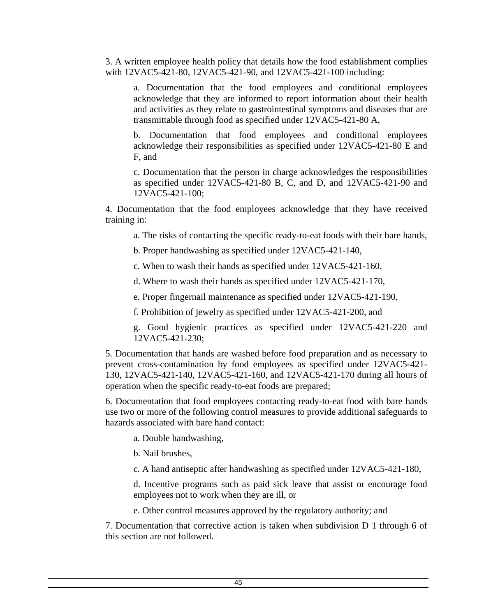3. A written employee health policy that details how the food establishment complies with 12VAC5-421-80, 12VAC5-421-90, and 12VAC5-421-100 including:

a. Documentation that the food employees and conditional employees acknowledge that they are informed to report information about their health and activities as they relate to gastrointestinal symptoms and diseases that are transmittable through food as specified under 12VAC5-421-80 A,

b. Documentation that food employees and conditional employees acknowledge their responsibilities as specified under 12VAC5-421-80 E and F, and

c. Documentation that the person in charge acknowledges the responsibilities as specified under 12VAC5-421-80 B, C, and D, and 12VAC5-421-90 and 12VAC5-421-100;

4. Documentation that the food employees acknowledge that they have received training in:

a. The risks of contacting the specific ready-to-eat foods with their bare hands,

b. Proper handwashing as specified under 12VAC5-421-140,

c. When to wash their hands as specified under 12VAC5-421-160,

d. Where to wash their hands as specified under 12VAC5-421-170,

e. Proper fingernail maintenance as specified under 12VAC5-421-190,

f. Prohibition of jewelry as specified under 12VAC5-421-200, and

g. Good hygienic practices as specified under 12VAC5-421-220 and 12VAC5-421-230;

5. Documentation that hands are washed before food preparation and as necessary to prevent cross-contamination by food employees as specified under 12VAC5-421- 130, 12VAC5-421-140, 12VAC5-421-160, and 12VAC5-421-170 during all hours of operation when the specific ready-to-eat foods are prepared;

6. Documentation that food employees contacting ready-to-eat food with bare hands use two or more of the following control measures to provide additional safeguards to hazards associated with bare hand contact:

a. Double handwashing,

b. Nail brushes,

c. A hand antiseptic after handwashing as specified under 12VAC5-421-180,

d. Incentive programs such as paid sick leave that assist or encourage food employees not to work when they are ill, or

e. Other control measures approved by the regulatory authority; and

7. Documentation that corrective action is taken when subdivision D 1 through 6 of this section are not followed.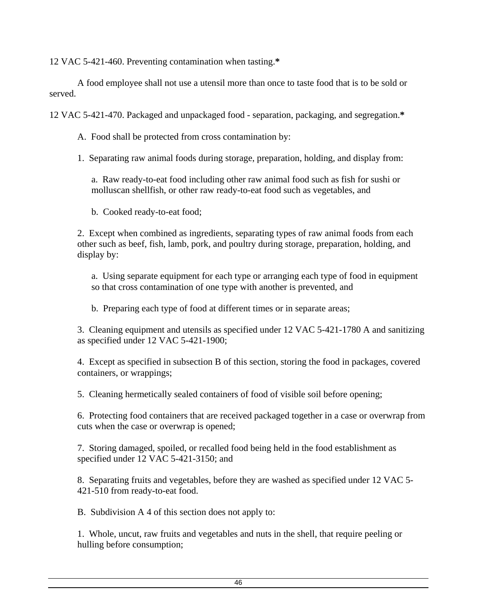12 VAC 5-421-460. Preventing contamination when tasting.**\*** 

 A food employee shall not use a utensil more than once to taste food that is to be sold or served.

12 VAC 5-421-470. Packaged and unpackaged food - separation, packaging, and segregation.**\***

A. Food shall be protected from cross contamination by:

1. Separating raw animal foods during storage, preparation, holding, and display from:

a. Raw ready-to-eat food including other raw animal food such as fish for sushi or molluscan shellfish, or other raw ready-to-eat food such as vegetables, and

b. Cooked ready-to-eat food;

2. Except when combined as ingredients, separating types of raw animal foods from each other such as beef, fish, lamb, pork, and poultry during storage, preparation, holding, and display by:

a. Using separate equipment for each type or arranging each type of food in equipment so that cross contamination of one type with another is prevented, and

b. Preparing each type of food at different times or in separate areas;

3. Cleaning equipment and utensils as specified under 12 VAC 5-421-1780 A and sanitizing as specified under 12 VAC 5-421-1900;

4. Except as specified in subsection B of this section, storing the food in packages, covered containers, or wrappings;

5. Cleaning hermetically sealed containers of food of visible soil before opening;

6. Protecting food containers that are received packaged together in a case or overwrap from cuts when the case or overwrap is opened;

7. Storing damaged, spoiled, or recalled food being held in the food establishment as specified under 12 VAC 5-421-3150; and

8. Separating fruits and vegetables, before they are washed as specified under 12 VAC 5- 421-510 from ready-to-eat food.

B. Subdivision A 4 of this section does not apply to:

1. Whole, uncut, raw fruits and vegetables and nuts in the shell, that require peeling or hulling before consumption;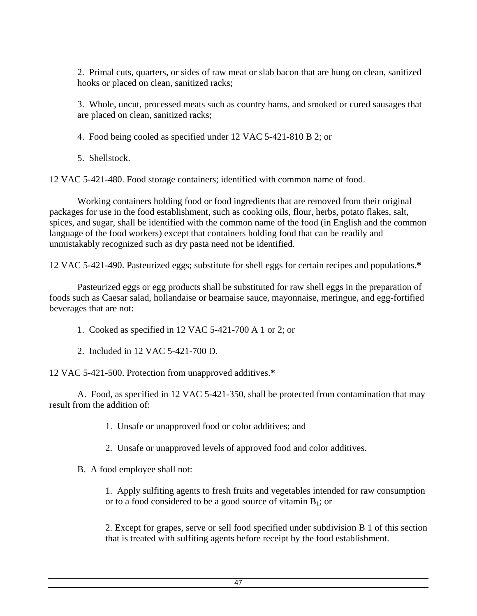2. Primal cuts, quarters, or sides of raw meat or slab bacon that are hung on clean, sanitized hooks or placed on clean, sanitized racks;

3. Whole, uncut, processed meats such as country hams, and smoked or cured sausages that are placed on clean, sanitized racks;

4. Food being cooled as specified under 12 VAC 5-421-810 B 2; or

5. Shellstock.

12 VAC 5-421-480. Food storage containers; identified with common name of food.

Working containers holding food or food ingredients that are removed from their original packages for use in the food establishment, such as cooking oils, flour, herbs, potato flakes, salt, spices, and sugar, shall be identified with the common name of the food (in English and the common language of the food workers) except that containers holding food that can be readily and unmistakably recognized such as dry pasta need not be identified.

12 VAC 5-421-490. Pasteurized eggs; substitute for shell eggs for certain recipes and populations.**\***

Pasteurized eggs or egg products shall be substituted for raw shell eggs in the preparation of foods such as Caesar salad, hollandaise or bearnaise sauce, mayonnaise, meringue, and egg-fortified beverages that are not:

- 1. Cooked as specified in 12 VAC 5-421-700 A 1 or 2; or
- 2. Included in 12 VAC 5-421-700 D.

12 VAC 5-421-500. Protection from unapproved additives.**\***

A. Food, as specified in 12 VAC 5-421-350, shall be protected from contamination that may result from the addition of:

1. Unsafe or unapproved food or color additives; and

- 2. Unsafe or unapproved levels of approved food and color additives.
- B. A food employee shall not:

1. Apply sulfiting agents to fresh fruits and vegetables intended for raw consumption or to a food considered to be a good source of vitamin  $B_1$ ; or

2. Except for grapes, serve or sell food specified under subdivision B 1 of this section that is treated with sulfiting agents before receipt by the food establishment.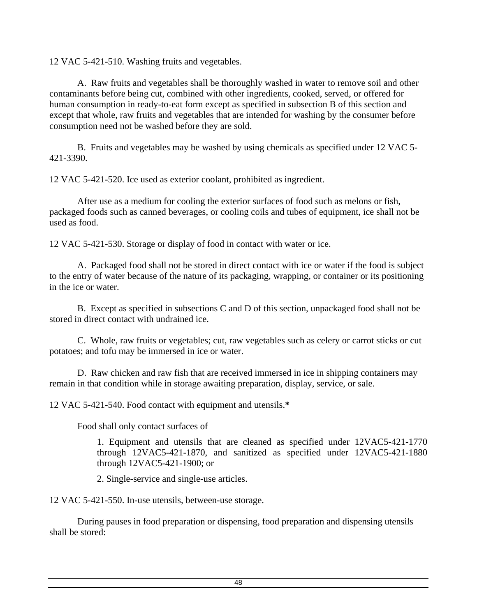12 VAC 5-421-510. Washing fruits and vegetables.

A. Raw fruits and vegetables shall be thoroughly washed in water to remove soil and other contaminants before being cut, combined with other ingredients, cooked, served, or offered for human consumption in ready-to-eat form except as specified in subsection B of this section and except that whole, raw fruits and vegetables that are intended for washing by the consumer before consumption need not be washed before they are sold.

B. Fruits and vegetables may be washed by using chemicals as specified under 12 VAC 5- 421-3390.

12 VAC 5-421-520. Ice used as exterior coolant, prohibited as ingredient.

After use as a medium for cooling the exterior surfaces of food such as melons or fish, packaged foods such as canned beverages, or cooling coils and tubes of equipment, ice shall not be used as food.

12 VAC 5-421-530. Storage or display of food in contact with water or ice.

A. Packaged food shall not be stored in direct contact with ice or water if the food is subject to the entry of water because of the nature of its packaging, wrapping, or container or its positioning in the ice or water.

B. Except as specified in subsections C and D of this section, unpackaged food shall not be stored in direct contact with undrained ice.

C. Whole, raw fruits or vegetables; cut, raw vegetables such as celery or carrot sticks or cut potatoes; and tofu may be immersed in ice or water.

D. Raw chicken and raw fish that are received immersed in ice in shipping containers may remain in that condition while in storage awaiting preparation, display, service, or sale.

12 VAC 5-421-540. Food contact with equipment and utensils.**\***

Food shall only contact surfaces of

1. Equipment and utensils that are cleaned as specified under 12VAC5-421-1770 through 12VAC5-421-1870, and sanitized as specified under 12VAC5-421-1880 through 12VAC5-421-1900; or

2. Single-service and single-use articles.

12 VAC 5-421-550. In-use utensils, between-use storage.

During pauses in food preparation or dispensing, food preparation and dispensing utensils shall be stored: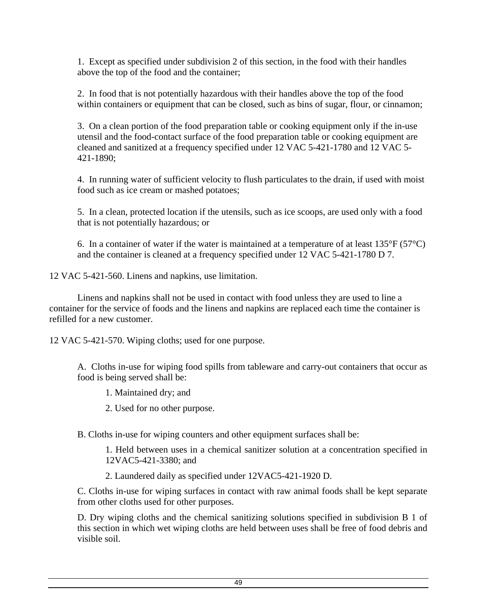1. Except as specified under subdivision 2 of this section, in the food with their handles above the top of the food and the container;

2. In food that is not potentially hazardous with their handles above the top of the food within containers or equipment that can be closed, such as bins of sugar, flour, or cinnamon;

3. On a clean portion of the food preparation table or cooking equipment only if the in-use utensil and the food-contact surface of the food preparation table or cooking equipment are cleaned and sanitized at a frequency specified under 12 VAC 5-421-1780 and 12 VAC 5- 421-1890;

4. In running water of sufficient velocity to flush particulates to the drain, if used with moist food such as ice cream or mashed potatoes;

5. In a clean, protected location if the utensils, such as ice scoops, are used only with a food that is not potentially hazardous; or

6. In a container of water if the water is maintained at a temperature of at least  $135^{\circ}F(57^{\circ}C)$ and the container is cleaned at a frequency specified under 12 VAC 5-421-1780 D 7.

12 VAC 5-421-560. Linens and napkins, use limitation.

Linens and napkins shall not be used in contact with food unless they are used to line a container for the service of foods and the linens and napkins are replaced each time the container is refilled for a new customer.

12 VAC 5-421-570. Wiping cloths; used for one purpose.

A. Cloths in-use for wiping food spills from tableware and carry-out containers that occur as food is being served shall be:

1. Maintained dry; and

2. Used for no other purpose.

B. Cloths in-use for wiping counters and other equipment surfaces shall be:

1. Held between uses in a chemical sanitizer solution at a concentration specified in 12VAC5-421-3380; and

2. Laundered daily as specified under 12VAC5-421-1920 D.

C. Cloths in-use for wiping surfaces in contact with raw animal foods shall be kept separate from other cloths used for other purposes.

D. Dry wiping cloths and the chemical sanitizing solutions specified in subdivision B 1 of this section in which wet wiping cloths are held between uses shall be free of food debris and visible soil.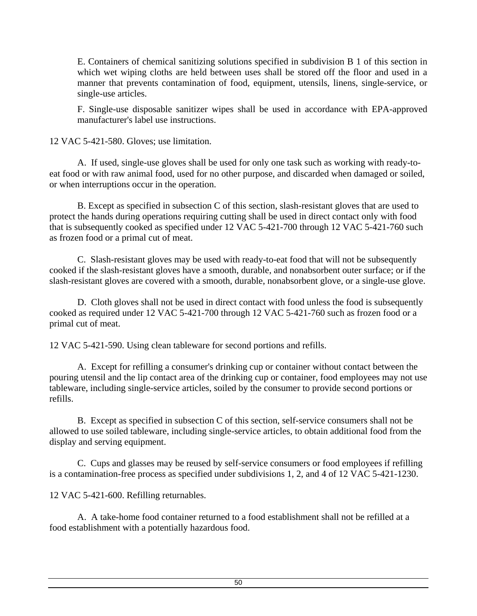E. Containers of chemical sanitizing solutions specified in subdivision B 1 of this section in which wet wiping cloths are held between uses shall be stored off the floor and used in a manner that prevents contamination of food, equipment, utensils, linens, single-service, or single-use articles.

F. Single-use disposable sanitizer wipes shall be used in accordance with EPA-approved manufacturer's label use instructions.

12 VAC 5-421-580. Gloves; use limitation.

A. If used, single-use gloves shall be used for only one task such as working with ready-toeat food or with raw animal food, used for no other purpose, and discarded when damaged or soiled, or when interruptions occur in the operation.

B. Except as specified in subsection C of this section, slash-resistant gloves that are used to protect the hands during operations requiring cutting shall be used in direct contact only with food that is subsequently cooked as specified under 12 VAC 5-421-700 through 12 VAC 5-421-760 such as frozen food or a primal cut of meat.

C. Slash-resistant gloves may be used with ready-to-eat food that will not be subsequently cooked if the slash-resistant gloves have a smooth, durable, and nonabsorbent outer surface; or if the slash-resistant gloves are covered with a smooth, durable, nonabsorbent glove, or a single-use glove.

D. Cloth gloves shall not be used in direct contact with food unless the food is subsequently cooked as required under 12 VAC 5-421-700 through 12 VAC 5-421-760 such as frozen food or a primal cut of meat.

12 VAC 5-421-590. Using clean tableware for second portions and refills.

A. Except for refilling a consumer's drinking cup or container without contact between the pouring utensil and the lip contact area of the drinking cup or container, food employees may not use tableware, including single-service articles, soiled by the consumer to provide second portions or refills.

B. Except as specified in subsection C of this section, self-service consumers shall not be allowed to use soiled tableware, including single-service articles, to obtain additional food from the display and serving equipment.

C. Cups and glasses may be reused by self-service consumers or food employees if refilling is a contamination-free process as specified under subdivisions 1, 2, and 4 of 12 VAC 5-421-1230.

12 VAC 5-421-600. Refilling returnables.

A. A take-home food container returned to a food establishment shall not be refilled at a food establishment with a potentially hazardous food.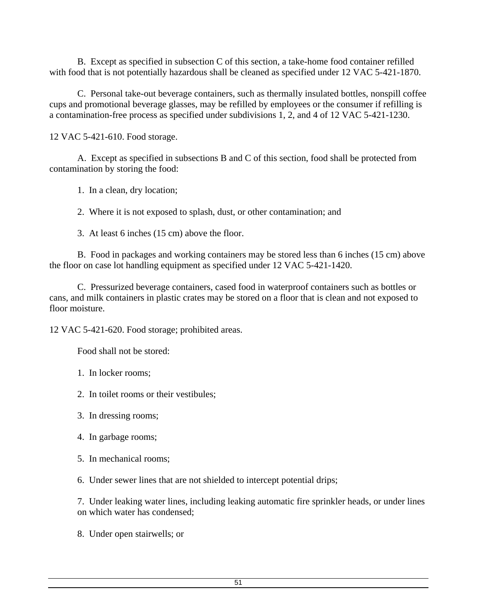B. Except as specified in subsection C of this section, a take-home food container refilled with food that is not potentially hazardous shall be cleaned as specified under 12 VAC 5-421-1870.

C. Personal take-out beverage containers, such as thermally insulated bottles, nonspill coffee cups and promotional beverage glasses, may be refilled by employees or the consumer if refilling is a contamination-free process as specified under subdivisions 1, 2, and 4 of 12 VAC 5-421-1230.

12 VAC 5-421-610. Food storage.

A. Except as specified in subsections B and C of this section, food shall be protected from contamination by storing the food:

1. In a clean, dry location;

2. Where it is not exposed to splash, dust, or other contamination; and

3. At least 6 inches (15 cm) above the floor.

B. Food in packages and working containers may be stored less than 6 inches (15 cm) above the floor on case lot handling equipment as specified under 12 VAC 5-421-1420.

C. Pressurized beverage containers, cased food in waterproof containers such as bottles or cans, and milk containers in plastic crates may be stored on a floor that is clean and not exposed to floor moisture.

12 VAC 5-421-620. Food storage; prohibited areas.

Food shall not be stored:

1. In locker rooms;

- 2. In toilet rooms or their vestibules;
- 3. In dressing rooms;
- 4. In garbage rooms;
- 5. In mechanical rooms;

6. Under sewer lines that are not shielded to intercept potential drips;

7. Under leaking water lines, including leaking automatic fire sprinkler heads, or under lines on which water has condensed;

8. Under open stairwells; or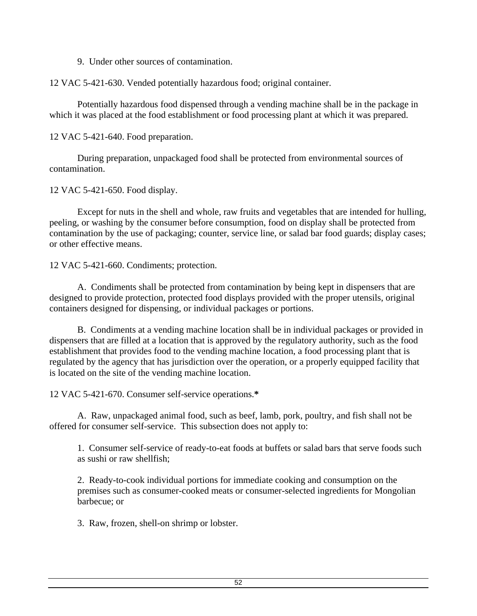9. Under other sources of contamination.

12 VAC 5-421-630. Vended potentially hazardous food; original container.

Potentially hazardous food dispensed through a vending machine shall be in the package in which it was placed at the food establishment or food processing plant at which it was prepared.

12 VAC 5-421-640. Food preparation.

During preparation, unpackaged food shall be protected from environmental sources of contamination.

12 VAC 5-421-650. Food display.

Except for nuts in the shell and whole, raw fruits and vegetables that are intended for hulling, peeling, or washing by the consumer before consumption, food on display shall be protected from contamination by the use of packaging; counter, service line, or salad bar food guards; display cases; or other effective means.

12 VAC 5-421-660. Condiments; protection.

A. Condiments shall be protected from contamination by being kept in dispensers that are designed to provide protection, protected food displays provided with the proper utensils, original containers designed for dispensing, or individual packages or portions.

B. Condiments at a vending machine location shall be in individual packages or provided in dispensers that are filled at a location that is approved by the regulatory authority, such as the food establishment that provides food to the vending machine location, a food processing plant that is regulated by the agency that has jurisdiction over the operation, or a properly equipped facility that is located on the site of the vending machine location.

12 VAC 5-421-670. Consumer self-service operations.**\***

A. Raw, unpackaged animal food, such as beef, lamb, pork, poultry, and fish shall not be offered for consumer self-service. This subsection does not apply to:

1. Consumer self-service of ready-to-eat foods at buffets or salad bars that serve foods such as sushi or raw shellfish;

2. Ready-to-cook individual portions for immediate cooking and consumption on the premises such as consumer-cooked meats or consumer-selected ingredients for Mongolian barbecue; or

3. Raw, frozen, shell-on shrimp or lobster.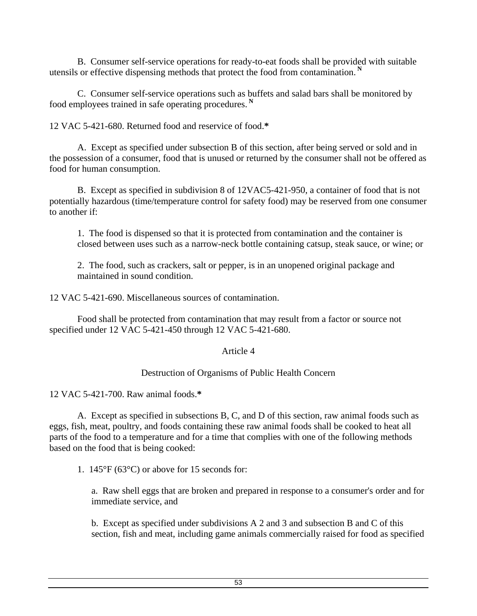B. Consumer self-service operations for ready-to-eat foods shall be provided with suitable utensils or effective dispensing methods that protect the food from contamination. **<sup>N</sup>**

C. Consumer self-service operations such as buffets and salad bars shall be monitored by food employees trained in safe operating procedures. **<sup>N</sup>**

12 VAC 5-421-680. Returned food and reservice of food.**\***

A. Except as specified under subsection B of this section, after being served or sold and in the possession of a consumer, food that is unused or returned by the consumer shall not be offered as food for human consumption.

B. Except as specified in subdivision 8 of 12VAC5-421-950, a container of food that is not potentially hazardous (time/temperature control for safety food) may be reserved from one consumer to another if:

1. The food is dispensed so that it is protected from contamination and the container is closed between uses such as a narrow-neck bottle containing catsup, steak sauce, or wine; or

2. The food, such as crackers, salt or pepper, is in an unopened original package and maintained in sound condition.

12 VAC 5-421-690. Miscellaneous sources of contamination.

Food shall be protected from contamination that may result from a factor or source not specified under 12 VAC 5-421-450 through 12 VAC 5-421-680.

## Article 4

# Destruction of Organisms of Public Health Concern

12 VAC 5-421-700. Raw animal foods.**\***

A. Except as specified in subsections B, C, and D of this section, raw animal foods such as eggs, fish, meat, poultry, and foods containing these raw animal foods shall be cooked to heat all parts of the food to a temperature and for a time that complies with one of the following methods based on the food that is being cooked:

1. 145°F (63°C) or above for 15 seconds for:

a. Raw shell eggs that are broken and prepared in response to a consumer's order and for immediate service, and

b. Except as specified under subdivisions A 2 and 3 and subsection B and C of this section, fish and meat, including game animals commercially raised for food as specified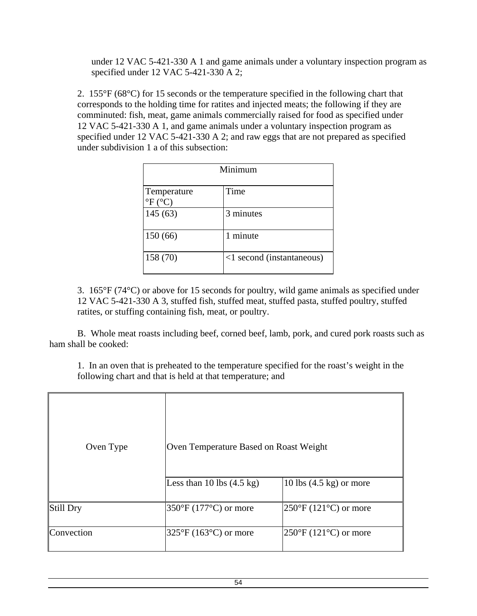under 12 VAC 5-421-330 A 1 and game animals under a voluntary inspection program as specified under 12 VAC 5-421-330 A 2;

2. 155°F (68°C) for 15 seconds or the temperature specified in the following chart that corresponds to the holding time for ratites and injected meats; the following if they are comminuted: fish, meat, game animals commercially raised for food as specified under 12 VAC 5-421-330 A 1, and game animals under a voluntary inspection program as specified under 12 VAC 5-421-330 A 2; and raw eggs that are not prepared as specified under subdivision 1 a of this subsection:

| Minimum                         |                                 |  |  |
|---------------------------------|---------------------------------|--|--|
| Temperature<br>$\mathrm{P}F(C)$ | Time                            |  |  |
| 145(63)                         | 3 minutes                       |  |  |
| 150(66)                         | 1 minute                        |  |  |
| 158 (70)                        | $\leq$ 1 second (instantaneous) |  |  |

3. 165°F (74°C) or above for 15 seconds for poultry, wild game animals as specified under 12 VAC 5-421-330 A 3, stuffed fish, stuffed meat, stuffed pasta, stuffed poultry, stuffed ratites, or stuffing containing fish, meat, or poultry.

B. Whole meat roasts including beef, corned beef, lamb, pork, and cured pork roasts such as ham shall be cooked:

1. In an oven that is preheated to the temperature specified for the roast's weight in the following chart and that is held at that temperature; and

| Oven Type  | Oven Temperature Based on Roast Weight     |                                            |  |
|------------|--------------------------------------------|--------------------------------------------|--|
|            | Less than 10 lbs $(4.5 \text{ kg})$        | 10 lbs $(4.5 \text{ kg})$ or more          |  |
| Still Dry  | $350^{\circ}$ F (177 $^{\circ}$ C) or more | $250^{\circ}$ F (121 $^{\circ}$ C) or more |  |
| Convection | $325^{\circ}F(163^{\circ}C)$ or more       | $250^{\circ}$ F (121 $^{\circ}$ C) or more |  |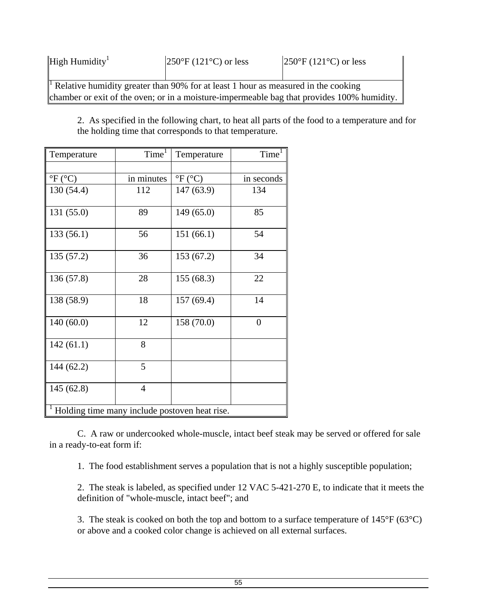| High Humidity <sup>1</sup>                                                                     | $250^{\circ}$ F (121 <sup>o</sup> C) or less | $250^{\circ}$ F (121 <sup>o</sup> C) or less |  |  |  |  |
|------------------------------------------------------------------------------------------------|----------------------------------------------|----------------------------------------------|--|--|--|--|
|                                                                                                |                                              |                                              |  |  |  |  |
| <sup>1</sup> Relative humidity greater than 90% for at least 1 hour as measured in the cooking |                                              |                                              |  |  |  |  |
| chamber or exit of the oven; or in a moisture-impermeable bag that provides 100% humidity.     |                                              |                                              |  |  |  |  |

2. As specified in the following chart, to heat all parts of the food to a temperature and for the holding time that corresponds to that temperature.

| Temperature                                   | Time <sup>1</sup> | Temperature      | Time           |  |
|-----------------------------------------------|-------------------|------------------|----------------|--|
|                                               |                   |                  |                |  |
| ${}^{\circ}F$ ( ${}^{\circ}C$ )               | in minutes        | $\mathrm{P}F(C)$ | in seconds     |  |
| 130 (54.4)                                    | 112               | 147 (63.9)       | 134            |  |
| 131 (55.0)                                    | 89                | 149(65.0)        | 85             |  |
| 133(56.1)                                     | 56                | 151(66.1)        | 54             |  |
| 135(57.2)                                     | 36                | 153 (67.2)       | 34             |  |
| 136 (57.8)                                    | 28                | 155(68.3)        | 22             |  |
| 138 (58.9)                                    | 18                | 157(69.4)        | 14             |  |
| 140(60.0)                                     | 12                | 158 (70.0)       | $\overline{0}$ |  |
| 142(61.1)                                     | 8                 |                  |                |  |
| 144(62.2)                                     | 5                 |                  |                |  |
| 145 (62.8)                                    | $\overline{4}$    |                  |                |  |
| Holding time many include postoven heat rise. |                   |                  |                |  |

C. A raw or undercooked whole-muscle, intact beef steak may be served or offered for sale in a ready-to-eat form if:

1. The food establishment serves a population that is not a highly susceptible population;

2. The steak is labeled, as specified under 12 VAC 5-421-270 E, to indicate that it meets the definition of "whole-muscle, intact beef"; and

3. The steak is cooked on both the top and bottom to a surface temperature of 145°F (63°C) or above and a cooked color change is achieved on all external surfaces.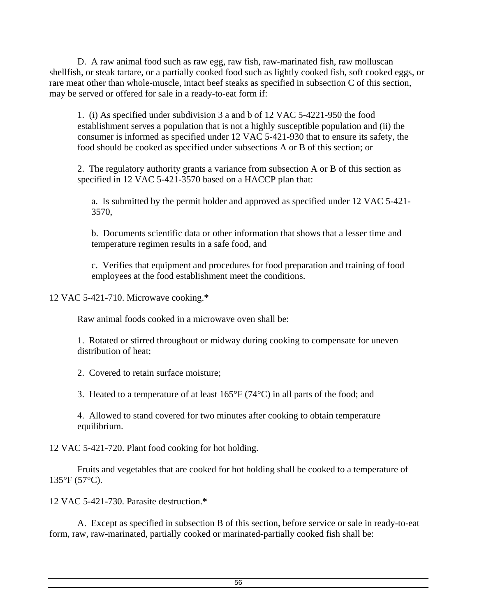D. A raw animal food such as raw egg, raw fish, raw-marinated fish, raw molluscan shellfish, or steak tartare, or a partially cooked food such as lightly cooked fish, soft cooked eggs, or rare meat other than whole-muscle, intact beef steaks as specified in subsection C of this section, may be served or offered for sale in a ready-to-eat form if:

1. (i) As specified under subdivision 3 a and b of 12 VAC 5-4221-950 the food establishment serves a population that is not a highly susceptible population and (ii) the consumer is informed as specified under 12 VAC 5-421-930 that to ensure its safety, the food should be cooked as specified under subsections A or B of this section; or

2. The regulatory authority grants a variance from subsection A or B of this section as specified in 12 VAC 5-421-3570 based on a HACCP plan that:

a. Is submitted by the permit holder and approved as specified under 12 VAC 5-421- 3570,

b. Documents scientific data or other information that shows that a lesser time and temperature regimen results in a safe food, and

c. Verifies that equipment and procedures for food preparation and training of food employees at the food establishment meet the conditions.

12 VAC 5-421-710. Microwave cooking.**\***

Raw animal foods cooked in a microwave oven shall be:

1. Rotated or stirred throughout or midway during cooking to compensate for uneven distribution of heat;

2. Covered to retain surface moisture;

3. Heated to a temperature of at least  $165^{\circ}F(74^{\circ}C)$  in all parts of the food; and

4. Allowed to stand covered for two minutes after cooking to obtain temperature equilibrium.

12 VAC 5-421-720. Plant food cooking for hot holding.

Fruits and vegetables that are cooked for hot holding shall be cooked to a temperature of 135°F (57°C).

12 VAC 5-421-730. Parasite destruction.**\***

A. Except as specified in subsection B of this section, before service or sale in ready-to-eat form, raw, raw-marinated, partially cooked or marinated-partially cooked fish shall be: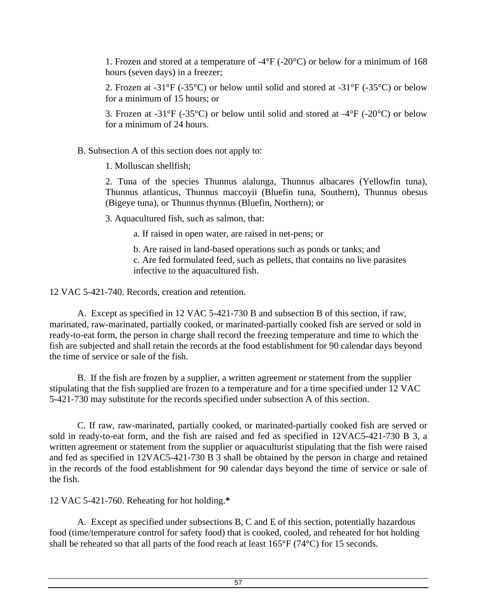1. Frozen and stored at a temperature of  $-4^{\circ}F(-20^{\circ}C)$  or below for a minimum of 168 hours (seven days) in a freezer;

2. Frozen at -31°F (-35°C) or below until solid and stored at -31°F (-35°C) or below for a minimum of 15 hours; or

3. Frozen at -31 $\rm{°F}$  (-35 $\rm{°C}$ ) or below until solid and stored at -4 $\rm{°F}$  (-20 $\rm{°C}$ ) or below for a minimum of 24 hours.

B. Subsection A of this section does not apply to:

1. Molluscan shellfish;

2. Tuna of the species Thunnus alalunga, Thunnus albacares (Yellowfin tuna), Thunnus atlanticus, Thunnus maccoyii (Bluefin tuna, Southern), Thunnus obesus (Bigeye tuna), or Thunnus thynnus (Bluefin, Northern); or

3. Aquacultured fish, such as salmon, that:

a. If raised in open water, are raised in net-pens; or

b. Are raised in land-based operations such as ponds or tanks; and c. Are fed formulated feed, such as pellets, that contains no live parasites infective to the aquacultured fish.

12 VAC 5-421-740. Records, creation and retention.

A. Except as specified in 12 VAC 5-421-730 B and subsection B of this section, if raw, marinated, raw-marinated, partially cooked, or marinated-partially cooked fish are served or sold in ready-to-eat form, the person in charge shall record the freezing temperature and time to which the fish are subjected and shall retain the records at the food establishment for 90 calendar days beyond the time of service or sale of the fish.

B. If the fish are frozen by a supplier, a written agreement or statement from the supplier stipulating that the fish supplied are frozen to a temperature and for a time specified under 12 VAC 5-421-730 may substitute for the records specified under subsection A of this section.

C. If raw, raw-marinated, partially cooked, or marinated-partially cooked fish are served or sold in ready-to-eat form, and the fish are raised and fed as specified in 12VAC5-421-730 B 3, a written agreement or statement from the supplier or aquaculturist stipulating that the fish were raised and fed as specified in 12VAC5-421-730 B 3 shall be obtained by the person in charge and retained in the records of the food establishment for 90 calendar days beyond the time of service or sale of the fish.

12 VAC 5-421-760. Reheating for hot holding.**\***

A. Except as specified under subsections B, C and E of this section, potentially hazardous food (time/temperature control for safety food) that is cooked, cooled, and reheated for hot holding shall be reheated so that all parts of the food reach at least 165°F (74°C) for 15 seconds.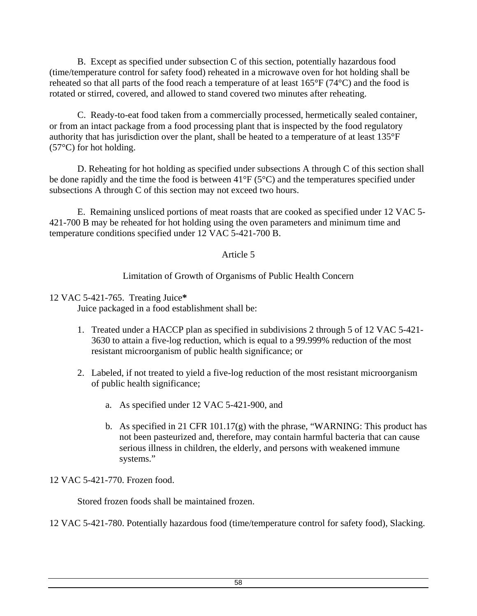B. Except as specified under subsection C of this section, potentially hazardous food (time/temperature control for safety food) reheated in a microwave oven for hot holding shall be reheated so that all parts of the food reach a temperature of at least 165°F (74°C) and the food is rotated or stirred, covered, and allowed to stand covered two minutes after reheating.

C. Ready-to-eat food taken from a commercially processed, hermetically sealed container, or from an intact package from a food processing plant that is inspected by the food regulatory authority that has jurisdiction over the plant, shall be heated to a temperature of at least 135°F (57°C) for hot holding.

D. Reheating for hot holding as specified under subsections A through C of this section shall be done rapidly and the time the food is between 41°F (5°C) and the temperatures specified under subsections A through C of this section may not exceed two hours.

E. Remaining unsliced portions of meat roasts that are cooked as specified under 12 VAC 5- 421-700 B may be reheated for hot holding using the oven parameters and minimum time and temperature conditions specified under 12 VAC 5-421-700 B.

#### Article 5

Limitation of Growth of Organisms of Public Health Concern

12 VAC 5-421-765. Treating Juice**\*** 

Juice packaged in a food establishment shall be:

- 1. Treated under a HACCP plan as specified in subdivisions 2 through 5 of 12 VAC 5-421- 3630 to attain a five-log reduction, which is equal to a 99.999% reduction of the most resistant microorganism of public health significance; or
- 2. Labeled, if not treated to yield a five-log reduction of the most resistant microorganism of public health significance;
	- a. As specified under 12 VAC 5-421-900, and
	- b. As specified in 21 CFR 101.17(g) with the phrase, "WARNING: This product has not been pasteurized and, therefore, may contain harmful bacteria that can cause serious illness in children, the elderly, and persons with weakened immune systems."

12 VAC 5-421-770. Frozen food.

Stored frozen foods shall be maintained frozen.

12 VAC 5-421-780. Potentially hazardous food (time/temperature control for safety food), Slacking.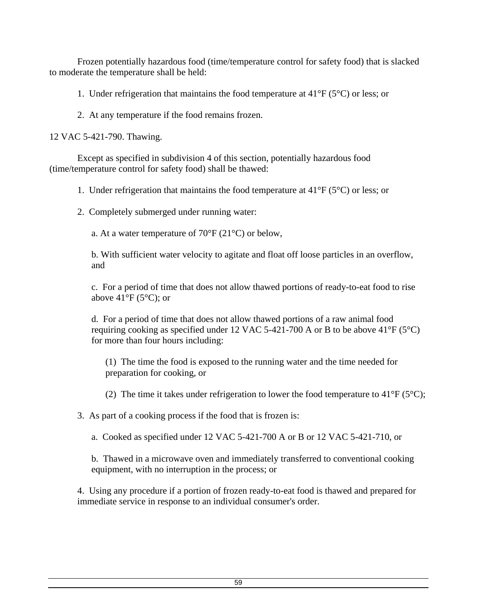Frozen potentially hazardous food (time/temperature control for safety food) that is slacked to moderate the temperature shall be held:

1. Under refrigeration that maintains the food temperature at  $41^{\circ}F(5^{\circ}C)$  or less; or

2. At any temperature if the food remains frozen.

12 VAC 5-421-790. Thawing.

Except as specified in subdivision 4 of this section, potentially hazardous food (time/temperature control for safety food) shall be thawed:

1. Under refrigeration that maintains the food temperature at  $41^{\circ}F(5^{\circ}C)$  or less; or

2. Completely submerged under running water:

a. At a water temperature of 70°F (21°C) or below,

b. With sufficient water velocity to agitate and float off loose particles in an overflow, and

c. For a period of time that does not allow thawed portions of ready-to-eat food to rise above  $41^{\circ}F$  (5°C); or

d. For a period of time that does not allow thawed portions of a raw animal food requiring cooking as specified under 12 VAC 5-421-700 A or B to be above  $41^{\circ}F(5^{\circ}C)$ for more than four hours including:

(1) The time the food is exposed to the running water and the time needed for preparation for cooking, or

(2) The time it takes under refrigeration to lower the food temperature to  $41^{\circ}F(5^{\circ}C)$ ;

3. As part of a cooking process if the food that is frozen is:

a. Cooked as specified under 12 VAC 5-421-700 A or B or 12 VAC 5-421-710, or

b. Thawed in a microwave oven and immediately transferred to conventional cooking equipment, with no interruption in the process; or

4. Using any procedure if a portion of frozen ready-to-eat food is thawed and prepared for immediate service in response to an individual consumer's order.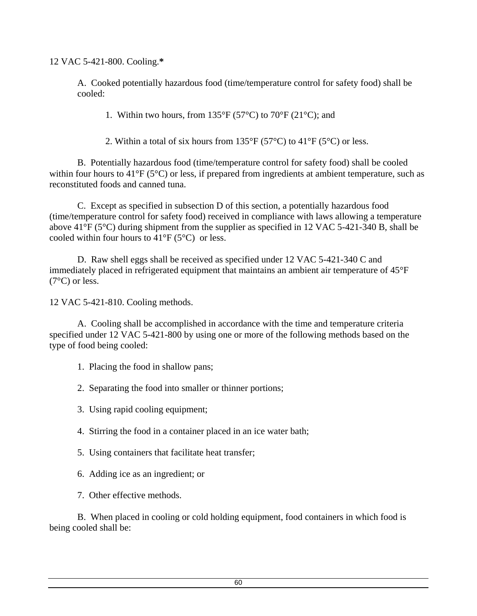12 VAC 5-421-800. Cooling.**\***

A. Cooked potentially hazardous food (time/temperature control for safety food) shall be cooled:

1. Within two hours, from 135°F (57°C) to 70°F (21°C); and

2. Within a total of six hours from 135 $\rm{°F}$  (5 $\rm{°C}$ ) to 41 $\rm{°F}$  (5 $\rm{°C}$ ) or less.

B. Potentially hazardous food (time/temperature control for safety food) shall be cooled within four hours to  $41^{\circ}F(5^{\circ}C)$  or less, if prepared from ingredients at ambient temperature, such as reconstituted foods and canned tuna.

C. Except as specified in subsection D of this section, a potentially hazardous food (time/temperature control for safety food) received in compliance with laws allowing a temperature above 41°F (5°C) during shipment from the supplier as specified in 12 VAC 5-421-340 B, shall be cooled within four hours to  $41^{\circ}F(5^{\circ}C)$  or less.

D. Raw shell eggs shall be received as specified under 12 VAC 5-421-340 C and immediately placed in refrigerated equipment that maintains an ambient air temperature of 45°F  $(7^{\circ}C)$  or less.

12 VAC 5-421-810. Cooling methods.

A. Cooling shall be accomplished in accordance with the time and temperature criteria specified under 12 VAC 5-421-800 by using one or more of the following methods based on the type of food being cooled:

1. Placing the food in shallow pans;

- 2. Separating the food into smaller or thinner portions;
- 3. Using rapid cooling equipment;
- 4. Stirring the food in a container placed in an ice water bath;
- 5. Using containers that facilitate heat transfer;
- 6. Adding ice as an ingredient; or
- 7. Other effective methods.

B. When placed in cooling or cold holding equipment, food containers in which food is being cooled shall be: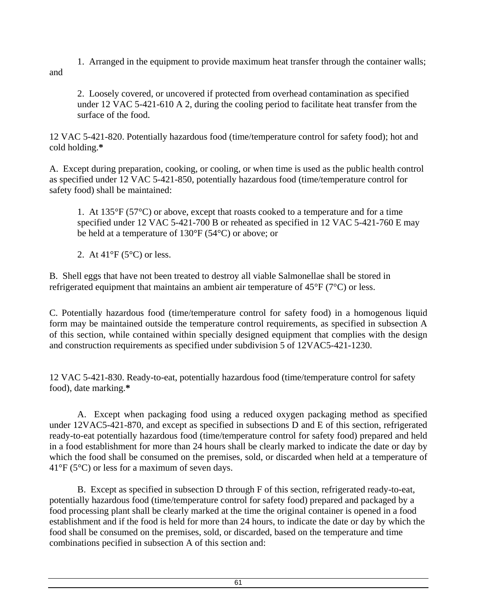1. Arranged in the equipment to provide maximum heat transfer through the container walls; and

2. Loosely covered, or uncovered if protected from overhead contamination as specified under 12 VAC 5-421-610 A 2, during the cooling period to facilitate heat transfer from the surface of the food.

12 VAC 5-421-820. Potentially hazardous food (time/temperature control for safety food); hot and cold holding.**\***

A. Except during preparation, cooking, or cooling, or when time is used as the public health control as specified under 12 VAC 5-421-850, potentially hazardous food (time/temperature control for safety food) shall be maintained:

1. At 135°F (57°C) or above, except that roasts cooked to a temperature and for a time specified under 12 VAC 5-421-700 B or reheated as specified in 12 VAC 5-421-760 E may be held at a temperature of 130°F (54°C) or above; or

2. At  $41^{\circ}F(5^{\circ}C)$  or less.

B. Shell eggs that have not been treated to destroy all viable Salmonellae shall be stored in refrigerated equipment that maintains an ambient air temperature of 45°F (7°C) or less.

C. Potentially hazardous food (time/temperature control for safety food) in a homogenous liquid form may be maintained outside the temperature control requirements, as specified in subsection A of this section, while contained within specially designed equipment that complies with the design and construction requirements as specified under subdivision 5 of 12VAC5-421-1230.

12 VAC 5-421-830. Ready-to-eat, potentially hazardous food (time/temperature control for safety food), date marking.**\***

A. Except when packaging food using a reduced oxygen packaging method as specified under 12VAC5-421-870, and except as specified in subsections D and E of this section, refrigerated ready-to-eat potentially hazardous food (time/temperature control for safety food) prepared and held in a food establishment for more than 24 hours shall be clearly marked to indicate the date or day by which the food shall be consumed on the premises, sold, or discarded when held at a temperature of  $41^{\circ}$ F (5 $^{\circ}$ C) or less for a maximum of seven days.

B. Except as specified in subsection D through F of this section, refrigerated ready-to-eat, potentially hazardous food (time/temperature control for safety food) prepared and packaged by a food processing plant shall be clearly marked at the time the original container is opened in a food establishment and if the food is held for more than 24 hours, to indicate the date or day by which the food shall be consumed on the premises, sold, or discarded, based on the temperature and time combinations pecified in subsection A of this section and: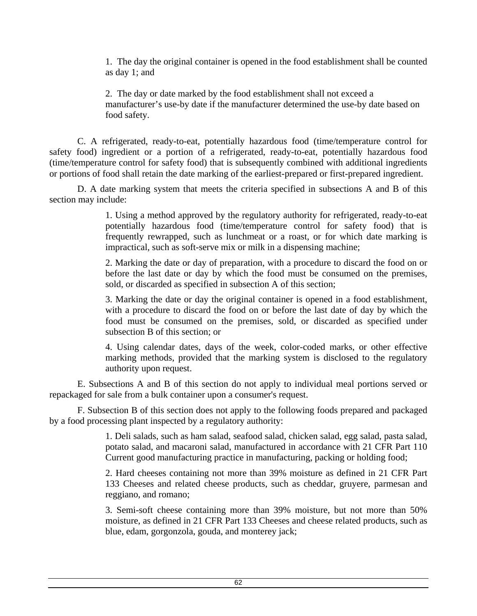1. The day the original container is opened in the food establishment shall be counted as day 1; and

2. The day or date marked by the food establishment shall not exceed a manufacturer's use-by date if the manufacturer determined the use-by date based on food safety.

C. A refrigerated, ready-to-eat, potentially hazardous food (time/temperature control for safety food) ingredient or a portion of a refrigerated, ready-to-eat, potentially hazardous food (time/temperature control for safety food) that is subsequently combined with additional ingredients or portions of food shall retain the date marking of the earliest-prepared or first-prepared ingredient.

D. A date marking system that meets the criteria specified in subsections A and B of this section may include:

> 1. Using a method approved by the regulatory authority for refrigerated, ready-to-eat potentially hazardous food (time/temperature control for safety food) that is frequently rewrapped, such as lunchmeat or a roast, or for which date marking is impractical, such as soft-serve mix or milk in a dispensing machine;

> 2. Marking the date or day of preparation, with a procedure to discard the food on or before the last date or day by which the food must be consumed on the premises, sold, or discarded as specified in subsection A of this section;

> 3. Marking the date or day the original container is opened in a food establishment, with a procedure to discard the food on or before the last date of day by which the food must be consumed on the premises, sold, or discarded as specified under subsection B of this section; or

> 4. Using calendar dates, days of the week, color-coded marks, or other effective marking methods, provided that the marking system is disclosed to the regulatory authority upon request.

E. Subsections A and B of this section do not apply to individual meal portions served or repackaged for sale from a bulk container upon a consumer's request.

F. Subsection B of this section does not apply to the following foods prepared and packaged by a food processing plant inspected by a regulatory authority:

> 1. Deli salads, such as ham salad, seafood salad, chicken salad, egg salad, pasta salad, potato salad, and macaroni salad, manufactured in accordance with 21 CFR Part 110 Current good manufacturing practice in manufacturing, packing or holding food;

> 2. Hard cheeses containing not more than 39% moisture as defined in 21 CFR Part 133 Cheeses and related cheese products, such as cheddar, gruyere, parmesan and reggiano, and romano;

> 3. Semi-soft cheese containing more than 39% moisture, but not more than 50% moisture, as defined in 21 CFR Part 133 Cheeses and cheese related products, such as blue, edam, gorgonzola, gouda, and monterey jack;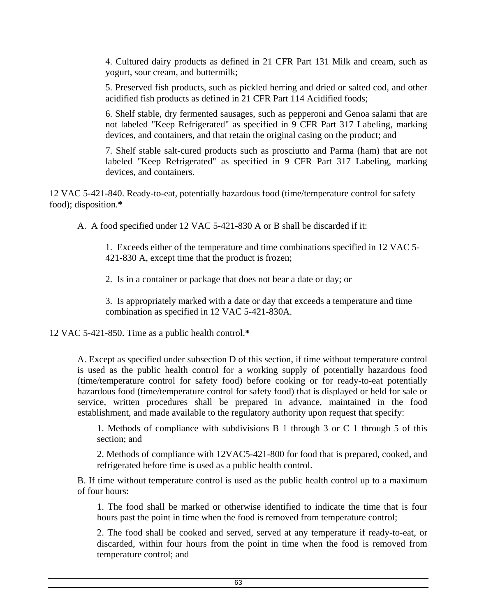4. Cultured dairy products as defined in 21 CFR Part 131 Milk and cream, such as yogurt, sour cream, and buttermilk;

5. Preserved fish products, such as pickled herring and dried or salted cod, and other acidified fish products as defined in 21 CFR Part 114 Acidified foods;

6. Shelf stable, dry fermented sausages, such as pepperoni and Genoa salami that are not labeled "Keep Refrigerated" as specified in 9 CFR Part 317 Labeling, marking devices, and containers, and that retain the original casing on the product; and

7. Shelf stable salt-cured products such as prosciutto and Parma (ham) that are not labeled "Keep Refrigerated" as specified in 9 CFR Part 317 Labeling, marking devices, and containers.

12 VAC 5-421-840. Ready-to-eat, potentially hazardous food (time/temperature control for safety food); disposition.**\***

A. A food specified under 12 VAC 5-421-830 A or B shall be discarded if it:

1. Exceeds either of the temperature and time combinations specified in 12 VAC 5- 421-830 A, except time that the product is frozen;

2. Is in a container or package that does not bear a date or day; or

3. Is appropriately marked with a date or day that exceeds a temperature and time combination as specified in 12 VAC 5-421-830A.

12 VAC 5-421-850. Time as a public health control.**\***

A. Except as specified under subsection D of this section, if time without temperature control is used as the public health control for a working supply of potentially hazardous food (time/temperature control for safety food) before cooking or for ready-to-eat potentially hazardous food (time/temperature control for safety food) that is displayed or held for sale or service, written procedures shall be prepared in advance, maintained in the food establishment, and made available to the regulatory authority upon request that specify:

1. Methods of compliance with subdivisions B 1 through 3 or C 1 through 5 of this section; and

2. Methods of compliance with 12VAC5-421-800 for food that is prepared, cooked, and refrigerated before time is used as a public health control.

B. If time without temperature control is used as the public health control up to a maximum of four hours:

1. The food shall be marked or otherwise identified to indicate the time that is four hours past the point in time when the food is removed from temperature control;

2. The food shall be cooked and served, served at any temperature if ready-to-eat, or discarded, within four hours from the point in time when the food is removed from temperature control; and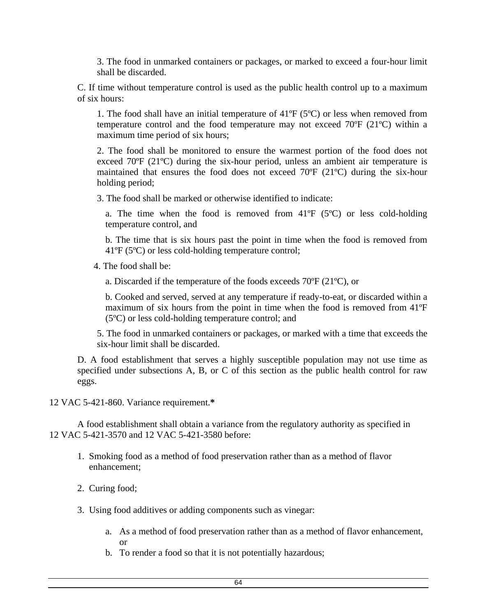3. The food in unmarked containers or packages, or marked to exceed a four-hour limit shall be discarded.

C. If time without temperature control is used as the public health control up to a maximum of six hours:

1. The food shall have an initial temperature of 41ºF (5ºC) or less when removed from temperature control and the food temperature may not exceed 70ºF (21ºC) within a maximum time period of six hours;

2. The food shall be monitored to ensure the warmest portion of the food does not exceed 70ºF (21ºC) during the six-hour period, unless an ambient air temperature is maintained that ensures the food does not exceed 70ºF (21ºC) during the six-hour holding period;

3. The food shall be marked or otherwise identified to indicate:

a. The time when the food is removed from  $41^{\circ}F$  (5 $^{\circ}C$ ) or less cold-holding temperature control, and

b. The time that is six hours past the point in time when the food is removed from 41ºF (5ºC) or less cold-holding temperature control;

4. The food shall be:

a. Discarded if the temperature of the foods exceeds 70ºF (21ºC), or

b. Cooked and served, served at any temperature if ready-to-eat, or discarded within a maximum of six hours from the point in time when the food is removed from 41ºF (5ºC) or less cold-holding temperature control; and

5. The food in unmarked containers or packages, or marked with a time that exceeds the six-hour limit shall be discarded.

D. A food establishment that serves a highly susceptible population may not use time as specified under subsections A, B, or C of this section as the public health control for raw eggs.

12 VAC 5-421-860. Variance requirement.**\***

A food establishment shall obtain a variance from the regulatory authority as specified in 12 VAC 5-421-3570 and 12 VAC 5-421-3580 before:

- 1. Smoking food as a method of food preservation rather than as a method of flavor enhancement;
- 2. Curing food;
- 3. Using food additives or adding components such as vinegar:
	- a. As a method of food preservation rather than as a method of flavor enhancement, or
	- b. To render a food so that it is not potentially hazardous;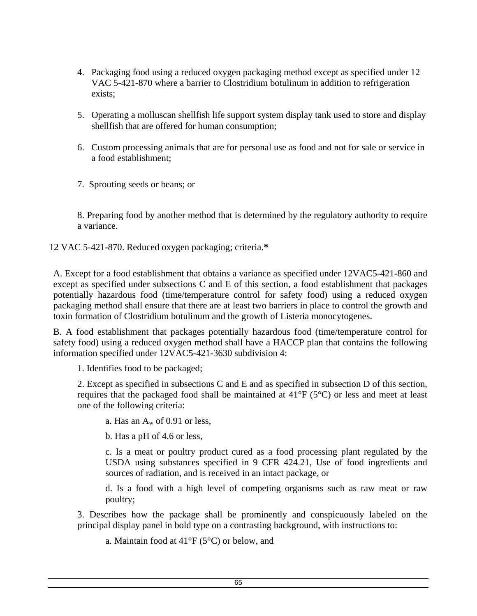- 4. Packaging food using a reduced oxygen packaging method except as specified under 12 VAC 5-421-870 where a barrier to Clostridium botulinum in addition to refrigeration exists;
- 5. Operating a molluscan shellfish life support system display tank used to store and display shellfish that are offered for human consumption;
- 6. Custom processing animals that are for personal use as food and not for sale or service in a food establishment;
- 7. Sprouting seeds or beans; or

8. Preparing food by another method that is determined by the regulatory authority to require a variance.

12 VAC 5-421-870. Reduced oxygen packaging; criteria.**\***

A. Except for a food establishment that obtains a variance as specified under 12VAC5-421-860 and except as specified under subsections C and E of this section, a food establishment that packages potentially hazardous food (time/temperature control for safety food) using a reduced oxygen packaging method shall ensure that there are at least two barriers in place to control the growth and toxin formation of Clostridium botulinum and the growth of Listeria monocytogenes.

B. A food establishment that packages potentially hazardous food (time/temperature control for safety food) using a reduced oxygen method shall have a HACCP plan that contains the following information specified under 12VAC5-421-3630 subdivision 4:

1. Identifies food to be packaged;

2. Except as specified in subsections C and E and as specified in subsection D of this section, requires that the packaged food shall be maintained at 41°F (5°C) or less and meet at least one of the following criteria:

a. Has an Aw of 0.91 or less,

b. Has a pH of 4.6 or less,

c. Is a meat or poultry product cured as a food processing plant regulated by the USDA using substances specified in 9 CFR 424.21, Use of food ingredients and sources of radiation, and is received in an intact package, or

d. Is a food with a high level of competing organisms such as raw meat or raw poultry;

3. Describes how the package shall be prominently and conspicuously labeled on the principal display panel in bold type on a contrasting background, with instructions to:

a. Maintain food at 41°F (5°C) or below, and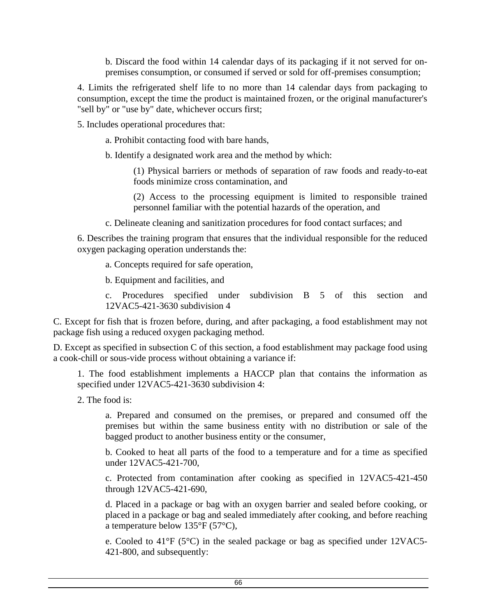b. Discard the food within 14 calendar days of its packaging if it not served for onpremises consumption, or consumed if served or sold for off-premises consumption;

4. Limits the refrigerated shelf life to no more than 14 calendar days from packaging to consumption, except the time the product is maintained frozen, or the original manufacturer's "sell by" or "use by" date, whichever occurs first;

5. Includes operational procedures that:

a. Prohibit contacting food with bare hands,

b. Identify a designated work area and the method by which:

(1) Physical barriers or methods of separation of raw foods and ready-to-eat foods minimize cross contamination, and

(2) Access to the processing equipment is limited to responsible trained personnel familiar with the potential hazards of the operation, and

c. Delineate cleaning and sanitization procedures for food contact surfaces; and

6. Describes the training program that ensures that the individual responsible for the reduced oxygen packaging operation understands the:

a. Concepts required for safe operation,

b. Equipment and facilities, and

c. Procedures specified under subdivision B 5 of this section and 12VAC5-421-3630 subdivision 4

C. Except for fish that is frozen before, during, and after packaging, a food establishment may not package fish using a reduced oxygen packaging method.

D. Except as specified in subsection C of this section, a food establishment may package food using a cook-chill or sous-vide process without obtaining a variance if:

1. The food establishment implements a HACCP plan that contains the information as specified under 12VAC5-421-3630 subdivision 4:

2. The food is:

a. Prepared and consumed on the premises, or prepared and consumed off the premises but within the same business entity with no distribution or sale of the bagged product to another business entity or the consumer,

b. Cooked to heat all parts of the food to a temperature and for a time as specified under 12VAC5-421-700,

c. Protected from contamination after cooking as specified in 12VAC5-421-450 through 12VAC5-421-690,

d. Placed in a package or bag with an oxygen barrier and sealed before cooking, or placed in a package or bag and sealed immediately after cooking, and before reaching a temperature below 135°F (57°C),

e. Cooled to 41°F (5°C) in the sealed package or bag as specified under 12VAC5- 421-800, and subsequently: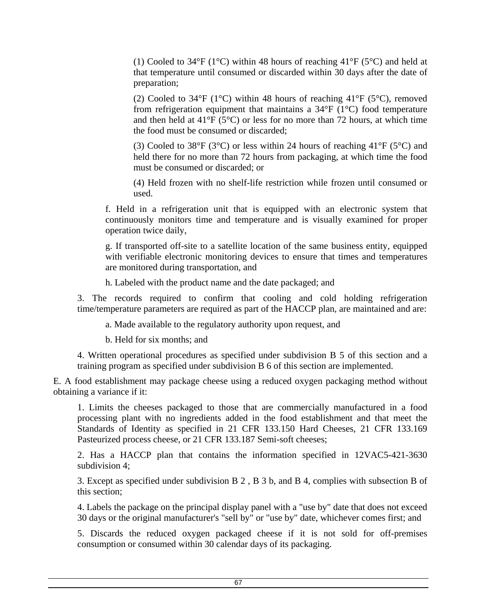(1) Cooled to 34 $\rm{^{\circ}F}$  (1 $\rm{^{\circ}C}$ ) within 48 hours of reaching 41 $\rm{^{\circ}F}$  (5 $\rm{^{\circ}C}$ ) and held at that temperature until consumed or discarded within 30 days after the date of preparation;

(2) Cooled to 34°F (1°C) within 48 hours of reaching 41°F (5°C), removed from refrigeration equipment that maintains a 34°F (1°C) food temperature and then held at  $41^{\circ}F$  (5°C) or less for no more than 72 hours, at which time the food must be consumed or discarded;

(3) Cooled to 38°F (3°C) or less within 24 hours of reaching  $41^{\circ}F$  (5°C) and held there for no more than 72 hours from packaging, at which time the food must be consumed or discarded; or

(4) Held frozen with no shelf-life restriction while frozen until consumed or used.

f. Held in a refrigeration unit that is equipped with an electronic system that continuously monitors time and temperature and is visually examined for proper operation twice daily,

g. If transported off-site to a satellite location of the same business entity, equipped with verifiable electronic monitoring devices to ensure that times and temperatures are monitored during transportation, and

h. Labeled with the product name and the date packaged; and

3. The records required to confirm that cooling and cold holding refrigeration time/temperature parameters are required as part of the HACCP plan, are maintained and are:

a. Made available to the regulatory authority upon request, and

b. Held for six months; and

4. Written operational procedures as specified under subdivision B 5 of this section and a training program as specified under subdivision B 6 of this section are implemented.

E. A food establishment may package cheese using a reduced oxygen packaging method without obtaining a variance if it:

1. Limits the cheeses packaged to those that are commercially manufactured in a food processing plant with no ingredients added in the food establishment and that meet the Standards of Identity as specified in 21 CFR 133.150 Hard Cheeses, 21 CFR 133.169 Pasteurized process cheese, or 21 CFR 133.187 Semi-soft cheeses;

2. Has a HACCP plan that contains the information specified in 12VAC5-421-3630 subdivision 4;

3. Except as specified under subdivision B 2 , B 3 b, and B 4, complies with subsection B of this section;

4. Labels the package on the principal display panel with a "use by" date that does not exceed 30 days or the original manufacturer's "sell by" or "use by" date, whichever comes first; and

5. Discards the reduced oxygen packaged cheese if it is not sold for off-premises consumption or consumed within 30 calendar days of its packaging.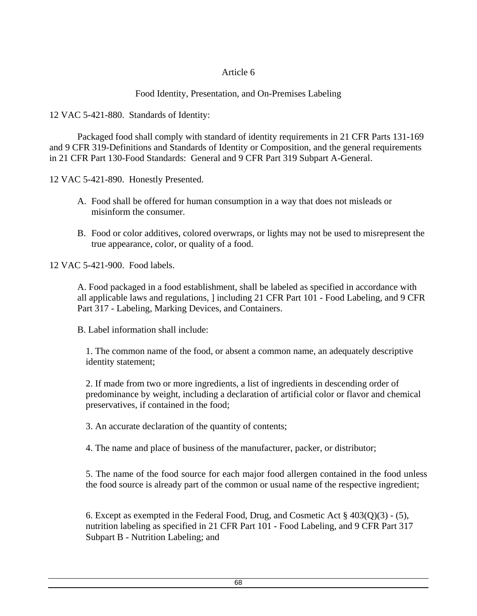## Article 6

#### Food Identity, Presentation, and On-Premises Labeling

12 VAC 5-421-880. Standards of Identity:

 Packaged food shall comply with standard of identity requirements in 21 CFR Parts 131-169 and 9 CFR 319-Definitions and Standards of Identity or Composition, and the general requirements in 21 CFR Part 130-Food Standards: General and 9 CFR Part 319 Subpart A-General.

12 VAC 5-421-890. Honestly Presented.

- A. Food shall be offered for human consumption in a way that does not misleads or misinform the consumer.
- B. Food or color additives, colored overwraps, or lights may not be used to misrepresent the true appearance, color, or quality of a food.

12 VAC 5-421-900. Food labels.

A. Food packaged in a food establishment, shall be labeled as specified in accordance with all applicable laws and regulations, ] including 21 CFR Part 101 - Food Labeling, and 9 CFR Part 317 - Labeling, Marking Devices, and Containers.

B. Label information shall include:

1. The common name of the food, or absent a common name, an adequately descriptive identity statement;

2. If made from two or more ingredients, a list of ingredients in descending order of predominance by weight, including a declaration of artificial color or flavor and chemical preservatives, if contained in the food;

3. An accurate declaration of the quantity of contents;

4. The name and place of business of the manufacturer, packer, or distributor;

5. The name of the food source for each major food allergen contained in the food unless the food source is already part of the common or usual name of the respective ingredient;

6. Except as exempted in the Federal Food, Drug, and Cosmetic Act  $\S 403(Q)(3) - (5)$ , nutrition labeling as specified in 21 CFR Part 101 - Food Labeling, and 9 CFR Part 317 Subpart B - Nutrition Labeling; and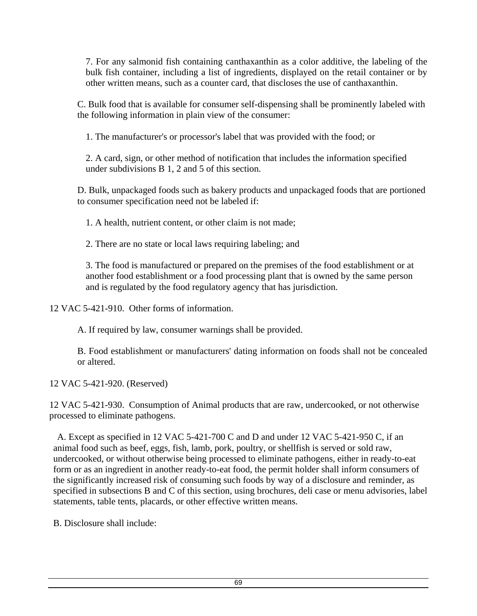7. For any salmonid fish containing canthaxanthin as a color additive, the labeling of the bulk fish container, including a list of ingredients, displayed on the retail container or by other written means, such as a counter card, that discloses the use of canthaxanthin.

C. Bulk food that is available for consumer self-dispensing shall be prominently labeled with the following information in plain view of the consumer:

1. The manufacturer's or processor's label that was provided with the food; or

2. A card, sign, or other method of notification that includes the information specified under subdivisions B 1, 2 and 5 of this section.

D. Bulk, unpackaged foods such as bakery products and unpackaged foods that are portioned to consumer specification need not be labeled if:

1. A health, nutrient content, or other claim is not made;

2. There are no state or local laws requiring labeling; and

3. The food is manufactured or prepared on the premises of the food establishment or at another food establishment or a food processing plant that is owned by the same person and is regulated by the food regulatory agency that has jurisdiction.

12 VAC 5-421-910. Other forms of information.

A. If required by law, consumer warnings shall be provided.

B. Food establishment or manufacturers' dating information on foods shall not be concealed or altered.

12 VAC 5-421-920. (Reserved)

12 VAC 5-421-930. Consumption of Animal products that are raw, undercooked, or not otherwise processed to eliminate pathogens.

A. Except as specified in 12 VAC 5-421-700 C and D and under 12 VAC 5-421-950 C, if an animal food such as beef, eggs, fish, lamb, pork, poultry, or shellfish is served or sold raw, undercooked, or without otherwise being processed to eliminate pathogens, either in ready-to-eat form or as an ingredient in another ready-to-eat food, the permit holder shall inform consumers of the significantly increased risk of consuming such foods by way of a disclosure and reminder, as specified in subsections B and C of this section, using brochures, deli case or menu advisories, label statements, table tents, placards, or other effective written means.

B. Disclosure shall include: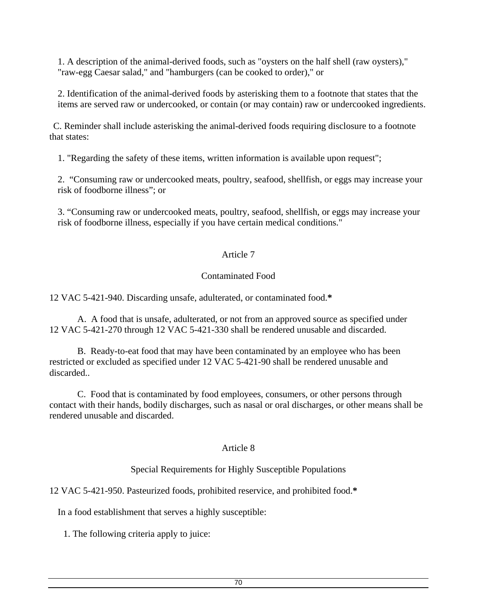1. A description of the animal-derived foods, such as "oysters on the half shell (raw oysters)," "raw-egg Caesar salad," and "hamburgers (can be cooked to order)," or

2. Identification of the animal-derived foods by asterisking them to a footnote that states that the items are served raw or undercooked, or contain (or may contain) raw or undercooked ingredients.

C. Reminder shall include asterisking the animal-derived foods requiring disclosure to a footnote that states:

1. "Regarding the safety of these items, written information is available upon request";

2. "Consuming raw or undercooked meats, poultry, seafood, shellfish, or eggs may increase your risk of foodborne illness"; or

3. "Consuming raw or undercooked meats, poultry, seafood, shellfish, or eggs may increase your risk of foodborne illness, especially if you have certain medical conditions."

## Article 7

## Contaminated Food

12 VAC 5-421-940. Discarding unsafe, adulterated, or contaminated food.**\***

A. A food that is unsafe, adulterated, or not from an approved source as specified under 12 VAC 5-421-270 through 12 VAC 5-421-330 shall be rendered unusable and discarded.

B. Ready-to-eat food that may have been contaminated by an employee who has been restricted or excluded as specified under 12 VAC 5-421-90 shall be rendered unusable and discarded..

C. Food that is contaminated by food employees, consumers, or other persons through contact with their hands, bodily discharges, such as nasal or oral discharges, or other means shall be rendered unusable and discarded.

# Article 8

# Special Requirements for Highly Susceptible Populations

# 12 VAC 5-421-950. Pasteurized foods, prohibited reservice, and prohibited food.**\***

In a food establishment that serves a highly susceptible:

1. The following criteria apply to juice: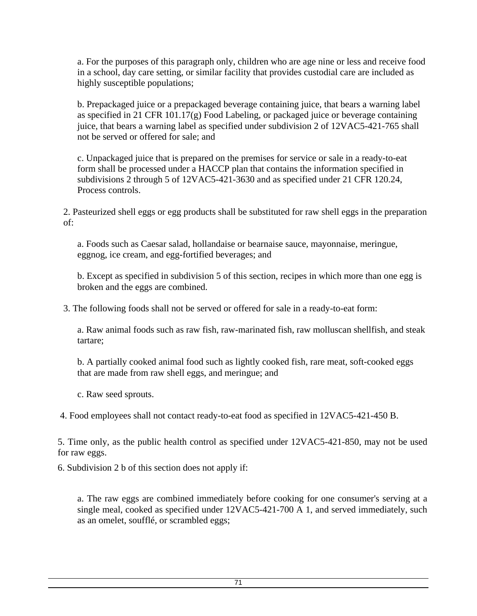a. For the purposes of this paragraph only, children who are age nine or less and receive food in a school, day care setting, or similar facility that provides custodial care are included as highly susceptible populations;

b. Prepackaged juice or a prepackaged beverage containing juice, that bears a warning label as specified in 21 CFR 101.17(g) Food Labeling, or packaged juice or beverage containing juice, that bears a warning label as specified under subdivision 2 of 12VAC5-421-765 shall not be served or offered for sale; and

c. Unpackaged juice that is prepared on the premises for service or sale in a ready-to-eat form shall be processed under a HACCP plan that contains the information specified in subdivisions 2 through 5 of 12VAC5-421-3630 and as specified under 21 CFR 120.24, Process controls.

2. Pasteurized shell eggs or egg products shall be substituted for raw shell eggs in the preparation of:

a. Foods such as Caesar salad, hollandaise or bearnaise sauce, mayonnaise, meringue, eggnog, ice cream, and egg-fortified beverages; and

b. Except as specified in subdivision 5 of this section, recipes in which more than one egg is broken and the eggs are combined.

3. The following foods shall not be served or offered for sale in a ready-to-eat form:

a. Raw animal foods such as raw fish, raw-marinated fish, raw molluscan shellfish, and steak tartare;

b. A partially cooked animal food such as lightly cooked fish, rare meat, soft-cooked eggs that are made from raw shell eggs, and meringue; and

c. Raw seed sprouts.

4. Food employees shall not contact ready-to-eat food as specified in 12VAC5-421-450 B.

5. Time only, as the public health control as specified under 12VAC5-421-850, may not be used for raw eggs.

6. Subdivision 2 b of this section does not apply if:

a. The raw eggs are combined immediately before cooking for one consumer's serving at a single meal, cooked as specified under 12VAC5-421-700 A 1, and served immediately, such as an omelet, soufflé, or scrambled eggs;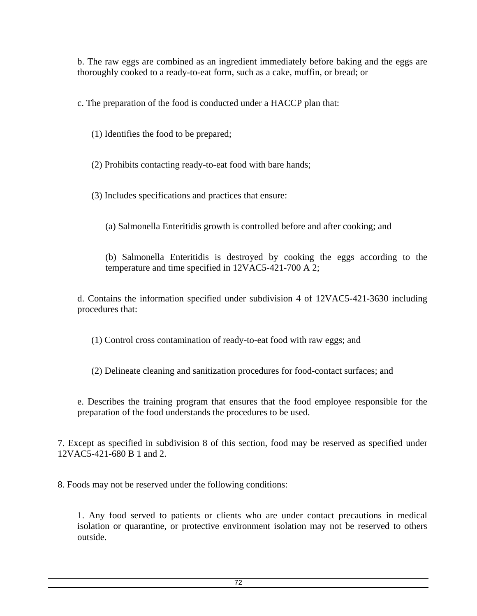b. The raw eggs are combined as an ingredient immediately before baking and the eggs are thoroughly cooked to a ready-to-eat form, such as a cake, muffin, or bread; or

c. The preparation of the food is conducted under a HACCP plan that:

- (1) Identifies the food to be prepared;
- (2) Prohibits contacting ready-to-eat food with bare hands;
- (3) Includes specifications and practices that ensure:
	- (a) Salmonella Enteritidis growth is controlled before and after cooking; and
	- (b) Salmonella Enteritidis is destroyed by cooking the eggs according to the temperature and time specified in 12VAC5-421-700 A 2;

d. Contains the information specified under subdivision 4 of 12VAC5-421-3630 including procedures that:

(1) Control cross contamination of ready-to-eat food with raw eggs; and

(2) Delineate cleaning and sanitization procedures for food-contact surfaces; and

e. Describes the training program that ensures that the food employee responsible for the preparation of the food understands the procedures to be used.

7. Except as specified in subdivision 8 of this section, food may be reserved as specified under 12VAC5-421-680 B 1 and 2.

8. Foods may not be reserved under the following conditions:

1. Any food served to patients or clients who are under contact precautions in medical isolation or quarantine, or protective environment isolation may not be reserved to others outside.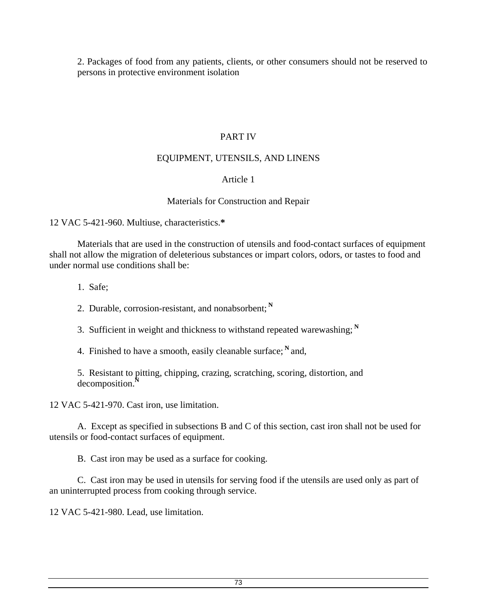2. Packages of food from any patients, clients, or other consumers should not be reserved to persons in protective environment isolation

## PART IV

## EQUIPMENT, UTENSILS, AND LINENS

## Article 1

#### Materials for Construction and Repair

12 VAC 5-421-960. Multiuse, characteristics.**\***

Materials that are used in the construction of utensils and food-contact surfaces of equipment shall not allow the migration of deleterious substances or impart colors, odors, or tastes to food and under normal use conditions shall be:

1. Safe;

2. Durable, corrosion-resistant, and nonabsorbent; **<sup>N</sup>**

3. Sufficient in weight and thickness to withstand repeated warewashing; **<sup>N</sup>**

4. Finished to have a smooth, easily cleanable surface; **<sup>N</sup>** and,

5. Resistant to pitting, chipping, crazing, scratching, scoring, distortion, and decomposition.<sup>N</sup>

12 VAC 5-421-970. Cast iron, use limitation.

A. Except as specified in subsections B and C of this section, cast iron shall not be used for utensils or food-contact surfaces of equipment.

B. Cast iron may be used as a surface for cooking.

C. Cast iron may be used in utensils for serving food if the utensils are used only as part of an uninterrupted process from cooking through service.

12 VAC 5-421-980. Lead, use limitation.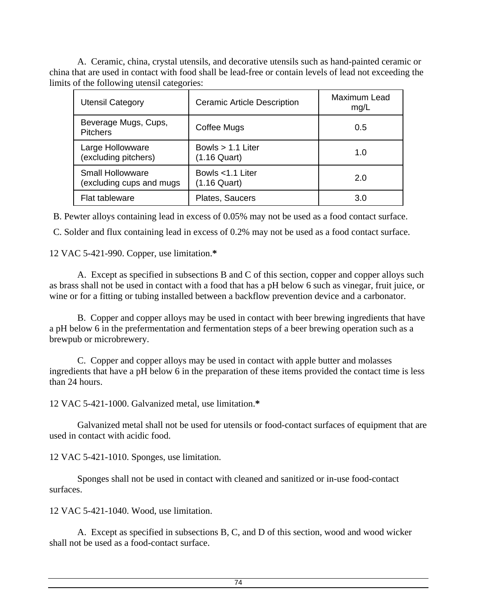A. Ceramic, china, crystal utensils, and decorative utensils such as hand-painted ceramic or china that are used in contact with food shall be lead-free or contain levels of lead not exceeding the limits of the following utensil categories:

| <b>Utensil Category</b>                             | <b>Ceramic Article Description</b>    | Maximum Lead<br>mg/L |
|-----------------------------------------------------|---------------------------------------|----------------------|
| Beverage Mugs, Cups,<br><b>Pitchers</b>             | Coffee Mugs                           | 0.5                  |
| Large Hollowware<br>(excluding pitchers)            | Bowls $> 1.1$ Liter<br>$(1.16$ Quart) | 1.0                  |
| <b>Small Hollowware</b><br>(excluding cups and mugs | Bowls <1.1 Liter<br>$(1.16$ Quart)    | 2.0                  |
| Flat tableware                                      | Plates, Saucers                       | 3.0                  |

B. Pewter alloys containing lead in excess of 0.05% may not be used as a food contact surface.

C. Solder and flux containing lead in excess of 0.2% may not be used as a food contact surface.

12 VAC 5-421-990. Copper, use limitation.**\***

A. Except as specified in subsections B and C of this section, copper and copper alloys such as brass shall not be used in contact with a food that has a pH below 6 such as vinegar, fruit juice, or wine or for a fitting or tubing installed between a backflow prevention device and a carbonator.

B. Copper and copper alloys may be used in contact with beer brewing ingredients that have a pH below 6 in the prefermentation and fermentation steps of a beer brewing operation such as a brewpub or microbrewery.

C. Copper and copper alloys may be used in contact with apple butter and molasses ingredients that have a pH below 6 in the preparation of these items provided the contact time is less than 24 hours.

12 VAC 5-421-1000. Galvanized metal, use limitation.**\***

Galvanized metal shall not be used for utensils or food-contact surfaces of equipment that are used in contact with acidic food.

12 VAC 5-421-1010. Sponges, use limitation.

Sponges shall not be used in contact with cleaned and sanitized or in-use food-contact surfaces.

12 VAC 5-421-1040. Wood, use limitation.

A. Except as specified in subsections B, C, and D of this section, wood and wood wicker shall not be used as a food-contact surface.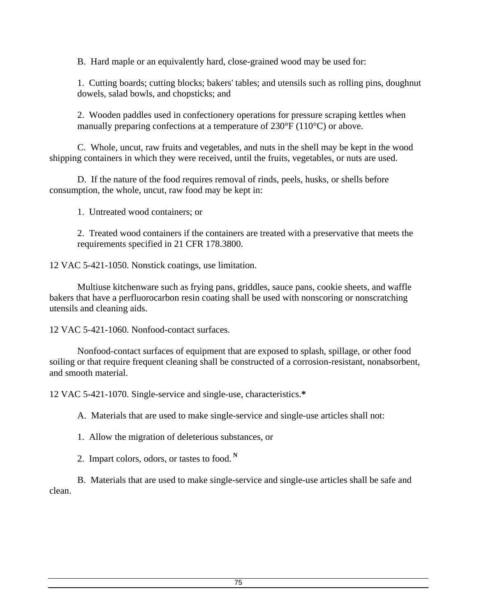B. Hard maple or an equivalently hard, close-grained wood may be used for:

1. Cutting boards; cutting blocks; bakers' tables; and utensils such as rolling pins, doughnut dowels, salad bowls, and chopsticks; and

2. Wooden paddles used in confectionery operations for pressure scraping kettles when manually preparing confections at a temperature of 230°F (110°C) or above.

C. Whole, uncut, raw fruits and vegetables, and nuts in the shell may be kept in the wood shipping containers in which they were received, until the fruits, vegetables, or nuts are used.

D. If the nature of the food requires removal of rinds, peels, husks, or shells before consumption, the whole, uncut, raw food may be kept in:

1. Untreated wood containers; or

2. Treated wood containers if the containers are treated with a preservative that meets the requirements specified in 21 CFR 178.3800.

12 VAC 5-421-1050. Nonstick coatings, use limitation.

Multiuse kitchenware such as frying pans, griddles, sauce pans, cookie sheets, and waffle bakers that have a perfluorocarbon resin coating shall be used with nonscoring or nonscratching utensils and cleaning aids.

12 VAC 5-421-1060. Nonfood-contact surfaces.

Nonfood-contact surfaces of equipment that are exposed to splash, spillage, or other food soiling or that require frequent cleaning shall be constructed of a corrosion-resistant, nonabsorbent, and smooth material.

12 VAC 5-421-1070. Single-service and single-use, characteristics.**\***

A. Materials that are used to make single-service and single-use articles shall not:

1. Allow the migration of deleterious substances, or

2. Impart colors, odors, or tastes to food. **<sup>N</sup>**

B. Materials that are used to make single-service and single-use articles shall be safe and clean.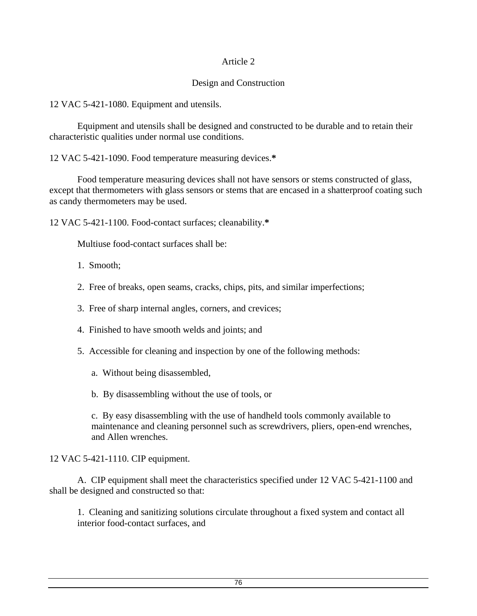#### Article 2

#### Design and Construction

12 VAC 5-421-1080. Equipment and utensils.

Equipment and utensils shall be designed and constructed to be durable and to retain their characteristic qualities under normal use conditions.

12 VAC 5-421-1090. Food temperature measuring devices.**\***

Food temperature measuring devices shall not have sensors or stems constructed of glass, except that thermometers with glass sensors or stems that are encased in a shatterproof coating such as candy thermometers may be used.

12 VAC 5-421-1100. Food-contact surfaces; cleanability.**\***

Multiuse food-contact surfaces shall be:

- 1. Smooth;
- 2. Free of breaks, open seams, cracks, chips, pits, and similar imperfections;
- 3. Free of sharp internal angles, corners, and crevices;
- 4. Finished to have smooth welds and joints; and
- 5. Accessible for cleaning and inspection by one of the following methods:
	- a. Without being disassembled,
	- b. By disassembling without the use of tools, or

c. By easy disassembling with the use of handheld tools commonly available to maintenance and cleaning personnel such as screwdrivers, pliers, open-end wrenches, and Allen wrenches.

12 VAC 5-421-1110. CIP equipment.

A. CIP equipment shall meet the characteristics specified under 12 VAC 5-421-1100 and shall be designed and constructed so that:

1. Cleaning and sanitizing solutions circulate throughout a fixed system and contact all interior food-contact surfaces, and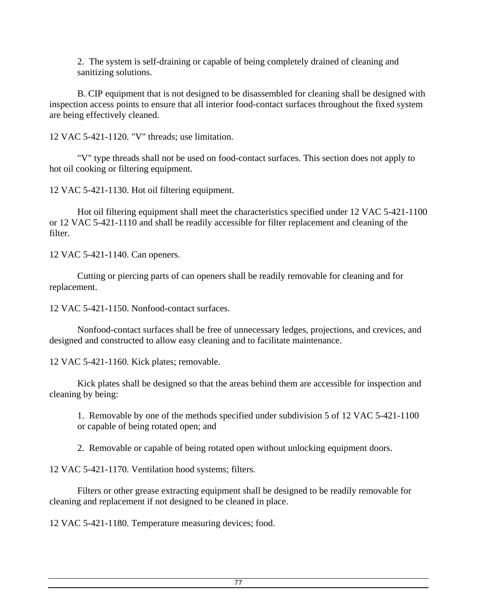2. The system is self-draining or capable of being completely drained of cleaning and sanitizing solutions.

B. CIP equipment that is not designed to be disassembled for cleaning shall be designed with inspection access points to ensure that all interior food-contact surfaces throughout the fixed system are being effectively cleaned.

12 VAC 5-421-1120. "V" threads; use limitation.

"V" type threads shall not be used on food-contact surfaces. This section does not apply to hot oil cooking or filtering equipment.

12 VAC 5-421-1130. Hot oil filtering equipment.

Hot oil filtering equipment shall meet the characteristics specified under 12 VAC 5-421-1100 or 12 VAC 5-421-1110 and shall be readily accessible for filter replacement and cleaning of the filter.

12 VAC 5-421-1140. Can openers.

Cutting or piercing parts of can openers shall be readily removable for cleaning and for replacement.

12 VAC 5-421-1150. Nonfood-contact surfaces.

Nonfood-contact surfaces shall be free of unnecessary ledges, projections, and crevices, and designed and constructed to allow easy cleaning and to facilitate maintenance.

12 VAC 5-421-1160. Kick plates; removable.

Kick plates shall be designed so that the areas behind them are accessible for inspection and cleaning by being:

1. Removable by one of the methods specified under subdivision 5 of 12 VAC 5-421-1100 or capable of being rotated open; and

2. Removable or capable of being rotated open without unlocking equipment doors.

12 VAC 5-421-1170. Ventilation hood systems; filters.

Filters or other grease extracting equipment shall be designed to be readily removable for cleaning and replacement if not designed to be cleaned in place.

12 VAC 5-421-1180. Temperature measuring devices; food.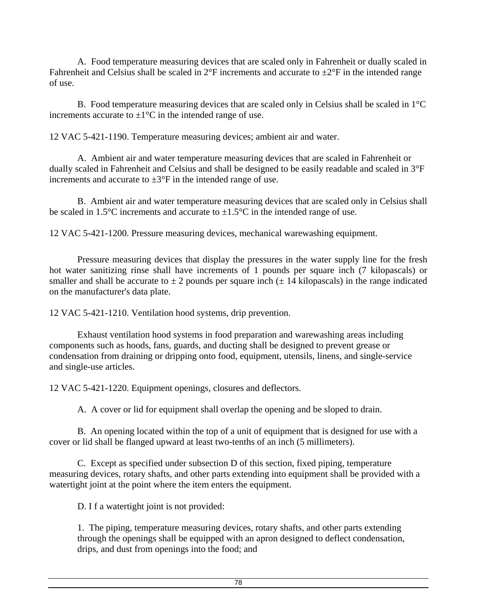A. Food temperature measuring devices that are scaled only in Fahrenheit or dually scaled in Fahrenheit and Celsius shall be scaled in  $2^{\circ}F$  increments and accurate to  $\pm 2^{\circ}F$  in the intended range of use.

B. Food temperature measuring devices that are scaled only in Celsius shall be scaled in 1°C increments accurate to  $\pm 1^{\circ}$ C in the intended range of use.

12 VAC 5-421-1190. Temperature measuring devices; ambient air and water.

A. Ambient air and water temperature measuring devices that are scaled in Fahrenheit or dually scaled in Fahrenheit and Celsius and shall be designed to be easily readable and scaled in 3°F increments and accurate to  $\pm 3^{\circ}$ F in the intended range of use.

B. Ambient air and water temperature measuring devices that are scaled only in Celsius shall be scaled in 1.5°C increments and accurate to  $\pm 1.5$ °C in the intended range of use.

12 VAC 5-421-1200. Pressure measuring devices, mechanical warewashing equipment.

Pressure measuring devices that display the pressures in the water supply line for the fresh hot water sanitizing rinse shall have increments of 1 pounds per square inch (7 kilopascals) or smaller and shall be accurate to  $\pm 2$  pounds per square inch  $(\pm 14 \text{ kilopascals})$  in the range indicated on the manufacturer's data plate.

12 VAC 5-421-1210. Ventilation hood systems, drip prevention.

Exhaust ventilation hood systems in food preparation and warewashing areas including components such as hoods, fans, guards, and ducting shall be designed to prevent grease or condensation from draining or dripping onto food, equipment, utensils, linens, and single-service and single-use articles.

12 VAC 5-421-1220. Equipment openings, closures and deflectors.

A. A cover or lid for equipment shall overlap the opening and be sloped to drain.

B. An opening located within the top of a unit of equipment that is designed for use with a cover or lid shall be flanged upward at least two-tenths of an inch (5 millimeters).

C. Except as specified under subsection D of this section, fixed piping, temperature measuring devices, rotary shafts, and other parts extending into equipment shall be provided with a watertight joint at the point where the item enters the equipment.

D. I f a watertight joint is not provided:

1. The piping, temperature measuring devices, rotary shafts, and other parts extending through the openings shall be equipped with an apron designed to deflect condensation, drips, and dust from openings into the food; and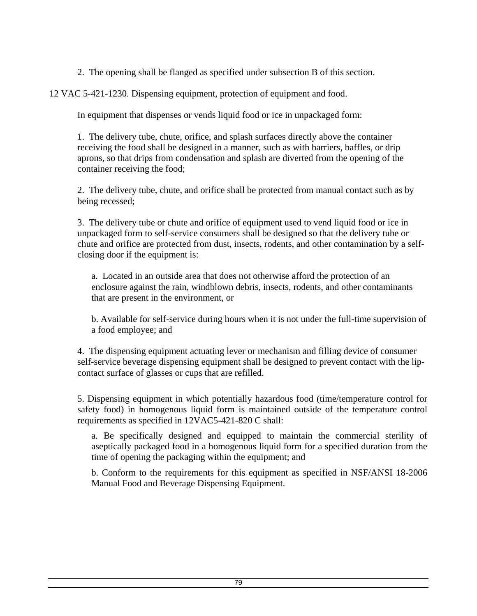2. The opening shall be flanged as specified under subsection B of this section.

12 VAC 5-421-1230. Dispensing equipment, protection of equipment and food.

In equipment that dispenses or vends liquid food or ice in unpackaged form:

1. The delivery tube, chute, orifice, and splash surfaces directly above the container receiving the food shall be designed in a manner, such as with barriers, baffles, or drip aprons, so that drips from condensation and splash are diverted from the opening of the container receiving the food;

2. The delivery tube, chute, and orifice shall be protected from manual contact such as by being recessed;

3. The delivery tube or chute and orifice of equipment used to vend liquid food or ice in unpackaged form to self-service consumers shall be designed so that the delivery tube or chute and orifice are protected from dust, insects, rodents, and other contamination by a selfclosing door if the equipment is:

a. Located in an outside area that does not otherwise afford the protection of an enclosure against the rain, windblown debris, insects, rodents, and other contaminants that are present in the environment, or

b. Available for self-service during hours when it is not under the full-time supervision of a food employee; and

4. The dispensing equipment actuating lever or mechanism and filling device of consumer self-service beverage dispensing equipment shall be designed to prevent contact with the lipcontact surface of glasses or cups that are refilled.

5. Dispensing equipment in which potentially hazardous food (time/temperature control for safety food) in homogenous liquid form is maintained outside of the temperature control requirements as specified in 12VAC5-421-820 C shall:

a. Be specifically designed and equipped to maintain the commercial sterility of aseptically packaged food in a homogenous liquid form for a specified duration from the time of opening the packaging within the equipment; and

b. Conform to the requirements for this equipment as specified in NSF/ANSI 18-2006 Manual Food and Beverage Dispensing Equipment.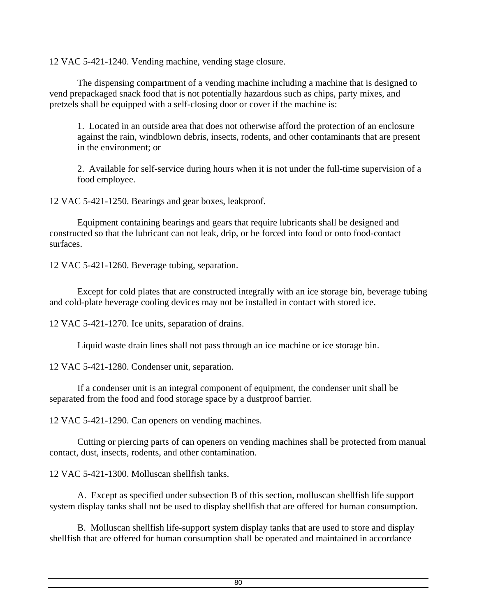12 VAC 5-421-1240. Vending machine, vending stage closure.

The dispensing compartment of a vending machine including a machine that is designed to vend prepackaged snack food that is not potentially hazardous such as chips, party mixes, and pretzels shall be equipped with a self-closing door or cover if the machine is:

1. Located in an outside area that does not otherwise afford the protection of an enclosure against the rain, windblown debris, insects, rodents, and other contaminants that are present in the environment; or

2. Available for self-service during hours when it is not under the full-time supervision of a food employee.

12 VAC 5-421-1250. Bearings and gear boxes, leakproof.

Equipment containing bearings and gears that require lubricants shall be designed and constructed so that the lubricant can not leak, drip, or be forced into food or onto food-contact surfaces.

12 VAC 5-421-1260. Beverage tubing, separation.

Except for cold plates that are constructed integrally with an ice storage bin, beverage tubing and cold-plate beverage cooling devices may not be installed in contact with stored ice.

12 VAC 5-421-1270. Ice units, separation of drains.

Liquid waste drain lines shall not pass through an ice machine or ice storage bin.

12 VAC 5-421-1280. Condenser unit, separation.

If a condenser unit is an integral component of equipment, the condenser unit shall be separated from the food and food storage space by a dustproof barrier.

12 VAC 5-421-1290. Can openers on vending machines.

Cutting or piercing parts of can openers on vending machines shall be protected from manual contact, dust, insects, rodents, and other contamination.

12 VAC 5-421-1300. Molluscan shellfish tanks.

A. Except as specified under subsection B of this section, molluscan shellfish life support system display tanks shall not be used to display shellfish that are offered for human consumption.

B. Molluscan shellfish life-support system display tanks that are used to store and display shellfish that are offered for human consumption shall be operated and maintained in accordance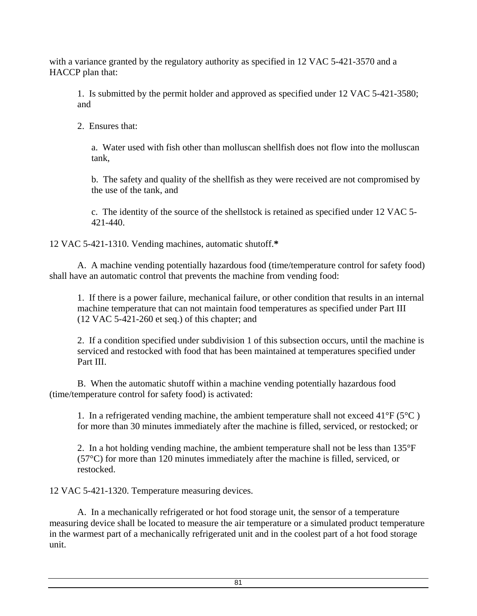with a variance granted by the regulatory authority as specified in 12 VAC 5-421-3570 and a HACCP plan that:

1. Is submitted by the permit holder and approved as specified under 12 VAC 5-421-3580; and

2. Ensures that:

a. Water used with fish other than molluscan shellfish does not flow into the molluscan tank,

b. The safety and quality of the shellfish as they were received are not compromised by the use of the tank, and

c. The identity of the source of the shellstock is retained as specified under 12 VAC 5- 421-440.

12 VAC 5-421-1310. Vending machines, automatic shutoff.**\***

A. A machine vending potentially hazardous food (time/temperature control for safety food) shall have an automatic control that prevents the machine from vending food:

1. If there is a power failure, mechanical failure, or other condition that results in an internal machine temperature that can not maintain food temperatures as specified under Part III (12 VAC 5-421-260 et seq.) of this chapter; and

2. If a condition specified under subdivision 1 of this subsection occurs, until the machine is serviced and restocked with food that has been maintained at temperatures specified under Part III.

B. When the automatic shutoff within a machine vending potentially hazardous food (time/temperature control for safety food) is activated:

1. In a refrigerated vending machine, the ambient temperature shall not exceed  $41^{\circ}F(5^{\circ}C)$ for more than 30 minutes immediately after the machine is filled, serviced, or restocked; or

2. In a hot holding vending machine, the ambient temperature shall not be less than 135°F (57°C) for more than 120 minutes immediately after the machine is filled, serviced, or restocked.

12 VAC 5-421-1320. Temperature measuring devices.

A. In a mechanically refrigerated or hot food storage unit, the sensor of a temperature measuring device shall be located to measure the air temperature or a simulated product temperature in the warmest part of a mechanically refrigerated unit and in the coolest part of a hot food storage unit.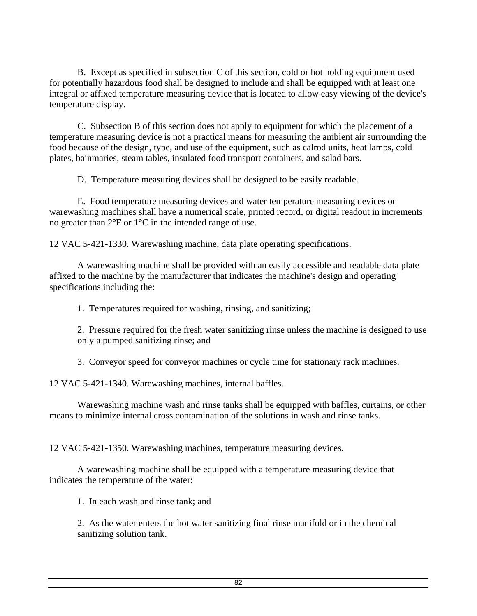B. Except as specified in subsection C of this section, cold or hot holding equipment used for potentially hazardous food shall be designed to include and shall be equipped with at least one integral or affixed temperature measuring device that is located to allow easy viewing of the device's temperature display.

C. Subsection B of this section does not apply to equipment for which the placement of a temperature measuring device is not a practical means for measuring the ambient air surrounding the food because of the design, type, and use of the equipment, such as calrod units, heat lamps, cold plates, bainmaries, steam tables, insulated food transport containers, and salad bars.

D. Temperature measuring devices shall be designed to be easily readable.

E. Food temperature measuring devices and water temperature measuring devices on warewashing machines shall have a numerical scale, printed record, or digital readout in increments no greater than 2°F or 1°C in the intended range of use.

12 VAC 5-421-1330. Warewashing machine, data plate operating specifications.

A warewashing machine shall be provided with an easily accessible and readable data plate affixed to the machine by the manufacturer that indicates the machine's design and operating specifications including the:

1. Temperatures required for washing, rinsing, and sanitizing;

2. Pressure required for the fresh water sanitizing rinse unless the machine is designed to use only a pumped sanitizing rinse; and

3. Conveyor speed for conveyor machines or cycle time for stationary rack machines.

12 VAC 5-421-1340. Warewashing machines, internal baffles.

Warewashing machine wash and rinse tanks shall be equipped with baffles, curtains, or other means to minimize internal cross contamination of the solutions in wash and rinse tanks.

12 VAC 5-421-1350. Warewashing machines, temperature measuring devices.

A warewashing machine shall be equipped with a temperature measuring device that indicates the temperature of the water:

1. In each wash and rinse tank; and

2. As the water enters the hot water sanitizing final rinse manifold or in the chemical sanitizing solution tank.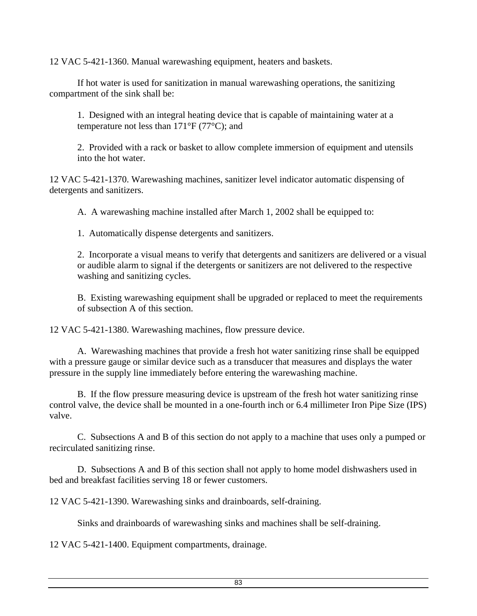12 VAC 5-421-1360. Manual warewashing equipment, heaters and baskets.

If hot water is used for sanitization in manual warewashing operations, the sanitizing compartment of the sink shall be:

1. Designed with an integral heating device that is capable of maintaining water at a temperature not less than  $171^{\circ}F(77^{\circ}C)$ ; and

2. Provided with a rack or basket to allow complete immersion of equipment and utensils into the hot water.

12 VAC 5-421-1370. Warewashing machines, sanitizer level indicator automatic dispensing of detergents and sanitizers.

A. A warewashing machine installed after March 1, 2002 shall be equipped to:

1. Automatically dispense detergents and sanitizers.

2. Incorporate a visual means to verify that detergents and sanitizers are delivered or a visual or audible alarm to signal if the detergents or sanitizers are not delivered to the respective washing and sanitizing cycles.

B. Existing warewashing equipment shall be upgraded or replaced to meet the requirements of subsection A of this section.

12 VAC 5-421-1380. Warewashing machines, flow pressure device.

A. Warewashing machines that provide a fresh hot water sanitizing rinse shall be equipped with a pressure gauge or similar device such as a transducer that measures and displays the water pressure in the supply line immediately before entering the warewashing machine.

B. If the flow pressure measuring device is upstream of the fresh hot water sanitizing rinse control valve, the device shall be mounted in a one-fourth inch or 6.4 millimeter Iron Pipe Size (IPS) valve.

C. Subsections A and B of this section do not apply to a machine that uses only a pumped or recirculated sanitizing rinse.

D. Subsections A and B of this section shall not apply to home model dishwashers used in bed and breakfast facilities serving 18 or fewer customers.

12 VAC 5-421-1390. Warewashing sinks and drainboards, self-draining.

Sinks and drainboards of warewashing sinks and machines shall be self-draining.

12 VAC 5-421-1400. Equipment compartments, drainage.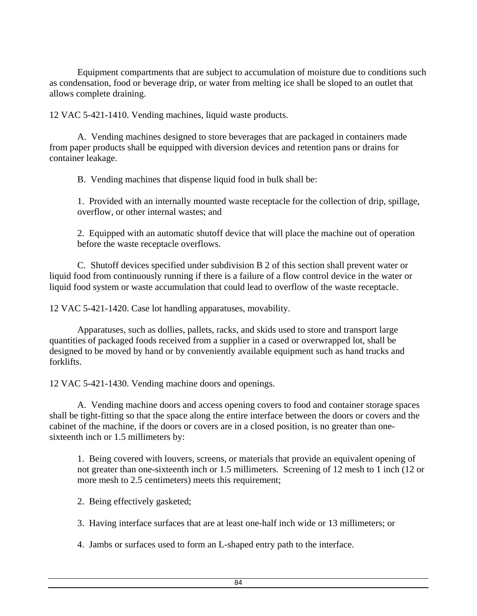Equipment compartments that are subject to accumulation of moisture due to conditions such as condensation, food or beverage drip, or water from melting ice shall be sloped to an outlet that allows complete draining.

12 VAC 5-421-1410. Vending machines, liquid waste products.

A. Vending machines designed to store beverages that are packaged in containers made from paper products shall be equipped with diversion devices and retention pans or drains for container leakage.

B. Vending machines that dispense liquid food in bulk shall be:

1. Provided with an internally mounted waste receptacle for the collection of drip, spillage, overflow, or other internal wastes; and

2. Equipped with an automatic shutoff device that will place the machine out of operation before the waste receptacle overflows.

C. Shutoff devices specified under subdivision B 2 of this section shall prevent water or liquid food from continuously running if there is a failure of a flow control device in the water or liquid food system or waste accumulation that could lead to overflow of the waste receptacle.

12 VAC 5-421-1420. Case lot handling apparatuses, movability.

Apparatuses, such as dollies, pallets, racks, and skids used to store and transport large quantities of packaged foods received from a supplier in a cased or overwrapped lot, shall be designed to be moved by hand or by conveniently available equipment such as hand trucks and forklifts.

12 VAC 5-421-1430. Vending machine doors and openings.

A. Vending machine doors and access opening covers to food and container storage spaces shall be tight-fitting so that the space along the entire interface between the doors or covers and the cabinet of the machine, if the doors or covers are in a closed position, is no greater than onesixteenth inch or 1.5 millimeters by:

1. Being covered with louvers, screens, or materials that provide an equivalent opening of not greater than one-sixteenth inch or 1.5 millimeters. Screening of 12 mesh to 1 inch (12 or more mesh to 2.5 centimeters) meets this requirement;

2. Being effectively gasketed;

3. Having interface surfaces that are at least one-half inch wide or 13 millimeters; or

4. Jambs or surfaces used to form an L-shaped entry path to the interface.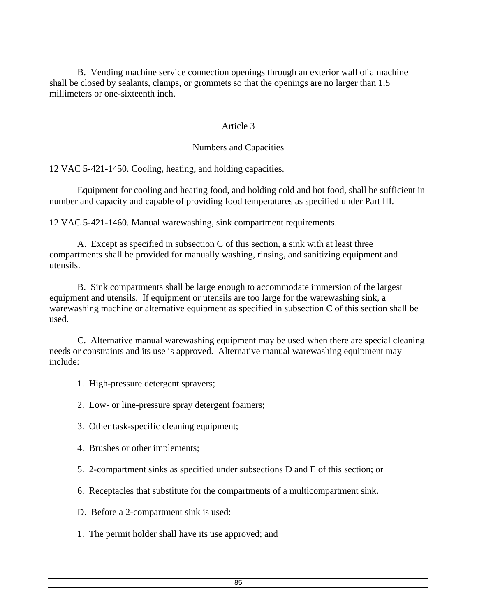B. Vending machine service connection openings through an exterior wall of a machine shall be closed by sealants, clamps, or grommets so that the openings are no larger than 1.5 millimeters or one-sixteenth inch.

#### Article 3

#### Numbers and Capacities

12 VAC 5-421-1450. Cooling, heating, and holding capacities.

Equipment for cooling and heating food, and holding cold and hot food, shall be sufficient in number and capacity and capable of providing food temperatures as specified under Part III.

12 VAC 5-421-1460. Manual warewashing, sink compartment requirements.

A. Except as specified in subsection C of this section, a sink with at least three compartments shall be provided for manually washing, rinsing, and sanitizing equipment and utensils.

B. Sink compartments shall be large enough to accommodate immersion of the largest equipment and utensils. If equipment or utensils are too large for the warewashing sink, a warewashing machine or alternative equipment as specified in subsection C of this section shall be used.

C. Alternative manual warewashing equipment may be used when there are special cleaning needs or constraints and its use is approved. Alternative manual warewashing equipment may include:

- 1. High-pressure detergent sprayers;
- 2. Low- or line-pressure spray detergent foamers;
- 3. Other task-specific cleaning equipment;
- 4. Brushes or other implements;
- 5. 2-compartment sinks as specified under subsections D and E of this section; or
- 6. Receptacles that substitute for the compartments of a multicompartment sink.
- D. Before a 2-compartment sink is used:
- 1. The permit holder shall have its use approved; and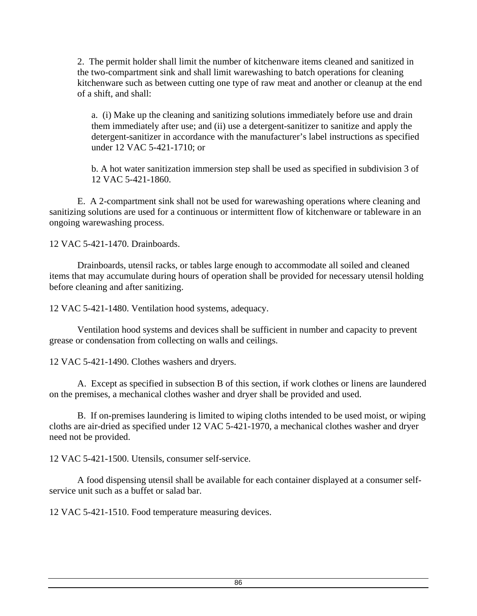2. The permit holder shall limit the number of kitchenware items cleaned and sanitized in the two-compartment sink and shall limit warewashing to batch operations for cleaning kitchenware such as between cutting one type of raw meat and another or cleanup at the end of a shift, and shall:

a. (i) Make up the cleaning and sanitizing solutions immediately before use and drain them immediately after use; and (ii) use a detergent-sanitizer to sanitize and apply the detergent-sanitizer in accordance with the manufacturer's label instructions as specified under 12 VAC 5-421-1710; or

b. A hot water sanitization immersion step shall be used as specified in subdivision 3 of 12 VAC 5-421-1860.

E. A 2-compartment sink shall not be used for warewashing operations where cleaning and sanitizing solutions are used for a continuous or intermittent flow of kitchenware or tableware in an ongoing warewashing process.

12 VAC 5-421-1470. Drainboards.

Drainboards, utensil racks, or tables large enough to accommodate all soiled and cleaned items that may accumulate during hours of operation shall be provided for necessary utensil holding before cleaning and after sanitizing.

12 VAC 5-421-1480. Ventilation hood systems, adequacy.

Ventilation hood systems and devices shall be sufficient in number and capacity to prevent grease or condensation from collecting on walls and ceilings.

12 VAC 5-421-1490. Clothes washers and dryers.

A. Except as specified in subsection B of this section, if work clothes or linens are laundered on the premises, a mechanical clothes washer and dryer shall be provided and used.

B. If on-premises laundering is limited to wiping cloths intended to be used moist, or wiping cloths are air-dried as specified under 12 VAC 5-421-1970, a mechanical clothes washer and dryer need not be provided.

12 VAC 5-421-1500. Utensils, consumer self-service.

A food dispensing utensil shall be available for each container displayed at a consumer selfservice unit such as a buffet or salad bar.

12 VAC 5-421-1510. Food temperature measuring devices.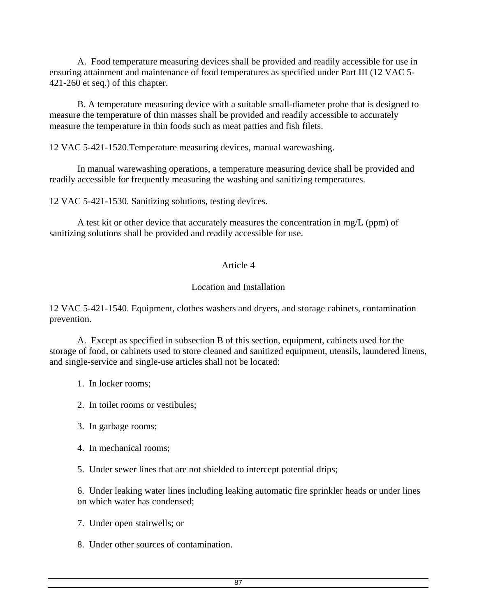A. Food temperature measuring devices shall be provided and readily accessible for use in ensuring attainment and maintenance of food temperatures as specified under Part III (12 VAC 5- 421-260 et seq.) of this chapter.

 B. A temperature measuring device with a suitable small-diameter probe that is designed to measure the temperature of thin masses shall be provided and readily accessible to accurately measure the temperature in thin foods such as meat patties and fish filets.

12 VAC 5-421-1520.Temperature measuring devices, manual warewashing.

In manual warewashing operations, a temperature measuring device shall be provided and readily accessible for frequently measuring the washing and sanitizing temperatures.

12 VAC 5-421-1530. Sanitizing solutions, testing devices.

A test kit or other device that accurately measures the concentration in mg/L (ppm) of sanitizing solutions shall be provided and readily accessible for use.

## Article 4

## Location and Installation

12 VAC 5-421-1540. Equipment, clothes washers and dryers, and storage cabinets, contamination prevention.

A. Except as specified in subsection B of this section, equipment, cabinets used for the storage of food, or cabinets used to store cleaned and sanitized equipment, utensils, laundered linens, and single-service and single-use articles shall not be located:

- 1. In locker rooms;
- 2. In toilet rooms or vestibules;
- 3. In garbage rooms;
- 4. In mechanical rooms;
- 5. Under sewer lines that are not shielded to intercept potential drips;

6. Under leaking water lines including leaking automatic fire sprinkler heads or under lines on which water has condensed;

- 7. Under open stairwells; or
- 8. Under other sources of contamination.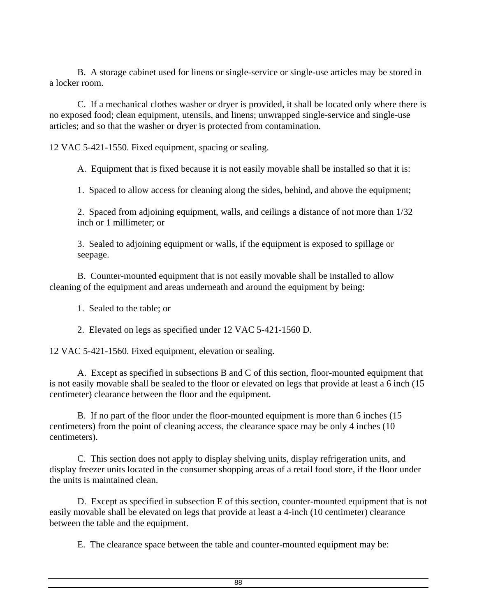B. A storage cabinet used for linens or single-service or single-use articles may be stored in a locker room.

C. If a mechanical clothes washer or dryer is provided, it shall be located only where there is no exposed food; clean equipment, utensils, and linens; unwrapped single-service and single-use articles; and so that the washer or dryer is protected from contamination.

12 VAC 5-421-1550. Fixed equipment, spacing or sealing.

A. Equipment that is fixed because it is not easily movable shall be installed so that it is:

1. Spaced to allow access for cleaning along the sides, behind, and above the equipment;

2. Spaced from adjoining equipment, walls, and ceilings a distance of not more than 1/32 inch or 1 millimeter; or

3. Sealed to adjoining equipment or walls, if the equipment is exposed to spillage or seepage.

B. Counter-mounted equipment that is not easily movable shall be installed to allow cleaning of the equipment and areas underneath and around the equipment by being:

1. Sealed to the table; or

2. Elevated on legs as specified under 12 VAC 5-421-1560 D.

12 VAC 5-421-1560. Fixed equipment, elevation or sealing.

A. Except as specified in subsections B and C of this section, floor-mounted equipment that is not easily movable shall be sealed to the floor or elevated on legs that provide at least a 6 inch (15 centimeter) clearance between the floor and the equipment.

B. If no part of the floor under the floor-mounted equipment is more than 6 inches (15 centimeters) from the point of cleaning access, the clearance space may be only 4 inches (10 centimeters).

C. This section does not apply to display shelving units, display refrigeration units, and display freezer units located in the consumer shopping areas of a retail food store, if the floor under the units is maintained clean.

D. Except as specified in subsection E of this section, counter-mounted equipment that is not easily movable shall be elevated on legs that provide at least a 4-inch (10 centimeter) clearance between the table and the equipment.

E. The clearance space between the table and counter-mounted equipment may be: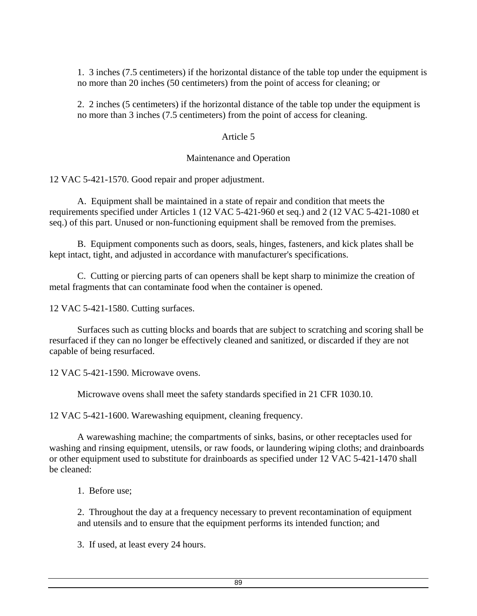1. 3 inches (7.5 centimeters) if the horizontal distance of the table top under the equipment is no more than 20 inches (50 centimeters) from the point of access for cleaning; or

2. 2 inches (5 centimeters) if the horizontal distance of the table top under the equipment is no more than 3 inches (7.5 centimeters) from the point of access for cleaning.

### Article 5

#### Maintenance and Operation

12 VAC 5-421-1570. Good repair and proper adjustment.

A. Equipment shall be maintained in a state of repair and condition that meets the requirements specified under Articles 1 (12 VAC 5-421-960 et seq.) and 2 (12 VAC 5-421-1080 et seq.) of this part. Unused or non-functioning equipment shall be removed from the premises.

B. Equipment components such as doors, seals, hinges, fasteners, and kick plates shall be kept intact, tight, and adjusted in accordance with manufacturer's specifications.

C. Cutting or piercing parts of can openers shall be kept sharp to minimize the creation of metal fragments that can contaminate food when the container is opened.

12 VAC 5-421-1580. Cutting surfaces.

Surfaces such as cutting blocks and boards that are subject to scratching and scoring shall be resurfaced if they can no longer be effectively cleaned and sanitized, or discarded if they are not capable of being resurfaced.

12 VAC 5-421-1590. Microwave ovens.

Microwave ovens shall meet the safety standards specified in 21 CFR 1030.10.

12 VAC 5-421-1600. Warewashing equipment, cleaning frequency.

A warewashing machine; the compartments of sinks, basins, or other receptacles used for washing and rinsing equipment, utensils, or raw foods, or laundering wiping cloths; and drainboards or other equipment used to substitute for drainboards as specified under 12 VAC 5-421-1470 shall be cleaned:

1. Before use;

2. Throughout the day at a frequency necessary to prevent recontamination of equipment and utensils and to ensure that the equipment performs its intended function; and

3. If used, at least every 24 hours.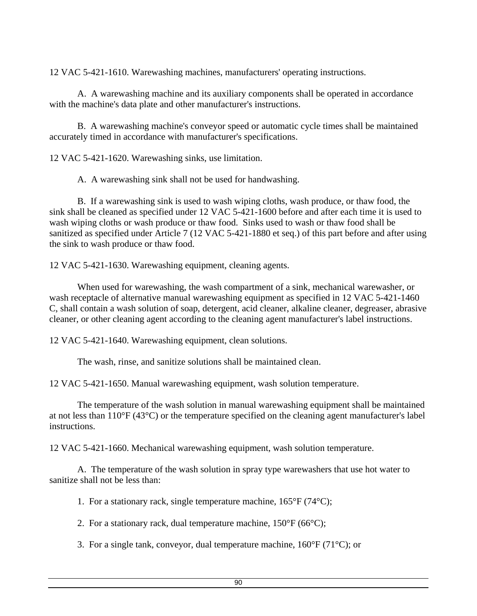12 VAC 5-421-1610. Warewashing machines, manufacturers' operating instructions.

A. A warewashing machine and its auxiliary components shall be operated in accordance with the machine's data plate and other manufacturer's instructions.

B. A warewashing machine's conveyor speed or automatic cycle times shall be maintained accurately timed in accordance with manufacturer's specifications.

12 VAC 5-421-1620. Warewashing sinks, use limitation.

A. A warewashing sink shall not be used for handwashing.

B. If a warewashing sink is used to wash wiping cloths, wash produce, or thaw food, the sink shall be cleaned as specified under 12 VAC 5-421-1600 before and after each time it is used to wash wiping cloths or wash produce or thaw food. Sinks used to wash or thaw food shall be sanitized as specified under Article 7 (12 VAC 5-421-1880 et seq.) of this part before and after using the sink to wash produce or thaw food.

12 VAC 5-421-1630. Warewashing equipment, cleaning agents.

When used for warewashing, the wash compartment of a sink, mechanical warewasher, or wash receptacle of alternative manual warewashing equipment as specified in 12 VAC 5-421-1460 C, shall contain a wash solution of soap, detergent, acid cleaner, alkaline cleaner, degreaser, abrasive cleaner, or other cleaning agent according to the cleaning agent manufacturer's label instructions.

12 VAC 5-421-1640. Warewashing equipment, clean solutions.

The wash, rinse, and sanitize solutions shall be maintained clean.

12 VAC 5-421-1650. Manual warewashing equipment, wash solution temperature.

The temperature of the wash solution in manual warewashing equipment shall be maintained at not less than 110°F (43°C) or the temperature specified on the cleaning agent manufacturer's label instructions.

12 VAC 5-421-1660. Mechanical warewashing equipment, wash solution temperature.

A. The temperature of the wash solution in spray type warewashers that use hot water to sanitize shall not be less than:

1. For a stationary rack, single temperature machine, 165°F (74°C);

2. For a stationary rack, dual temperature machine,  $150^{\circ}F (66^{\circ}C)$ ;

3. For a single tank, conveyor, dual temperature machine,  $160^{\circ}F(71^{\circ}C)$ ; or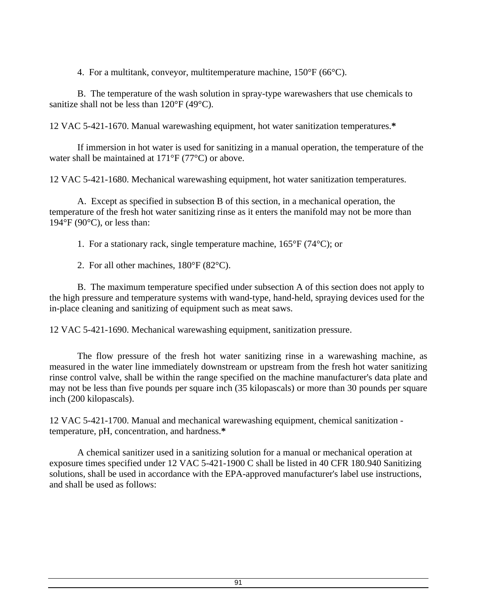4. For a multitank, conveyor, multitemperature machine, 150°F (66°C).

B. The temperature of the wash solution in spray-type warewashers that use chemicals to sanitize shall not be less than 120°F (49°C).

12 VAC 5-421-1670. Manual warewashing equipment, hot water sanitization temperatures.**\***

If immersion in hot water is used for sanitizing in a manual operation, the temperature of the water shall be maintained at 171°F (77°C) or above.

12 VAC 5-421-1680. Mechanical warewashing equipment, hot water sanitization temperatures.

A. Except as specified in subsection B of this section, in a mechanical operation, the temperature of the fresh hot water sanitizing rinse as it enters the manifold may not be more than 194 $\mathrm{P}$ F (90 $\mathrm{C}$ ), or less than:

1. For a stationary rack, single temperature machine,  $165^{\circ}F (74^{\circ}C)$ ; or

2. For all other machines, 180°F (82°C).

B. The maximum temperature specified under subsection A of this section does not apply to the high pressure and temperature systems with wand-type, hand-held, spraying devices used for the in-place cleaning and sanitizing of equipment such as meat saws.

12 VAC 5-421-1690. Mechanical warewashing equipment, sanitization pressure.

The flow pressure of the fresh hot water sanitizing rinse in a warewashing machine, as measured in the water line immediately downstream or upstream from the fresh hot water sanitizing rinse control valve, shall be within the range specified on the machine manufacturer's data plate and may not be less than five pounds per square inch (35 kilopascals) or more than 30 pounds per square inch (200 kilopascals).

12 VAC 5-421-1700. Manual and mechanical warewashing equipment, chemical sanitization temperature, pH, concentration, and hardness.**\***

A chemical sanitizer used in a sanitizing solution for a manual or mechanical operation at exposure times specified under 12 VAC 5-421-1900 C shall be listed in 40 CFR 180.940 Sanitizing solutions, shall be used in accordance with the EPA-approved manufacturer's label use instructions, and shall be used as follows: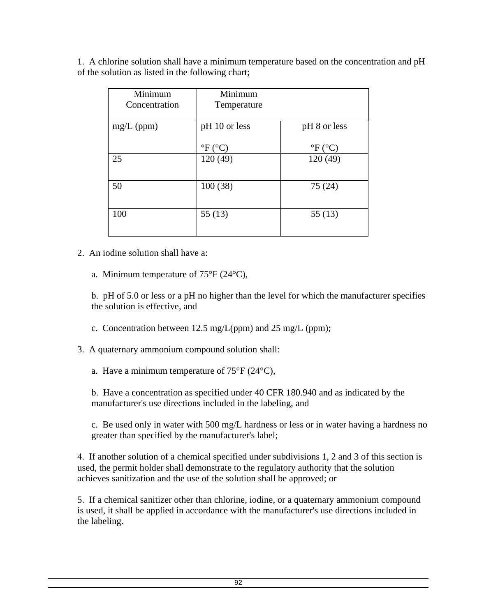1. A chlorine solution shall have a minimum temperature based on the concentration and pH of the solution as listed in the following chart;

| Minimum       | Minimum          |                  |
|---------------|------------------|------------------|
| Concentration | Temperature      |                  |
|               |                  |                  |
| $mg/L$ (ppm)  | pH 10 or less    | pH 8 or less     |
|               |                  |                  |
|               | $\mathrm{P}F(C)$ | $\mathrm{P}F(C)$ |
| 25            | 120 (49)         | 120(49)          |
|               |                  |                  |
|               |                  |                  |
| 50            | 100(38)          | 75(24)           |
|               |                  |                  |
| 100           | 55 $(13)$        | 55 $(13)$        |
|               |                  |                  |
|               |                  |                  |

- 2. An iodine solution shall have a:
	- a. Minimum temperature of 75°F (24°C),

b. pH of 5.0 or less or a pH no higher than the level for which the manufacturer specifies the solution is effective, and

- c. Concentration between 12.5 mg/L(ppm) and 25 mg/L (ppm);
- 3. A quaternary ammonium compound solution shall:
	- a. Have a minimum temperature of 75°F (24°C),

b. Have a concentration as specified under 40 CFR 180.940 and as indicated by the manufacturer's use directions included in the labeling, and

c. Be used only in water with 500 mg/L hardness or less or in water having a hardness no greater than specified by the manufacturer's label;

4. If another solution of a chemical specified under subdivisions 1, 2 and 3 of this section is used, the permit holder shall demonstrate to the regulatory authority that the solution achieves sanitization and the use of the solution shall be approved; or

5. If a chemical sanitizer other than chlorine, iodine, or a quaternary ammonium compound is used, it shall be applied in accordance with the manufacturer's use directions included in the labeling.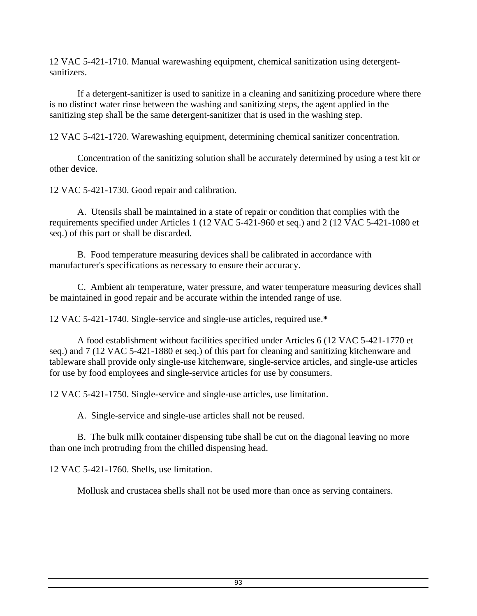12 VAC 5-421-1710. Manual warewashing equipment, chemical sanitization using detergentsanitizers.

If a detergent-sanitizer is used to sanitize in a cleaning and sanitizing procedure where there is no distinct water rinse between the washing and sanitizing steps, the agent applied in the sanitizing step shall be the same detergent-sanitizer that is used in the washing step.

12 VAC 5-421-1720. Warewashing equipment, determining chemical sanitizer concentration.

Concentration of the sanitizing solution shall be accurately determined by using a test kit or other device.

12 VAC 5-421-1730. Good repair and calibration.

A. Utensils shall be maintained in a state of repair or condition that complies with the requirements specified under Articles 1 (12 VAC 5-421-960 et seq.) and 2 (12 VAC 5-421-1080 et seq.) of this part or shall be discarded.

B. Food temperature measuring devices shall be calibrated in accordance with manufacturer's specifications as necessary to ensure their accuracy.

C. Ambient air temperature, water pressure, and water temperature measuring devices shall be maintained in good repair and be accurate within the intended range of use.

12 VAC 5-421-1740. Single-service and single-use articles, required use.**\***

A food establishment without facilities specified under Articles 6 (12 VAC 5-421-1770 et seq.) and 7 (12 VAC 5-421-1880 et seq.) of this part for cleaning and sanitizing kitchenware and tableware shall provide only single-use kitchenware, single-service articles, and single-use articles for use by food employees and single-service articles for use by consumers.

12 VAC 5-421-1750. Single-service and single-use articles, use limitation.

A. Single-service and single-use articles shall not be reused.

B. The bulk milk container dispensing tube shall be cut on the diagonal leaving no more than one inch protruding from the chilled dispensing head.

12 VAC 5-421-1760. Shells, use limitation.

Mollusk and crustacea shells shall not be used more than once as serving containers.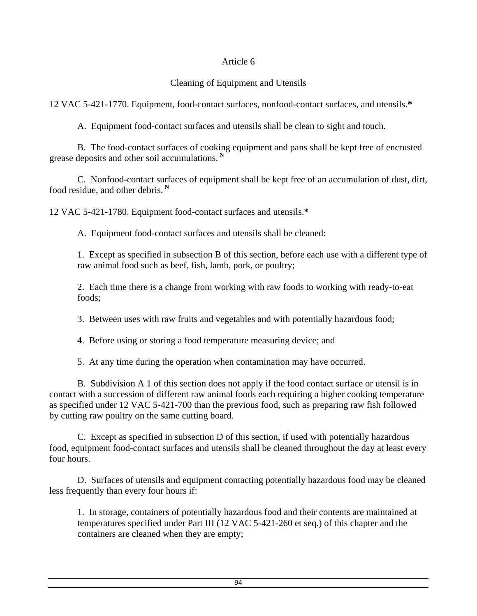#### Article 6

## Cleaning of Equipment and Utensils

12 VAC 5-421-1770. Equipment, food-contact surfaces, nonfood-contact surfaces, and utensils.**\***

A. Equipment food-contact surfaces and utensils shall be clean to sight and touch.

B. The food-contact surfaces of cooking equipment and pans shall be kept free of encrusted grease deposits and other soil accumulations. **<sup>N</sup>**

C. Nonfood-contact surfaces of equipment shall be kept free of an accumulation of dust, dirt, food residue, and other debris. **<sup>N</sup>**

12 VAC 5-421-1780. Equipment food-contact surfaces and utensils.**\***

A. Equipment food-contact surfaces and utensils shall be cleaned:

1. Except as specified in subsection B of this section, before each use with a different type of raw animal food such as beef, fish, lamb, pork, or poultry;

2. Each time there is a change from working with raw foods to working with ready-to-eat foods;

3. Between uses with raw fruits and vegetables and with potentially hazardous food;

4. Before using or storing a food temperature measuring device; and

5. At any time during the operation when contamination may have occurred.

B. Subdivision A 1 of this section does not apply if the food contact surface or utensil is in contact with a succession of different raw animal foods each requiring a higher cooking temperature as specified under 12 VAC 5-421-700 than the previous food, such as preparing raw fish followed by cutting raw poultry on the same cutting board.

C. Except as specified in subsection D of this section, if used with potentially hazardous food, equipment food-contact surfaces and utensils shall be cleaned throughout the day at least every four hours.

D. Surfaces of utensils and equipment contacting potentially hazardous food may be cleaned less frequently than every four hours if:

1. In storage, containers of potentially hazardous food and their contents are maintained at temperatures specified under Part III (12 VAC 5-421-260 et seq.) of this chapter and the containers are cleaned when they are empty;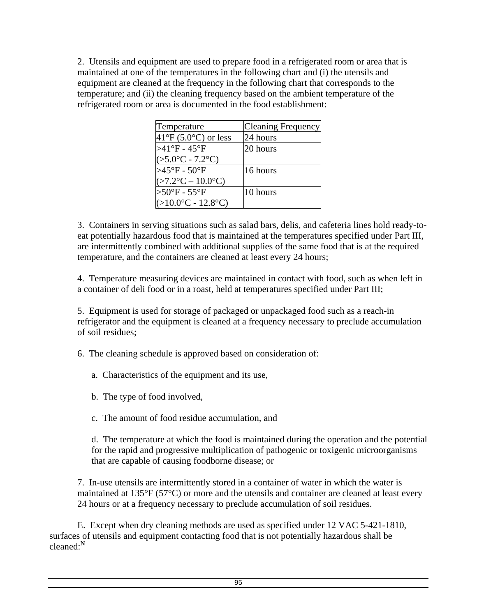2. Utensils and equipment are used to prepare food in a refrigerated room or area that is maintained at one of the temperatures in the following chart and (i) the utensils and equipment are cleaned at the frequency in the following chart that corresponds to the temperature; and (ii) the cleaning frequency based on the ambient temperature of the refrigerated room or area is documented in the food establishment:

| Temperature                      | <b>Cleaning Frequency</b> |
|----------------------------------|---------------------------|
| $41^{\circ}$ F (5.0°C) or less   | 24 hours                  |
| $>41^{\circ}$ F - 45°F           | 20 hours                  |
| $(>5.0^{\circ}C - 7.2^{\circ}C)$ |                           |
| $>45^{\circ}$ F - $50^{\circ}$ F | 16 hours                  |
| $(>7.2$ °C – 10.0°C)             |                           |
| $>50^{\circ}$ F - 55°F           | 10 hours                  |
| $(>10.0$ °C - 12.8°C)            |                           |

3. Containers in serving situations such as salad bars, delis, and cafeteria lines hold ready-toeat potentially hazardous food that is maintained at the temperatures specified under Part III, are intermittently combined with additional supplies of the same food that is at the required temperature, and the containers are cleaned at least every 24 hours;

4. Temperature measuring devices are maintained in contact with food, such as when left in a container of deli food or in a roast, held at temperatures specified under Part III;

5. Equipment is used for storage of packaged or unpackaged food such as a reach-in refrigerator and the equipment is cleaned at a frequency necessary to preclude accumulation of soil residues;

6. The cleaning schedule is approved based on consideration of:

a. Characteristics of the equipment and its use,

b. The type of food involved,

c. The amount of food residue accumulation, and

d. The temperature at which the food is maintained during the operation and the potential for the rapid and progressive multiplication of pathogenic or toxigenic microorganisms that are capable of causing foodborne disease; or

7. In-use utensils are intermittently stored in a container of water in which the water is maintained at 135°F (57°C) or more and the utensils and container are cleaned at least every 24 hours or at a frequency necessary to preclude accumulation of soil residues.

E. Except when dry cleaning methods are used as specified under 12 VAC 5-421-1810, surfaces of utensils and equipment contacting food that is not potentially hazardous shall be cleaned:**<sup>N</sup>**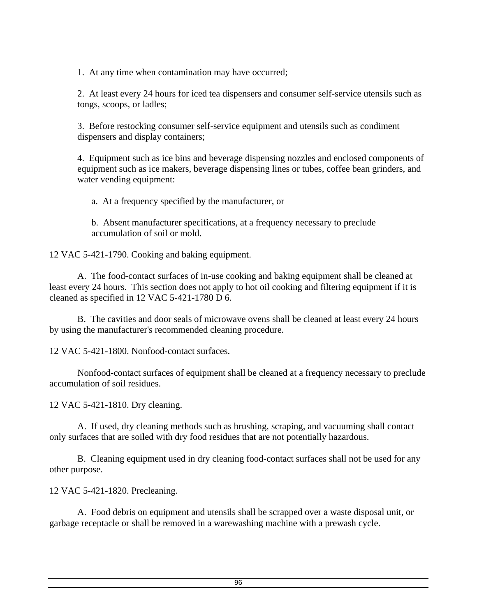1. At any time when contamination may have occurred;

2. At least every 24 hours for iced tea dispensers and consumer self-service utensils such as tongs, scoops, or ladles;

3. Before restocking consumer self-service equipment and utensils such as condiment dispensers and display containers;

4. Equipment such as ice bins and beverage dispensing nozzles and enclosed components of equipment such as ice makers, beverage dispensing lines or tubes, coffee bean grinders, and water vending equipment:

a. At a frequency specified by the manufacturer, or

b. Absent manufacturer specifications, at a frequency necessary to preclude accumulation of soil or mold.

12 VAC 5-421-1790. Cooking and baking equipment.

A. The food-contact surfaces of in-use cooking and baking equipment shall be cleaned at least every 24 hours. This section does not apply to hot oil cooking and filtering equipment if it is cleaned as specified in 12 VAC 5-421-1780 D 6.

B. The cavities and door seals of microwave ovens shall be cleaned at least every 24 hours by using the manufacturer's recommended cleaning procedure.

12 VAC 5-421-1800. Nonfood-contact surfaces.

Nonfood-contact surfaces of equipment shall be cleaned at a frequency necessary to preclude accumulation of soil residues.

12 VAC 5-421-1810. Dry cleaning.

A. If used, dry cleaning methods such as brushing, scraping, and vacuuming shall contact only surfaces that are soiled with dry food residues that are not potentially hazardous.

B. Cleaning equipment used in dry cleaning food-contact surfaces shall not be used for any other purpose.

12 VAC 5-421-1820. Precleaning.

A. Food debris on equipment and utensils shall be scrapped over a waste disposal unit, or garbage receptacle or shall be removed in a warewashing machine with a prewash cycle.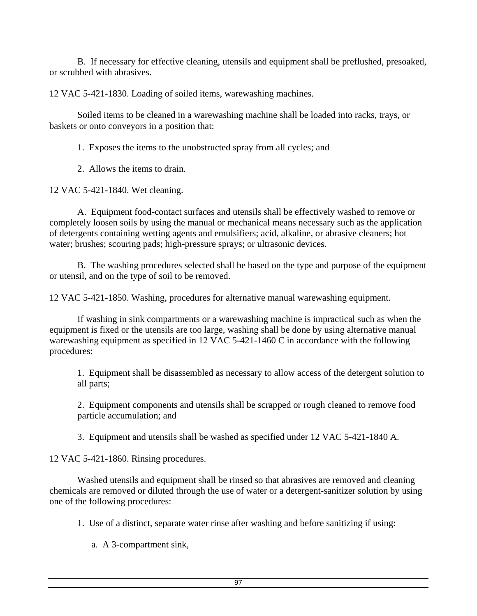B. If necessary for effective cleaning, utensils and equipment shall be preflushed, presoaked, or scrubbed with abrasives.

12 VAC 5-421-1830. Loading of soiled items, warewashing machines.

Soiled items to be cleaned in a warewashing machine shall be loaded into racks, trays, or baskets or onto conveyors in a position that:

1. Exposes the items to the unobstructed spray from all cycles; and

2. Allows the items to drain.

12 VAC 5-421-1840. Wet cleaning.

A. Equipment food-contact surfaces and utensils shall be effectively washed to remove or completely loosen soils by using the manual or mechanical means necessary such as the application of detergents containing wetting agents and emulsifiers; acid, alkaline, or abrasive cleaners; hot water; brushes; scouring pads; high-pressure sprays; or ultrasonic devices.

B. The washing procedures selected shall be based on the type and purpose of the equipment or utensil, and on the type of soil to be removed.

12 VAC 5-421-1850. Washing, procedures for alternative manual warewashing equipment.

If washing in sink compartments or a warewashing machine is impractical such as when the equipment is fixed or the utensils are too large, washing shall be done by using alternative manual warewashing equipment as specified in 12 VAC 5-421-1460 C in accordance with the following procedures:

1. Equipment shall be disassembled as necessary to allow access of the detergent solution to all parts;

2. Equipment components and utensils shall be scrapped or rough cleaned to remove food particle accumulation; and

3. Equipment and utensils shall be washed as specified under 12 VAC 5-421-1840 A.

12 VAC 5-421-1860. Rinsing procedures.

Washed utensils and equipment shall be rinsed so that abrasives are removed and cleaning chemicals are removed or diluted through the use of water or a detergent-sanitizer solution by using one of the following procedures:

1. Use of a distinct, separate water rinse after washing and before sanitizing if using:

a. A 3-compartment sink,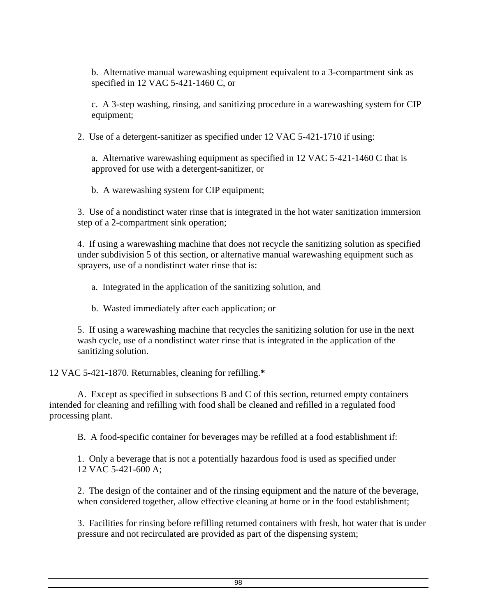b. Alternative manual warewashing equipment equivalent to a 3-compartment sink as specified in 12 VAC 5-421-1460 C, or

c. A 3-step washing, rinsing, and sanitizing procedure in a warewashing system for CIP equipment;

2. Use of a detergent-sanitizer as specified under 12 VAC 5-421-1710 if using:

a. Alternative warewashing equipment as specified in 12 VAC 5-421-1460 C that is approved for use with a detergent-sanitizer, or

b. A warewashing system for CIP equipment;

3. Use of a nondistinct water rinse that is integrated in the hot water sanitization immersion step of a 2-compartment sink operation;

4. If using a warewashing machine that does not recycle the sanitizing solution as specified under subdivision 5 of this section, or alternative manual warewashing equipment such as sprayers, use of a nondistinct water rinse that is:

- a. Integrated in the application of the sanitizing solution, and
- b. Wasted immediately after each application; or

5. If using a warewashing machine that recycles the sanitizing solution for use in the next wash cycle, use of a nondistinct water rinse that is integrated in the application of the sanitizing solution.

12 VAC 5-421-1870. Returnables, cleaning for refilling.**\***

A. Except as specified in subsections B and C of this section, returned empty containers intended for cleaning and refilling with food shall be cleaned and refilled in a regulated food processing plant.

B. A food-specific container for beverages may be refilled at a food establishment if:

1. Only a beverage that is not a potentially hazardous food is used as specified under 12 VAC 5-421-600 A;

2. The design of the container and of the rinsing equipment and the nature of the beverage, when considered together, allow effective cleaning at home or in the food establishment;

3. Facilities for rinsing before refilling returned containers with fresh, hot water that is under pressure and not recirculated are provided as part of the dispensing system;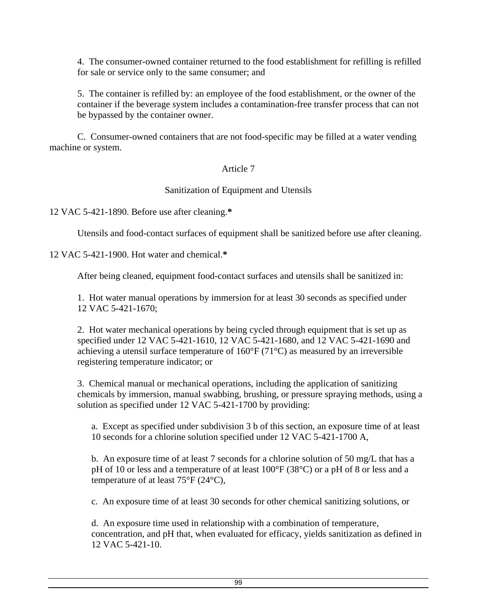4. The consumer-owned container returned to the food establishment for refilling is refilled for sale or service only to the same consumer; and

5. The container is refilled by: an employee of the food establishment, or the owner of the container if the beverage system includes a contamination-free transfer process that can not be bypassed by the container owner.

C. Consumer-owned containers that are not food-specific may be filled at a water vending machine or system.

### Article 7

#### Sanitization of Equipment and Utensils

12 VAC 5-421-1890. Before use after cleaning.**\***

Utensils and food-contact surfaces of equipment shall be sanitized before use after cleaning.

12 VAC 5-421-1900. Hot water and chemical.**\***

After being cleaned, equipment food-contact surfaces and utensils shall be sanitized in:

1. Hot water manual operations by immersion for at least 30 seconds as specified under 12 VAC 5-421-1670;

2. Hot water mechanical operations by being cycled through equipment that is set up as specified under 12 VAC 5-421-1610, 12 VAC 5-421-1680, and 12 VAC 5-421-1690 and achieving a utensil surface temperature of 160°F (71°C) as measured by an irreversible registering temperature indicator; or

3. Chemical manual or mechanical operations, including the application of sanitizing chemicals by immersion, manual swabbing, brushing, or pressure spraying methods, using a solution as specified under 12 VAC 5-421-1700 by providing:

a. Except as specified under subdivision 3 b of this section, an exposure time of at least 10 seconds for a chlorine solution specified under 12 VAC 5-421-1700 A,

b. An exposure time of at least 7 seconds for a chlorine solution of 50 mg/L that has a pH of 10 or less and a temperature of at least 100°F (38°C) or a pH of 8 or less and a temperature of at least 75°F (24°C),

c. An exposure time of at least 30 seconds for other chemical sanitizing solutions, or

d. An exposure time used in relationship with a combination of temperature, concentration, and pH that, when evaluated for efficacy, yields sanitization as defined in 12 VAC 5-421-10.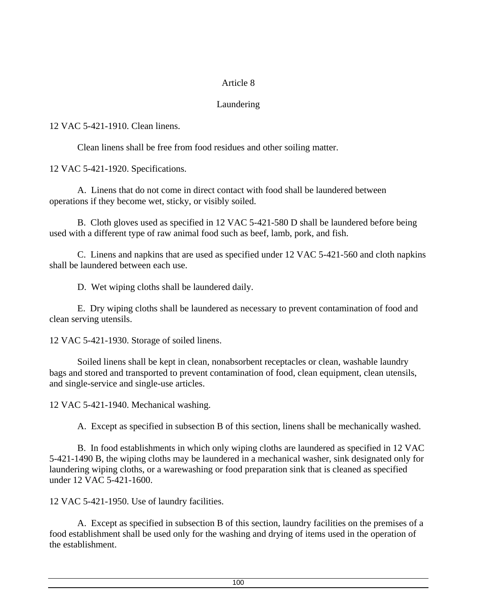## Article 8

#### Laundering

12 VAC 5-421-1910. Clean linens.

Clean linens shall be free from food residues and other soiling matter.

12 VAC 5-421-1920. Specifications.

A. Linens that do not come in direct contact with food shall be laundered between operations if they become wet, sticky, or visibly soiled.

B. Cloth gloves used as specified in 12 VAC 5-421-580 D shall be laundered before being used with a different type of raw animal food such as beef, lamb, pork, and fish.

C. Linens and napkins that are used as specified under 12 VAC 5-421-560 and cloth napkins shall be laundered between each use.

D. Wet wiping cloths shall be laundered daily.

E. Dry wiping cloths shall be laundered as necessary to prevent contamination of food and clean serving utensils.

12 VAC 5-421-1930. Storage of soiled linens.

Soiled linens shall be kept in clean, nonabsorbent receptacles or clean, washable laundry bags and stored and transported to prevent contamination of food, clean equipment, clean utensils, and single-service and single-use articles.

12 VAC 5-421-1940. Mechanical washing.

A. Except as specified in subsection B of this section, linens shall be mechanically washed.

B. In food establishments in which only wiping cloths are laundered as specified in 12 VAC 5-421-1490 B, the wiping cloths may be laundered in a mechanical washer, sink designated only for laundering wiping cloths, or a warewashing or food preparation sink that is cleaned as specified under 12 VAC 5-421-1600.

12 VAC 5-421-1950. Use of laundry facilities.

A. Except as specified in subsection B of this section, laundry facilities on the premises of a food establishment shall be used only for the washing and drying of items used in the operation of the establishment.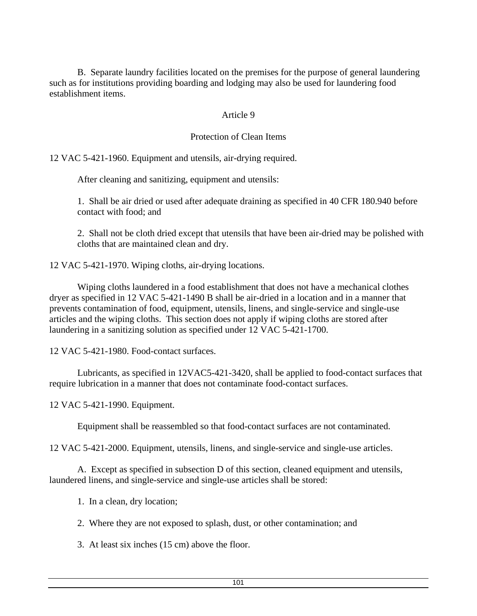B. Separate laundry facilities located on the premises for the purpose of general laundering such as for institutions providing boarding and lodging may also be used for laundering food establishment items.

#### Article 9

#### Protection of Clean Items

12 VAC 5-421-1960. Equipment and utensils, air-drying required.

After cleaning and sanitizing, equipment and utensils:

1. Shall be air dried or used after adequate draining as specified in 40 CFR 180.940 before contact with food; and

2. Shall not be cloth dried except that utensils that have been air-dried may be polished with cloths that are maintained clean and dry.

12 VAC 5-421-1970. Wiping cloths, air-drying locations.

Wiping cloths laundered in a food establishment that does not have a mechanical clothes dryer as specified in 12 VAC 5-421-1490 B shall be air-dried in a location and in a manner that prevents contamination of food, equipment, utensils, linens, and single-service and single-use articles and the wiping cloths. This section does not apply if wiping cloths are stored after laundering in a sanitizing solution as specified under 12 VAC 5-421-1700.

12 VAC 5-421-1980. Food-contact surfaces.

Lubricants, as specified in 12VAC5-421-3420, shall be applied to food-contact surfaces that require lubrication in a manner that does not contaminate food-contact surfaces.

12 VAC 5-421-1990. Equipment.

Equipment shall be reassembled so that food-contact surfaces are not contaminated.

12 VAC 5-421-2000. Equipment, utensils, linens, and single-service and single-use articles.

A. Except as specified in subsection D of this section, cleaned equipment and utensils, laundered linens, and single-service and single-use articles shall be stored:

1. In a clean, dry location;

2. Where they are not exposed to splash, dust, or other contamination; and

3. At least six inches (15 cm) above the floor.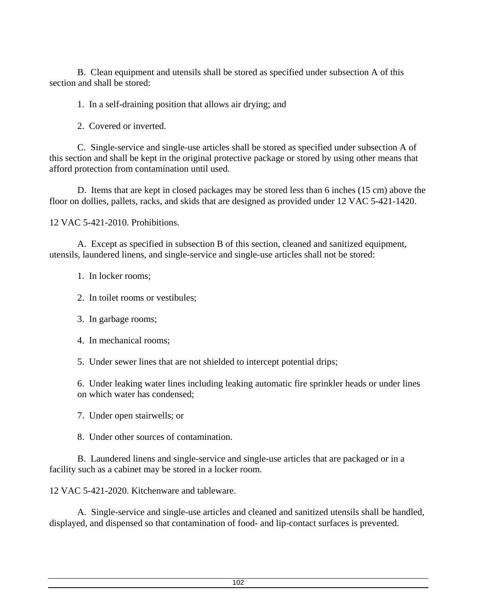B. Clean equipment and utensils shall be stored as specified under subsection A of this section and shall be stored:

1. In a self-draining position that allows air drying; and

2. Covered or inverted.

C. Single-service and single-use articles shall be stored as specified under subsection A of this section and shall be kept in the original protective package or stored by using other means that afford protection from contamination until used.

D. Items that are kept in closed packages may be stored less than 6 inches (15 cm) above the floor on dollies, pallets, racks, and skids that are designed as provided under 12 VAC 5-421-1420.

12 VAC 5-421-2010. Prohibitions.

A. Except as specified in subsection B of this section, cleaned and sanitized equipment, utensils, laundered linens, and single-service and single-use articles shall not be stored:

1. In locker rooms;

2. In toilet rooms or vestibules;

3. In garbage rooms;

4. In mechanical rooms;

5. Under sewer lines that are not shielded to intercept potential drips;

6. Under leaking water lines including leaking automatic fire sprinkler heads or under lines on which water has condensed;

7. Under open stairwells; or

8. Under other sources of contamination.

B. Laundered linens and single-service and single-use articles that are packaged or in a facility such as a cabinet may be stored in a locker room.

12 VAC 5-421-2020. Kitchenware and tableware.

A. Single-service and single-use articles and cleaned and sanitized utensils shall be handled, displayed, and dispensed so that contamination of food- and lip-contact surfaces is prevented.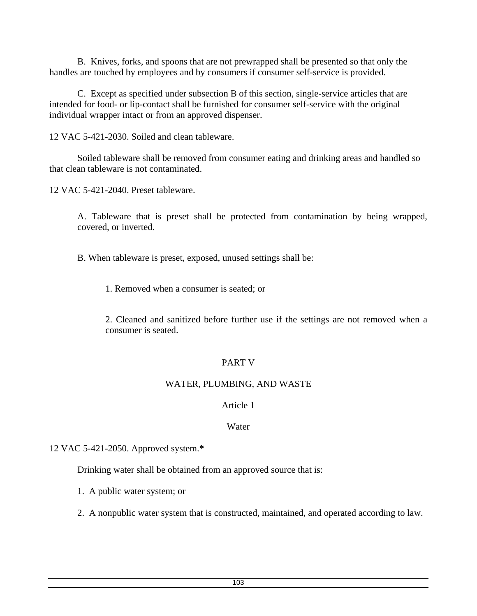B. Knives, forks, and spoons that are not prewrapped shall be presented so that only the handles are touched by employees and by consumers if consumer self-service is provided.

C. Except as specified under subsection B of this section, single-service articles that are intended for food- or lip-contact shall be furnished for consumer self-service with the original individual wrapper intact or from an approved dispenser.

12 VAC 5-421-2030. Soiled and clean tableware.

Soiled tableware shall be removed from consumer eating and drinking areas and handled so that clean tableware is not contaminated.

12 VAC 5-421-2040. Preset tableware.

A. Tableware that is preset shall be protected from contamination by being wrapped, covered, or inverted.

B. When tableware is preset, exposed, unused settings shall be:

1. Removed when a consumer is seated; or

2. Cleaned and sanitized before further use if the settings are not removed when a consumer is seated.

# PART V

# WATER, PLUMBING, AND WASTE

#### Article 1

#### Water

12 VAC 5-421-2050. Approved system.**\***

Drinking water shall be obtained from an approved source that is:

- 1. A public water system; or
- 2. A nonpublic water system that is constructed, maintained, and operated according to law.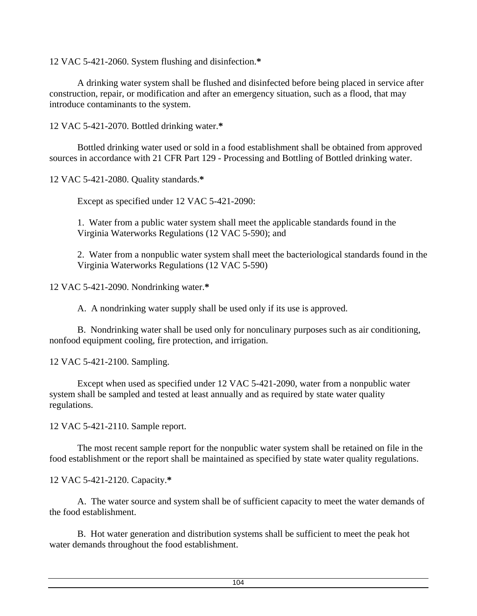12 VAC 5-421-2060. System flushing and disinfection.**\***

A drinking water system shall be flushed and disinfected before being placed in service after construction, repair, or modification and after an emergency situation, such as a flood, that may introduce contaminants to the system.

12 VAC 5-421-2070. Bottled drinking water.**\***

Bottled drinking water used or sold in a food establishment shall be obtained from approved sources in accordance with 21 CFR Part 129 - Processing and Bottling of Bottled drinking water.

12 VAC 5-421-2080. Quality standards.**\***

Except as specified under 12 VAC 5-421-2090:

1. Water from a public water system shall meet the applicable standards found in the Virginia Waterworks Regulations (12 VAC 5-590); and

2. Water from a nonpublic water system shall meet the bacteriological standards found in the Virginia Waterworks Regulations (12 VAC 5-590)

12 VAC 5-421-2090. Nondrinking water.**\***

A. A nondrinking water supply shall be used only if its use is approved.

B. Nondrinking water shall be used only for nonculinary purposes such as air conditioning, nonfood equipment cooling, fire protection, and irrigation.

12 VAC 5-421-2100. Sampling.

Except when used as specified under 12 VAC 5-421-2090, water from a nonpublic water system shall be sampled and tested at least annually and as required by state water quality regulations.

12 VAC 5-421-2110. Sample report.

The most recent sample report for the nonpublic water system shall be retained on file in the food establishment or the report shall be maintained as specified by state water quality regulations.

12 VAC 5-421-2120. Capacity.**\***

A. The water source and system shall be of sufficient capacity to meet the water demands of the food establishment.

B. Hot water generation and distribution systems shall be sufficient to meet the peak hot water demands throughout the food establishment.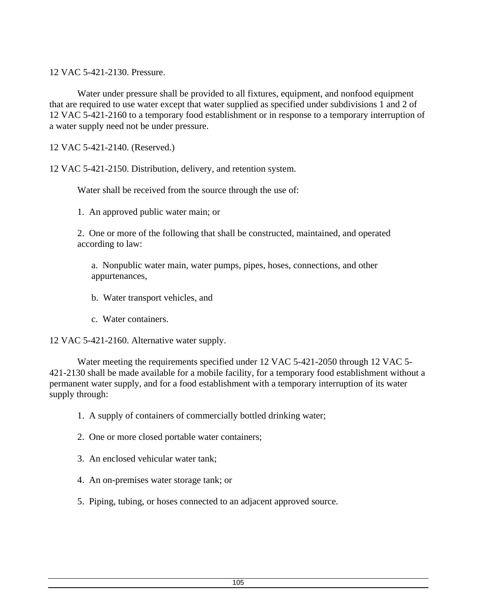12 VAC 5-421-2130. Pressure.

Water under pressure shall be provided to all fixtures, equipment, and nonfood equipment that are required to use water except that water supplied as specified under subdivisions 1 and 2 of 12 VAC 5-421-2160 to a temporary food establishment or in response to a temporary interruption of a water supply need not be under pressure.

12 VAC 5-421-2140. (Reserved.)

12 VAC 5-421-2150. Distribution, delivery, and retention system.

Water shall be received from the source through the use of:

1. An approved public water main; or

2. One or more of the following that shall be constructed, maintained, and operated according to law:

a. Nonpublic water main, water pumps, pipes, hoses, connections, and other appurtenances,

- b. Water transport vehicles, and
- c. Water containers.

12 VAC 5-421-2160. Alternative water supply.

Water meeting the requirements specified under 12 VAC 5-421-2050 through 12 VAC 5- 421-2130 shall be made available for a mobile facility, for a temporary food establishment without a permanent water supply, and for a food establishment with a temporary interruption of its water supply through:

1. A supply of containers of commercially bottled drinking water;

- 2. One or more closed portable water containers;
- 3. An enclosed vehicular water tank;
- 4. An on-premises water storage tank; or
- 5. Piping, tubing, or hoses connected to an adjacent approved source.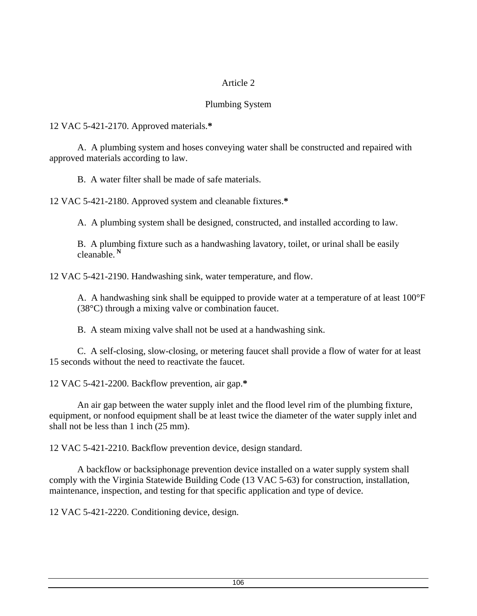## Article 2

#### Plumbing System

12 VAC 5-421-2170. Approved materials.**\***

A. A plumbing system and hoses conveying water shall be constructed and repaired with approved materials according to law.

B. A water filter shall be made of safe materials.

12 VAC 5-421-2180. Approved system and cleanable fixtures.**\***

A. A plumbing system shall be designed, constructed, and installed according to law.

B. A plumbing fixture such as a handwashing lavatory, toilet, or urinal shall be easily cleanable. **<sup>N</sup>**

12 VAC 5-421-2190. Handwashing sink, water temperature, and flow.

A. A handwashing sink shall be equipped to provide water at a temperature of at least 100°F (38°C) through a mixing valve or combination faucet.

B. A steam mixing valve shall not be used at a handwashing sink.

C. A self-closing, slow-closing, or metering faucet shall provide a flow of water for at least 15 seconds without the need to reactivate the faucet.

12 VAC 5-421-2200. Backflow prevention, air gap.**\***

An air gap between the water supply inlet and the flood level rim of the plumbing fixture, equipment, or nonfood equipment shall be at least twice the diameter of the water supply inlet and shall not be less than 1 inch (25 mm).

12 VAC 5-421-2210. Backflow prevention device, design standard.

A backflow or backsiphonage prevention device installed on a water supply system shall comply with the Virginia Statewide Building Code (13 VAC 5-63) for construction, installation, maintenance, inspection, and testing for that specific application and type of device.

12 VAC 5-421-2220. Conditioning device, design.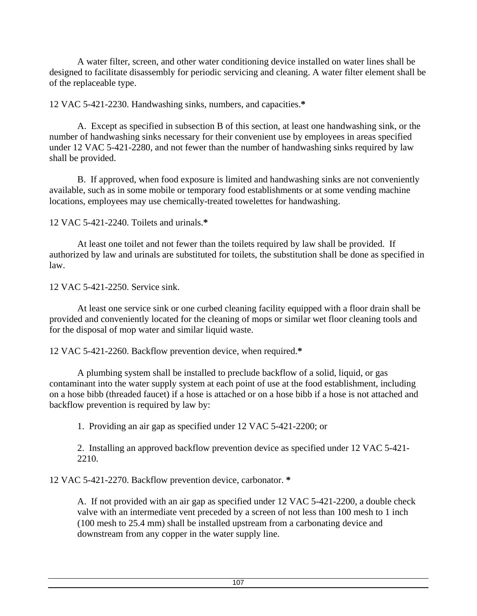A water filter, screen, and other water conditioning device installed on water lines shall be designed to facilitate disassembly for periodic servicing and cleaning. A water filter element shall be of the replaceable type.

12 VAC 5-421-2230. Handwashing sinks, numbers, and capacities.**\***

A. Except as specified in subsection B of this section, at least one handwashing sink, or the number of handwashing sinks necessary for their convenient use by employees in areas specified under 12 VAC 5-421-2280, and not fewer than the number of handwashing sinks required by law shall be provided.

B. If approved, when food exposure is limited and handwashing sinks are not conveniently available, such as in some mobile or temporary food establishments or at some vending machine locations, employees may use chemically-treated towelettes for handwashing.

12 VAC 5-421-2240. Toilets and urinals.**\***

At least one toilet and not fewer than the toilets required by law shall be provided. If authorized by law and urinals are substituted for toilets, the substitution shall be done as specified in law.

12 VAC 5-421-2250. Service sink.

At least one service sink or one curbed cleaning facility equipped with a floor drain shall be provided and conveniently located for the cleaning of mops or similar wet floor cleaning tools and for the disposal of mop water and similar liquid waste.

12 VAC 5-421-2260. Backflow prevention device, when required.**\***

A plumbing system shall be installed to preclude backflow of a solid, liquid, or gas contaminant into the water supply system at each point of use at the food establishment, including on a hose bibb (threaded faucet) if a hose is attached or on a hose bibb if a hose is not attached and backflow prevention is required by law by:

1. Providing an air gap as specified under 12 VAC 5-421-2200; or

2. Installing an approved backflow prevention device as specified under 12 VAC 5-421- 2210.

12 VAC 5-421-2270. Backflow prevention device, carbonator. **\*** 

A. If not provided with an air gap as specified under 12 VAC 5-421-2200, a double check valve with an intermediate vent preceded by a screen of not less than 100 mesh to 1 inch (100 mesh to 25.4 mm) shall be installed upstream from a carbonating device and downstream from any copper in the water supply line.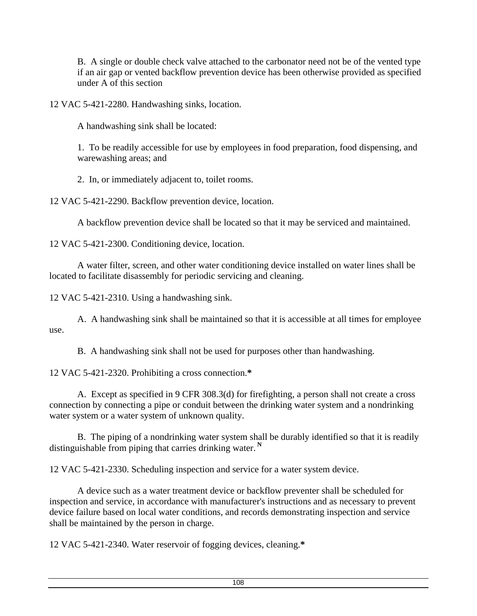B. A single or double check valve attached to the carbonator need not be of the vented type if an air gap or vented backflow prevention device has been otherwise provided as specified under A of this section

12 VAC 5-421-2280. Handwashing sinks, location.

A handwashing sink shall be located:

1. To be readily accessible for use by employees in food preparation, food dispensing, and warewashing areas; and

2. In, or immediately adjacent to, toilet rooms.

12 VAC 5-421-2290. Backflow prevention device, location.

A backflow prevention device shall be located so that it may be serviced and maintained.

12 VAC 5-421-2300. Conditioning device, location.

A water filter, screen, and other water conditioning device installed on water lines shall be located to facilitate disassembly for periodic servicing and cleaning.

12 VAC 5-421-2310. Using a handwashing sink.

A. A handwashing sink shall be maintained so that it is accessible at all times for employee use.

B. A handwashing sink shall not be used for purposes other than handwashing.

12 VAC 5-421-2320. Prohibiting a cross connection.**\***

A. Except as specified in 9 CFR 308.3(d) for firefighting, a person shall not create a cross connection by connecting a pipe or conduit between the drinking water system and a nondrinking water system or a water system of unknown quality.

B. The piping of a nondrinking water system shall be durably identified so that it is readily distinguishable from piping that carries drinking water. **<sup>N</sup>**

12 VAC 5-421-2330. Scheduling inspection and service for a water system device.

A device such as a water treatment device or backflow preventer shall be scheduled for inspection and service, in accordance with manufacturer's instructions and as necessary to prevent device failure based on local water conditions, and records demonstrating inspection and service shall be maintained by the person in charge.

12 VAC 5-421-2340. Water reservoir of fogging devices, cleaning.**\***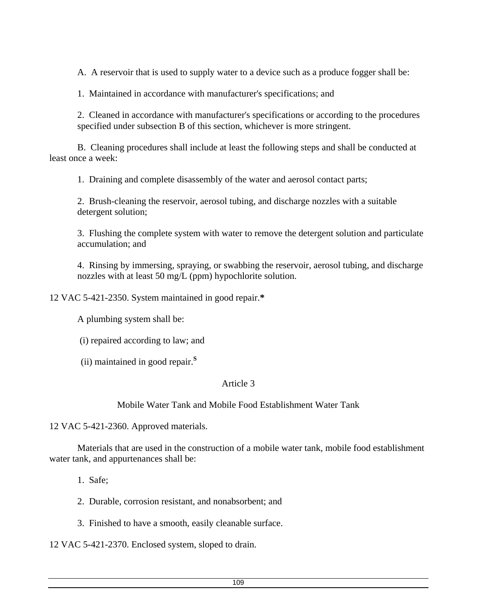A. A reservoir that is used to supply water to a device such as a produce fogger shall be:

1. Maintained in accordance with manufacturer's specifications; and

2. Cleaned in accordance with manufacturer's specifications or according to the procedures specified under subsection B of this section, whichever is more stringent.

B. Cleaning procedures shall include at least the following steps and shall be conducted at least once a week:

1. Draining and complete disassembly of the water and aerosol contact parts;

2. Brush-cleaning the reservoir, aerosol tubing, and discharge nozzles with a suitable detergent solution;

3. Flushing the complete system with water to remove the detergent solution and particulate accumulation; and

4. Rinsing by immersing, spraying, or swabbing the reservoir, aerosol tubing, and discharge nozzles with at least 50 mg/L (ppm) hypochlorite solution.

12 VAC 5-421-2350. System maintained in good repair.**\***

A plumbing system shall be:

(i) repaired according to law; and

(ii) maintained in good repair.**<sup>S</sup>**

#### Article 3

#### Mobile Water Tank and Mobile Food Establishment Water Tank

12 VAC 5-421-2360. Approved materials.

Materials that are used in the construction of a mobile water tank, mobile food establishment water tank, and appurtenances shall be:

1. Safe;

- 2. Durable, corrosion resistant, and nonabsorbent; and
- 3. Finished to have a smooth, easily cleanable surface.

12 VAC 5-421-2370. Enclosed system, sloped to drain.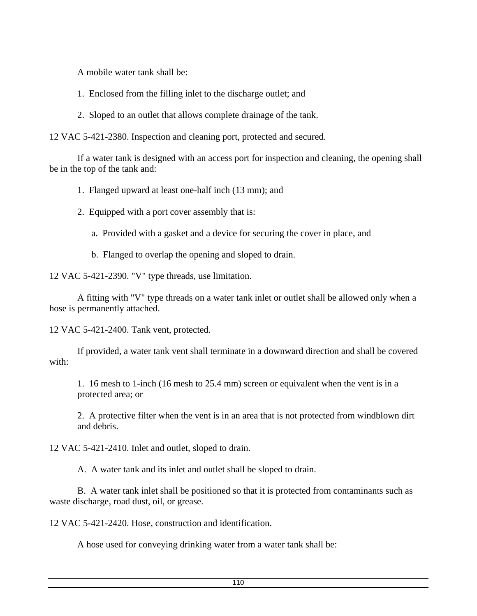A mobile water tank shall be:

- 1. Enclosed from the filling inlet to the discharge outlet; and
- 2. Sloped to an outlet that allows complete drainage of the tank.

12 VAC 5-421-2380. Inspection and cleaning port, protected and secured.

If a water tank is designed with an access port for inspection and cleaning, the opening shall be in the top of the tank and:

1. Flanged upward at least one-half inch (13 mm); and

- 2. Equipped with a port cover assembly that is:
	- a. Provided with a gasket and a device for securing the cover in place, and
	- b. Flanged to overlap the opening and sloped to drain.

12 VAC 5-421-2390. "V" type threads, use limitation.

A fitting with "V" type threads on a water tank inlet or outlet shall be allowed only when a hose is permanently attached.

12 VAC 5-421-2400. Tank vent, protected.

If provided, a water tank vent shall terminate in a downward direction and shall be covered with:

1. 16 mesh to 1-inch (16 mesh to 25.4 mm) screen or equivalent when the vent is in a protected area; or

2. A protective filter when the vent is in an area that is not protected from windblown dirt and debris.

12 VAC 5-421-2410. Inlet and outlet, sloped to drain.

A. A water tank and its inlet and outlet shall be sloped to drain.

B. A water tank inlet shall be positioned so that it is protected from contaminants such as waste discharge, road dust, oil, or grease.

12 VAC 5-421-2420. Hose, construction and identification.

A hose used for conveying drinking water from a water tank shall be: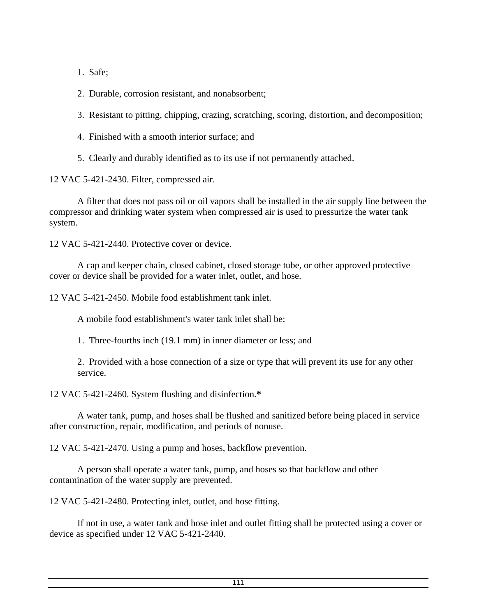1. Safe;

2. Durable, corrosion resistant, and nonabsorbent;

3. Resistant to pitting, chipping, crazing, scratching, scoring, distortion, and decomposition;

4. Finished with a smooth interior surface; and

5. Clearly and durably identified as to its use if not permanently attached.

12 VAC 5-421-2430. Filter, compressed air.

A filter that does not pass oil or oil vapors shall be installed in the air supply line between the compressor and drinking water system when compressed air is used to pressurize the water tank system.

12 VAC 5-421-2440. Protective cover or device.

A cap and keeper chain, closed cabinet, closed storage tube, or other approved protective cover or device shall be provided for a water inlet, outlet, and hose.

12 VAC 5-421-2450. Mobile food establishment tank inlet.

A mobile food establishment's water tank inlet shall be:

1. Three-fourths inch (19.1 mm) in inner diameter or less; and

2. Provided with a hose connection of a size or type that will prevent its use for any other service.

12 VAC 5-421-2460. System flushing and disinfection.**\***

A water tank, pump, and hoses shall be flushed and sanitized before being placed in service after construction, repair, modification, and periods of nonuse.

12 VAC 5-421-2470. Using a pump and hoses, backflow prevention.

A person shall operate a water tank, pump, and hoses so that backflow and other contamination of the water supply are prevented.

12 VAC 5-421-2480. Protecting inlet, outlet, and hose fitting.

If not in use, a water tank and hose inlet and outlet fitting shall be protected using a cover or device as specified under 12 VAC 5-421-2440.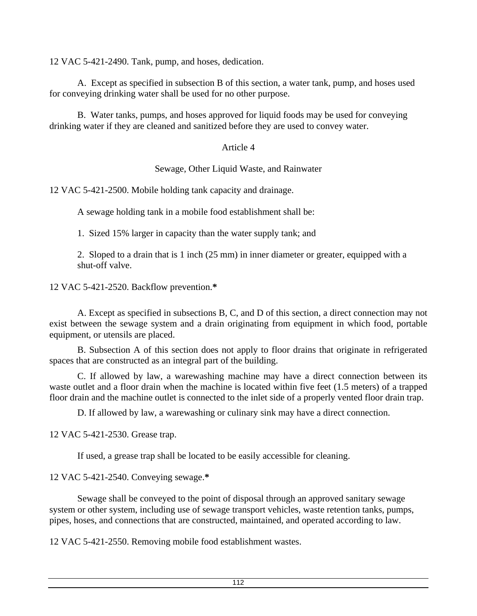12 VAC 5-421-2490. Tank, pump, and hoses, dedication.

A. Except as specified in subsection B of this section, a water tank, pump, and hoses used for conveying drinking water shall be used for no other purpose.

B. Water tanks, pumps, and hoses approved for liquid foods may be used for conveying drinking water if they are cleaned and sanitized before they are used to convey water.

#### Article 4

### Sewage, Other Liquid Waste, and Rainwater

12 VAC 5-421-2500. Mobile holding tank capacity and drainage.

A sewage holding tank in a mobile food establishment shall be:

1. Sized 15% larger in capacity than the water supply tank; and

2. Sloped to a drain that is 1 inch (25 mm) in inner diameter or greater, equipped with a shut-off valve.

12 VAC 5-421-2520. Backflow prevention.**\***

A. Except as specified in subsections B, C, and D of this section, a direct connection may not exist between the sewage system and a drain originating from equipment in which food, portable equipment, or utensils are placed.

B. Subsection A of this section does not apply to floor drains that originate in refrigerated spaces that are constructed as an integral part of the building.

C. If allowed by law, a warewashing machine may have a direct connection between its waste outlet and a floor drain when the machine is located within five feet (1.5 meters) of a trapped floor drain and the machine outlet is connected to the inlet side of a properly vented floor drain trap.

D. If allowed by law, a warewashing or culinary sink may have a direct connection.

12 VAC 5-421-2530. Grease trap.

If used, a grease trap shall be located to be easily accessible for cleaning.

# 12 VAC 5-421-2540. Conveying sewage.**\***

Sewage shall be conveyed to the point of disposal through an approved sanitary sewage system or other system, including use of sewage transport vehicles, waste retention tanks, pumps, pipes, hoses, and connections that are constructed, maintained, and operated according to law.

12 VAC 5-421-2550. Removing mobile food establishment wastes.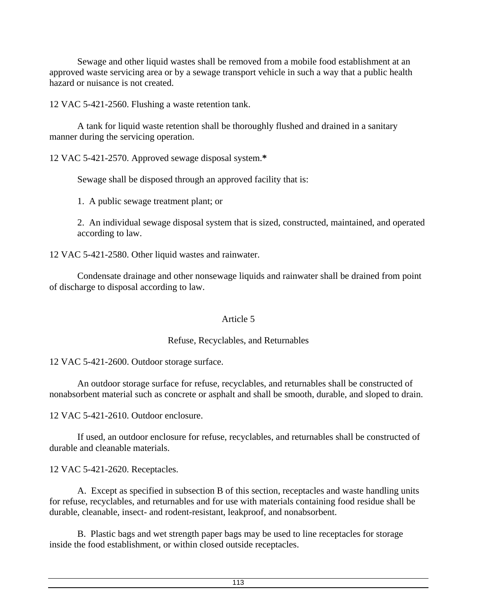Sewage and other liquid wastes shall be removed from a mobile food establishment at an approved waste servicing area or by a sewage transport vehicle in such a way that a public health hazard or nuisance is not created.

12 VAC 5-421-2560. Flushing a waste retention tank.

A tank for liquid waste retention shall be thoroughly flushed and drained in a sanitary manner during the servicing operation.

12 VAC 5-421-2570. Approved sewage disposal system.**\***

Sewage shall be disposed through an approved facility that is:

1. A public sewage treatment plant; or

2. An individual sewage disposal system that is sized, constructed, maintained, and operated according to law.

12 VAC 5-421-2580. Other liquid wastes and rainwater.

Condensate drainage and other nonsewage liquids and rainwater shall be drained from point of discharge to disposal according to law.

#### Article 5

#### Refuse, Recyclables, and Returnables

12 VAC 5-421-2600. Outdoor storage surface.

An outdoor storage surface for refuse, recyclables, and returnables shall be constructed of nonabsorbent material such as concrete or asphalt and shall be smooth, durable, and sloped to drain.

12 VAC 5-421-2610. Outdoor enclosure.

If used, an outdoor enclosure for refuse, recyclables, and returnables shall be constructed of durable and cleanable materials.

12 VAC 5-421-2620. Receptacles.

A. Except as specified in subsection B of this section, receptacles and waste handling units for refuse, recyclables, and returnables and for use with materials containing food residue shall be durable, cleanable, insect- and rodent-resistant, leakproof, and nonabsorbent.

B. Plastic bags and wet strength paper bags may be used to line receptacles for storage inside the food establishment, or within closed outside receptacles.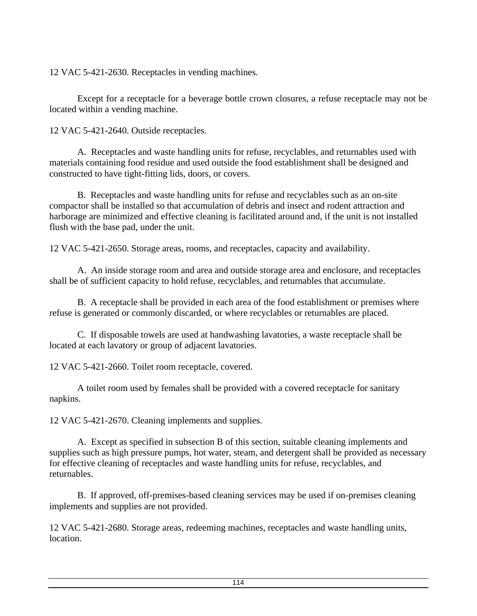12 VAC 5-421-2630. Receptacles in vending machines.

Except for a receptacle for a beverage bottle crown closures, a refuse receptacle may not be located within a vending machine.

12 VAC 5-421-2640. Outside receptacles.

A. Receptacles and waste handling units for refuse, recyclables, and returnables used with materials containing food residue and used outside the food establishment shall be designed and constructed to have tight-fitting lids, doors, or covers.

B. Receptacles and waste handling units for refuse and recyclables such as an on-site compactor shall be installed so that accumulation of debris and insect and rodent attraction and harborage are minimized and effective cleaning is facilitated around and, if the unit is not installed flush with the base pad, under the unit.

12 VAC 5-421-2650. Storage areas, rooms, and receptacles, capacity and availability.

A. An inside storage room and area and outside storage area and enclosure, and receptacles shall be of sufficient capacity to hold refuse, recyclables, and returnables that accumulate.

B. A receptacle shall be provided in each area of the food establishment or premises where refuse is generated or commonly discarded, or where recyclables or returnables are placed.

C. If disposable towels are used at handwashing lavatories, a waste receptacle shall be located at each lavatory or group of adjacent lavatories.

12 VAC 5-421-2660. Toilet room receptacle, covered.

A toilet room used by females shall be provided with a covered receptacle for sanitary napkins.

12 VAC 5-421-2670. Cleaning implements and supplies.

A. Except as specified in subsection B of this section, suitable cleaning implements and supplies such as high pressure pumps, hot water, steam, and detergent shall be provided as necessary for effective cleaning of receptacles and waste handling units for refuse, recyclables, and returnables.

B. If approved, off-premises-based cleaning services may be used if on-premises cleaning implements and supplies are not provided.

12 VAC 5-421-2680. Storage areas, redeeming machines, receptacles and waste handling units, location.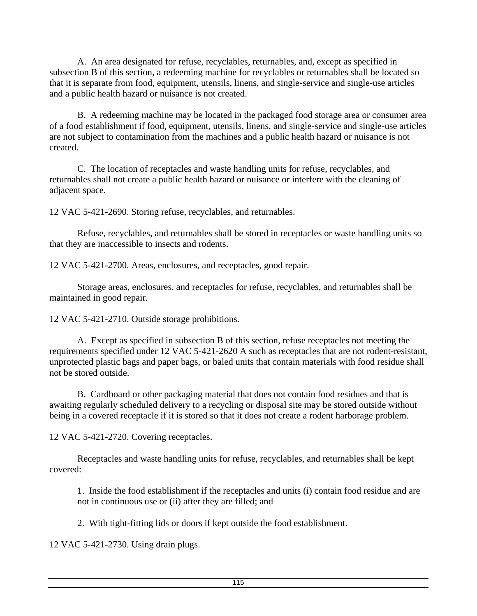A. An area designated for refuse, recyclables, returnables, and, except as specified in subsection B of this section, a redeeming machine for recyclables or returnables shall be located so that it is separate from food, equipment, utensils, linens, and single-service and single-use articles and a public health hazard or nuisance is not created.

B. A redeeming machine may be located in the packaged food storage area or consumer area of a food establishment if food, equipment, utensils, linens, and single-service and single-use articles are not subject to contamination from the machines and a public health hazard or nuisance is not created.

C. The location of receptacles and waste handling units for refuse, recyclables, and returnables shall not create a public health hazard or nuisance or interfere with the cleaning of adjacent space.

12 VAC 5-421-2690. Storing refuse, recyclables, and returnables.

Refuse, recyclables, and returnables shall be stored in receptacles or waste handling units so that they are inaccessible to insects and rodents.

12 VAC 5-421-2700. Areas, enclosures, and receptacles, good repair.

Storage areas, enclosures, and receptacles for refuse, recyclables, and returnables shall be maintained in good repair.

12 VAC 5-421-2710. Outside storage prohibitions.

A. Except as specified in subsection B of this section, refuse receptacles not meeting the requirements specified under 12 VAC 5-421-2620 A such as receptacles that are not rodent-resistant, unprotected plastic bags and paper bags, or baled units that contain materials with food residue shall not be stored outside.

B. Cardboard or other packaging material that does not contain food residues and that is awaiting regularly scheduled delivery to a recycling or disposal site may be stored outside without being in a covered receptacle if it is stored so that it does not create a rodent harborage problem.

12 VAC 5-421-2720. Covering receptacles.

Receptacles and waste handling units for refuse, recyclables, and returnables shall be kept covered:

1. Inside the food establishment if the receptacles and units (i) contain food residue and are not in continuous use or (ii) after they are filled; and

2. With tight-fitting lids or doors if kept outside the food establishment.

12 VAC 5-421-2730. Using drain plugs.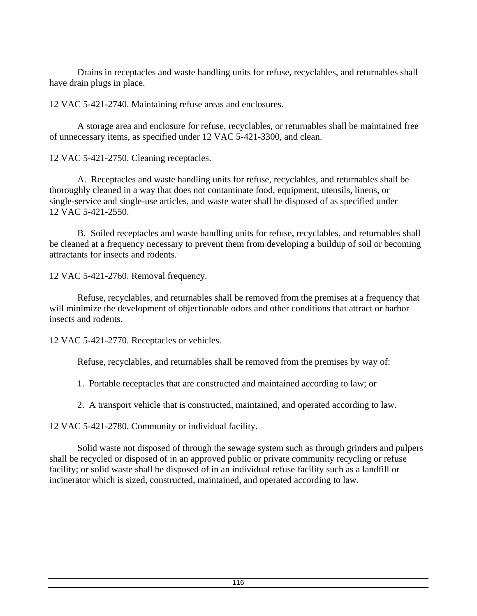Drains in receptacles and waste handling units for refuse, recyclables, and returnables shall have drain plugs in place.

12 VAC 5-421-2740. Maintaining refuse areas and enclosures.

A storage area and enclosure for refuse, recyclables, or returnables shall be maintained free of unnecessary items, as specified under 12 VAC 5-421-3300, and clean.

12 VAC 5-421-2750. Cleaning receptacles.

A. Receptacles and waste handling units for refuse, recyclables, and returnables shall be thoroughly cleaned in a way that does not contaminate food, equipment, utensils, linens, or single-service and single-use articles, and waste water shall be disposed of as specified under 12 VAC 5-421-2550.

B. Soiled receptacles and waste handling units for refuse, recyclables, and returnables shall be cleaned at a frequency necessary to prevent them from developing a buildup of soil or becoming attractants for insects and rodents.

12 VAC 5-421-2760. Removal frequency.

Refuse, recyclables, and returnables shall be removed from the premises at a frequency that will minimize the development of objectionable odors and other conditions that attract or harbor insects and rodents.

12 VAC 5-421-2770. Receptacles or vehicles.

Refuse, recyclables, and returnables shall be removed from the premises by way of:

1. Portable receptacles that are constructed and maintained according to law; or

2. A transport vehicle that is constructed, maintained, and operated according to law.

12 VAC 5-421-2780. Community or individual facility.

Solid waste not disposed of through the sewage system such as through grinders and pulpers shall be recycled or disposed of in an approved public or private community recycling or refuse facility; or solid waste shall be disposed of in an individual refuse facility such as a landfill or incinerator which is sized, constructed, maintained, and operated according to law.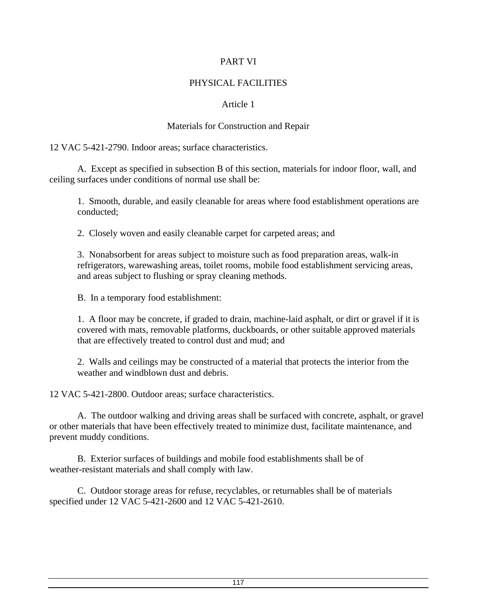### PART VI

## PHYSICAL FACILITIES

### Article 1

#### Materials for Construction and Repair

12 VAC 5-421-2790. Indoor areas; surface characteristics.

A. Except as specified in subsection B of this section, materials for indoor floor, wall, and ceiling surfaces under conditions of normal use shall be:

1. Smooth, durable, and easily cleanable for areas where food establishment operations are conducted;

2. Closely woven and easily cleanable carpet for carpeted areas; and

3. Nonabsorbent for areas subject to moisture such as food preparation areas, walk-in refrigerators, warewashing areas, toilet rooms, mobile food establishment servicing areas, and areas subject to flushing or spray cleaning methods.

B. In a temporary food establishment:

1. A floor may be concrete, if graded to drain, machine-laid asphalt, or dirt or gravel if it is covered with mats, removable platforms, duckboards, or other suitable approved materials that are effectively treated to control dust and mud; and

2. Walls and ceilings may be constructed of a material that protects the interior from the weather and windblown dust and debris.

12 VAC 5-421-2800. Outdoor areas; surface characteristics.

A. The outdoor walking and driving areas shall be surfaced with concrete, asphalt, or gravel or other materials that have been effectively treated to minimize dust, facilitate maintenance, and prevent muddy conditions.

B. Exterior surfaces of buildings and mobile food establishments shall be of weather-resistant materials and shall comply with law.

C. Outdoor storage areas for refuse, recyclables, or returnables shall be of materials specified under 12 VAC 5-421-2600 and 12 VAC 5-421-2610.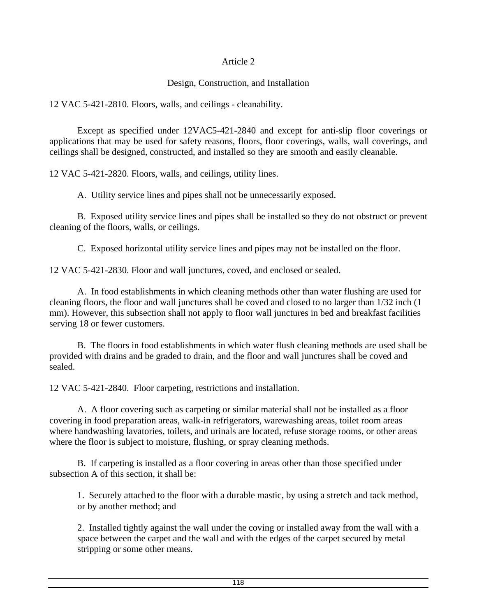### Article 2

## Design, Construction, and Installation

12 VAC 5-421-2810. Floors, walls, and ceilings - cleanability.

Except as specified under 12VAC5-421-2840 and except for anti-slip floor coverings or applications that may be used for safety reasons, floors, floor coverings, walls, wall coverings, and ceilings shall be designed, constructed, and installed so they are smooth and easily cleanable.

12 VAC 5-421-2820. Floors, walls, and ceilings, utility lines.

A. Utility service lines and pipes shall not be unnecessarily exposed.

B. Exposed utility service lines and pipes shall be installed so they do not obstruct or prevent cleaning of the floors, walls, or ceilings.

C. Exposed horizontal utility service lines and pipes may not be installed on the floor.

12 VAC 5-421-2830. Floor and wall junctures, coved, and enclosed or sealed.

A. In food establishments in which cleaning methods other than water flushing are used for cleaning floors, the floor and wall junctures shall be coved and closed to no larger than 1/32 inch (1 mm). However, this subsection shall not apply to floor wall junctures in bed and breakfast facilities serving 18 or fewer customers.

B. The floors in food establishments in which water flush cleaning methods are used shall be provided with drains and be graded to drain, and the floor and wall junctures shall be coved and sealed.

12 VAC 5-421-2840. Floor carpeting, restrictions and installation.

A. A floor covering such as carpeting or similar material shall not be installed as a floor covering in food preparation areas, walk-in refrigerators, warewashing areas, toilet room areas where handwashing lavatories, toilets, and urinals are located, refuse storage rooms, or other areas where the floor is subject to moisture, flushing, or spray cleaning methods.

B. If carpeting is installed as a floor covering in areas other than those specified under subsection A of this section, it shall be:

1. Securely attached to the floor with a durable mastic, by using a stretch and tack method, or by another method; and

2. Installed tightly against the wall under the coving or installed away from the wall with a space between the carpet and the wall and with the edges of the carpet secured by metal stripping or some other means.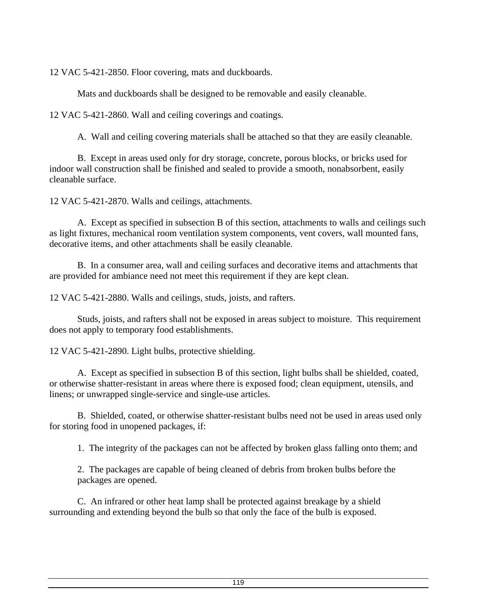12 VAC 5-421-2850. Floor covering, mats and duckboards.

Mats and duckboards shall be designed to be removable and easily cleanable.

12 VAC 5-421-2860. Wall and ceiling coverings and coatings.

A. Wall and ceiling covering materials shall be attached so that they are easily cleanable.

B. Except in areas used only for dry storage, concrete, porous blocks, or bricks used for indoor wall construction shall be finished and sealed to provide a smooth, nonabsorbent, easily cleanable surface.

12 VAC 5-421-2870. Walls and ceilings, attachments.

A. Except as specified in subsection B of this section, attachments to walls and ceilings such as light fixtures, mechanical room ventilation system components, vent covers, wall mounted fans, decorative items, and other attachments shall be easily cleanable.

B. In a consumer area, wall and ceiling surfaces and decorative items and attachments that are provided for ambiance need not meet this requirement if they are kept clean.

12 VAC 5-421-2880. Walls and ceilings, studs, joists, and rafters.

 Studs, joists, and rafters shall not be exposed in areas subject to moisture. This requirement does not apply to temporary food establishments.

12 VAC 5-421-2890. Light bulbs, protective shielding.

A. Except as specified in subsection B of this section, light bulbs shall be shielded, coated, or otherwise shatter-resistant in areas where there is exposed food; clean equipment, utensils, and linens; or unwrapped single-service and single-use articles.

B. Shielded, coated, or otherwise shatter-resistant bulbs need not be used in areas used only for storing food in unopened packages, if:

1. The integrity of the packages can not be affected by broken glass falling onto them; and

2. The packages are capable of being cleaned of debris from broken bulbs before the packages are opened.

C. An infrared or other heat lamp shall be protected against breakage by a shield surrounding and extending beyond the bulb so that only the face of the bulb is exposed.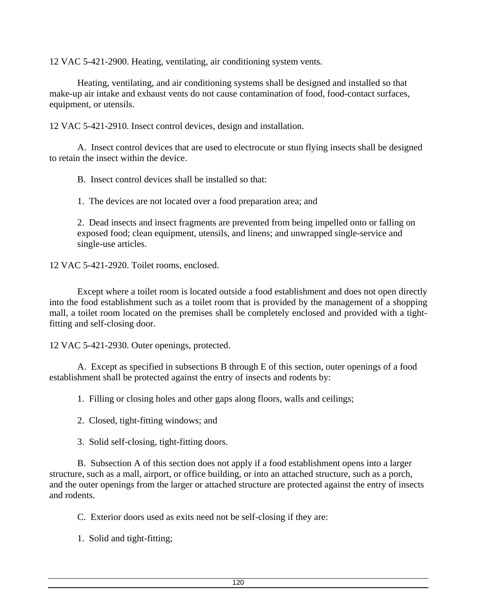12 VAC 5-421-2900. Heating, ventilating, air conditioning system vents.

Heating, ventilating, and air conditioning systems shall be designed and installed so that make-up air intake and exhaust vents do not cause contamination of food, food-contact surfaces, equipment, or utensils.

12 VAC 5-421-2910. Insect control devices, design and installation.

A. Insect control devices that are used to electrocute or stun flying insects shall be designed to retain the insect within the device.

B. Insect control devices shall be installed so that:

1. The devices are not located over a food preparation area; and

2. Dead insects and insect fragments are prevented from being impelled onto or falling on exposed food; clean equipment, utensils, and linens; and unwrapped single-service and single-use articles.

12 VAC 5-421-2920. Toilet rooms, enclosed.

Except where a toilet room is located outside a food establishment and does not open directly into the food establishment such as a toilet room that is provided by the management of a shopping mall, a toilet room located on the premises shall be completely enclosed and provided with a tightfitting and self-closing door.

12 VAC 5-421-2930. Outer openings, protected.

A. Except as specified in subsections B through E of this section, outer openings of a food establishment shall be protected against the entry of insects and rodents by:

1. Filling or closing holes and other gaps along floors, walls and ceilings;

2. Closed, tight-fitting windows; and

3. Solid self-closing, tight-fitting doors.

B. Subsection A of this section does not apply if a food establishment opens into a larger structure, such as a mall, airport, or office building, or into an attached structure, such as a porch, and the outer openings from the larger or attached structure are protected against the entry of insects and rodents.

C. Exterior doors used as exits need not be self-closing if they are:

1. Solid and tight-fitting;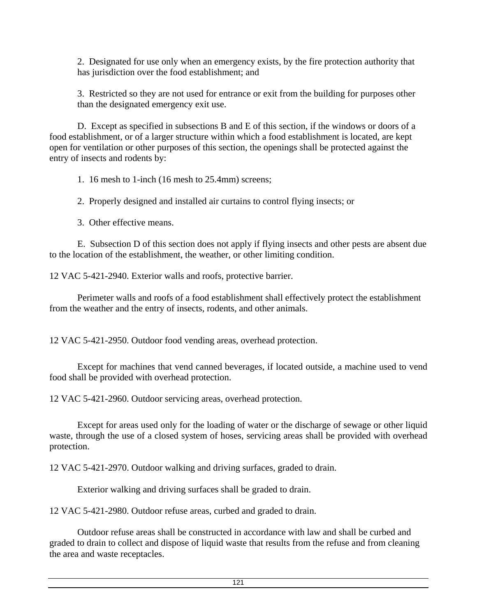2. Designated for use only when an emergency exists, by the fire protection authority that has jurisdiction over the food establishment; and

3. Restricted so they are not used for entrance or exit from the building for purposes other than the designated emergency exit use.

D. Except as specified in subsections B and E of this section, if the windows or doors of a food establishment, or of a larger structure within which a food establishment is located, are kept open for ventilation or other purposes of this section, the openings shall be protected against the entry of insects and rodents by:

1. 16 mesh to 1-inch (16 mesh to 25.4mm) screens;

2. Properly designed and installed air curtains to control flying insects; or

3. Other effective means.

E. Subsection D of this section does not apply if flying insects and other pests are absent due to the location of the establishment, the weather, or other limiting condition.

12 VAC 5-421-2940. Exterior walls and roofs, protective barrier.

Perimeter walls and roofs of a food establishment shall effectively protect the establishment from the weather and the entry of insects, rodents, and other animals.

12 VAC 5-421-2950. Outdoor food vending areas, overhead protection.

Except for machines that vend canned beverages, if located outside, a machine used to vend food shall be provided with overhead protection.

12 VAC 5-421-2960. Outdoor servicing areas, overhead protection.

Except for areas used only for the loading of water or the discharge of sewage or other liquid waste, through the use of a closed system of hoses, servicing areas shall be provided with overhead protection.

12 VAC 5-421-2970. Outdoor walking and driving surfaces, graded to drain.

Exterior walking and driving surfaces shall be graded to drain.

12 VAC 5-421-2980. Outdoor refuse areas, curbed and graded to drain.

Outdoor refuse areas shall be constructed in accordance with law and shall be curbed and graded to drain to collect and dispose of liquid waste that results from the refuse and from cleaning the area and waste receptacles.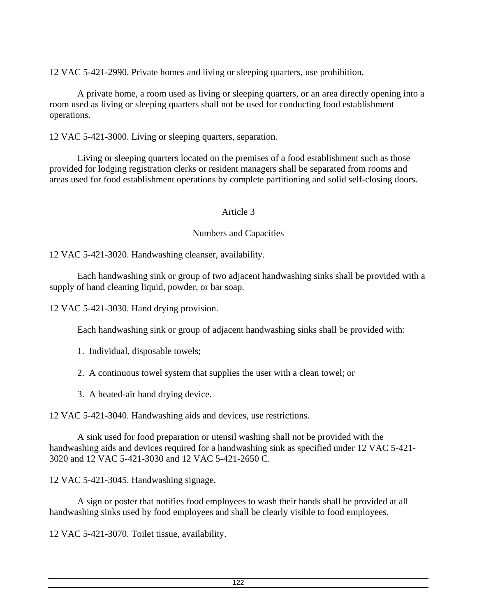12 VAC 5-421-2990. Private homes and living or sleeping quarters, use prohibition.

A private home, a room used as living or sleeping quarters, or an area directly opening into a room used as living or sleeping quarters shall not be used for conducting food establishment operations.

12 VAC 5-421-3000. Living or sleeping quarters, separation.

Living or sleeping quarters located on the premises of a food establishment such as those provided for lodging registration clerks or resident managers shall be separated from rooms and areas used for food establishment operations by complete partitioning and solid self-closing doors.

### Article 3

#### Numbers and Capacities

12 VAC 5-421-3020. Handwashing cleanser, availability.

Each handwashing sink or group of two adjacent handwashing sinks shall be provided with a supply of hand cleaning liquid, powder, or bar soap.

12 VAC 5-421-3030. Hand drying provision.

Each handwashing sink or group of adjacent handwashing sinks shall be provided with:

- 1. Individual, disposable towels;
- 2. A continuous towel system that supplies the user with a clean towel; or
- 3. A heated-air hand drying device.

12 VAC 5-421-3040. Handwashing aids and devices, use restrictions.

A sink used for food preparation or utensil washing shall not be provided with the handwashing aids and devices required for a handwashing sink as specified under 12 VAC 5-421- 3020 and 12 VAC 5-421-3030 and 12 VAC 5-421-2650 C.

12 VAC 5-421-3045. Handwashing signage.

A sign or poster that notifies food employees to wash their hands shall be provided at all handwashing sinks used by food employees and shall be clearly visible to food employees.

12 VAC 5-421-3070. Toilet tissue, availability.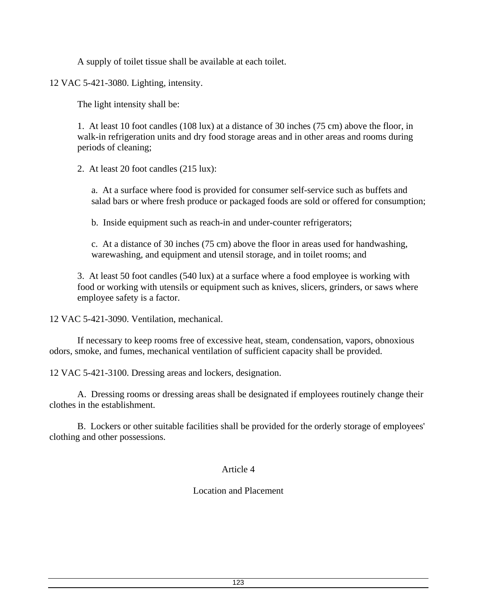A supply of toilet tissue shall be available at each toilet.

12 VAC 5-421-3080. Lighting, intensity.

The light intensity shall be:

1. At least 10 foot candles (108 lux) at a distance of 30 inches (75 cm) above the floor, in walk-in refrigeration units and dry food storage areas and in other areas and rooms during periods of cleaning;

2. At least 20 foot candles (215 lux):

a. At a surface where food is provided for consumer self-service such as buffets and salad bars or where fresh produce or packaged foods are sold or offered for consumption;

b. Inside equipment such as reach-in and under-counter refrigerators;

c. At a distance of 30 inches (75 cm) above the floor in areas used for handwashing, warewashing, and equipment and utensil storage, and in toilet rooms; and

3. At least 50 foot candles (540 lux) at a surface where a food employee is working with food or working with utensils or equipment such as knives, slicers, grinders, or saws where employee safety is a factor.

12 VAC 5-421-3090. Ventilation, mechanical.

If necessary to keep rooms free of excessive heat, steam, condensation, vapors, obnoxious odors, smoke, and fumes, mechanical ventilation of sufficient capacity shall be provided.

12 VAC 5-421-3100. Dressing areas and lockers, designation.

A. Dressing rooms or dressing areas shall be designated if employees routinely change their clothes in the establishment.

B. Lockers or other suitable facilities shall be provided for the orderly storage of employees' clothing and other possessions.

Article 4

Location and Placement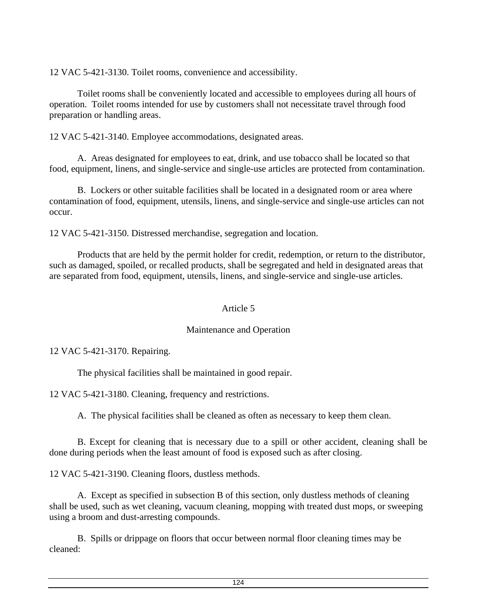12 VAC 5-421-3130. Toilet rooms, convenience and accessibility.

Toilet rooms shall be conveniently located and accessible to employees during all hours of operation. Toilet rooms intended for use by customers shall not necessitate travel through food preparation or handling areas.

12 VAC 5-421-3140. Employee accommodations, designated areas.

A. Areas designated for employees to eat, drink, and use tobacco shall be located so that food, equipment, linens, and single-service and single-use articles are protected from contamination.

B. Lockers or other suitable facilities shall be located in a designated room or area where contamination of food, equipment, utensils, linens, and single-service and single-use articles can not occur.

12 VAC 5-421-3150. Distressed merchandise, segregation and location.

Products that are held by the permit holder for credit, redemption, or return to the distributor, such as damaged, spoiled, or recalled products, shall be segregated and held in designated areas that are separated from food, equipment, utensils, linens, and single-service and single-use articles.

### Article 5

#### Maintenance and Operation

12 VAC 5-421-3170. Repairing.

The physical facilities shall be maintained in good repair.

12 VAC 5-421-3180. Cleaning, frequency and restrictions.

A. The physical facilities shall be cleaned as often as necessary to keep them clean.

B. Except for cleaning that is necessary due to a spill or other accident, cleaning shall be done during periods when the least amount of food is exposed such as after closing.

12 VAC 5-421-3190. Cleaning floors, dustless methods.

A. Except as specified in subsection B of this section, only dustless methods of cleaning shall be used, such as wet cleaning, vacuum cleaning, mopping with treated dust mops, or sweeping using a broom and dust-arresting compounds.

B. Spills or drippage on floors that occur between normal floor cleaning times may be cleaned: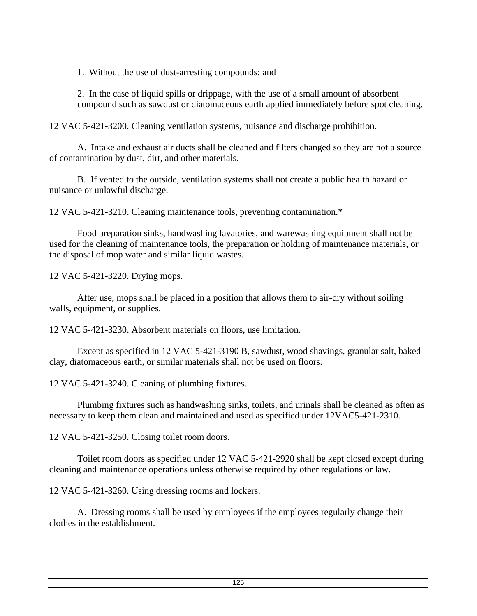1. Without the use of dust-arresting compounds; and

2. In the case of liquid spills or drippage, with the use of a small amount of absorbent compound such as sawdust or diatomaceous earth applied immediately before spot cleaning.

12 VAC 5-421-3200. Cleaning ventilation systems, nuisance and discharge prohibition.

A. Intake and exhaust air ducts shall be cleaned and filters changed so they are not a source of contamination by dust, dirt, and other materials.

B. If vented to the outside, ventilation systems shall not create a public health hazard or nuisance or unlawful discharge.

12 VAC 5-421-3210. Cleaning maintenance tools, preventing contamination.**\***

Food preparation sinks, handwashing lavatories, and warewashing equipment shall not be used for the cleaning of maintenance tools, the preparation or holding of maintenance materials, or the disposal of mop water and similar liquid wastes.

12 VAC 5-421-3220. Drying mops.

After use, mops shall be placed in a position that allows them to air-dry without soiling walls, equipment, or supplies.

12 VAC 5-421-3230. Absorbent materials on floors, use limitation.

Except as specified in 12 VAC 5-421-3190 B, sawdust, wood shavings, granular salt, baked clay, diatomaceous earth, or similar materials shall not be used on floors.

12 VAC 5-421-3240. Cleaning of plumbing fixtures.

Plumbing fixtures such as handwashing sinks, toilets, and urinals shall be cleaned as often as necessary to keep them clean and maintained and used as specified under 12VAC5-421-2310.

12 VAC 5-421-3250. Closing toilet room doors.

Toilet room doors as specified under 12 VAC 5-421-2920 shall be kept closed except during cleaning and maintenance operations unless otherwise required by other regulations or law.

12 VAC 5-421-3260. Using dressing rooms and lockers.

A. Dressing rooms shall be used by employees if the employees regularly change their clothes in the establishment.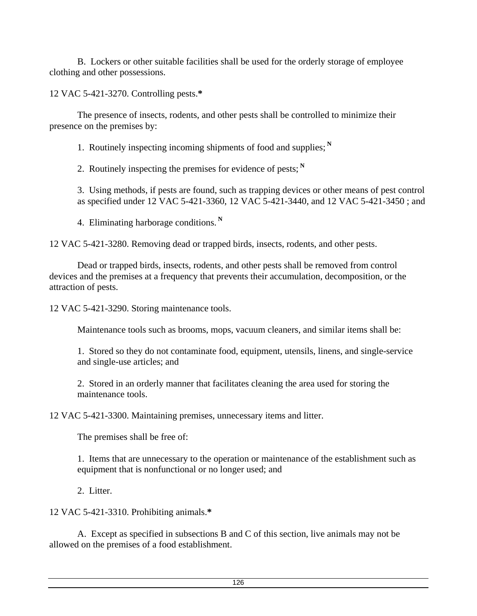B. Lockers or other suitable facilities shall be used for the orderly storage of employee clothing and other possessions.

12 VAC 5-421-3270. Controlling pests.**\***

The presence of insects, rodents, and other pests shall be controlled to minimize their presence on the premises by:

1. Routinely inspecting incoming shipments of food and supplies; **<sup>N</sup>**

2. Routinely inspecting the premises for evidence of pests; **<sup>N</sup>**

3. Using methods, if pests are found, such as trapping devices or other means of pest control as specified under 12 VAC 5-421-3360, 12 VAC 5-421-3440, and 12 VAC 5-421-3450 ; and

4. Eliminating harborage conditions. **<sup>N</sup>**

12 VAC 5-421-3280. Removing dead or trapped birds, insects, rodents, and other pests.

Dead or trapped birds, insects, rodents, and other pests shall be removed from control devices and the premises at a frequency that prevents their accumulation, decomposition, or the attraction of pests.

12 VAC 5-421-3290. Storing maintenance tools.

Maintenance tools such as brooms, mops, vacuum cleaners, and similar items shall be:

1. Stored so they do not contaminate food, equipment, utensils, linens, and single-service and single-use articles; and

2. Stored in an orderly manner that facilitates cleaning the area used for storing the maintenance tools.

12 VAC 5-421-3300. Maintaining premises, unnecessary items and litter.

The premises shall be free of:

1. Items that are unnecessary to the operation or maintenance of the establishment such as equipment that is nonfunctional or no longer used; and

2. Litter.

12 VAC 5-421-3310. Prohibiting animals.**\***

A. Except as specified in subsections B and C of this section, live animals may not be allowed on the premises of a food establishment.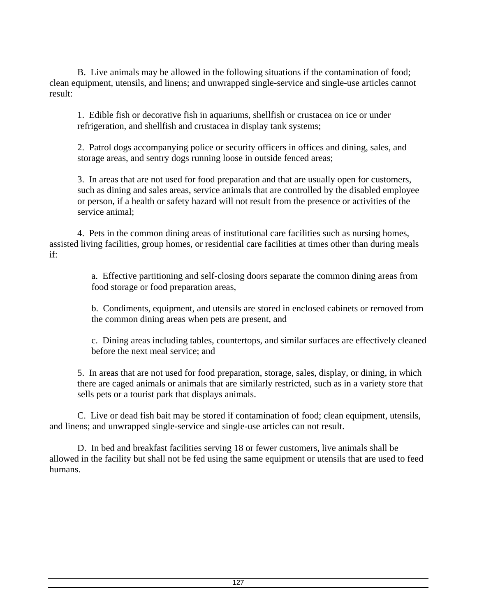B. Live animals may be allowed in the following situations if the contamination of food; clean equipment, utensils, and linens; and unwrapped single-service and single-use articles cannot result:

1. Edible fish or decorative fish in aquariums, shellfish or crustacea on ice or under refrigeration, and shellfish and crustacea in display tank systems;

2. Patrol dogs accompanying police or security officers in offices and dining, sales, and storage areas, and sentry dogs running loose in outside fenced areas;

3. In areas that are not used for food preparation and that are usually open for customers, such as dining and sales areas, service animals that are controlled by the disabled employee or person, if a health or safety hazard will not result from the presence or activities of the service animal;

4. Pets in the common dining areas of institutional care facilities such as nursing homes, assisted living facilities, group homes, or residential care facilities at times other than during meals if:

> a. Effective partitioning and self-closing doors separate the common dining areas from food storage or food preparation areas,

b. Condiments, equipment, and utensils are stored in enclosed cabinets or removed from the common dining areas when pets are present, and

c. Dining areas including tables, countertops, and similar surfaces are effectively cleaned before the next meal service; and

5. In areas that are not used for food preparation, storage, sales, display, or dining, in which there are caged animals or animals that are similarly restricted, such as in a variety store that sells pets or a tourist park that displays animals.

C. Live or dead fish bait may be stored if contamination of food; clean equipment, utensils, and linens; and unwrapped single-service and single-use articles can not result.

D. In bed and breakfast facilities serving 18 or fewer customers, live animals shall be allowed in the facility but shall not be fed using the same equipment or utensils that are used to feed humans.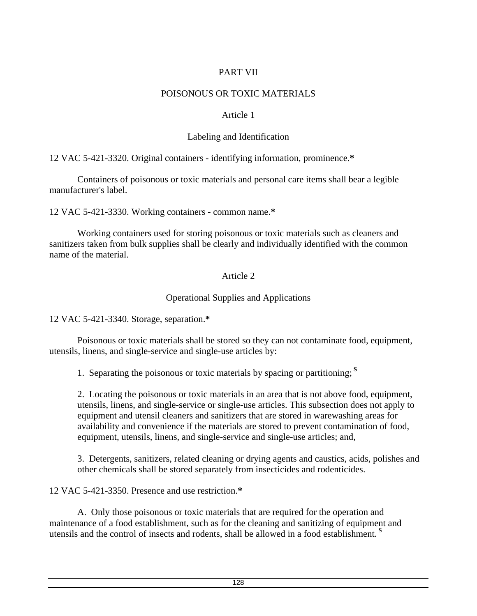# PART VII

## POISONOUS OR TOXIC MATERIALS

### Article 1

### Labeling and Identification

12 VAC 5-421-3320. Original containers - identifying information, prominence.**\***

Containers of poisonous or toxic materials and personal care items shall bear a legible manufacturer's label.

12 VAC 5-421-3330. Working containers - common name.**\***

Working containers used for storing poisonous or toxic materials such as cleaners and sanitizers taken from bulk supplies shall be clearly and individually identified with the common name of the material.

# Article 2

# Operational Supplies and Applications

12 VAC 5-421-3340. Storage, separation.**\***

Poisonous or toxic materials shall be stored so they can not contaminate food, equipment, utensils, linens, and single-service and single-use articles by:

1. Separating the poisonous or toxic materials by spacing or partitioning; **<sup>S</sup>**

2. Locating the poisonous or toxic materials in an area that is not above food, equipment, utensils, linens, and single-service or single-use articles. This subsection does not apply to equipment and utensil cleaners and sanitizers that are stored in warewashing areas for availability and convenience if the materials are stored to prevent contamination of food, equipment, utensils, linens, and single-service and single-use articles; and,

3. Detergents, sanitizers, related cleaning or drying agents and caustics, acids, polishes and other chemicals shall be stored separately from insecticides and rodenticides.

12 VAC 5-421-3350. Presence and use restriction.**\***

A. Only those poisonous or toxic materials that are required for the operation and maintenance of a food establishment, such as for the cleaning and sanitizing of equipment and utensils and the control of insects and rodents, shall be allowed in a food establishment. **<sup>S</sup>**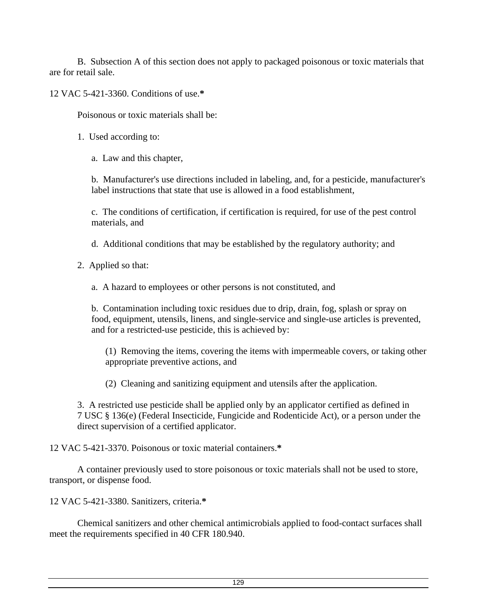B. Subsection A of this section does not apply to packaged poisonous or toxic materials that are for retail sale.

12 VAC 5-421-3360. Conditions of use.**\***

Poisonous or toxic materials shall be:

1. Used according to:

a. Law and this chapter,

b. Manufacturer's use directions included in labeling, and, for a pesticide, manufacturer's label instructions that state that use is allowed in a food establishment,

c. The conditions of certification, if certification is required, for use of the pest control materials, and

d. Additional conditions that may be established by the regulatory authority; and

2. Applied so that:

a. A hazard to employees or other persons is not constituted, and

b. Contamination including toxic residues due to drip, drain, fog, splash or spray on food, equipment, utensils, linens, and single-service and single-use articles is prevented, and for a restricted-use pesticide, this is achieved by:

(1) Removing the items, covering the items with impermeable covers, or taking other appropriate preventive actions, and

(2) Cleaning and sanitizing equipment and utensils after the application.

3. A restricted use pesticide shall be applied only by an applicator certified as defined in 7 USC § 136(e) (Federal Insecticide, Fungicide and Rodenticide Act), or a person under the direct supervision of a certified applicator.

12 VAC 5-421-3370. Poisonous or toxic material containers.**\***

A container previously used to store poisonous or toxic materials shall not be used to store, transport, or dispense food.

12 VAC 5-421-3380. Sanitizers, criteria.**\***

Chemical sanitizers and other chemical antimicrobials applied to food-contact surfaces shall meet the requirements specified in 40 CFR 180.940.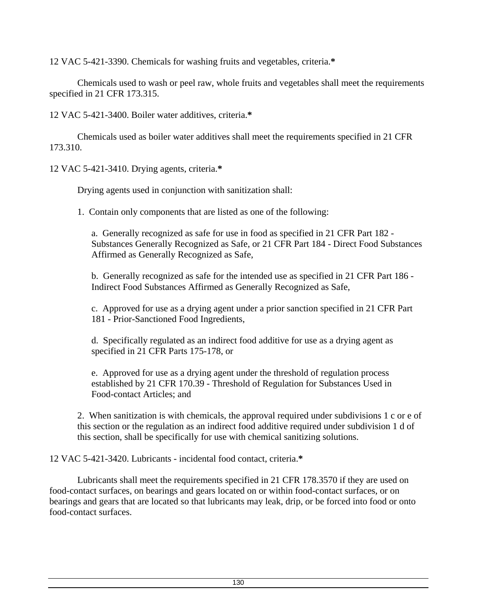12 VAC 5-421-3390. Chemicals for washing fruits and vegetables, criteria.**\***

Chemicals used to wash or peel raw, whole fruits and vegetables shall meet the requirements specified in 21 CFR 173.315.

12 VAC 5-421-3400. Boiler water additives, criteria.**\***

Chemicals used as boiler water additives shall meet the requirements specified in 21 CFR 173.310.

12 VAC 5-421-3410. Drying agents, criteria.**\***

Drying agents used in conjunction with sanitization shall:

1. Contain only components that are listed as one of the following:

a. Generally recognized as safe for use in food as specified in 21 CFR Part 182 - Substances Generally Recognized as Safe, or 21 CFR Part 184 - Direct Food Substances Affirmed as Generally Recognized as Safe,

b. Generally recognized as safe for the intended use as specified in 21 CFR Part 186 - Indirect Food Substances Affirmed as Generally Recognized as Safe,

c. Approved for use as a drying agent under a prior sanction specified in 21 CFR Part 181 - Prior-Sanctioned Food Ingredients,

d. Specifically regulated as an indirect food additive for use as a drying agent as specified in 21 CFR Parts 175-178, or

e. Approved for use as a drying agent under the threshold of regulation process established by 21 CFR 170.39 - Threshold of Regulation for Substances Used in Food-contact Articles; and

2. When sanitization is with chemicals, the approval required under subdivisions 1 c or e of this section or the regulation as an indirect food additive required under subdivision 1 d of this section, shall be specifically for use with chemical sanitizing solutions.

12 VAC 5-421-3420. Lubricants - incidental food contact, criteria.**\***

Lubricants shall meet the requirements specified in 21 CFR 178.3570 if they are used on food-contact surfaces, on bearings and gears located on or within food-contact surfaces, or on bearings and gears that are located so that lubricants may leak, drip, or be forced into food or onto food-contact surfaces.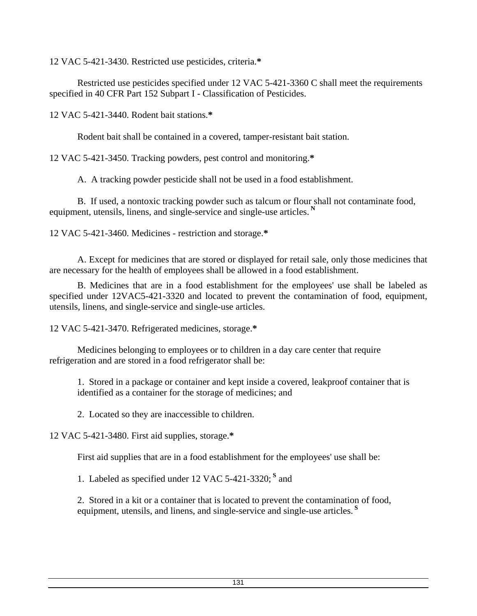12 VAC 5-421-3430. Restricted use pesticides, criteria.**\***

Restricted use pesticides specified under 12 VAC 5-421-3360 C shall meet the requirements specified in 40 CFR Part 152 Subpart I - Classification of Pesticides.

12 VAC 5-421-3440. Rodent bait stations.**\***

Rodent bait shall be contained in a covered, tamper-resistant bait station.

12 VAC 5-421-3450. Tracking powders, pest control and monitoring.**\***

A. A tracking powder pesticide shall not be used in a food establishment.

B. If used, a nontoxic tracking powder such as talcum or flour shall not contaminate food, equipment, utensils, linens, and single-service and single-use articles. **<sup>N</sup>**

12 VAC 5-421-3460. Medicines - restriction and storage.**\***

A. Except for medicines that are stored or displayed for retail sale, only those medicines that are necessary for the health of employees shall be allowed in a food establishment.

B. Medicines that are in a food establishment for the employees' use shall be labeled as specified under 12VAC5-421-3320 and located to prevent the contamination of food, equipment, utensils, linens, and single-service and single-use articles.

12 VAC 5-421-3470. Refrigerated medicines, storage.**\***

Medicines belonging to employees or to children in a day care center that require refrigeration and are stored in a food refrigerator shall be:

1. Stored in a package or container and kept inside a covered, leakproof container that is identified as a container for the storage of medicines; and

2. Located so they are inaccessible to children.

12 VAC 5-421-3480. First aid supplies, storage.**\***

First aid supplies that are in a food establishment for the employees' use shall be:

1. Labeled as specified under 12 VAC 5-421-3320; **<sup>S</sup>** and

2. Stored in a kit or a container that is located to prevent the contamination of food, equipment, utensils, and linens, and single-service and single-use articles. **<sup>S</sup>**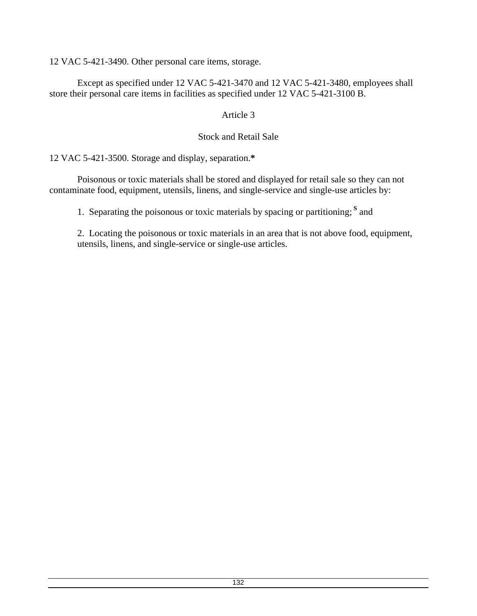12 VAC 5-421-3490. Other personal care items, storage.

Except as specified under 12 VAC 5-421-3470 and 12 VAC 5-421-3480, employees shall store their personal care items in facilities as specified under 12 VAC 5-421-3100 B.

### Article 3

## Stock and Retail Sale

12 VAC 5-421-3500. Storage and display, separation.**\***

Poisonous or toxic materials shall be stored and displayed for retail sale so they can not contaminate food, equipment, utensils, linens, and single-service and single-use articles by:

1. Separating the poisonous or toxic materials by spacing or partitioning; **<sup>S</sup>** and

2. Locating the poisonous or toxic materials in an area that is not above food, equipment, utensils, linens, and single-service or single-use articles.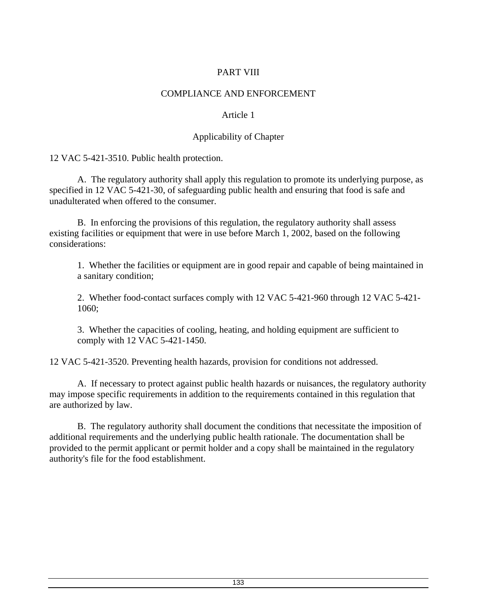# PART VIII

# COMPLIANCE AND ENFORCEMENT

### Article 1

## Applicability of Chapter

12 VAC 5-421-3510. Public health protection.

A. The regulatory authority shall apply this regulation to promote its underlying purpose, as specified in 12 VAC 5-421-30, of safeguarding public health and ensuring that food is safe and unadulterated when offered to the consumer.

B. In enforcing the provisions of this regulation, the regulatory authority shall assess existing facilities or equipment that were in use before March 1, 2002, based on the following considerations:

1. Whether the facilities or equipment are in good repair and capable of being maintained in a sanitary condition;

2. Whether food-contact surfaces comply with 12 VAC 5-421-960 through 12 VAC 5-421- 1060;

3. Whether the capacities of cooling, heating, and holding equipment are sufficient to comply with 12 VAC 5-421-1450.

12 VAC 5-421-3520. Preventing health hazards, provision for conditions not addressed.

A. If necessary to protect against public health hazards or nuisances, the regulatory authority may impose specific requirements in addition to the requirements contained in this regulation that are authorized by law.

B. The regulatory authority shall document the conditions that necessitate the imposition of additional requirements and the underlying public health rationale. The documentation shall be provided to the permit applicant or permit holder and a copy shall be maintained in the regulatory authority's file for the food establishment.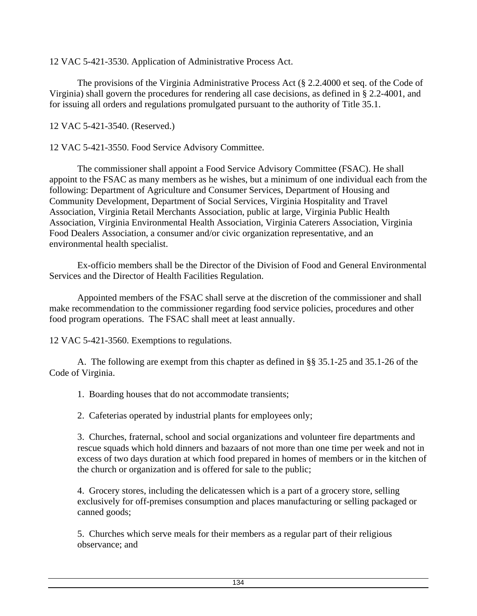12 VAC 5-421-3530. Application of Administrative Process Act.

The provisions of the Virginia Administrative Process Act (§ 2.2.4000 et seq. of the Code of Virginia) shall govern the procedures for rendering all case decisions, as defined in § 2.2-4001, and for issuing all orders and regulations promulgated pursuant to the authority of Title 35.1.

12 VAC 5-421-3540. (Reserved.)

12 VAC 5-421-3550. Food Service Advisory Committee.

The commissioner shall appoint a Food Service Advisory Committee (FSAC). He shall appoint to the FSAC as many members as he wishes, but a minimum of one individual each from the following: Department of Agriculture and Consumer Services, Department of Housing and Community Development, Department of Social Services, Virginia Hospitality and Travel Association, Virginia Retail Merchants Association, public at large, Virginia Public Health Association, Virginia Environmental Health Association, Virginia Caterers Association, Virginia Food Dealers Association, a consumer and/or civic organization representative, and an environmental health specialist.

Ex-officio members shall be the Director of the Division of Food and General Environmental Services and the Director of Health Facilities Regulation.

Appointed members of the FSAC shall serve at the discretion of the commissioner and shall make recommendation to the commissioner regarding food service policies, procedures and other food program operations. The FSAC shall meet at least annually.

12 VAC 5-421-3560. Exemptions to regulations.

A. The following are exempt from this chapter as defined in §§ 35.1-25 and 35.1-26 of the Code of Virginia.

1. Boarding houses that do not accommodate transients;

2. Cafeterias operated by industrial plants for employees only;

3. Churches, fraternal, school and social organizations and volunteer fire departments and rescue squads which hold dinners and bazaars of not more than one time per week and not in excess of two days duration at which food prepared in homes of members or in the kitchen of the church or organization and is offered for sale to the public;

4. Grocery stores, including the delicatessen which is a part of a grocery store, selling exclusively for off-premises consumption and places manufacturing or selling packaged or canned goods;

5. Churches which serve meals for their members as a regular part of their religious observance; and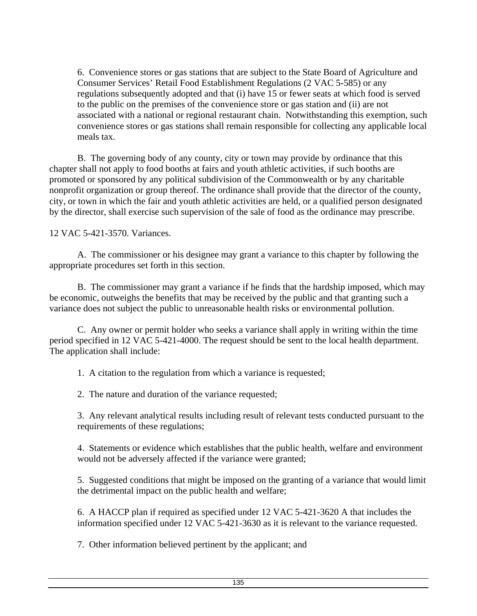6. Convenience stores or gas stations that are subject to the State Board of Agriculture and Consumer Services' Retail Food Establishment Regulations (2 VAC 5-585) or any regulations subsequently adopted and that (i) have 15 or fewer seats at which food is served to the public on the premises of the convenience store or gas station and (ii) are not associated with a national or regional restaurant chain. Notwithstanding this exemption, such convenience stores or gas stations shall remain responsible for collecting any applicable local meals tax.

B. The governing body of any county, city or town may provide by ordinance that this chapter shall not apply to food booths at fairs and youth athletic activities, if such booths are promoted or sponsored by any political subdivision of the Commonwealth or by any charitable nonprofit organization or group thereof. The ordinance shall provide that the director of the county, city, or town in which the fair and youth athletic activities are held, or a qualified person designated by the director, shall exercise such supervision of the sale of food as the ordinance may prescribe.

12 VAC 5-421-3570. Variances.

A. The commissioner or his designee may grant a variance to this chapter by following the appropriate procedures set forth in this section.

B. The commissioner may grant a variance if he finds that the hardship imposed, which may be economic, outweighs the benefits that may be received by the public and that granting such a variance does not subject the public to unreasonable health risks or environmental pollution.

C. Any owner or permit holder who seeks a variance shall apply in writing within the time period specified in 12 VAC 5-421-4000. The request should be sent to the local health department. The application shall include:

1. A citation to the regulation from which a variance is requested;

2. The nature and duration of the variance requested;

3. Any relevant analytical results including result of relevant tests conducted pursuant to the requirements of these regulations;

4. Statements or evidence which establishes that the public health, welfare and environment would not be adversely affected if the variance were granted;

5. Suggested conditions that might be imposed on the granting of a variance that would limit the detrimental impact on the public health and welfare;

6. A HACCP plan if required as specified under 12 VAC 5-421-3620 A that includes the information specified under 12 VAC 5-421-3630 as it is relevant to the variance requested.

7. Other information believed pertinent by the applicant; and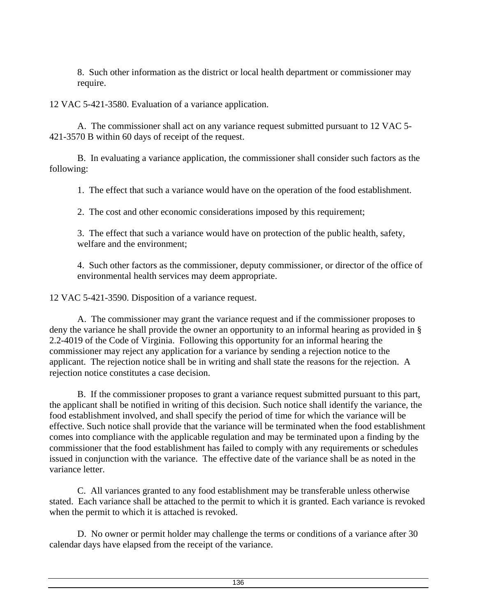8. Such other information as the district or local health department or commissioner may require.

12 VAC 5-421-3580. Evaluation of a variance application.

A. The commissioner shall act on any variance request submitted pursuant to 12 VAC 5- 421-3570 B within 60 days of receipt of the request.

B. In evaluating a variance application, the commissioner shall consider such factors as the following:

1. The effect that such a variance would have on the operation of the food establishment.

2. The cost and other economic considerations imposed by this requirement;

3. The effect that such a variance would have on protection of the public health, safety, welfare and the environment;

4. Such other factors as the commissioner, deputy commissioner, or director of the office of environmental health services may deem appropriate.

12 VAC 5-421-3590. Disposition of a variance request.

A. The commissioner may grant the variance request and if the commissioner proposes to deny the variance he shall provide the owner an opportunity to an informal hearing as provided in § 2.2-4019 of the Code of Virginia. Following this opportunity for an informal hearing the commissioner may reject any application for a variance by sending a rejection notice to the applicant. The rejection notice shall be in writing and shall state the reasons for the rejection. A rejection notice constitutes a case decision.

B. If the commissioner proposes to grant a variance request submitted pursuant to this part, the applicant shall be notified in writing of this decision. Such notice shall identify the variance, the food establishment involved, and shall specify the period of time for which the variance will be effective. Such notice shall provide that the variance will be terminated when the food establishment comes into compliance with the applicable regulation and may be terminated upon a finding by the commissioner that the food establishment has failed to comply with any requirements or schedules issued in conjunction with the variance. The effective date of the variance shall be as noted in the variance letter.

C. All variances granted to any food establishment may be transferable unless otherwise stated. Each variance shall be attached to the permit to which it is granted. Each variance is revoked when the permit to which it is attached is revoked.

D. No owner or permit holder may challenge the terms or conditions of a variance after 30 calendar days have elapsed from the receipt of the variance.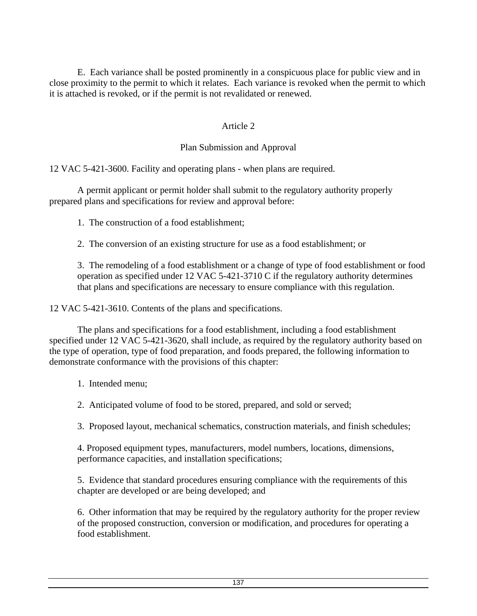E. Each variance shall be posted prominently in a conspicuous place for public view and in close proximity to the permit to which it relates. Each variance is revoked when the permit to which it is attached is revoked, or if the permit is not revalidated or renewed.

### Article 2

### Plan Submission and Approval

12 VAC 5-421-3600. Facility and operating plans - when plans are required.

A permit applicant or permit holder shall submit to the regulatory authority properly prepared plans and specifications for review and approval before:

1. The construction of a food establishment;

2. The conversion of an existing structure for use as a food establishment; or

3. The remodeling of a food establishment or a change of type of food establishment or food operation as specified under 12 VAC 5-421-3710 C if the regulatory authority determines that plans and specifications are necessary to ensure compliance with this regulation.

12 VAC 5-421-3610. Contents of the plans and specifications.

The plans and specifications for a food establishment, including a food establishment specified under 12 VAC 5-421-3620, shall include, as required by the regulatory authority based on the type of operation, type of food preparation, and foods prepared, the following information to demonstrate conformance with the provisions of this chapter:

- 1. Intended menu;
- 2. Anticipated volume of food to be stored, prepared, and sold or served;
- 3. Proposed layout, mechanical schematics, construction materials, and finish schedules;

4. Proposed equipment types, manufacturers, model numbers, locations, dimensions, performance capacities, and installation specifications;

5. Evidence that standard procedures ensuring compliance with the requirements of this chapter are developed or are being developed; and

6. Other information that may be required by the regulatory authority for the proper review of the proposed construction, conversion or modification, and procedures for operating a food establishment.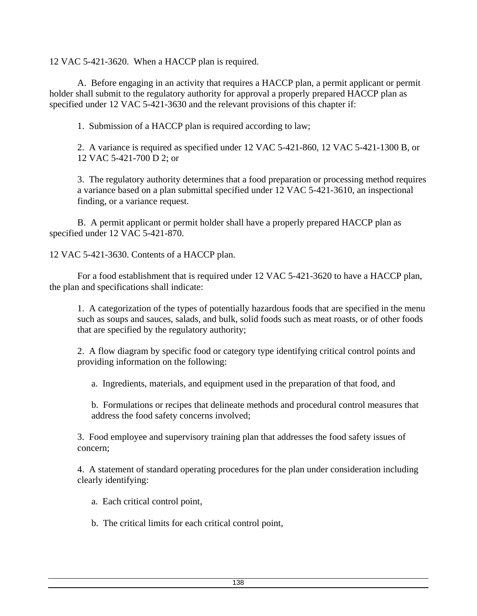12 VAC 5-421-3620. When a HACCP plan is required.

A. Before engaging in an activity that requires a HACCP plan, a permit applicant or permit holder shall submit to the regulatory authority for approval a properly prepared HACCP plan as specified under 12 VAC 5-421-3630 and the relevant provisions of this chapter if:

1. Submission of a HACCP plan is required according to law;

2. A variance is required as specified under 12 VAC 5-421-860, 12 VAC 5-421-1300 B, or 12 VAC 5-421-700 D 2; or

3. The regulatory authority determines that a food preparation or processing method requires a variance based on a plan submittal specified under 12 VAC 5-421-3610, an inspectional finding, or a variance request.

B. A permit applicant or permit holder shall have a properly prepared HACCP plan as specified under 12 VAC 5-421-870.

12 VAC 5-421-3630. Contents of a HACCP plan.

For a food establishment that is required under 12 VAC 5-421-3620 to have a HACCP plan, the plan and specifications shall indicate:

1. A categorization of the types of potentially hazardous foods that are specified in the menu such as soups and sauces, salads, and bulk, solid foods such as meat roasts, or of other foods that are specified by the regulatory authority;

2. A flow diagram by specific food or category type identifying critical control points and providing information on the following:

a. Ingredients, materials, and equipment used in the preparation of that food, and

b. Formulations or recipes that delineate methods and procedural control measures that address the food safety concerns involved;

3. Food employee and supervisory training plan that addresses the food safety issues of concern;

4. A statement of standard operating procedures for the plan under consideration including clearly identifying:

a. Each critical control point,

b. The critical limits for each critical control point,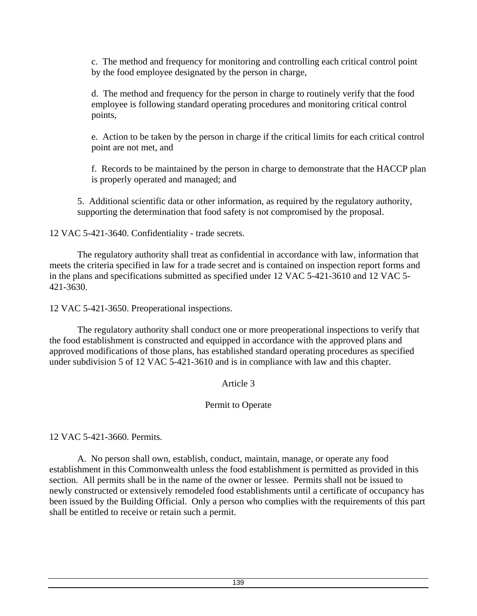c. The method and frequency for monitoring and controlling each critical control point by the food employee designated by the person in charge,

d. The method and frequency for the person in charge to routinely verify that the food employee is following standard operating procedures and monitoring critical control points,

e. Action to be taken by the person in charge if the critical limits for each critical control point are not met, and

f. Records to be maintained by the person in charge to demonstrate that the HACCP plan is properly operated and managed; and

5. Additional scientific data or other information, as required by the regulatory authority, supporting the determination that food safety is not compromised by the proposal.

12 VAC 5-421-3640. Confidentiality - trade secrets.

The regulatory authority shall treat as confidential in accordance with law, information that meets the criteria specified in law for a trade secret and is contained on inspection report forms and in the plans and specifications submitted as specified under 12 VAC 5-421-3610 and 12 VAC 5- 421-3630.

12 VAC 5-421-3650. Preoperational inspections.

The regulatory authority shall conduct one or more preoperational inspections to verify that the food establishment is constructed and equipped in accordance with the approved plans and approved modifications of those plans, has established standard operating procedures as specified under subdivision 5 of 12 VAC 5-421-3610 and is in compliance with law and this chapter.

#### Article 3

#### Permit to Operate

12 VAC 5-421-3660. Permits.

A. No person shall own, establish, conduct, maintain, manage, or operate any food establishment in this Commonwealth unless the food establishment is permitted as provided in this section. All permits shall be in the name of the owner or lessee. Permits shall not be issued to newly constructed or extensively remodeled food establishments until a certificate of occupancy has been issued by the Building Official. Only a person who complies with the requirements of this part shall be entitled to receive or retain such a permit.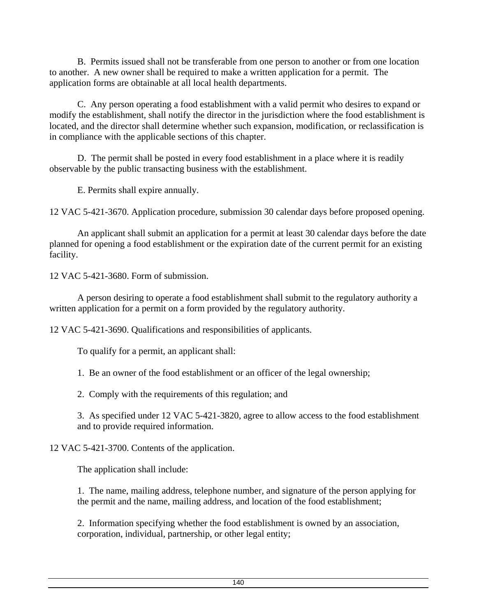B. Permits issued shall not be transferable from one person to another or from one location to another. A new owner shall be required to make a written application for a permit. The application forms are obtainable at all local health departments.

C. Any person operating a food establishment with a valid permit who desires to expand or modify the establishment, shall notify the director in the jurisdiction where the food establishment is located, and the director shall determine whether such expansion, modification, or reclassification is in compliance with the applicable sections of this chapter.

D. The permit shall be posted in every food establishment in a place where it is readily observable by the public transacting business with the establishment.

E. Permits shall expire annually.

12 VAC 5-421-3670. Application procedure, submission 30 calendar days before proposed opening.

An applicant shall submit an application for a permit at least 30 calendar days before the date planned for opening a food establishment or the expiration date of the current permit for an existing facility.

12 VAC 5-421-3680. Form of submission.

A person desiring to operate a food establishment shall submit to the regulatory authority a written application for a permit on a form provided by the regulatory authority.

12 VAC 5-421-3690. Qualifications and responsibilities of applicants.

To qualify for a permit, an applicant shall:

1. Be an owner of the food establishment or an officer of the legal ownership;

2. Comply with the requirements of this regulation; and

3. As specified under 12 VAC 5-421-3820, agree to allow access to the food establishment and to provide required information.

12 VAC 5-421-3700. Contents of the application.

The application shall include:

1. The name, mailing address, telephone number, and signature of the person applying for the permit and the name, mailing address, and location of the food establishment;

2. Information specifying whether the food establishment is owned by an association, corporation, individual, partnership, or other legal entity;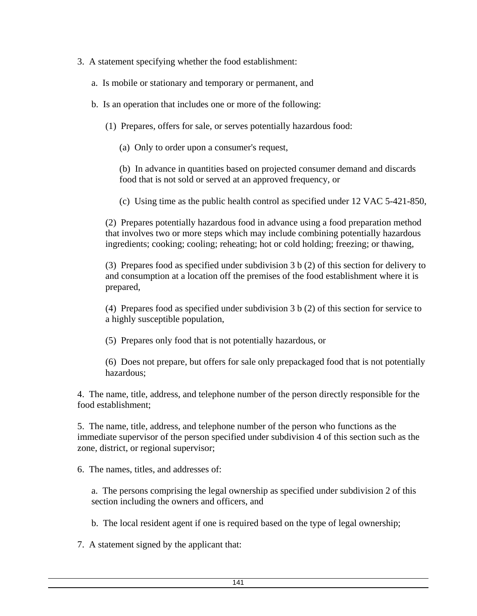- 3. A statement specifying whether the food establishment:
	- a. Is mobile or stationary and temporary or permanent, and
	- b. Is an operation that includes one or more of the following:
		- (1) Prepares, offers for sale, or serves potentially hazardous food:
			- (a) Only to order upon a consumer's request,

(b) In advance in quantities based on projected consumer demand and discards food that is not sold or served at an approved frequency, or

(c) Using time as the public health control as specified under 12 VAC 5-421-850,

(2) Prepares potentially hazardous food in advance using a food preparation method that involves two or more steps which may include combining potentially hazardous ingredients; cooking; cooling; reheating; hot or cold holding; freezing; or thawing,

(3) Prepares food as specified under subdivision 3 b (2) of this section for delivery to and consumption at a location off the premises of the food establishment where it is prepared,

(4) Prepares food as specified under subdivision 3 b (2) of this section for service to a highly susceptible population,

(5) Prepares only food that is not potentially hazardous, or

(6) Does not prepare, but offers for sale only prepackaged food that is not potentially hazardous;

4. The name, title, address, and telephone number of the person directly responsible for the food establishment;

5. The name, title, address, and telephone number of the person who functions as the immediate supervisor of the person specified under subdivision 4 of this section such as the zone, district, or regional supervisor;

6. The names, titles, and addresses of:

a. The persons comprising the legal ownership as specified under subdivision 2 of this section including the owners and officers, and

b. The local resident agent if one is required based on the type of legal ownership;

7. A statement signed by the applicant that: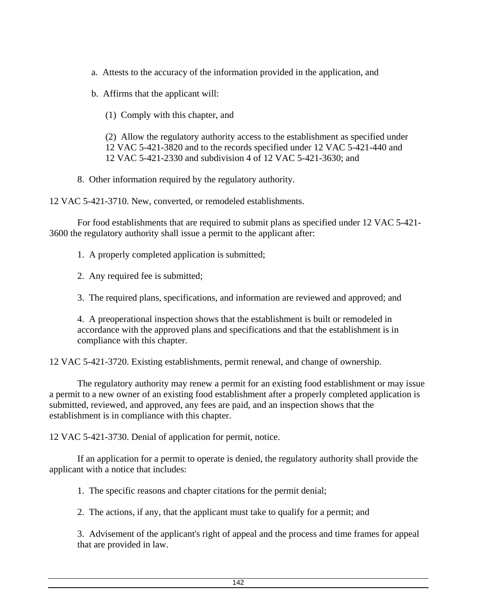a. Attests to the accuracy of the information provided in the application, and

b. Affirms that the applicant will:

(1) Comply with this chapter, and

(2) Allow the regulatory authority access to the establishment as specified under 12 VAC 5-421-3820 and to the records specified under 12 VAC 5-421-440 and 12 VAC 5-421-2330 and subdivision 4 of 12 VAC 5-421-3630; and

8. Other information required by the regulatory authority.

12 VAC 5-421-3710. New, converted, or remodeled establishments.

For food establishments that are required to submit plans as specified under 12 VAC 5-421- 3600 the regulatory authority shall issue a permit to the applicant after:

- 1. A properly completed application is submitted;
- 2. Any required fee is submitted;
- 3. The required plans, specifications, and information are reviewed and approved; and

4. A preoperational inspection shows that the establishment is built or remodeled in accordance with the approved plans and specifications and that the establishment is in compliance with this chapter.

12 VAC 5-421-3720. Existing establishments, permit renewal, and change of ownership.

The regulatory authority may renew a permit for an existing food establishment or may issue a permit to a new owner of an existing food establishment after a properly completed application is submitted, reviewed, and approved, any fees are paid, and an inspection shows that the establishment is in compliance with this chapter.

12 VAC 5-421-3730. Denial of application for permit, notice.

If an application for a permit to operate is denied, the regulatory authority shall provide the applicant with a notice that includes:

1. The specific reasons and chapter citations for the permit denial;

2. The actions, if any, that the applicant must take to qualify for a permit; and

3. Advisement of the applicant's right of appeal and the process and time frames for appeal that are provided in law.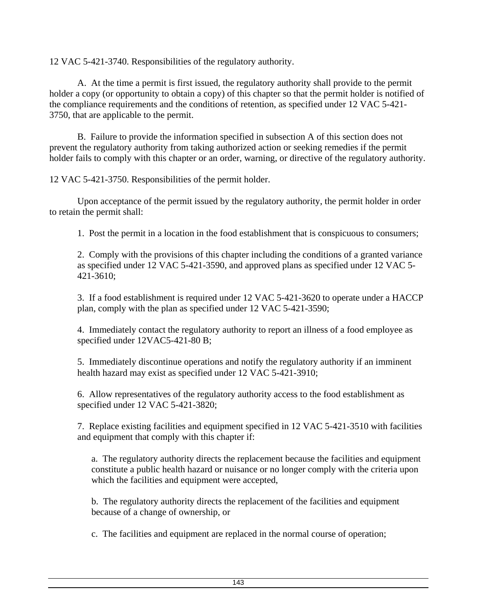12 VAC 5-421-3740. Responsibilities of the regulatory authority.

A. At the time a permit is first issued, the regulatory authority shall provide to the permit holder a copy (or opportunity to obtain a copy) of this chapter so that the permit holder is notified of the compliance requirements and the conditions of retention, as specified under 12 VAC 5-421- 3750, that are applicable to the permit.

B. Failure to provide the information specified in subsection A of this section does not prevent the regulatory authority from taking authorized action or seeking remedies if the permit holder fails to comply with this chapter or an order, warning, or directive of the regulatory authority.

12 VAC 5-421-3750. Responsibilities of the permit holder.

Upon acceptance of the permit issued by the regulatory authority, the permit holder in order to retain the permit shall:

1. Post the permit in a location in the food establishment that is conspicuous to consumers;

2. Comply with the provisions of this chapter including the conditions of a granted variance as specified under 12 VAC 5-421-3590, and approved plans as specified under 12 VAC 5- 421-3610;

3. If a food establishment is required under 12 VAC 5-421-3620 to operate under a HACCP plan, comply with the plan as specified under 12 VAC 5-421-3590;

4. Immediately contact the regulatory authority to report an illness of a food employee as specified under 12VAC5-421-80 B;

5. Immediately discontinue operations and notify the regulatory authority if an imminent health hazard may exist as specified under 12 VAC 5-421-3910;

6. Allow representatives of the regulatory authority access to the food establishment as specified under 12 VAC 5-421-3820;

7. Replace existing facilities and equipment specified in 12 VAC 5-421-3510 with facilities and equipment that comply with this chapter if:

a. The regulatory authority directs the replacement because the facilities and equipment constitute a public health hazard or nuisance or no longer comply with the criteria upon which the facilities and equipment were accepted,

b. The regulatory authority directs the replacement of the facilities and equipment because of a change of ownership, or

c. The facilities and equipment are replaced in the normal course of operation;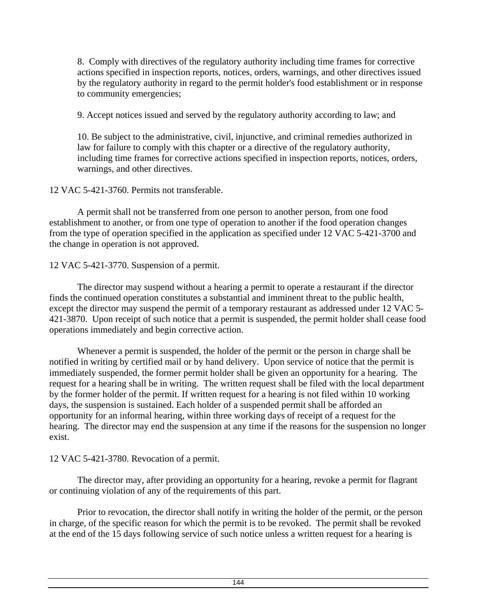8. Comply with directives of the regulatory authority including time frames for corrective actions specified in inspection reports, notices, orders, warnings, and other directives issued by the regulatory authority in regard to the permit holder's food establishment or in response to community emergencies;

9. Accept notices issued and served by the regulatory authority according to law; and

10. Be subject to the administrative, civil, injunctive, and criminal remedies authorized in law for failure to comply with this chapter or a directive of the regulatory authority, including time frames for corrective actions specified in inspection reports, notices, orders, warnings, and other directives.

12 VAC 5-421-3760. Permits not transferable.

A permit shall not be transferred from one person to another person, from one food establishment to another, or from one type of operation to another if the food operation changes from the type of operation specified in the application as specified under 12 VAC 5-421-3700 and the change in operation is not approved.

12 VAC 5-421-3770. Suspension of a permit.

The director may suspend without a hearing a permit to operate a restaurant if the director finds the continued operation constitutes a substantial and imminent threat to the public health, except the director may suspend the permit of a temporary restaurant as addressed under 12 VAC 5- 421-3870. Upon receipt of such notice that a permit is suspended, the permit holder shall cease food operations immediately and begin corrective action.

Whenever a permit is suspended, the holder of the permit or the person in charge shall be notified in writing by certified mail or by hand delivery. Upon service of notice that the permit is immediately suspended, the former permit holder shall be given an opportunity for a hearing. The request for a hearing shall be in writing. The written request shall be filed with the local department by the former holder of the permit. If written request for a hearing is not filed within 10 working days, the suspension is sustained. Each holder of a suspended permit shall be afforded an opportunity for an informal hearing, within three working days of receipt of a request for the hearing. The director may end the suspension at any time if the reasons for the suspension no longer exist.

## 12 VAC 5-421-3780. Revocation of a permit.

The director may, after providing an opportunity for a hearing, revoke a permit for flagrant or continuing violation of any of the requirements of this part.

Prior to revocation, the director shall notify in writing the holder of the permit, or the person in charge, of the specific reason for which the permit is to be revoked. The permit shall be revoked at the end of the 15 days following service of such notice unless a written request for a hearing is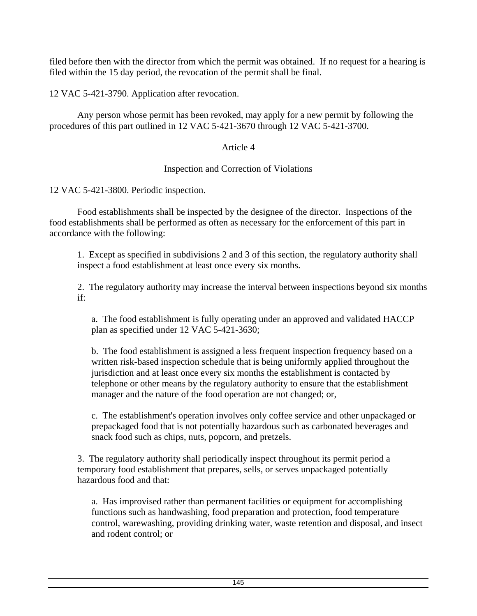filed before then with the director from which the permit was obtained. If no request for a hearing is filed within the 15 day period, the revocation of the permit shall be final.

12 VAC 5-421-3790. Application after revocation.

Any person whose permit has been revoked, may apply for a new permit by following the procedures of this part outlined in 12 VAC 5-421-3670 through 12 VAC 5-421-3700.

#### Article 4

#### Inspection and Correction of Violations

12 VAC 5-421-3800. Periodic inspection.

Food establishments shall be inspected by the designee of the director. Inspections of the food establishments shall be performed as often as necessary for the enforcement of this part in accordance with the following:

1. Except as specified in subdivisions 2 and 3 of this section, the regulatory authority shall inspect a food establishment at least once every six months.

2. The regulatory authority may increase the interval between inspections beyond six months if:

a. The food establishment is fully operating under an approved and validated HACCP plan as specified under 12 VAC 5-421-3630;

b. The food establishment is assigned a less frequent inspection frequency based on a written risk-based inspection schedule that is being uniformly applied throughout the jurisdiction and at least once every six months the establishment is contacted by telephone or other means by the regulatory authority to ensure that the establishment manager and the nature of the food operation are not changed; or,

c. The establishment's operation involves only coffee service and other unpackaged or prepackaged food that is not potentially hazardous such as carbonated beverages and snack food such as chips, nuts, popcorn, and pretzels.

3. The regulatory authority shall periodically inspect throughout its permit period a temporary food establishment that prepares, sells, or serves unpackaged potentially hazardous food and that:

a. Has improvised rather than permanent facilities or equipment for accomplishing functions such as handwashing, food preparation and protection, food temperature control, warewashing, providing drinking water, waste retention and disposal, and insect and rodent control; or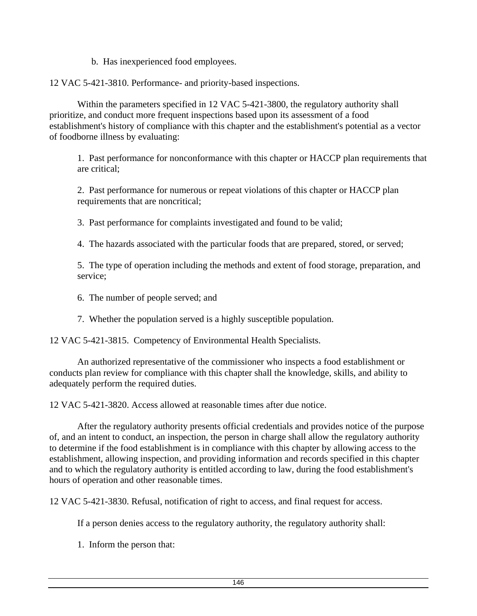b. Has inexperienced food employees.

12 VAC 5-421-3810. Performance- and priority-based inspections.

Within the parameters specified in 12 VAC 5-421-3800, the regulatory authority shall prioritize, and conduct more frequent inspections based upon its assessment of a food establishment's history of compliance with this chapter and the establishment's potential as a vector of foodborne illness by evaluating:

1. Past performance for nonconformance with this chapter or HACCP plan requirements that are critical;

2. Past performance for numerous or repeat violations of this chapter or HACCP plan requirements that are noncritical;

3. Past performance for complaints investigated and found to be valid;

4. The hazards associated with the particular foods that are prepared, stored, or served;

5. The type of operation including the methods and extent of food storage, preparation, and service;

6. The number of people served; and

7. Whether the population served is a highly susceptible population.

12 VAC 5-421-3815. Competency of Environmental Health Specialists.

 An authorized representative of the commissioner who inspects a food establishment or conducts plan review for compliance with this chapter shall the knowledge, skills, and ability to adequately perform the required duties.

12 VAC 5-421-3820. Access allowed at reasonable times after due notice.

After the regulatory authority presents official credentials and provides notice of the purpose of, and an intent to conduct, an inspection, the person in charge shall allow the regulatory authority to determine if the food establishment is in compliance with this chapter by allowing access to the establishment, allowing inspection, and providing information and records specified in this chapter and to which the regulatory authority is entitled according to law, during the food establishment's hours of operation and other reasonable times.

12 VAC 5-421-3830. Refusal, notification of right to access, and final request for access.

If a person denies access to the regulatory authority, the regulatory authority shall:

1. Inform the person that: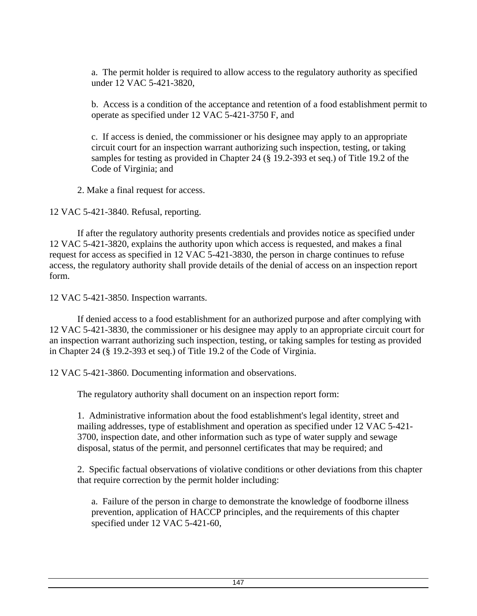a. The permit holder is required to allow access to the regulatory authority as specified under 12 VAC 5-421-3820,

b. Access is a condition of the acceptance and retention of a food establishment permit to operate as specified under 12 VAC 5-421-3750 F, and

c. If access is denied, the commissioner or his designee may apply to an appropriate circuit court for an inspection warrant authorizing such inspection, testing, or taking samples for testing as provided in Chapter 24 (§ 19.2-393 et seq.) of Title 19.2 of the Code of Virginia; and

2. Make a final request for access.

12 VAC 5-421-3840. Refusal, reporting.

If after the regulatory authority presents credentials and provides notice as specified under 12 VAC 5-421-3820, explains the authority upon which access is requested, and makes a final request for access as specified in 12 VAC 5-421-3830, the person in charge continues to refuse access, the regulatory authority shall provide details of the denial of access on an inspection report form.

12 VAC 5-421-3850. Inspection warrants.

If denied access to a food establishment for an authorized purpose and after complying with 12 VAC 5-421-3830, the commissioner or his designee may apply to an appropriate circuit court for an inspection warrant authorizing such inspection, testing, or taking samples for testing as provided in Chapter 24 (§ 19.2-393 et seq.) of Title 19.2 of the Code of Virginia.

12 VAC 5-421-3860. Documenting information and observations.

The regulatory authority shall document on an inspection report form:

1. Administrative information about the food establishment's legal identity, street and mailing addresses, type of establishment and operation as specified under 12 VAC 5-421- 3700, inspection date, and other information such as type of water supply and sewage disposal, status of the permit, and personnel certificates that may be required; and

2. Specific factual observations of violative conditions or other deviations from this chapter that require correction by the permit holder including:

a. Failure of the person in charge to demonstrate the knowledge of foodborne illness prevention, application of HACCP principles, and the requirements of this chapter specified under 12 VAC 5-421-60,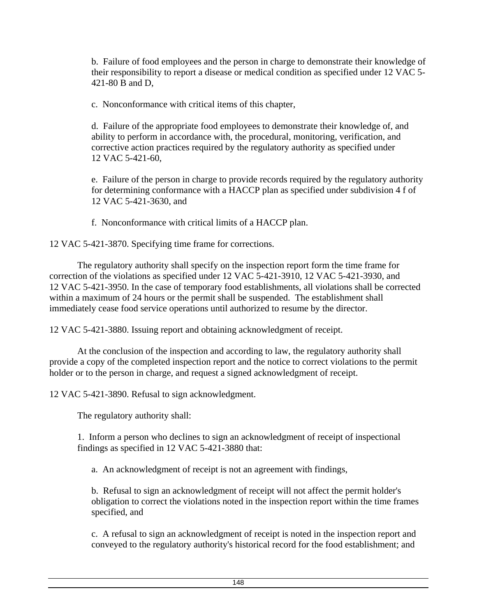b. Failure of food employees and the person in charge to demonstrate their knowledge of their responsibility to report a disease or medical condition as specified under 12 VAC 5- 421-80 B and D,

c. Nonconformance with critical items of this chapter,

d. Failure of the appropriate food employees to demonstrate their knowledge of, and ability to perform in accordance with, the procedural, monitoring, verification, and corrective action practices required by the regulatory authority as specified under 12 VAC 5-421-60,

e. Failure of the person in charge to provide records required by the regulatory authority for determining conformance with a HACCP plan as specified under subdivision 4 f of 12 VAC 5-421-3630, and

f. Nonconformance with critical limits of a HACCP plan.

12 VAC 5-421-3870. Specifying time frame for corrections.

The regulatory authority shall specify on the inspection report form the time frame for correction of the violations as specified under 12 VAC 5-421-3910, 12 VAC 5-421-3930, and 12 VAC 5-421-3950. In the case of temporary food establishments, all violations shall be corrected within a maximum of 24 hours or the permit shall be suspended. The establishment shall immediately cease food service operations until authorized to resume by the director.

12 VAC 5-421-3880. Issuing report and obtaining acknowledgment of receipt.

At the conclusion of the inspection and according to law, the regulatory authority shall provide a copy of the completed inspection report and the notice to correct violations to the permit holder or to the person in charge, and request a signed acknowledgment of receipt.

12 VAC 5-421-3890. Refusal to sign acknowledgment.

The regulatory authority shall:

1. Inform a person who declines to sign an acknowledgment of receipt of inspectional findings as specified in 12 VAC 5-421-3880 that:

a. An acknowledgment of receipt is not an agreement with findings,

b. Refusal to sign an acknowledgment of receipt will not affect the permit holder's obligation to correct the violations noted in the inspection report within the time frames specified, and

c. A refusal to sign an acknowledgment of receipt is noted in the inspection report and conveyed to the regulatory authority's historical record for the food establishment; and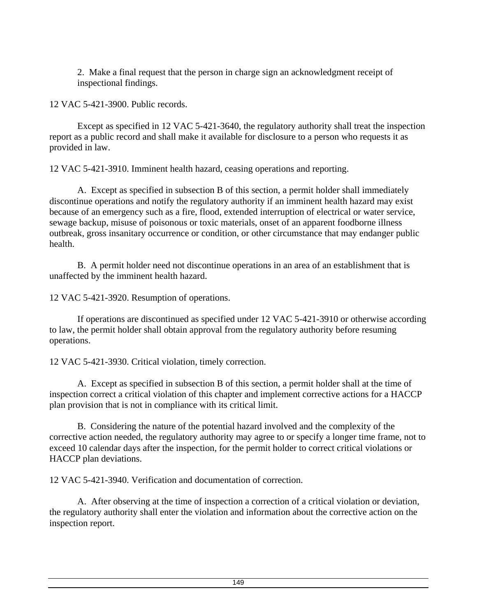2. Make a final request that the person in charge sign an acknowledgment receipt of inspectional findings.

12 VAC 5-421-3900. Public records.

Except as specified in 12 VAC 5-421-3640, the regulatory authority shall treat the inspection report as a public record and shall make it available for disclosure to a person who requests it as provided in law.

12 VAC 5-421-3910. Imminent health hazard, ceasing operations and reporting.

A. Except as specified in subsection B of this section, a permit holder shall immediately discontinue operations and notify the regulatory authority if an imminent health hazard may exist because of an emergency such as a fire, flood, extended interruption of electrical or water service, sewage backup, misuse of poisonous or toxic materials, onset of an apparent foodborne illness outbreak, gross insanitary occurrence or condition, or other circumstance that may endanger public health.

B. A permit holder need not discontinue operations in an area of an establishment that is unaffected by the imminent health hazard.

12 VAC 5-421-3920. Resumption of operations.

If operations are discontinued as specified under 12 VAC 5-421-3910 or otherwise according to law, the permit holder shall obtain approval from the regulatory authority before resuming operations.

12 VAC 5-421-3930. Critical violation, timely correction.

A. Except as specified in subsection B of this section, a permit holder shall at the time of inspection correct a critical violation of this chapter and implement corrective actions for a HACCP plan provision that is not in compliance with its critical limit.

B. Considering the nature of the potential hazard involved and the complexity of the corrective action needed, the regulatory authority may agree to or specify a longer time frame, not to exceed 10 calendar days after the inspection, for the permit holder to correct critical violations or HACCP plan deviations.

12 VAC 5-421-3940. Verification and documentation of correction.

A. After observing at the time of inspection a correction of a critical violation or deviation, the regulatory authority shall enter the violation and information about the corrective action on the inspection report.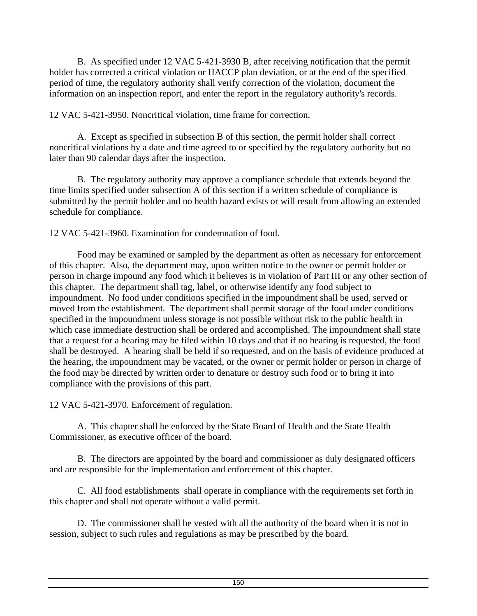B. As specified under 12 VAC 5-421-3930 B, after receiving notification that the permit holder has corrected a critical violation or HACCP plan deviation, or at the end of the specified period of time, the regulatory authority shall verify correction of the violation, document the information on an inspection report, and enter the report in the regulatory authority's records.

12 VAC 5-421-3950. Noncritical violation, time frame for correction.

A. Except as specified in subsection B of this section, the permit holder shall correct noncritical violations by a date and time agreed to or specified by the regulatory authority but no later than 90 calendar days after the inspection.

B. The regulatory authority may approve a compliance schedule that extends beyond the time limits specified under subsection A of this section if a written schedule of compliance is submitted by the permit holder and no health hazard exists or will result from allowing an extended schedule for compliance.

12 VAC 5-421-3960. Examination for condemnation of food.

Food may be examined or sampled by the department as often as necessary for enforcement of this chapter. Also, the department may, upon written notice to the owner or permit holder or person in charge impound any food which it believes is in violation of Part III or any other section of this chapter. The department shall tag, label, or otherwise identify any food subject to impoundment. No food under conditions specified in the impoundment shall be used, served or moved from the establishment. The department shall permit storage of the food under conditions specified in the impoundment unless storage is not possible without risk to the public health in which case immediate destruction shall be ordered and accomplished. The impoundment shall state that a request for a hearing may be filed within 10 days and that if no hearing is requested, the food shall be destroyed. A hearing shall be held if so requested, and on the basis of evidence produced at the hearing, the impoundment may be vacated, or the owner or permit holder or person in charge of the food may be directed by written order to denature or destroy such food or to bring it into compliance with the provisions of this part.

12 VAC 5-421-3970. Enforcement of regulation.

A. This chapter shall be enforced by the State Board of Health and the State Health Commissioner, as executive officer of the board.

B. The directors are appointed by the board and commissioner as duly designated officers and are responsible for the implementation and enforcement of this chapter.

C. All food establishments shall operate in compliance with the requirements set forth in this chapter and shall not operate without a valid permit.

D. The commissioner shall be vested with all the authority of the board when it is not in session, subject to such rules and regulations as may be prescribed by the board.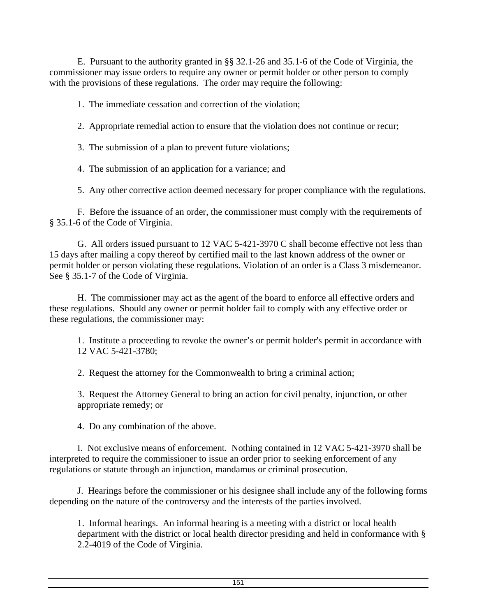E. Pursuant to the authority granted in §§ 32.1-26 and 35.1-6 of the Code of Virginia, the commissioner may issue orders to require any owner or permit holder or other person to comply with the provisions of these regulations. The order may require the following:

1. The immediate cessation and correction of the violation;

2. Appropriate remedial action to ensure that the violation does not continue or recur;

3. The submission of a plan to prevent future violations;

4. The submission of an application for a variance; and

5. Any other corrective action deemed necessary for proper compliance with the regulations.

F. Before the issuance of an order, the commissioner must comply with the requirements of § 35.1-6 of the Code of Virginia.

G. All orders issued pursuant to 12 VAC 5-421-3970 C shall become effective not less than 15 days after mailing a copy thereof by certified mail to the last known address of the owner or permit holder or person violating these regulations. Violation of an order is a Class 3 misdemeanor. See § 35.1-7 of the Code of Virginia.

H. The commissioner may act as the agent of the board to enforce all effective orders and these regulations. Should any owner or permit holder fail to comply with any effective order or these regulations, the commissioner may:

1. Institute a proceeding to revoke the owner's or permit holder's permit in accordance with 12 VAC 5-421-3780;

2. Request the attorney for the Commonwealth to bring a criminal action;

3. Request the Attorney General to bring an action for civil penalty, injunction, or other appropriate remedy; or

4. Do any combination of the above.

I. Not exclusive means of enforcement. Nothing contained in 12 VAC 5-421-3970 shall be interpreted to require the commissioner to issue an order prior to seeking enforcement of any regulations or statute through an injunction, mandamus or criminal prosecution.

J. Hearings before the commissioner or his designee shall include any of the following forms depending on the nature of the controversy and the interests of the parties involved.

1. Informal hearings. An informal hearing is a meeting with a district or local health department with the district or local health director presiding and held in conformance with § 2.2-4019 of the Code of Virginia.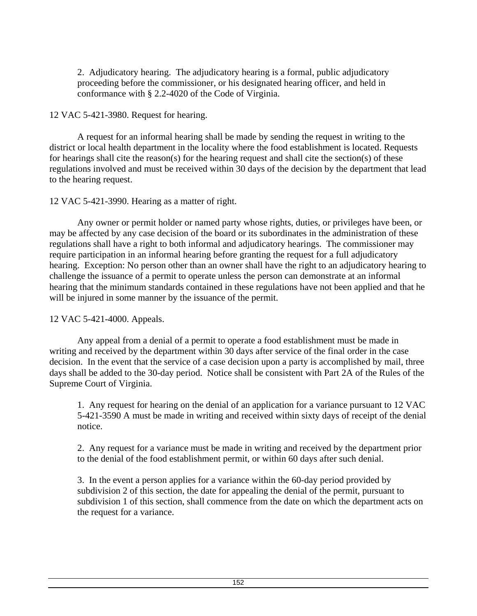2. Adjudicatory hearing. The adjudicatory hearing is a formal, public adjudicatory proceeding before the commissioner, or his designated hearing officer, and held in conformance with § 2.2-4020 of the Code of Virginia.

12 VAC 5-421-3980. Request for hearing.

A request for an informal hearing shall be made by sending the request in writing to the district or local health department in the locality where the food establishment is located. Requests for hearings shall cite the reason(s) for the hearing request and shall cite the section(s) of these regulations involved and must be received within 30 days of the decision by the department that lead to the hearing request.

12 VAC 5-421-3990. Hearing as a matter of right.

Any owner or permit holder or named party whose rights, duties, or privileges have been, or may be affected by any case decision of the board or its subordinates in the administration of these regulations shall have a right to both informal and adjudicatory hearings. The commissioner may require participation in an informal hearing before granting the request for a full adjudicatory hearing. Exception: No person other than an owner shall have the right to an adjudicatory hearing to challenge the issuance of a permit to operate unless the person can demonstrate at an informal hearing that the minimum standards contained in these regulations have not been applied and that he will be injured in some manner by the issuance of the permit.

12 VAC 5-421-4000. Appeals.

Any appeal from a denial of a permit to operate a food establishment must be made in writing and received by the department within 30 days after service of the final order in the case decision. In the event that the service of a case decision upon a party is accomplished by mail, three days shall be added to the 30-day period. Notice shall be consistent with Part 2A of the Rules of the Supreme Court of Virginia.

1. Any request for hearing on the denial of an application for a variance pursuant to 12 VAC 5-421-3590 A must be made in writing and received within sixty days of receipt of the denial notice.

2. Any request for a variance must be made in writing and received by the department prior to the denial of the food establishment permit, or within 60 days after such denial.

3. In the event a person applies for a variance within the 60-day period provided by subdivision 2 of this section, the date for appealing the denial of the permit, pursuant to subdivision 1 of this section, shall commence from the date on which the department acts on the request for a variance.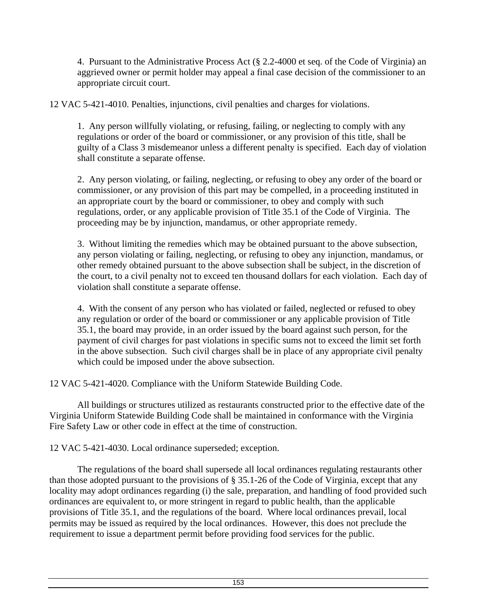4. Pursuant to the Administrative Process Act (§ 2.2-4000 et seq. of the Code of Virginia) an aggrieved owner or permit holder may appeal a final case decision of the commissioner to an appropriate circuit court.

12 VAC 5-421-4010. Penalties, injunctions, civil penalties and charges for violations.

1. Any person willfully violating, or refusing, failing, or neglecting to comply with any regulations or order of the board or commissioner, or any provision of this title, shall be guilty of a Class 3 misdemeanor unless a different penalty is specified. Each day of violation shall constitute a separate offense.

2. Any person violating, or failing, neglecting, or refusing to obey any order of the board or commissioner, or any provision of this part may be compelled, in a proceeding instituted in an appropriate court by the board or commissioner, to obey and comply with such regulations, order, or any applicable provision of Title 35.1 of the Code of Virginia. The proceeding may be by injunction, mandamus, or other appropriate remedy.

3. Without limiting the remedies which may be obtained pursuant to the above subsection, any person violating or failing, neglecting, or refusing to obey any injunction, mandamus, or other remedy obtained pursuant to the above subsection shall be subject, in the discretion of the court, to a civil penalty not to exceed ten thousand dollars for each violation. Each day of violation shall constitute a separate offense.

4. With the consent of any person who has violated or failed, neglected or refused to obey any regulation or order of the board or commissioner or any applicable provision of Title 35.1, the board may provide, in an order issued by the board against such person, for the payment of civil charges for past violations in specific sums not to exceed the limit set forth in the above subsection. Such civil charges shall be in place of any appropriate civil penalty which could be imposed under the above subsection.

12 VAC 5-421-4020. Compliance with the Uniform Statewide Building Code.

All buildings or structures utilized as restaurants constructed prior to the effective date of the Virginia Uniform Statewide Building Code shall be maintained in conformance with the Virginia Fire Safety Law or other code in effect at the time of construction.

12 VAC 5-421-4030. Local ordinance superseded; exception.

The regulations of the board shall supersede all local ordinances regulating restaurants other than those adopted pursuant to the provisions of § 35.1-26 of the Code of Virginia, except that any locality may adopt ordinances regarding (i) the sale, preparation, and handling of food provided such ordinances are equivalent to, or more stringent in regard to public health, than the applicable provisions of Title 35.1, and the regulations of the board. Where local ordinances prevail, local permits may be issued as required by the local ordinances. However, this does not preclude the requirement to issue a department permit before providing food services for the public.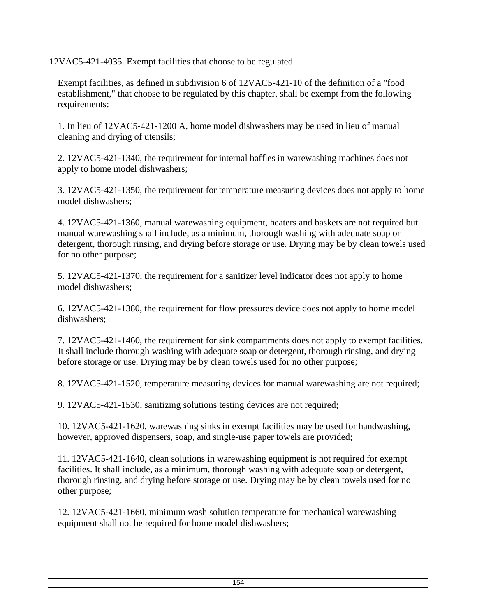12VAC5-421-4035. Exempt facilities that choose to be regulated.

Exempt facilities, as defined in subdivision 6 of 12VAC5-421-10 of the definition of a "food establishment," that choose to be regulated by this chapter, shall be exempt from the following requirements:

1. In lieu of 12VAC5-421-1200 A, home model dishwashers may be used in lieu of manual cleaning and drying of utensils;

2. 12VAC5-421-1340, the requirement for internal baffles in warewashing machines does not apply to home model dishwashers;

3. 12VAC5-421-1350, the requirement for temperature measuring devices does not apply to home model dishwashers;

4. 12VAC5-421-1360, manual warewashing equipment, heaters and baskets are not required but manual warewashing shall include, as a minimum, thorough washing with adequate soap or detergent, thorough rinsing, and drying before storage or use. Drying may be by clean towels used for no other purpose;

5. 12VAC5-421-1370, the requirement for a sanitizer level indicator does not apply to home model dishwashers;

6. 12VAC5-421-1380, the requirement for flow pressures device does not apply to home model dishwashers;

7. 12VAC5-421-1460, the requirement for sink compartments does not apply to exempt facilities. It shall include thorough washing with adequate soap or detergent, thorough rinsing, and drying before storage or use. Drying may be by clean towels used for no other purpose;

8. 12VAC5-421-1520, temperature measuring devices for manual warewashing are not required;

9. 12VAC5-421-1530, sanitizing solutions testing devices are not required;

10. 12VAC5-421-1620, warewashing sinks in exempt facilities may be used for handwashing, however, approved dispensers, soap, and single-use paper towels are provided;

11. 12VAC5-421-1640, clean solutions in warewashing equipment is not required for exempt facilities. It shall include, as a minimum, thorough washing with adequate soap or detergent, thorough rinsing, and drying before storage or use. Drying may be by clean towels used for no other purpose;

12. 12VAC5-421-1660, minimum wash solution temperature for mechanical warewashing equipment shall not be required for home model dishwashers;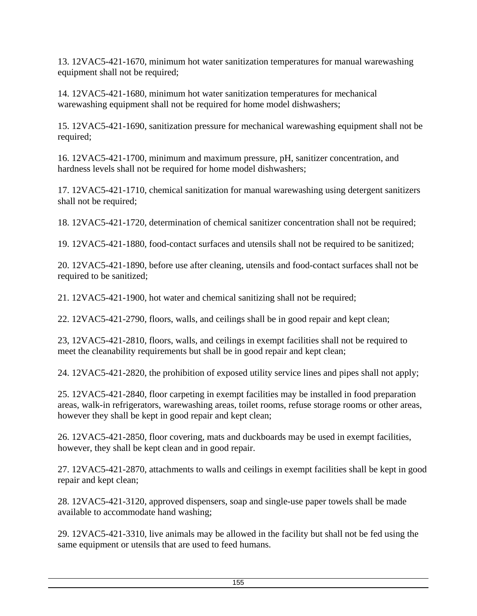13. 12VAC5-421-1670, minimum hot water sanitization temperatures for manual warewashing equipment shall not be required;

14. 12VAC5-421-1680, minimum hot water sanitization temperatures for mechanical warewashing equipment shall not be required for home model dishwashers:

15. 12VAC5-421-1690, sanitization pressure for mechanical warewashing equipment shall not be required;

16. 12VAC5-421-1700, minimum and maximum pressure, pH, sanitizer concentration, and hardness levels shall not be required for home model dishwashers;

17. 12VAC5-421-1710, chemical sanitization for manual warewashing using detergent sanitizers shall not be required;

18. 12VAC5-421-1720, determination of chemical sanitizer concentration shall not be required;

19. 12VAC5-421-1880, food-contact surfaces and utensils shall not be required to be sanitized;

20. 12VAC5-421-1890, before use after cleaning, utensils and food-contact surfaces shall not be required to be sanitized;

21. 12VAC5-421-1900, hot water and chemical sanitizing shall not be required;

22. 12VAC5-421-2790, floors, walls, and ceilings shall be in good repair and kept clean;

23, 12VAC5-421-2810, floors, walls, and ceilings in exempt facilities shall not be required to meet the cleanability requirements but shall be in good repair and kept clean;

24. 12VAC5-421-2820, the prohibition of exposed utility service lines and pipes shall not apply;

25. 12VAC5-421-2840, floor carpeting in exempt facilities may be installed in food preparation areas, walk-in refrigerators, warewashing areas, toilet rooms, refuse storage rooms or other areas, however they shall be kept in good repair and kept clean;

26. 12VAC5-421-2850, floor covering, mats and duckboards may be used in exempt facilities, however, they shall be kept clean and in good repair.

27. 12VAC5-421-2870, attachments to walls and ceilings in exempt facilities shall be kept in good repair and kept clean;

28. 12VAC5-421-3120, approved dispensers, soap and single-use paper towels shall be made available to accommodate hand washing;

29. 12VAC5-421-3310, live animals may be allowed in the facility but shall not be fed using the same equipment or utensils that are used to feed humans.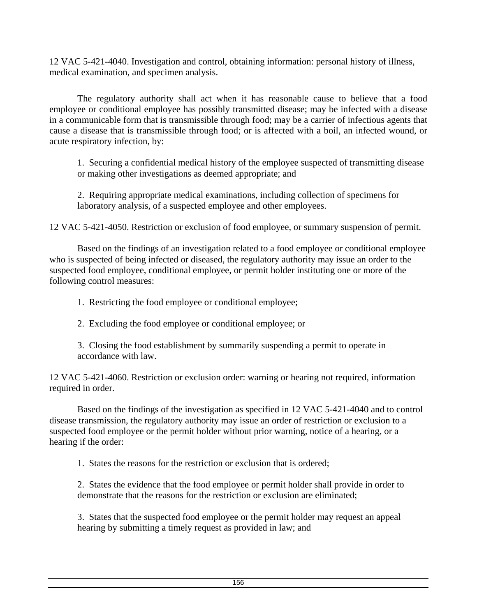12 VAC 5-421-4040. Investigation and control, obtaining information: personal history of illness, medical examination, and specimen analysis.

The regulatory authority shall act when it has reasonable cause to believe that a food employee or conditional employee has possibly transmitted disease; may be infected with a disease in a communicable form that is transmissible through food; may be a carrier of infectious agents that cause a disease that is transmissible through food; or is affected with a boil, an infected wound, or acute respiratory infection, by:

1. Securing a confidential medical history of the employee suspected of transmitting disease or making other investigations as deemed appropriate; and

2. Requiring appropriate medical examinations, including collection of specimens for laboratory analysis, of a suspected employee and other employees.

12 VAC 5-421-4050. Restriction or exclusion of food employee, or summary suspension of permit.

Based on the findings of an investigation related to a food employee or conditional employee who is suspected of being infected or diseased, the regulatory authority may issue an order to the suspected food employee, conditional employee, or permit holder instituting one or more of the following control measures:

1. Restricting the food employee or conditional employee;

2. Excluding the food employee or conditional employee; or

3. Closing the food establishment by summarily suspending a permit to operate in accordance with law.

12 VAC 5-421-4060. Restriction or exclusion order: warning or hearing not required, information required in order.

Based on the findings of the investigation as specified in 12 VAC 5-421-4040 and to control disease transmission, the regulatory authority may issue an order of restriction or exclusion to a suspected food employee or the permit holder without prior warning, notice of a hearing, or a hearing if the order:

1. States the reasons for the restriction or exclusion that is ordered;

2. States the evidence that the food employee or permit holder shall provide in order to demonstrate that the reasons for the restriction or exclusion are eliminated;

3. States that the suspected food employee or the permit holder may request an appeal hearing by submitting a timely request as provided in law; and